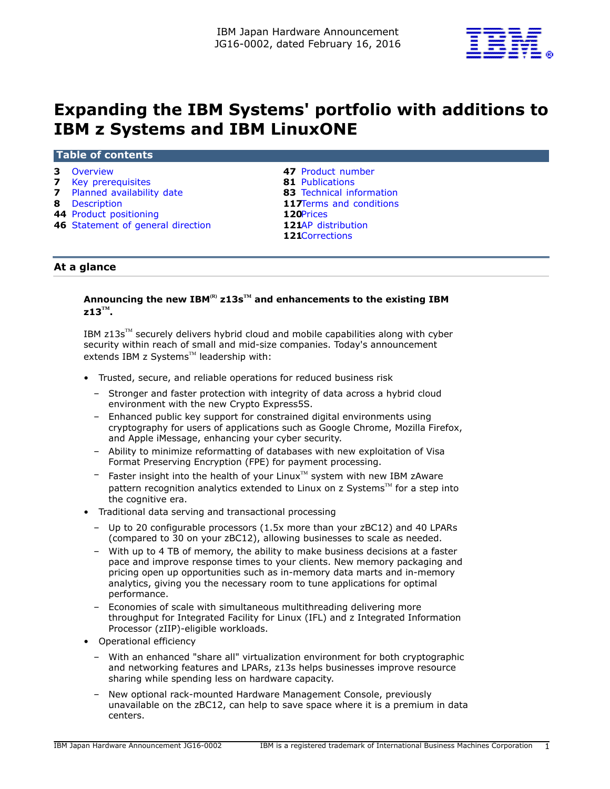

# **Expanding the IBM Systems' portfolio with additions to IBM z Systems and IBM LinuxONE**

#### **Table of contents**

- **7** [Key prerequisites](#page-6-0) **81** [Publications](#page-80-0)
- **7** [Planned availability date](#page-6-1) **83** [Technical information](#page-82-0)
- 
- 
- **46** [Statement of general direction](#page-45-0)

 [Overview](#page-2-0) **47** [Product number](#page-46-0) [Description](#page-7-0) **117**[Terms and conditions](#page-116-0)<br> **44** Product positioning **120**Prices [Product positioning](#page-43-0)<br> **46** Statement of general direction<br> **121**AP distribution [Corrections](#page-120-1)

# **At a glance**

# **Announcing the new IBM(R) z13sTM and enhancements to the existing IBM z13TM .**

IBM  $z13s<sup>TM</sup>$  securely delivers hybrid cloud and mobile capabilities along with cyber security within reach of small and mid-size companies. Today's announcement extends IBM z Systems $^{TM}$  leadership with:

- Trusted, secure, and reliable operations for reduced business risk
	- Stronger and faster protection with integrity of data across a hybrid cloud environment with the new Crypto Express5S.
	- Enhanced public key support for constrained digital environments using cryptography for users of applications such as Google Chrome, Mozilla Firefox, and Apple iMessage, enhancing your cyber security.
	- Ability to minimize reformatting of databases with new exploitation of Visa Format Preserving Encryption (FPE) for payment processing.
	- $-$  Faster insight into the health of your Linux $T^M$  system with new IBM zAware pattern recognition analytics extended to Linux on z Systems $T^M$  for a step into the cognitive era.
- Traditional data serving and transactional processing
	- Up to 20 configurable processors (1.5x more than your zBC12) and 40 LPARs (compared to 30 on your zBC12), allowing businesses to scale as needed.
	- With up to 4 TB of memory, the ability to make business decisions at a faster pace and improve response times to your clients. New memory packaging and pricing open up opportunities such as in-memory data marts and in-memory analytics, giving you the necessary room to tune applications for optimal performance.
	- Economies of scale with simultaneous multithreading delivering more throughput for Integrated Facility for Linux (IFL) and z Integrated Information Processor (zIIP)-eligible workloads.
- Operational efficiency
	- With an enhanced "share all" virtualization environment for both cryptographic and networking features and LPARs, z13s helps businesses improve resource sharing while spending less on hardware capacity.
	- New optional rack-mounted Hardware Management Console, previously unavailable on the zBC12, can help to save space where it is a premium in data centers.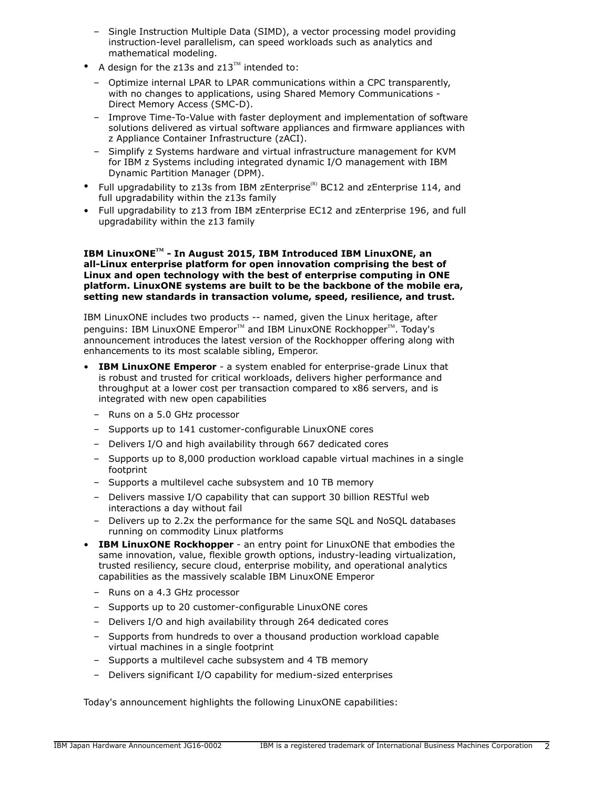- Single Instruction Multiple Data (SIMD), a vector processing model providing instruction-level parallelism, can speed workloads such as analytics and mathematical modeling.
- A design for the z13s and  $z13^{\text{m}}$  intended to:
	- Optimize internal LPAR to LPAR communications within a CPC transparently, with no changes to applications, using Shared Memory Communications - Direct Memory Access (SMC-D).
	- Improve Time-To-Value with faster deployment and implementation of software solutions delivered as virtual software appliances and firmware appliances with z Appliance Container Infrastructure (zACI).
	- Simplify z Systems hardware and virtual infrastructure management for KVM for IBM z Systems including integrated dynamic I/O management with IBM Dynamic Partition Manager (DPM).
- Full upgradability to z13s from IBM zEnterprise<sup>(R)</sup> BC12 and zEnterprise 114, and full upgradability within the z13s family
- Full upgradability to z13 from IBM zEnterprise EC12 and zEnterprise 196, and full upgradability within the z13 family

#### **IBM LinuxONETM - In August 2015, IBM Introduced IBM LinuxONE, an all-Linux enterprise platform for open innovation comprising the best of Linux and open technology with the best of enterprise computing in ONE platform. LinuxONE systems are built to be the backbone of the mobile era, setting new standards in transaction volume, speed, resilience, and trust.**

IBM LinuxONE includes two products -- named, given the Linux heritage, after penguins: IBM LinuxONE Emperor™ and IBM LinuxONE Rockhopper™. Today's announcement introduces the latest version of the Rockhopper offering along with enhancements to its most scalable sibling, Emperor.

- **IBM LinuxONE Emperor** a system enabled for enterprise-grade Linux that is robust and trusted for critical workloads, delivers higher performance and throughput at a lower cost per transaction compared to x86 servers, and is integrated with new open capabilities
	- Runs on a 5.0 GHz processor
	- Supports up to 141 customer-configurable LinuxONE cores
	- Delivers I/O and high availability through 667 dedicated cores
	- Supports up to 8,000 production workload capable virtual machines in a single footprint
	- Supports a multilevel cache subsystem and 10 TB memory
	- Delivers massive I/O capability that can support 30 billion RESTful web interactions a day without fail
	- Delivers up to 2.2x the performance for the same SQL and NoSQL databases running on commodity Linux platforms
- **IBM LinuxONE Rockhopper**  an entry point for LinuxONE that embodies the same innovation, value, flexible growth options, industry-leading virtualization, trusted resiliency, secure cloud, enterprise mobility, and operational analytics capabilities as the massively scalable IBM LinuxONE Emperor
	- Runs on a 4.3 GHz processor
	- Supports up to 20 customer-configurable LinuxONE cores
	- Delivers I/O and high availability through 264 dedicated cores
	- Supports from hundreds to over a thousand production workload capable virtual machines in a single footprint
	- Supports a multilevel cache subsystem and 4 TB memory
	- Delivers significant I/O capability for medium-sized enterprises

Today's announcement highlights the following LinuxONE capabilities: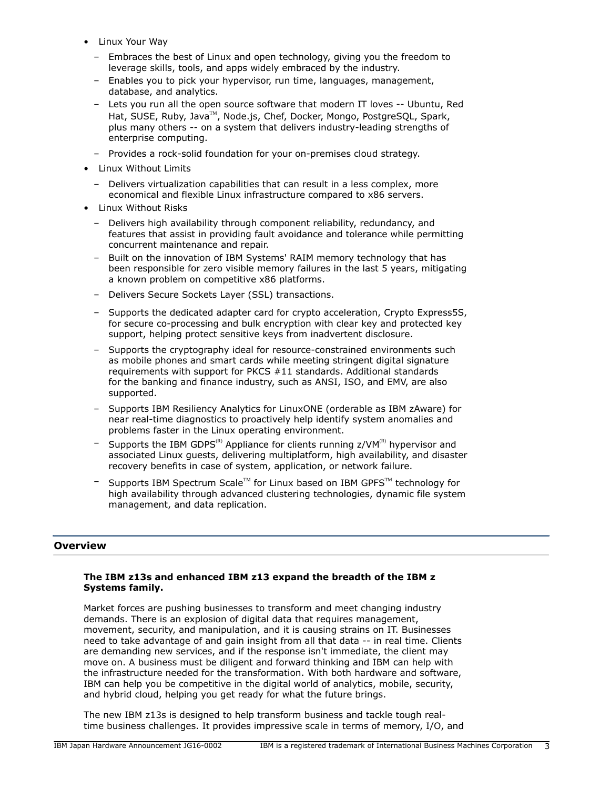- Linux Your Way
	- Embraces the best of Linux and open technology, giving you the freedom to leverage skills, tools, and apps widely embraced by the industry.
	- Enables you to pick your hypervisor, run time, languages, management, database, and analytics.
	- Lets you run all the open source software that modern IT loves -- Ubuntu, Red Hat, SUSE, Ruby, Java<sup>™</sup>, Node.js, Chef, Docker, Mongo, PostgreSQL, Spark, plus many others -- on a system that delivers industry-leading strengths of enterprise computing.
	- Provides a rock-solid foundation for your on-premises cloud strategy.
- Linux Without Limits
	- Delivers virtualization capabilities that can result in a less complex, more economical and flexible Linux infrastructure compared to x86 servers.
- Linux Without Risks
	- Delivers high availability through component reliability, redundancy, and features that assist in providing fault avoidance and tolerance while permitting concurrent maintenance and repair.
	- Built on the innovation of IBM Systems' RAIM memory technology that has been responsible for zero visible memory failures in the last 5 years, mitigating a known problem on competitive x86 platforms.
	- Delivers Secure Sockets Layer (SSL) transactions.
	- Supports the dedicated adapter card for crypto acceleration, Crypto Express5S, for secure co-processing and bulk encryption with clear key and protected key support, helping protect sensitive keys from inadvertent disclosure.
	- Supports the cryptography ideal for resource-constrained environments such as mobile phones and smart cards while meeting stringent digital signature requirements with support for PKCS #11 standards. Additional standards for the banking and finance industry, such as ANSI, ISO, and EMV, are also supported.
	- Supports IBM Resiliency Analytics for LinuxONE (orderable as IBM zAware) for near real-time diagnostics to proactively help identify system anomalies and problems faster in the Linux operating environment.
	- Supports the IBM GDPS<sup>(R)</sup> Appliance for clients running  $z/VM^{(R)}$  hypervisor and associated Linux guests, delivering multiplatform, high availability, and disaster recovery benefits in case of system, application, or network failure.
	- Supports IBM Spectrum Scale™ for Linux based on IBM GPFS™ technology for high availability through advanced clustering technologies, dynamic file system management, and data replication.

# <span id="page-2-0"></span>**Overview**

# **The IBM z13s and enhanced IBM z13 expand the breadth of the IBM z Systems family.**

Market forces are pushing businesses to transform and meet changing industry demands. There is an explosion of digital data that requires management, movement, security, and manipulation, and it is causing strains on IT. Businesses need to take advantage of and gain insight from all that data -- in real time. Clients are demanding new services, and if the response isn't immediate, the client may move on. A business must be diligent and forward thinking and IBM can help with the infrastructure needed for the transformation. With both hardware and software, IBM can help you be competitive in the digital world of analytics, mobile, security, and hybrid cloud, helping you get ready for what the future brings.

The new IBM z13s is designed to help transform business and tackle tough realtime business challenges. It provides impressive scale in terms of memory, I/O, and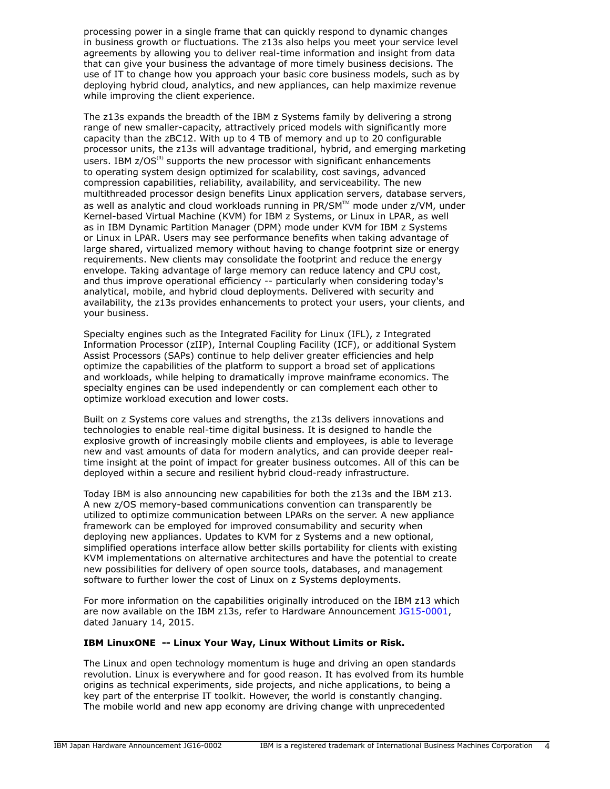processing power in a single frame that can quickly respond to dynamic changes in business growth or fluctuations. The z13s also helps you meet your service level agreements by allowing you to deliver real-time information and insight from data that can give your business the advantage of more timely business decisions. The use of IT to change how you approach your basic core business models, such as by deploying hybrid cloud, analytics, and new appliances, can help maximize revenue while improving the client experience.

The z13s expands the breadth of the IBM z Systems family by delivering a strong range of new smaller-capacity, attractively priced models with significantly more capacity than the zBC12. With up to 4 TB of memory and up to 20 configurable processor units, the z13s will advantage traditional, hybrid, and emerging marketing users. IBM  $z/OS^{(R)}$  supports the new processor with significant enhancements to operating system design optimized for scalability, cost savings, advanced compression capabilities, reliability, availability, and serviceability. The new multithreaded processor design benefits Linux application servers, database servers, as well as analytic and cloud workloads running in PR/SM™ mode under z/VM, under Kernel-based Virtual Machine (KVM) for IBM z Systems, or Linux in LPAR, as well as in IBM Dynamic Partition Manager (DPM) mode under KVM for IBM z Systems or Linux in LPAR. Users may see performance benefits when taking advantage of large shared, virtualized memory without having to change footprint size or energy requirements. New clients may consolidate the footprint and reduce the energy envelope. Taking advantage of large memory can reduce latency and CPU cost, and thus improve operational efficiency -- particularly when considering today's analytical, mobile, and hybrid cloud deployments. Delivered with security and availability, the z13s provides enhancements to protect your users, your clients, and your business.

Specialty engines such as the Integrated Facility for Linux (IFL), z Integrated Information Processor (zIIP), Internal Coupling Facility (ICF), or additional System Assist Processors (SAPs) continue to help deliver greater efficiencies and help optimize the capabilities of the platform to support a broad set of applications and workloads, while helping to dramatically improve mainframe economics. The specialty engines can be used independently or can complement each other to optimize workload execution and lower costs.

Built on z Systems core values and strengths, the z13s delivers innovations and technologies to enable real-time digital business. It is designed to handle the explosive growth of increasingly mobile clients and employees, is able to leverage new and vast amounts of data for modern analytics, and can provide deeper realtime insight at the point of impact for greater business outcomes. All of this can be deployed within a secure and resilient hybrid cloud-ready infrastructure.

Today IBM is also announcing new capabilities for both the z13s and the IBM z13. A new z/OS memory-based communications convention can transparently be utilized to optimize communication between LPARs on the server. A new appliance framework can be employed for improved consumability and security when deploying new appliances. Updates to KVM for z Systems and a new optional, simplified operations interface allow better skills portability for clients with existing KVM implementations on alternative architectures and have the potential to create new possibilities for delivery of open source tools, databases, and management software to further lower the cost of Linux on z Systems deployments.

For more information on the capabilities originally introduced on the IBM z13 which are now available on the IBM z13s, refer to Hardware Announcement [JG15-0001](http://www.ibm.com/common/ssi/cgi-bin/ssialias?infotype=an&subtype=ca&appname=gpateam&supplier=760&letternum=ENUSJG15-0001), dated January 14, 2015.

#### **IBM LinuxONE -- Linux Your Way, Linux Without Limits or Risk.**

The Linux and open technology momentum is huge and driving an open standards revolution. Linux is everywhere and for good reason. It has evolved from its humble origins as technical experiments, side projects, and niche applications, to being a key part of the enterprise IT toolkit. However, the world is constantly changing. The mobile world and new app economy are driving change with unprecedented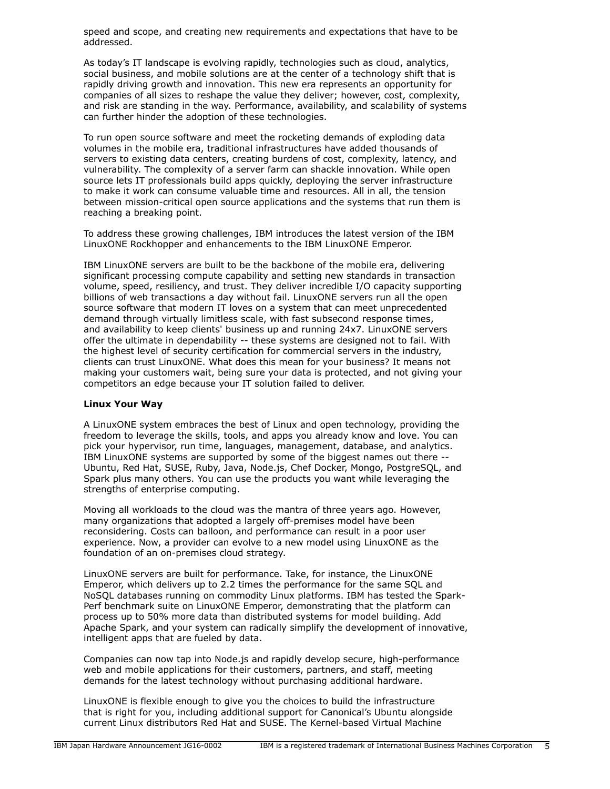speed and scope, and creating new requirements and expectations that have to be addressed.

As today's IT landscape is evolving rapidly, technologies such as cloud, analytics, social business, and mobile solutions are at the center of a technology shift that is rapidly driving growth and innovation. This new era represents an opportunity for companies of all sizes to reshape the value they deliver; however, cost, complexity, and risk are standing in the way. Performance, availability, and scalability of systems can further hinder the adoption of these technologies.

To run open source software and meet the rocketing demands of exploding data volumes in the mobile era, traditional infrastructures have added thousands of servers to existing data centers, creating burdens of cost, complexity, latency, and vulnerability. The complexity of a server farm can shackle innovation. While open source lets IT professionals build apps quickly, deploying the server infrastructure to make it work can consume valuable time and resources. All in all, the tension between mission-critical open source applications and the systems that run them is reaching a breaking point.

To address these growing challenges, IBM introduces the latest version of the IBM LinuxONE Rockhopper and enhancements to the IBM LinuxONE Emperor.

IBM LinuxONE servers are built to be the backbone of the mobile era, delivering significant processing compute capability and setting new standards in transaction volume, speed, resiliency, and trust. They deliver incredible I/O capacity supporting billions of web transactions a day without fail. LinuxONE servers run all the open source software that modern IT loves on a system that can meet unprecedented demand through virtually limitless scale, with fast subsecond response times, and availability to keep clients' business up and running 24x7. LinuxONE servers offer the ultimate in dependability -- these systems are designed not to fail. With the highest level of security certification for commercial servers in the industry, clients can trust LinuxONE. What does this mean for your business? It means not making your customers wait, being sure your data is protected, and not giving your competitors an edge because your IT solution failed to deliver.

#### **Linux Your Way**

A LinuxONE system embraces the best of Linux and open technology, providing the freedom to leverage the skills, tools, and apps you already know and love. You can pick your hypervisor, run time, languages, management, database, and analytics. IBM LinuxONE systems are supported by some of the biggest names out there -- Ubuntu, Red Hat, SUSE, Ruby, Java, Node.js, Chef Docker, Mongo, PostgreSQL, and Spark plus many others. You can use the products you want while leveraging the strengths of enterprise computing.

Moving all workloads to the cloud was the mantra of three years ago. However, many organizations that adopted a largely off-premises model have been reconsidering. Costs can balloon, and performance can result in a poor user experience. Now, a provider can evolve to a new model using LinuxONE as the foundation of an on-premises cloud strategy.

LinuxONE servers are built for performance. Take, for instance, the LinuxONE Emperor, which delivers up to 2.2 times the performance for the same SQL and NoSQL databases running on commodity Linux platforms. IBM has tested the Spark-Perf benchmark suite on LinuxONE Emperor, demonstrating that the platform can process up to 50% more data than distributed systems for model building. Add Apache Spark, and your system can radically simplify the development of innovative, intelligent apps that are fueled by data.

Companies can now tap into Node.js and rapidly develop secure, high-performance web and mobile applications for their customers, partners, and staff, meeting demands for the latest technology without purchasing additional hardware.

LinuxONE is flexible enough to give you the choices to build the infrastructure that is right for you, including additional support for Canonical's Ubuntu alongside current Linux distributors Red Hat and SUSE. The Kernel-based Virtual Machine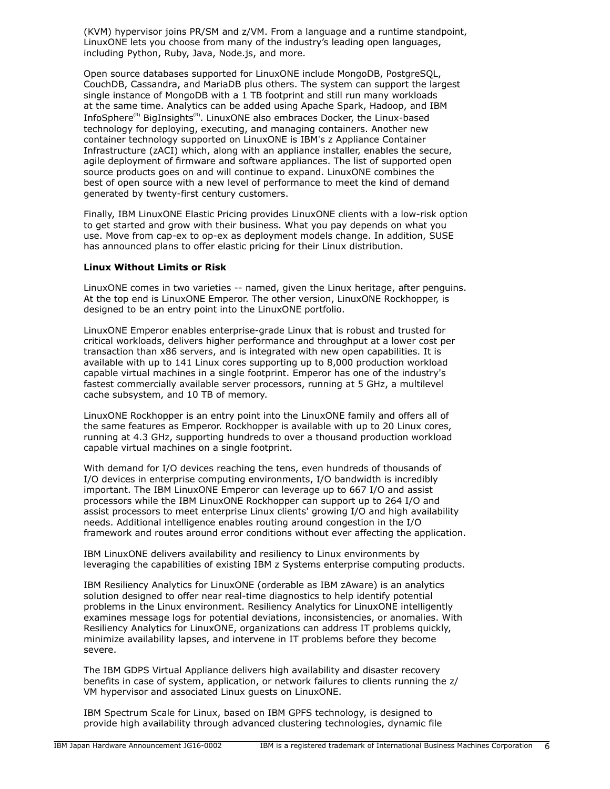(KVM) hypervisor joins PR/SM and z/VM. From a language and a runtime standpoint, LinuxONE lets you choose from many of the industry's leading open languages, including Python, Ruby, Java, Node.js, and more.

Open source databases supported for LinuxONE include MongoDB, PostgreSQL, CouchDB, Cassandra, and MariaDB plus others. The system can support the largest single instance of MongoDB with a 1 TB footprint and still run many workloads at the same time. Analytics can be added using Apache Spark, Hadoop, and IBM InfoSphere<sup>(R)</sup> BigInsights<sup>(R)</sup>. LinuxONE also embraces Docker, the Linux-based technology for deploying, executing, and managing containers. Another new container technology supported on LinuxONE is IBM's z Appliance Container Infrastructure (zACI) which, along with an appliance installer, enables the secure, agile deployment of firmware and software appliances. The list of supported open source products goes on and will continue to expand. LinuxONE combines the best of open source with a new level of performance to meet the kind of demand generated by twenty-first century customers.

Finally, IBM LinuxONE Elastic Pricing provides LinuxONE clients with a low-risk option to get started and grow with their business. What you pay depends on what you use. Move from cap-ex to op-ex as deployment models change. In addition, SUSE has announced plans to offer elastic pricing for their Linux distribution.

#### **Linux Without Limits or Risk**

LinuxONE comes in two varieties -- named, given the Linux heritage, after penguins. At the top end is LinuxONE Emperor. The other version, LinuxONE Rockhopper, is designed to be an entry point into the LinuxONE portfolio.

LinuxONE Emperor enables enterprise-grade Linux that is robust and trusted for critical workloads, delivers higher performance and throughput at a lower cost per transaction than x86 servers, and is integrated with new open capabilities. It is available with up to 141 Linux cores supporting up to 8,000 production workload capable virtual machines in a single footprint. Emperor has one of the industry's fastest commercially available server processors, running at 5 GHz, a multilevel cache subsystem, and 10 TB of memory.

LinuxONE Rockhopper is an entry point into the LinuxONE family and offers all of the same features as Emperor. Rockhopper is available with up to 20 Linux cores, running at 4.3 GHz, supporting hundreds to over a thousand production workload capable virtual machines on a single footprint.

With demand for I/O devices reaching the tens, even hundreds of thousands of I/O devices in enterprise computing environments, I/O bandwidth is incredibly important. The IBM LinuxONE Emperor can leverage up to 667 I/O and assist processors while the IBM LinuxONE Rockhopper can support up to 264 I/O and assist processors to meet enterprise Linux clients' growing I/O and high availability needs. Additional intelligence enables routing around congestion in the I/O framework and routes around error conditions without ever affecting the application.

IBM LinuxONE delivers availability and resiliency to Linux environments by leveraging the capabilities of existing IBM z Systems enterprise computing products.

IBM Resiliency Analytics for LinuxONE (orderable as IBM zAware) is an analytics solution designed to offer near real-time diagnostics to help identify potential problems in the Linux environment. Resiliency Analytics for LinuxONE intelligently examines message logs for potential deviations, inconsistencies, or anomalies. With Resiliency Analytics for LinuxONE, organizations can address IT problems quickly, minimize availability lapses, and intervene in IT problems before they become severe.

The IBM GDPS Virtual Appliance delivers high availability and disaster recovery benefits in case of system, application, or network failures to clients running the z/ VM hypervisor and associated Linux guests on LinuxONE.

IBM Spectrum Scale for Linux, based on IBM GPFS technology, is designed to provide high availability through advanced clustering technologies, dynamic file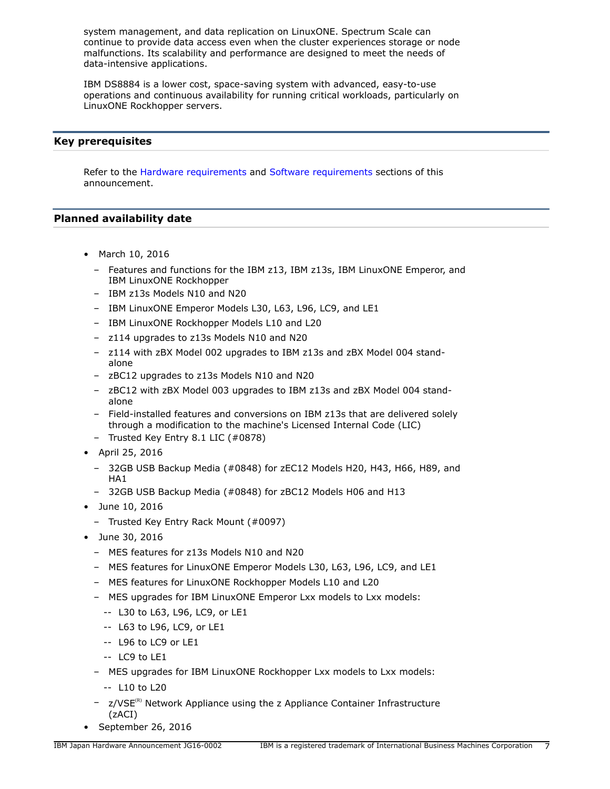system management, and data replication on LinuxONE. Spectrum Scale can continue to provide data access even when the cluster experiences storage or node malfunctions. Its scalability and performance are designed to meet the needs of data-intensive applications.

IBM DS8884 is a lower cost, space-saving system with advanced, easy-to-use operations and continuous availability for running critical workloads, particularly on LinuxONE Rockhopper servers.

# <span id="page-6-0"></span>**Key prerequisites**

Refer to the [Hardware requirements](#page-90-0) and [Software requirements](#page-91-0) sections of this announcement.

# <span id="page-6-1"></span>**Planned availability date**

- March 10, 2016
	- Features and functions for the IBM z13, IBM z13s, IBM LinuxONE Emperor, and IBM LinuxONE Rockhopper
	- IBM z13s Models N10 and N20
	- IBM LinuxONE Emperor Models L30, L63, L96, LC9, and LE1
	- IBM LinuxONE Rockhopper Models L10 and L20
	- z114 upgrades to z13s Models N10 and N20
	- z114 with zBX Model 002 upgrades to IBM z13s and zBX Model 004 standalone
	- zBC12 upgrades to z13s Models N10 and N20
	- zBC12 with zBX Model 003 upgrades to IBM z13s and zBX Model 004 standalone
	- Field-installed features and conversions on IBM z13s that are delivered solely through a modification to the machine's Licensed Internal Code (LIC)
	- Trusted Key Entry 8.1 LIC (#0878)
- April 25, 2016
	- 32GB USB Backup Media (#0848) for zEC12 Models H20, H43, H66, H89, and HA1
	- 32GB USB Backup Media (#0848) for zBC12 Models H06 and H13
- June 10, 2016
	- Trusted Key Entry Rack Mount (#0097)
- June 30, 2016
	- MES features for z13s Models N10 and N20
	- MES features for LinuxONE Emperor Models L30, L63, L96, LC9, and LE1
	- MES features for LinuxONE Rockhopper Models L10 and L20
	- MES upgrades for IBM LinuxONE Emperor Lxx models to Lxx models:
		- -- L30 to L63, L96, LC9, or LE1
		- -- L63 to L96, LC9, or LE1
		- -- L96 to LC9 or LE1
		- -- LC9 to LE1
	- MES upgrades for IBM LinuxONE Rockhopper Lxx models to Lxx models:
		- -- L10 to L20
	- $-$  z/VSE<sup>(R)</sup> Network Appliance using the z Appliance Container Infrastructure (zACI)
- September 26, 2016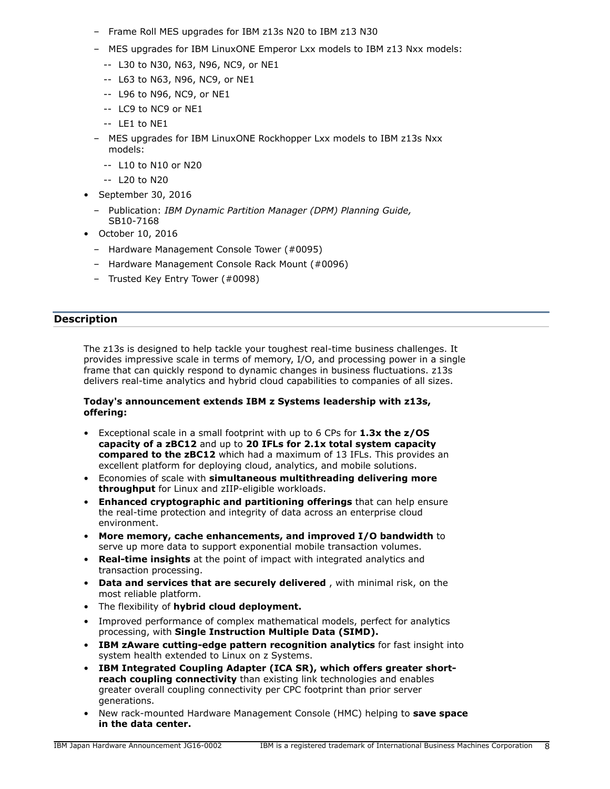- Frame Roll MES upgrades for IBM z13s N20 to IBM z13 N30
- MES upgrades for IBM LinuxONE Emperor Lxx models to IBM z13 Nxx models:
	- -- L30 to N30, N63, N96, NC9, or NE1
	- -- L63 to N63, N96, NC9, or NE1
	- -- L96 to N96, NC9, or NE1
	- -- LC9 to NC9 or NE1
	- -- LE1 to NE1
- MES upgrades for IBM LinuxONE Rockhopper Lxx models to IBM z13s Nxx models:
	- -- L10 to N10 or N20
	- -- L20 to N20
- September 30, 2016
	- Publication: *IBM Dynamic Partition Manager (DPM) Planning Guide,*  SB10-7168
- October 10, 2016
	- Hardware Management Console Tower (#0095)
	- Hardware Management Console Rack Mount (#0096)
	- Trusted Key Entry Tower (#0098)

# <span id="page-7-0"></span>**Description**

The z13s is designed to help tackle your toughest real-time business challenges. It provides impressive scale in terms of memory, I/O, and processing power in a single frame that can quickly respond to dynamic changes in business fluctuations. z13s delivers real-time analytics and hybrid cloud capabilities to companies of all sizes.

#### **Today's announcement extends IBM z Systems leadership with z13s, offering:**

- Exceptional scale in a small footprint with up to 6 CPs for **1.3x the z/OS capacity of a zBC12** and up to **20 IFLs for 2.1x total system capacity compared to the zBC12** which had a maximum of 13 IFLs. This provides an excellent platform for deploying cloud, analytics, and mobile solutions.
- Economies of scale with **simultaneous multithreading delivering more throughput** for Linux and zIIP-eligible workloads.
- **Enhanced cryptographic and partitioning offerings** that can help ensure the real-time protection and integrity of data across an enterprise cloud environment.
- **More memory, cache enhancements, and improved I/O bandwidth** to serve up more data to support exponential mobile transaction volumes.
- **Real-time insights** at the point of impact with integrated analytics and transaction processing.
- **Data and services that are securely delivered** , with minimal risk, on the most reliable platform.
- The flexibility of **hybrid cloud deployment.**
- Improved performance of complex mathematical models, perfect for analytics processing, with **Single Instruction Multiple Data (SIMD).**
- **IBM zAware cutting-edge pattern recognition analytics** for fast insight into system health extended to Linux on z Systems.
- **IBM Integrated Coupling Adapter (ICA SR), which offers greater shortreach coupling connectivity** than existing link technologies and enables greater overall coupling connectivity per CPC footprint than prior server generations.
- New rack-mounted Hardware Management Console (HMC) helping to **save space in the data center.**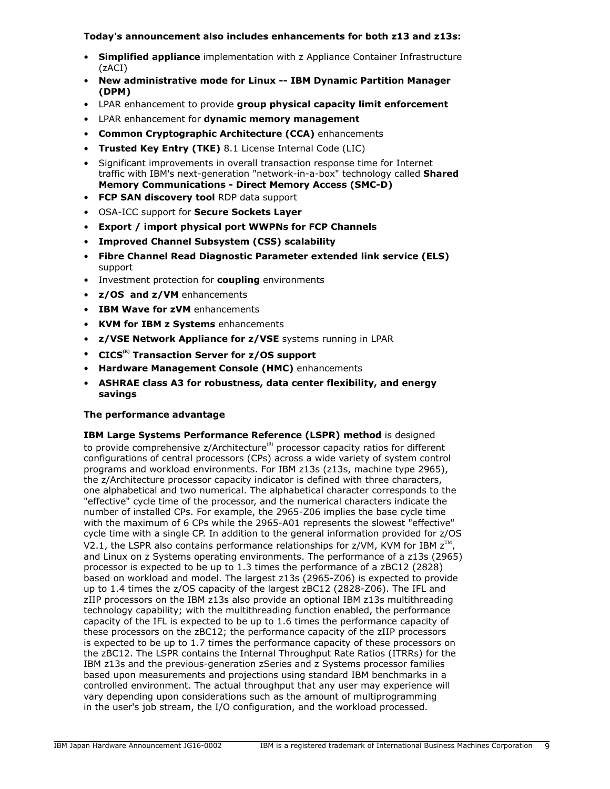# **Today's announcement also includes enhancements for both z13 and z13s:**

- **Simplified appliance** implementation with z Appliance Container Infrastructure (zACI)
- **New administrative mode for Linux -- IBM Dynamic Partition Manager (DPM)**
- LPAR enhancement to provide **group physical capacity limit enforcement**
- LPAR enhancement for **dynamic memory management**
- **Common Cryptographic Architecture (CCA)** enhancements
- **Trusted Key Entry (TKE)** 8.1 License Internal Code (LIC)
- Significant improvements in overall transaction response time for Internet traffic with IBM's next-generation "network-in-a-box" technology called **Shared Memory Communications - Direct Memory Access (SMC-D)**
- **FCP SAN discovery tool** RDP data support
- OSA-ICC support for **Secure Sockets Layer**
- **Export / import physical port WWPNs for FCP Channels**
- **Improved Channel Subsystem (CSS) scalability**
- **Fibre Channel Read Diagnostic Parameter extended link service (ELS)** support
- Investment protection for **coupling** environments
- **z/OS and z/VM** enhancements
- **IBM Wave for zVM** enhancements
- **KVM for IBM z Systems** enhancements
- **z/VSE Network Appliance for z/VSE** systems running in LPAR
- **CICS(R) Transaction Server for z/OS support**
- **Hardware Management Console (HMC)** enhancements
- **ASHRAE class A3 for robustness, data center flexibility, and energy savings**

# **The performance advantage**

**IBM Large Systems Performance Reference (LSPR) method** is designed to provide comprehensive  $z/$ Architecture<sup>(R)</sup> processor capacity ratios for different configurations of central processors (CPs) across a wide variety of system control programs and workload environments. For IBM z13s (z13s, machine type 2965), the z/Architecture processor capacity indicator is defined with three characters, one alphabetical and two numerical. The alphabetical character corresponds to the "effective" cycle time of the processor, and the numerical characters indicate the number of installed CPs. For example, the 2965-Z06 implies the base cycle time with the maximum of 6 CPs while the 2965-A01 represents the slowest "effective" cycle time with a single CP. In addition to the general information provided for z/OS V2.1, the LSPR also contains performance relationships for z/VM, KVM for IBM  $z^{\text{TM}}$ , and Linux on z Systems operating environments. The performance of a z13s (2965) processor is expected to be up to 1.3 times the performance of a zBC12 (2828) based on workload and model. The largest z13s (2965-Z06) is expected to provide up to 1.4 times the z/OS capacity of the largest zBC12 (2828-Z06). The IFL and zIIP processors on the IBM z13s also provide an optional IBM z13s multithreading technology capability; with the multithreading function enabled, the performance capacity of the IFL is expected to be up to 1.6 times the performance capacity of these processors on the zBC12; the performance capacity of the zIIP processors is expected to be up to 1.7 times the performance capacity of these processors on the zBC12. The LSPR contains the Internal Throughput Rate Ratios (ITRRs) for the IBM z13s and the previous-generation zSeries and z Systems processor families based upon measurements and projections using standard IBM benchmarks in a controlled environment. The actual throughput that any user may experience will vary depending upon considerations such as the amount of multiprogramming in the user's job stream, the I/O configuration, and the workload processed.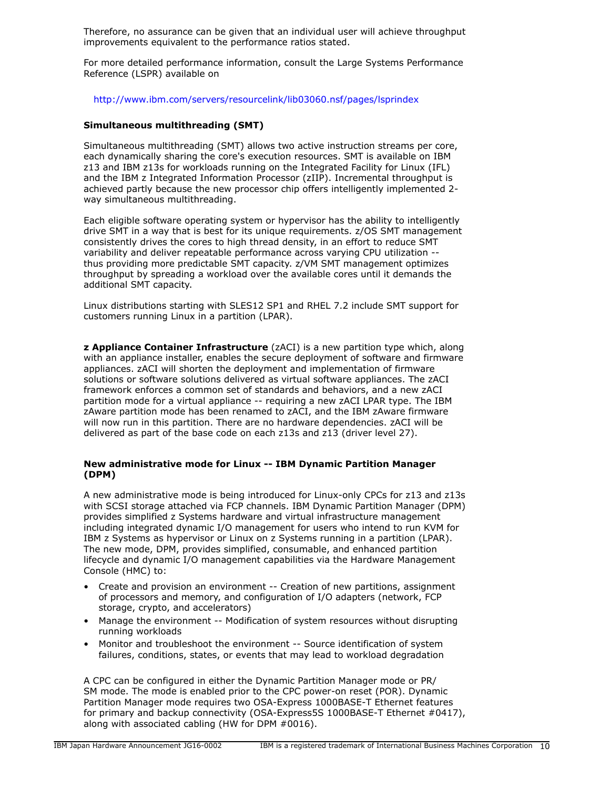Therefore, no assurance can be given that an individual user will achieve throughput improvements equivalent to the performance ratios stated.

For more detailed performance information, consult the Large Systems Performance Reference (LSPR) available on

<http://www.ibm.com/servers/resourcelink/lib03060.nsf/pages/lsprindex>

# **Simultaneous multithreading (SMT)**

Simultaneous multithreading (SMT) allows two active instruction streams per core, each dynamically sharing the core's execution resources. SMT is available on IBM z13 and IBM z13s for workloads running on the Integrated Facility for Linux (IFL) and the IBM z Integrated Information Processor (zIIP). Incremental throughput is achieved partly because the new processor chip offers intelligently implemented 2 way simultaneous multithreading.

Each eligible software operating system or hypervisor has the ability to intelligently drive SMT in a way that is best for its unique requirements. z/OS SMT management consistently drives the cores to high thread density, in an effort to reduce SMT variability and deliver repeatable performance across varying CPU utilization - thus providing more predictable SMT capacity. z/VM SMT management optimizes throughput by spreading a workload over the available cores until it demands the additional SMT capacity.

Linux distributions starting with SLES12 SP1 and RHEL 7.2 include SMT support for customers running Linux in a partition (LPAR).

**z Appliance Container Infrastructure** (zACI) is a new partition type which, along with an appliance installer, enables the secure deployment of software and firmware appliances. zACI will shorten the deployment and implementation of firmware solutions or software solutions delivered as virtual software appliances. The zACI framework enforces a common set of standards and behaviors, and a new zACI partition mode for a virtual appliance -- requiring a new zACI LPAR type. The IBM zAware partition mode has been renamed to zACI, and the IBM zAware firmware will now run in this partition. There are no hardware dependencies. zACI will be delivered as part of the base code on each z13s and z13 (driver level 27).

# **New administrative mode for Linux -- IBM Dynamic Partition Manager (DPM)**

A new administrative mode is being introduced for Linux-only CPCs for z13 and z13s with SCSI storage attached via FCP channels. IBM Dynamic Partition Manager (DPM) provides simplified z Systems hardware and virtual infrastructure management including integrated dynamic I/O management for users who intend to run KVM for IBM z Systems as hypervisor or Linux on z Systems running in a partition (LPAR). The new mode, DPM, provides simplified, consumable, and enhanced partition lifecycle and dynamic I/O management capabilities via the Hardware Management Console (HMC) to:

- Create and provision an environment -- Creation of new partitions, assignment of processors and memory, and configuration of I/O adapters (network, FCP storage, crypto, and accelerators)
- Manage the environment -- Modification of system resources without disrupting running workloads
- Monitor and troubleshoot the environment -- Source identification of system failures, conditions, states, or events that may lead to workload degradation

A CPC can be configured in either the Dynamic Partition Manager mode or PR/ SM mode. The mode is enabled prior to the CPC power-on reset (POR). Dynamic Partition Manager mode requires two OSA-Express 1000BASE-T Ethernet features for primary and backup connectivity (OSA-Express5S 1000BASE-T Ethernet #0417), along with associated cabling (HW for DPM #0016).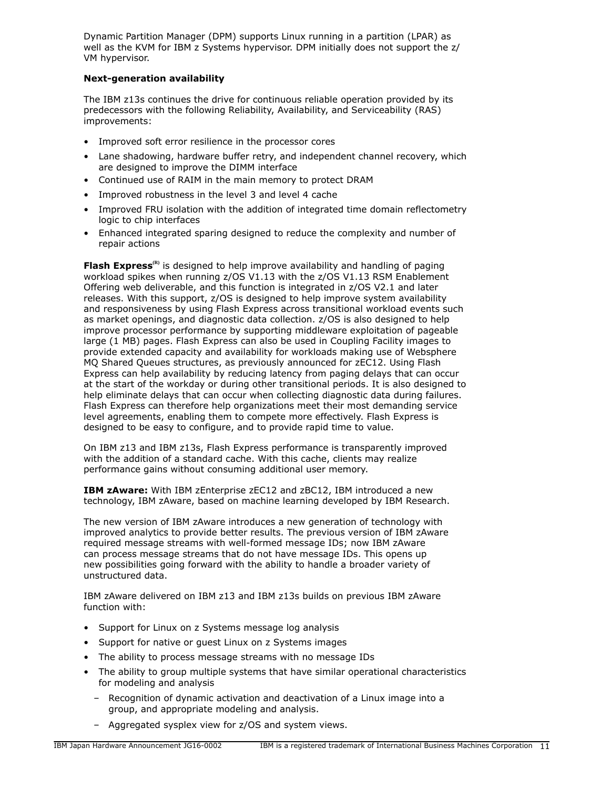Dynamic Partition Manager (DPM) supports Linux running in a partition (LPAR) as well as the KVM for IBM z Systems hypervisor. DPM initially does not support the z/ VM hypervisor.

# **Next-generation availability**

The IBM z13s continues the drive for continuous reliable operation provided by its predecessors with the following Reliability, Availability, and Serviceability (RAS) improvements:

- Improved soft error resilience in the processor cores
- Lane shadowing, hardware buffer retry, and independent channel recovery, which are designed to improve the DIMM interface
- Continued use of RAIM in the main memory to protect DRAM
- Improved robustness in the level 3 and level 4 cache
- Improved FRU isolation with the addition of integrated time domain reflectometry logic to chip interfaces
- Enhanced integrated sparing designed to reduce the complexity and number of repair actions

**Flash Express(R)** is designed to help improve availability and handling of paging workload spikes when running z/OS V1.13 with the z/OS V1.13 RSM Enablement Offering web deliverable, and this function is integrated in z/OS V2.1 and later releases. With this support, z/OS is designed to help improve system availability and responsiveness by using Flash Express across transitional workload events such as market openings, and diagnostic data collection. z/OS is also designed to help improve processor performance by supporting middleware exploitation of pageable large (1 MB) pages. Flash Express can also be used in Coupling Facility images to provide extended capacity and availability for workloads making use of Websphere MQ Shared Queues structures, as previously announced for zEC12. Using Flash Express can help availability by reducing latency from paging delays that can occur at the start of the workday or during other transitional periods. It is also designed to help eliminate delays that can occur when collecting diagnostic data during failures. Flash Express can therefore help organizations meet their most demanding service level agreements, enabling them to compete more effectively. Flash Express is designed to be easy to configure, and to provide rapid time to value.

On IBM z13 and IBM z13s, Flash Express performance is transparently improved with the addition of a standard cache. With this cache, clients may realize performance gains without consuming additional user memory.

**IBM zAware:** With IBM zEnterprise zEC12 and zBC12, IBM introduced a new technology, IBM zAware, based on machine learning developed by IBM Research.

The new version of IBM zAware introduces a new generation of technology with improved analytics to provide better results. The previous version of IBM zAware required message streams with well-formed message IDs; now IBM zAware can process message streams that do not have message IDs. This opens up new possibilities going forward with the ability to handle a broader variety of unstructured data.

IBM zAware delivered on IBM z13 and IBM z13s builds on previous IBM zAware function with:

- Support for Linux on z Systems message log analysis
- Support for native or guest Linux on z Systems images
- The ability to process message streams with no message IDs
- The ability to group multiple systems that have similar operational characteristics for modeling and analysis
	- Recognition of dynamic activation and deactivation of a Linux image into a group, and appropriate modeling and analysis.
	- Aggregated sysplex view for z/OS and system views.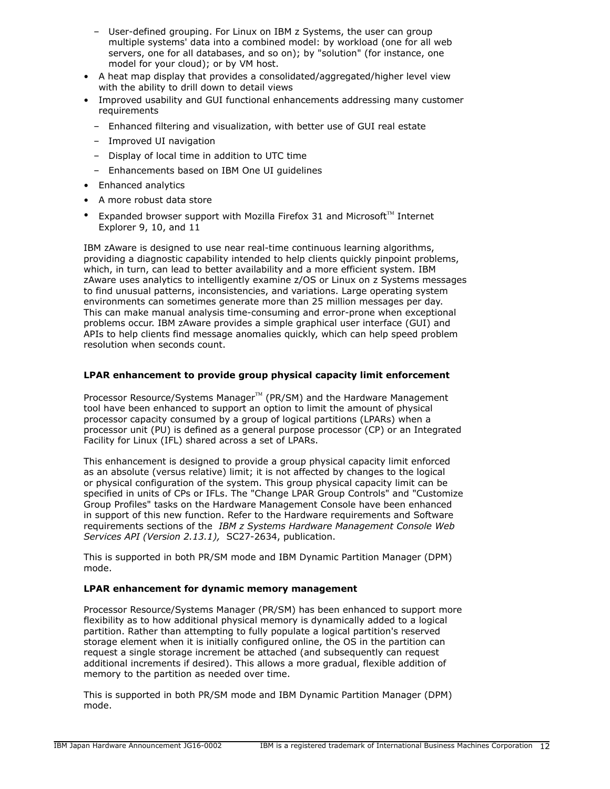- User-defined grouping. For Linux on IBM z Systems, the user can group multiple systems' data into a combined model: by workload (one for all web servers, one for all databases, and so on); by "solution" (for instance, one model for your cloud); or by VM host.
- A heat map display that provides a consolidated/aggregated/higher level view with the ability to drill down to detail views
- Improved usability and GUI functional enhancements addressing many customer requirements
	- Enhanced filtering and visualization, with better use of GUI real estate
	- Improved UI navigation
	- Display of local time in addition to UTC time
	- Enhancements based on IBM One UI guidelines
- Enhanced analytics
- A more robust data store
- Expanded browser support with Mozilla Firefox 31 and Microsoft<sup>TM</sup> Internet Explorer 9, 10, and 11

IBM zAware is designed to use near real-time continuous learning algorithms, providing a diagnostic capability intended to help clients quickly pinpoint problems, which, in turn, can lead to better availability and a more efficient system. IBM zAware uses analytics to intelligently examine z/OS or Linux on z Systems messages to find unusual patterns, inconsistencies, and variations. Large operating system environments can sometimes generate more than 25 million messages per day. This can make manual analysis time-consuming and error-prone when exceptional problems occur. IBM zAware provides a simple graphical user interface (GUI) and APIs to help clients find message anomalies quickly, which can help speed problem resolution when seconds count.

# **LPAR enhancement to provide group physical capacity limit enforcement**

Processor Resource/Systems Manager™ (PR/SM) and the Hardware Management tool have been enhanced to support an option to limit the amount of physical processor capacity consumed by a group of logical partitions (LPARs) when a processor unit (PU) is defined as a general purpose processor (CP) or an Integrated Facility for Linux (IFL) shared across a set of LPARs.

This enhancement is designed to provide a group physical capacity limit enforced as an absolute (versus relative) limit; it is not affected by changes to the logical or physical configuration of the system. This group physical capacity limit can be specified in units of CPs or IFLs. The "Change LPAR Group Controls" and "Customize Group Profiles" tasks on the Hardware Management Console have been enhanced in support of this new function. Refer to the Hardware requirements and Software requirements sections of the *IBM z Systems Hardware Management Console Web Services API (Version 2.13.1),* SC27-2634, publication.

This is supported in both PR/SM mode and IBM Dynamic Partition Manager (DPM) mode.

# **LPAR enhancement for dynamic memory management**

Processor Resource/Systems Manager (PR/SM) has been enhanced to support more flexibility as to how additional physical memory is dynamically added to a logical partition. Rather than attempting to fully populate a logical partition's reserved storage element when it is initially configured online, the OS in the partition can request a single storage increment be attached (and subsequently can request additional increments if desired). This allows a more gradual, flexible addition of memory to the partition as needed over time.

This is supported in both PR/SM mode and IBM Dynamic Partition Manager (DPM) mode.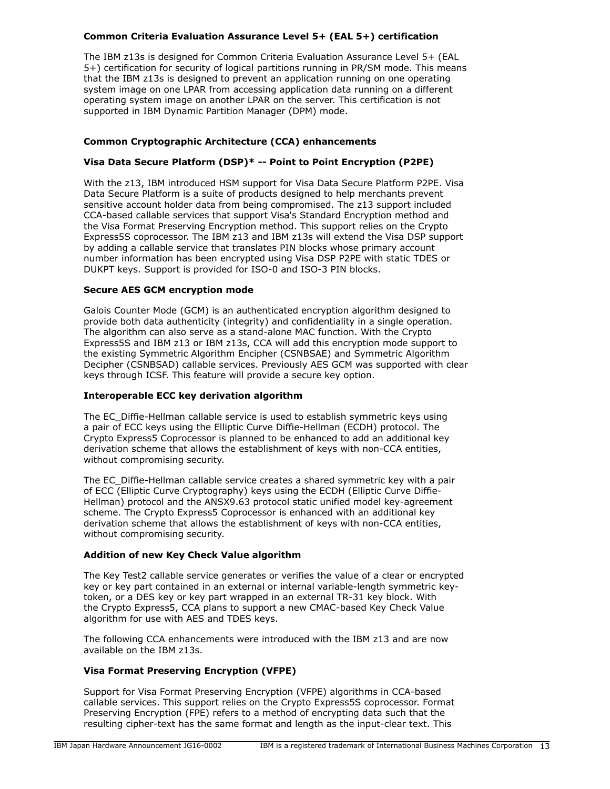# **Common Criteria Evaluation Assurance Level 5+ (EAL 5+) certification**

The IBM z13s is designed for Common Criteria Evaluation Assurance Level 5+ (EAL 5+) certification for security of logical partitions running in PR/SM mode. This means that the IBM z13s is designed to prevent an application running on one operating system image on one LPAR from accessing application data running on a different operating system image on another LPAR on the server. This certification is not supported in IBM Dynamic Partition Manager (DPM) mode.

# **Common Cryptographic Architecture (CCA) enhancements**

# **Visa Data Secure Platform (DSP)\* -- Point to Point Encryption (P2PE)**

With the z13, IBM introduced HSM support for Visa Data Secure Platform P2PE. Visa Data Secure Platform is a suite of products designed to help merchants prevent sensitive account holder data from being compromised. The z13 support included CCA-based callable services that support Visa's Standard Encryption method and the Visa Format Preserving Encryption method. This support relies on the Crypto Express5S coprocessor. The IBM z13 and IBM z13s will extend the Visa DSP support by adding a callable service that translates PIN blocks whose primary account number information has been encrypted using Visa DSP P2PE with static TDES or DUKPT keys. Support is provided for ISO-0 and ISO-3 PIN blocks.

# **Secure AES GCM encryption mode**

Galois Counter Mode (GCM) is an authenticated encryption algorithm designed to provide both data authenticity (integrity) and confidentiality in a single operation. The algorithm can also serve as a stand-alone MAC function. With the Crypto Express5S and IBM z13 or IBM z13s, CCA will add this encryption mode support to the existing Symmetric Algorithm Encipher (CSNBSAE) and Symmetric Algorithm Decipher (CSNBSAD) callable services. Previously AES GCM was supported with clear keys through ICSF. This feature will provide a secure key option.

# **Interoperable ECC key derivation algorithm**

The EC\_Diffie-Hellman callable service is used to establish symmetric keys using a pair of ECC keys using the Elliptic Curve Diffie-Hellman (ECDH) protocol. The Crypto Express5 Coprocessor is planned to be enhanced to add an additional key derivation scheme that allows the establishment of keys with non-CCA entities, without compromising security.

The EC\_Diffie-Hellman callable service creates a shared symmetric key with a pair of ECC (Elliptic Curve Cryptography) keys using the ECDH (Elliptic Curve Diffie-Hellman) protocol and the ANSX9.63 protocol static unified model key-agreement scheme. The Crypto Express5 Coprocessor is enhanced with an additional key derivation scheme that allows the establishment of keys with non-CCA entities, without compromising security.

# **Addition of new Key Check Value algorithm**

The Key Test2 callable service generates or verifies the value of a clear or encrypted key or key part contained in an external or internal variable-length symmetric keytoken, or a DES key or key part wrapped in an external TR-31 key block. With the Crypto Express5, CCA plans to support a new CMAC-based Key Check Value algorithm for use with AES and TDES keys.

The following CCA enhancements were introduced with the IBM z13 and are now available on the IBM z13s.

# **Visa Format Preserving Encryption (VFPE)**

Support for Visa Format Preserving Encryption (VFPE) algorithms in CCA-based callable services. This support relies on the Crypto Express5S coprocessor. Format Preserving Encryption (FPE) refers to a method of encrypting data such that the resulting cipher-text has the same format and length as the input-clear text. This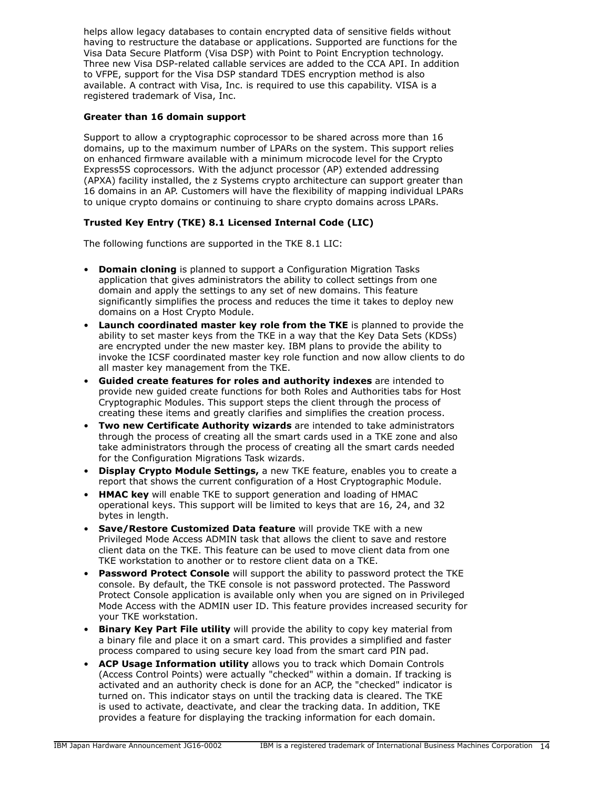helps allow legacy databases to contain encrypted data of sensitive fields without having to restructure the database or applications. Supported are functions for the Visa Data Secure Platform (Visa DSP) with Point to Point Encryption technology. Three new Visa DSP-related callable services are added to the CCA API. In addition to VFPE, support for the Visa DSP standard TDES encryption method is also available. A contract with Visa, Inc. is required to use this capability. VISA is a registered trademark of Visa, Inc.

# **Greater than 16 domain support**

Support to allow a cryptographic coprocessor to be shared across more than 16 domains, up to the maximum number of LPARs on the system. This support relies on enhanced firmware available with a minimum microcode level for the Crypto Express5S coprocessors. With the adjunct processor (AP) extended addressing (APXA) facility installed, the z Systems crypto architecture can support greater than 16 domains in an AP. Customers will have the flexibility of mapping individual LPARs to unique crypto domains or continuing to share crypto domains across LPARs.

# **Trusted Key Entry (TKE) 8.1 Licensed Internal Code (LIC)**

The following functions are supported in the TKE 8.1 LIC:

- **Domain cloning** is planned to support a Configuration Migration Tasks application that gives administrators the ability to collect settings from one domain and apply the settings to any set of new domains. This feature significantly simplifies the process and reduces the time it takes to deploy new domains on a Host Crypto Module.
- **Launch coordinated master key role from the TKE** is planned to provide the ability to set master keys from the TKE in a way that the Key Data Sets (KDSs) are encrypted under the new master key. IBM plans to provide the ability to invoke the ICSF coordinated master key role function and now allow clients to do all master key management from the TKE.
- **Guided create features for roles and authority indexes** are intended to provide new guided create functions for both Roles and Authorities tabs for Host Cryptographic Modules. This support steps the client through the process of creating these items and greatly clarifies and simplifies the creation process.
- **Two new Certificate Authority wizards** are intended to take administrators through the process of creating all the smart cards used in a TKE zone and also take administrators through the process of creating all the smart cards needed for the Configuration Migrations Task wizards.
- **Display Crypto Module Settings,** a new TKE feature, enables you to create a report that shows the current configuration of a Host Cryptographic Module.
- **HMAC key** will enable TKE to support generation and loading of HMAC operational keys. This support will be limited to keys that are 16, 24, and 32 bytes in length.
- **Save/Restore Customized Data feature** will provide TKE with a new Privileged Mode Access ADMIN task that allows the client to save and restore client data on the TKE. This feature can be used to move client data from one TKE workstation to another or to restore client data on a TKE.
- **Password Protect Console** will support the ability to password protect the TKE console. By default, the TKE console is not password protected. The Password Protect Console application is available only when you are signed on in Privileged Mode Access with the ADMIN user ID. This feature provides increased security for your TKE workstation.
- **Binary Key Part File utility** will provide the ability to copy key material from a binary file and place it on a smart card. This provides a simplified and faster process compared to using secure key load from the smart card PIN pad.
- **ACP Usage Information utility** allows you to track which Domain Controls (Access Control Points) were actually "checked" within a domain. If tracking is activated and an authority check is done for an ACP, the "checked" indicator is turned on. This indicator stays on until the tracking data is cleared. The TKE is used to activate, deactivate, and clear the tracking data. In addition, TKE provides a feature for displaying the tracking information for each domain.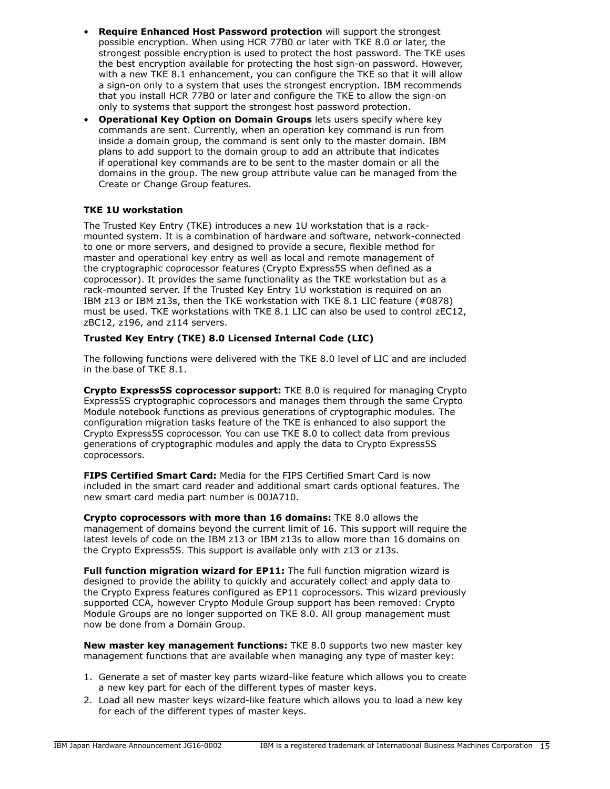- **Require Enhanced Host Password protection** will support the strongest possible encryption. When using HCR 77B0 or later with TKE 8.0 or later, the strongest possible encryption is used to protect the host password. The TKE uses the best encryption available for protecting the host sign-on password. However, with a new TKE 8.1 enhancement, you can configure the TKE so that it will allow a sign-on only to a system that uses the strongest encryption. IBM recommends that you install HCR 77B0 or later and configure the TKE to allow the sign-on only to systems that support the strongest host password protection.
- **Operational Key Option on Domain Groups** lets users specify where key commands are sent. Currently, when an operation key command is run from inside a domain group, the command is sent only to the master domain. IBM plans to add support to the domain group to add an attribute that indicates if operational key commands are to be sent to the master domain or all the domains in the group. The new group attribute value can be managed from the Create or Change Group features.

# **TKE 1U workstation**

The Trusted Key Entry (TKE) introduces a new 1U workstation that is a rackmounted system. It is a combination of hardware and software, network-connected to one or more servers, and designed to provide a secure, flexible method for master and operational key entry as well as local and remote management of the cryptographic coprocessor features (Crypto Express5S when defined as a coprocessor). It provides the same functionality as the TKE workstation but as a rack-mounted server. If the Trusted Key Entry 1U workstation is required on an IBM z13 or IBM z13s, then the TKE workstation with TKE 8.1 LIC feature (#0878) must be used. TKE workstations with TKE 8.1 LIC can also be used to control zEC12, zBC12, z196, and z114 servers.

# **Trusted Key Entry (TKE) 8.0 Licensed Internal Code (LIC)**

The following functions were delivered with the TKE 8.0 level of LIC and are included in the base of TKE 8.1.

**Crypto Express5S coprocessor support:** TKE 8.0 is required for managing Crypto Express5S cryptographic coprocessors and manages them through the same Crypto Module notebook functions as previous generations of cryptographic modules. The configuration migration tasks feature of the TKE is enhanced to also support the Crypto Express5S coprocessor. You can use TKE 8.0 to collect data from previous generations of cryptographic modules and apply the data to Crypto Express5S coprocessors.

**FIPS Certified Smart Card:** Media for the FIPS Certified Smart Card is now included in the smart card reader and additional smart cards optional features. The new smart card media part number is 00JA710.

**Crypto coprocessors with more than 16 domains:** TKE 8.0 allows the management of domains beyond the current limit of 16. This support will require the latest levels of code on the IBM z13 or IBM z13s to allow more than 16 domains on the Crypto Express5S. This support is available only with z13 or z13s.

**Full function migration wizard for EP11:** The full function migration wizard is designed to provide the ability to quickly and accurately collect and apply data to the Crypto Express features configured as EP11 coprocessors. This wizard previously supported CCA, however Crypto Module Group support has been removed: Crypto Module Groups are no longer supported on TKE 8.0. All group management must now be done from a Domain Group.

**New master key management functions:** TKE 8.0 supports two new master key management functions that are available when managing any type of master key:

- 1. Generate a set of master key parts wizard-like feature which allows you to create a new key part for each of the different types of master keys.
- 2. Load all new master keys wizard-like feature which allows you to load a new key for each of the different types of master keys.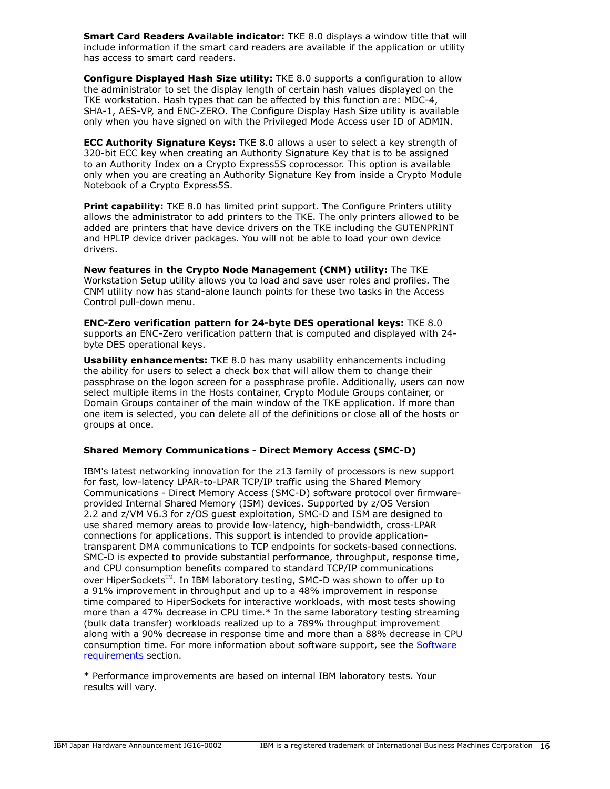**Smart Card Readers Available indicator:** TKE 8.0 displays a window title that will include information if the smart card readers are available if the application or utility has access to smart card readers.

**Configure Displayed Hash Size utility:** TKE 8.0 supports a configuration to allow the administrator to set the display length of certain hash values displayed on the TKE workstation. Hash types that can be affected by this function are: MDC-4, SHA-1, AES-VP, and ENC-ZERO. The Configure Display Hash Size utility is available only when you have signed on with the Privileged Mode Access user ID of ADMIN.

**ECC Authority Signature Keys:** TKE 8.0 allows a user to select a key strength of 320-bit ECC key when creating an Authority Signature Key that is to be assigned to an Authority Index on a Crypto Express5S coprocessor. This option is available only when you are creating an Authority Signature Key from inside a Crypto Module Notebook of a Crypto Express5S.

**Print capability:** TKE 8.0 has limited print support. The Configure Printers utility allows the administrator to add printers to the TKE. The only printers allowed to be added are printers that have device drivers on the TKE including the GUTENPRINT and HPLIP device driver packages. You will not be able to load your own device drivers.

**New features in the Crypto Node Management (CNM) utility:** The TKE Workstation Setup utility allows you to load and save user roles and profiles. The CNM utility now has stand-alone launch points for these two tasks in the Access Control pull-down menu.

**ENC-Zero verification pattern for 24-byte DES operational keys:** TKE 8.0 supports an ENC-Zero verification pattern that is computed and displayed with 24 byte DES operational keys.

**Usability enhancements:** TKE 8.0 has many usability enhancements including the ability for users to select a check box that will allow them to change their passphrase on the logon screen for a passphrase profile. Additionally, users can now select multiple items in the Hosts container, Crypto Module Groups container, or Domain Groups container of the main window of the TKE application. If more than one item is selected, you can delete all of the definitions or close all of the hosts or groups at once.

# **Shared Memory Communications - Direct Memory Access (SMC-D)**

IBM's latest networking innovation for the z13 family of processors is new support for fast, low-latency LPAR-to-LPAR TCP/IP traffic using the Shared Memory Communications - Direct Memory Access (SMC-D) software protocol over firmwareprovided Internal Shared Memory (ISM) devices. Supported by z/OS Version 2.2 and z/VM V6.3 for z/OS guest exploitation, SMC-D and ISM are designed to use shared memory areas to provide low-latency, high-bandwidth, cross-LPAR connections for applications. This support is intended to provide applicationtransparent DMA communications to TCP endpoints for sockets-based connections. SMC-D is expected to provide substantial performance, throughput, response time, and CPU consumption benefits compared to standard TCP/IP communications over HiperSockets<sup>™</sup>. In IBM laboratory testing, SMC-D was shown to offer up to a 91% improvement in throughput and up to a 48% improvement in response time compared to HiperSockets for interactive workloads, with most tests showing more than a 47% decrease in CPU time.\* In the same laboratory testing streaming (bulk data transfer) workloads realized up to a 789% throughput improvement along with a 90% decrease in response time and more than a 88% decrease in CPU consumption time. For more information about software support, see the [Software](#page-91-0) [requirements](#page-91-0) section.

\* Performance improvements are based on internal IBM laboratory tests. Your results will vary.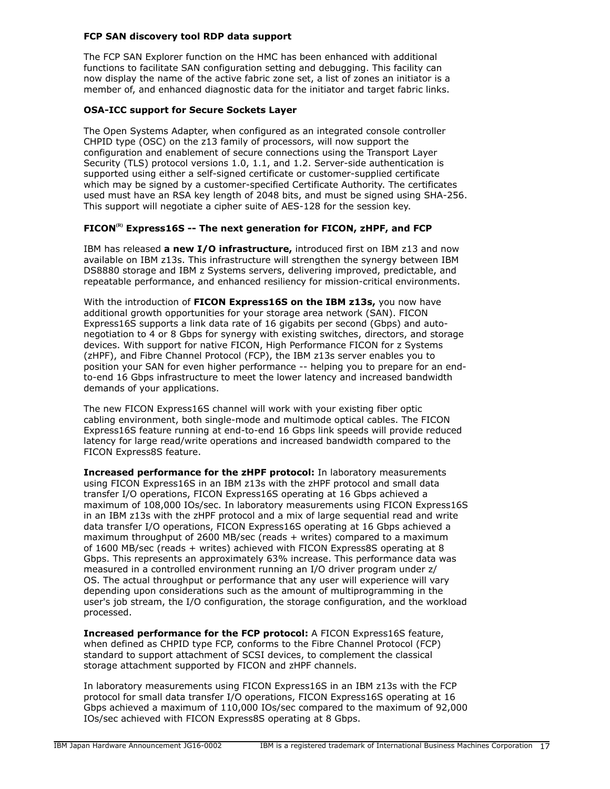# **FCP SAN discovery tool RDP data support**

The FCP SAN Explorer function on the HMC has been enhanced with additional functions to facilitate SAN configuration setting and debugging. This facility can now display the name of the active fabric zone set, a list of zones an initiator is a member of, and enhanced diagnostic data for the initiator and target fabric links.

# **OSA-ICC support for Secure Sockets Layer**

The Open Systems Adapter, when configured as an integrated console controller CHPID type (OSC) on the z13 family of processors, will now support the configuration and enablement of secure connections using the Transport Layer Security (TLS) protocol versions 1.0, 1.1, and 1.2. Server-side authentication is supported using either a self-signed certificate or customer-supplied certificate which may be signed by a customer-specified Certificate Authority. The certificates used must have an RSA key length of 2048 bits, and must be signed using SHA-256. This support will negotiate a cipher suite of AES-128 for the session key.

# **FICON(R) Express16S -- The next generation for FICON, zHPF, and FCP**

IBM has released **a new I/O infrastructure,** introduced first on IBM z13 and now available on IBM z13s. This infrastructure will strengthen the synergy between IBM DS8880 storage and IBM z Systems servers, delivering improved, predictable, and repeatable performance, and enhanced resiliency for mission-critical environments.

With the introduction of **FICON Express16S on the IBM z13s,** you now have additional growth opportunities for your storage area network (SAN). FICON Express16S supports a link data rate of 16 gigabits per second (Gbps) and autonegotiation to 4 or 8 Gbps for synergy with existing switches, directors, and storage devices. With support for native FICON, High Performance FICON for z Systems (zHPF), and Fibre Channel Protocol (FCP), the IBM z13s server enables you to position your SAN for even higher performance -- helping you to prepare for an endto-end 16 Gbps infrastructure to meet the lower latency and increased bandwidth demands of your applications.

The new FICON Express16S channel will work with your existing fiber optic cabling environment, both single-mode and multimode optical cables. The FICON Express16S feature running at end-to-end 16 Gbps link speeds will provide reduced latency for large read/write operations and increased bandwidth compared to the FICON Express8S feature.

**Increased performance for the zHPF protocol:** In laboratory measurements using FICON Express16S in an IBM z13s with the zHPF protocol and small data transfer I/O operations, FICON Express16S operating at 16 Gbps achieved a maximum of 108,000 IOs/sec. In laboratory measurements using FICON Express16S in an IBM z13s with the zHPF protocol and a mix of large sequential read and write data transfer I/O operations, FICON Express16S operating at 16 Gbps achieved a maximum throughput of 2600 MB/sec (reads + writes) compared to a maximum of 1600 MB/sec (reads + writes) achieved with FICON Express8S operating at 8 Gbps. This represents an approximately 63% increase. This performance data was measured in a controlled environment running an I/O driver program under z/ OS. The actual throughput or performance that any user will experience will vary depending upon considerations such as the amount of multiprogramming in the user's job stream, the I/O configuration, the storage configuration, and the workload processed.

**Increased performance for the FCP protocol:** A FICON Express16S feature, when defined as CHPID type FCP, conforms to the Fibre Channel Protocol (FCP) standard to support attachment of SCSI devices, to complement the classical storage attachment supported by FICON and zHPF channels.

In laboratory measurements using FICON Express16S in an IBM z13s with the FCP protocol for small data transfer I/O operations, FICON Express16S operating at 16 Gbps achieved a maximum of 110,000 IOs/sec compared to the maximum of 92,000 IOs/sec achieved with FICON Express8S operating at 8 Gbps.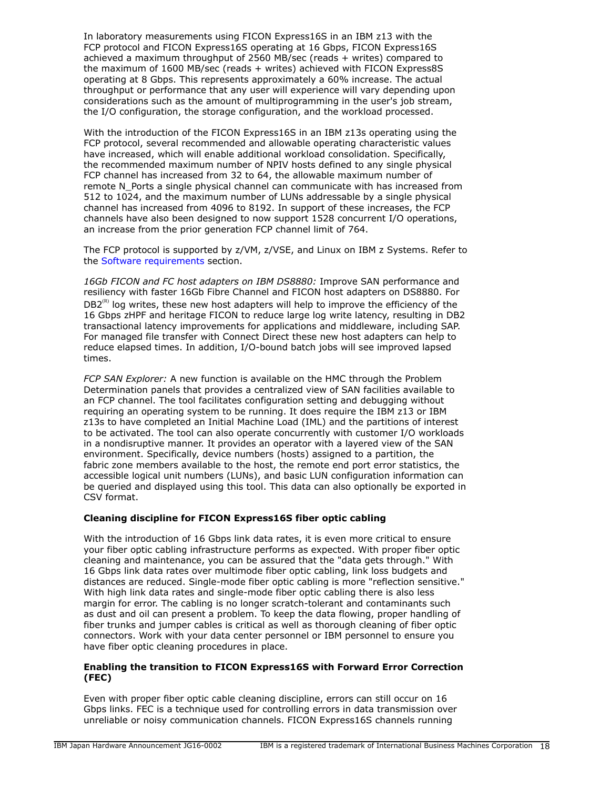In laboratory measurements using FICON Express16S in an IBM z13 with the FCP protocol and FICON Express16S operating at 16 Gbps, FICON Express16S achieved a maximum throughput of 2560 MB/sec (reads + writes) compared to the maximum of 1600 MB/sec (reads + writes) achieved with FICON Express8S operating at 8 Gbps. This represents approximately a 60% increase. The actual throughput or performance that any user will experience will vary depending upon considerations such as the amount of multiprogramming in the user's job stream, the I/O configuration, the storage configuration, and the workload processed.

With the introduction of the FICON Express16S in an IBM z13s operating using the FCP protocol, several recommended and allowable operating characteristic values have increased, which will enable additional workload consolidation. Specifically, the recommended maximum number of NPIV hosts defined to any single physical FCP channel has increased from 32 to 64, the allowable maximum number of remote N\_Ports a single physical channel can communicate with has increased from 512 to 1024, and the maximum number of LUNs addressable by a single physical channel has increased from 4096 to 8192. In support of these increases, the FCP channels have also been designed to now support 1528 concurrent I/O operations, an increase from the prior generation FCP channel limit of 764.

The FCP protocol is supported by z/VM, z/VSE, and Linux on IBM z Systems. Refer to the [Software requirements](#page-91-0) section.

*16Gb FICON and FC host adapters on IBM DS8880:* Improve SAN performance and resiliency with faster 16Gb Fibre Channel and FICON host adapters on DS8880. For  $DB2<sup>(R)</sup>$  log writes, these new host adapters will help to improve the efficiency of the 16 Gbps zHPF and heritage FICON to reduce large log write latency, resulting in DB2 transactional latency improvements for applications and middleware, including SAP. For managed file transfer with Connect Direct these new host adapters can help to reduce elapsed times. In addition, I/O-bound batch jobs will see improved lapsed times.

*FCP SAN Explorer:* A new function is available on the HMC through the Problem Determination panels that provides a centralized view of SAN facilities available to an FCP channel. The tool facilitates configuration setting and debugging without requiring an operating system to be running. It does require the IBM z13 or IBM z13s to have completed an Initial Machine Load (IML) and the partitions of interest to be activated. The tool can also operate concurrently with customer I/O workloads in a nondisruptive manner. It provides an operator with a layered view of the SAN environment. Specifically, device numbers (hosts) assigned to a partition, the fabric zone members available to the host, the remote end port error statistics, the accessible logical unit numbers (LUNs), and basic LUN configuration information can be queried and displayed using this tool. This data can also optionally be exported in CSV format.

# **Cleaning discipline for FICON Express16S fiber optic cabling**

With the introduction of 16 Gbps link data rates, it is even more critical to ensure your fiber optic cabling infrastructure performs as expected. With proper fiber optic cleaning and maintenance, you can be assured that the "data gets through." With 16 Gbps link data rates over multimode fiber optic cabling, link loss budgets and distances are reduced. Single-mode fiber optic cabling is more "reflection sensitive." With high link data rates and single-mode fiber optic cabling there is also less margin for error. The cabling is no longer scratch-tolerant and contaminants such as dust and oil can present a problem. To keep the data flowing, proper handling of fiber trunks and jumper cables is critical as well as thorough cleaning of fiber optic connectors. Work with your data center personnel or IBM personnel to ensure you have fiber optic cleaning procedures in place.

# **Enabling the transition to FICON Express16S with Forward Error Correction (FEC)**

Even with proper fiber optic cable cleaning discipline, errors can still occur on 16 Gbps links. FEC is a technique used for controlling errors in data transmission over unreliable or noisy communication channels. FICON Express16S channels running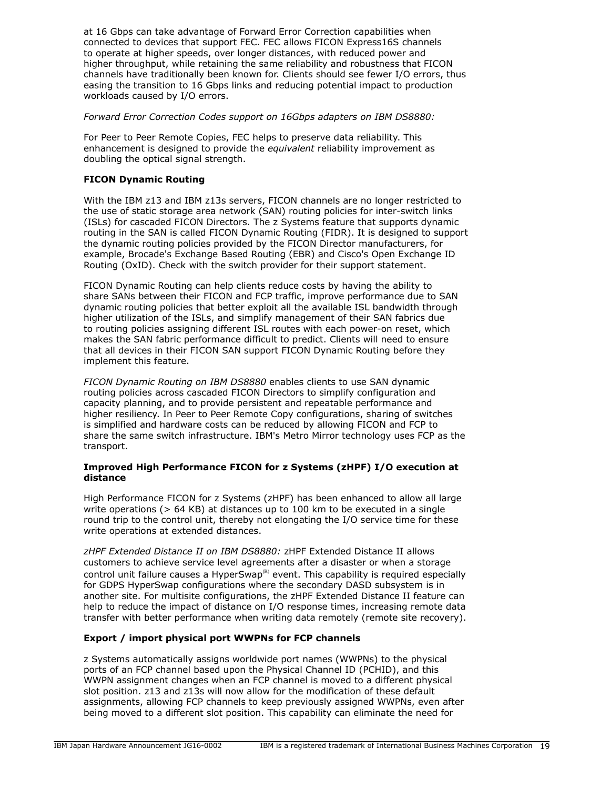at 16 Gbps can take advantage of Forward Error Correction capabilities when connected to devices that support FEC. FEC allows FICON Express16S channels to operate at higher speeds, over longer distances, with reduced power and higher throughput, while retaining the same reliability and robustness that FICON channels have traditionally been known for. Clients should see fewer I/O errors, thus easing the transition to 16 Gbps links and reducing potential impact to production workloads caused by I/O errors.

# *Forward Error Correction Codes support on 16Gbps adapters on IBM DS8880:*

For Peer to Peer Remote Copies, FEC helps to preserve data reliability. This enhancement is designed to provide the *equivalent* reliability improvement as doubling the optical signal strength.

# **FICON Dynamic Routing**

With the IBM z13 and IBM z13s servers, FICON channels are no longer restricted to the use of static storage area network (SAN) routing policies for inter-switch links (ISLs) for cascaded FICON Directors. The z Systems feature that supports dynamic routing in the SAN is called FICON Dynamic Routing (FIDR). It is designed to support the dynamic routing policies provided by the FICON Director manufacturers, for example, Brocade's Exchange Based Routing (EBR) and Cisco's Open Exchange ID Routing (OxID). Check with the switch provider for their support statement.

FICON Dynamic Routing can help clients reduce costs by having the ability to share SANs between their FICON and FCP traffic, improve performance due to SAN dynamic routing policies that better exploit all the available ISL bandwidth through higher utilization of the ISLs, and simplify management of their SAN fabrics due to routing policies assigning different ISL routes with each power-on reset, which makes the SAN fabric performance difficult to predict. Clients will need to ensure that all devices in their FICON SAN support FICON Dynamic Routing before they implement this feature.

*FICON Dynamic Routing on IBM DS8880* enables clients to use SAN dynamic routing policies across cascaded FICON Directors to simplify configuration and capacity planning, and to provide persistent and repeatable performance and higher resiliency. In Peer to Peer Remote Copy configurations, sharing of switches is simplified and hardware costs can be reduced by allowing FICON and FCP to share the same switch infrastructure. IBM's Metro Mirror technology uses FCP as the transport.

# **Improved High Performance FICON for z Systems (zHPF) I/O execution at distance**

High Performance FICON for z Systems (zHPF) has been enhanced to allow all large write operations ( $> 64$  KB) at distances up to 100 km to be executed in a single round trip to the control unit, thereby not elongating the I/O service time for these write operations at extended distances.

*zHPF Extended Distance II on IBM DS8880:* zHPF Extended Distance II allows customers to achieve service level agreements after a disaster or when a storage control unit failure causes a HyperSwap<sup>(R)</sup> event. This capability is required especially for GDPS HyperSwap configurations where the secondary DASD subsystem is in another site. For multisite configurations, the zHPF Extended Distance II feature can help to reduce the impact of distance on I/O response times, increasing remote data transfer with better performance when writing data remotely (remote site recovery).

# **Export / import physical port WWPNs for FCP channels**

z Systems automatically assigns worldwide port names (WWPNs) to the physical ports of an FCP channel based upon the Physical Channel ID (PCHID), and this WWPN assignment changes when an FCP channel is moved to a different physical slot position. z13 and z13s will now allow for the modification of these default assignments, allowing FCP channels to keep previously assigned WWPNs, even after being moved to a different slot position. This capability can eliminate the need for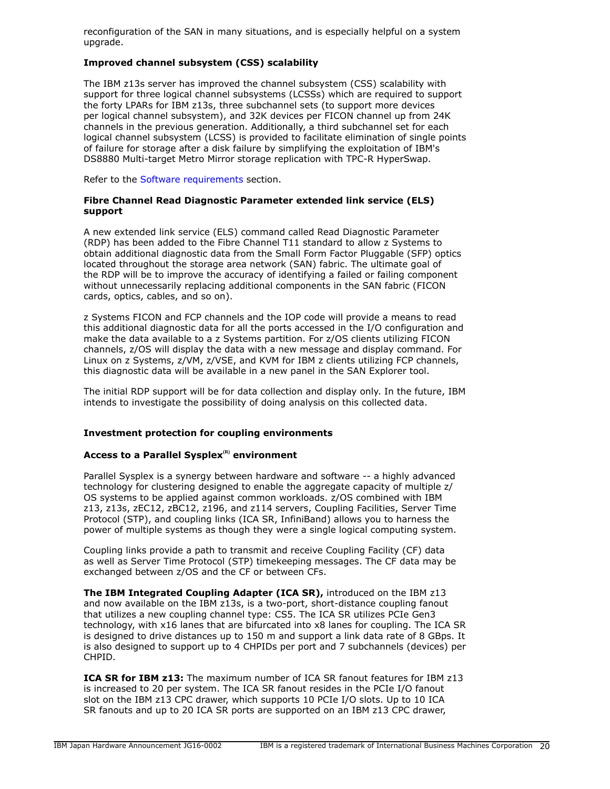reconfiguration of the SAN in many situations, and is especially helpful on a system upgrade.

# **Improved channel subsystem (CSS) scalability**

The IBM z13s server has improved the channel subsystem (CSS) scalability with support for three logical channel subsystems (LCSSs) which are required to support the forty LPARs for IBM z13s, three subchannel sets (to support more devices per logical channel subsystem), and 32K devices per FICON channel up from 24K channels in the previous generation. Additionally, a third subchannel set for each logical channel subsystem (LCSS) is provided to facilitate elimination of single points of failure for storage after a disk failure by simplifying the exploitation of IBM's DS8880 Multi-target Metro Mirror storage replication with TPC-R HyperSwap.

Refer to the [Software requirements](#page-91-0) section.

#### **Fibre Channel Read Diagnostic Parameter extended link service (ELS) support**

A new extended link service (ELS) command called Read Diagnostic Parameter (RDP) has been added to the Fibre Channel T11 standard to allow z Systems to obtain additional diagnostic data from the Small Form Factor Pluggable (SFP) optics located throughout the storage area network (SAN) fabric. The ultimate goal of the RDP will be to improve the accuracy of identifying a failed or failing component without unnecessarily replacing additional components in the SAN fabric (FICON cards, optics, cables, and so on).

z Systems FICON and FCP channels and the IOP code will provide a means to read this additional diagnostic data for all the ports accessed in the I/O configuration and make the data available to a z Systems partition. For z/OS clients utilizing FICON channels, z/OS will display the data with a new message and display command. For Linux on z Systems, z/VM, z/VSE, and KVM for IBM z clients utilizing FCP channels, this diagnostic data will be available in a new panel in the SAN Explorer tool.

The initial RDP support will be for data collection and display only. In the future, IBM intends to investigate the possibility of doing analysis on this collected data.

#### **Investment protection for coupling environments**

# **Access to a Parallel Sysplex(R) environment**

Parallel Sysplex is a synergy between hardware and software -- a highly advanced technology for clustering designed to enable the aggregate capacity of multiple z/ OS systems to be applied against common workloads. z/OS combined with IBM z13, z13s, zEC12, zBC12, z196, and z114 servers, Coupling Facilities, Server Time Protocol (STP), and coupling links (ICA SR, InfiniBand) allows you to harness the power of multiple systems as though they were a single logical computing system.

Coupling links provide a path to transmit and receive Coupling Facility (CF) data as well as Server Time Protocol (STP) timekeeping messages. The CF data may be exchanged between z/OS and the CF or between CFs.

**The IBM Integrated Coupling Adapter (ICA SR),** introduced on the IBM z13 and now available on the IBM z13s, is a two-port, short-distance coupling fanout that utilizes a new coupling channel type: CS5. The ICA SR utilizes PCIe Gen3 technology, with x16 lanes that are bifurcated into x8 lanes for coupling. The ICA SR is designed to drive distances up to 150 m and support a link data rate of 8 GBps. It is also designed to support up to 4 CHPIDs per port and 7 subchannels (devices) per CHPID.

**ICA SR for IBM z13:** The maximum number of ICA SR fanout features for IBM z13 is increased to 20 per system. The ICA SR fanout resides in the PCIe I/O fanout slot on the IBM z13 CPC drawer, which supports 10 PCIe I/O slots. Up to 10 ICA SR fanouts and up to 20 ICA SR ports are supported on an IBM z13 CPC drawer,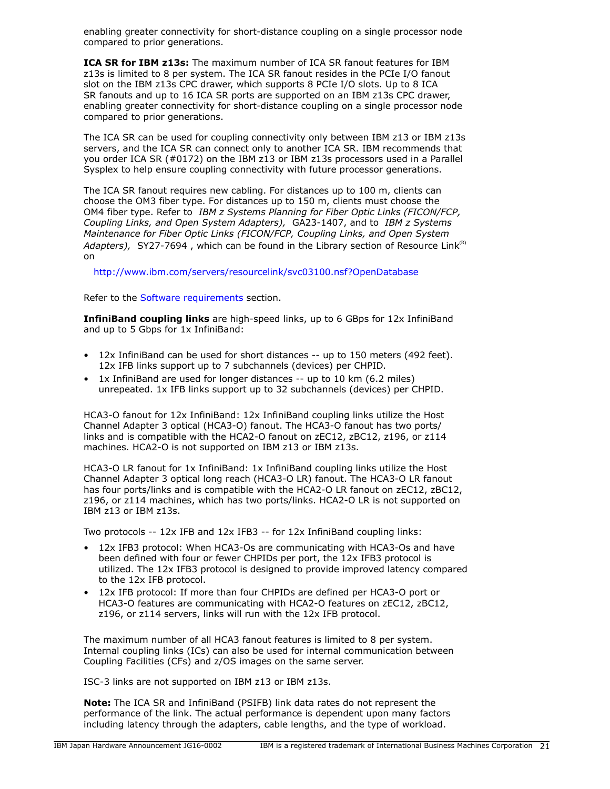enabling greater connectivity for short-distance coupling on a single processor node compared to prior generations.

**ICA SR for IBM z13s:** The maximum number of ICA SR fanout features for IBM z13s is limited to 8 per system. The ICA SR fanout resides in the PCIe I/O fanout slot on the IBM z13s CPC drawer, which supports 8 PCIe I/O slots. Up to 8 ICA SR fanouts and up to 16 ICA SR ports are supported on an IBM z13s CPC drawer, enabling greater connectivity for short-distance coupling on a single processor node compared to prior generations.

The ICA SR can be used for coupling connectivity only between IBM z13 or IBM z13s servers, and the ICA SR can connect only to another ICA SR. IBM recommends that you order ICA SR (#0172) on the IBM z13 or IBM z13s processors used in a Parallel Sysplex to help ensure coupling connectivity with future processor generations.

The ICA SR fanout requires new cabling. For distances up to 100 m, clients can choose the OM3 fiber type. For distances up to 150 m, clients must choose the OM4 fiber type. Refer to *IBM z Systems Planning for Fiber Optic Links (FICON/FCP, Coupling Links, and Open System Adapters),* GA23-1407, and to *IBM z Systems Maintenance for Fiber Optic Links (FICON/FCP, Coupling Links, and Open System Adapters), SY27-7694, which can be found in the Library section of Resource Link<sup>(R)</sup>* on

<http://www.ibm.com/servers/resourcelink/svc03100.nsf?OpenDatabase>

Refer to the [Software requirements](#page-91-0) section.

**InfiniBand coupling links** are high-speed links, up to 6 GBps for 12x InfiniBand and up to 5 Gbps for 1x InfiniBand:

- 12x InfiniBand can be used for short distances -- up to 150 meters (492 feet). 12x IFB links support up to 7 subchannels (devices) per CHPID.
- 1x InfiniBand are used for longer distances -- up to 10 km (6.2 miles) unrepeated. 1x IFB links support up to 32 subchannels (devices) per CHPID.

HCA3-O fanout for 12x InfiniBand: 12x InfiniBand coupling links utilize the Host Channel Adapter 3 optical (HCA3-O) fanout. The HCA3-O fanout has two ports/ links and is compatible with the HCA2-O fanout on zEC12, zBC12, z196, or z114 machines. HCA2-O is not supported on IBM z13 or IBM z13s.

HCA3-O LR fanout for 1x InfiniBand: 1x InfiniBand coupling links utilize the Host Channel Adapter 3 optical long reach (HCA3-O LR) fanout. The HCA3-O LR fanout has four ports/links and is compatible with the HCA2-O LR fanout on zEC12, zBC12, z196, or z114 machines, which has two ports/links. HCA2-O LR is not supported on IBM z13 or IBM z13s.

Two protocols -- 12x IFB and 12x IFB3 -- for 12x InfiniBand coupling links:

- 12x IFB3 protocol: When HCA3-Os are communicating with HCA3-Os and have been defined with four or fewer CHPIDs per port, the 12x IFB3 protocol is utilized. The 12x IFB3 protocol is designed to provide improved latency compared to the 12x IFB protocol.
- 12x IFB protocol: If more than four CHPIDs are defined per HCA3-O port or HCA3-O features are communicating with HCA2-O features on zEC12, zBC12, z196, or z114 servers, links will run with the 12x IFB protocol.

The maximum number of all HCA3 fanout features is limited to 8 per system. Internal coupling links (ICs) can also be used for internal communication between Coupling Facilities (CFs) and z/OS images on the same server.

ISC-3 links are not supported on IBM z13 or IBM z13s.

**Note:** The ICA SR and InfiniBand (PSIFB) link data rates do not represent the performance of the link. The actual performance is dependent upon many factors including latency through the adapters, cable lengths, and the type of workload.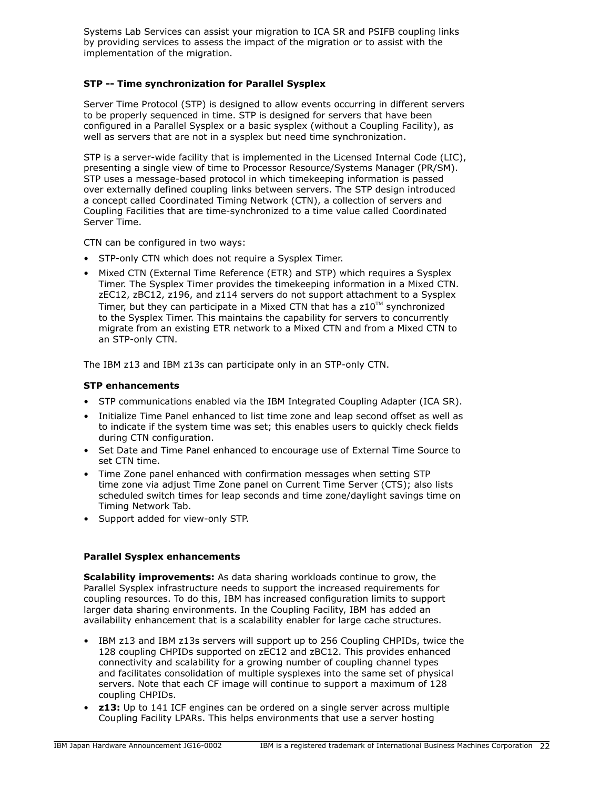Systems Lab Services can assist your migration to ICA SR and PSIFB coupling links by providing services to assess the impact of the migration or to assist with the implementation of the migration.

# **STP -- Time synchronization for Parallel Sysplex**

Server Time Protocol (STP) is designed to allow events occurring in different servers to be properly sequenced in time. STP is designed for servers that have been configured in a Parallel Sysplex or a basic sysplex (without a Coupling Facility), as well as servers that are not in a sysplex but need time synchronization.

STP is a server-wide facility that is implemented in the Licensed Internal Code (LIC), presenting a single view of time to Processor Resource/Systems Manager (PR/SM). STP uses a message-based protocol in which timekeeping information is passed over externally defined coupling links between servers. The STP design introduced a concept called Coordinated Timing Network (CTN), a collection of servers and Coupling Facilities that are time-synchronized to a time value called Coordinated Server Time.

CTN can be configured in two ways:

- STP-only CTN which does not require a Sysplex Timer.
- Mixed CTN (External Time Reference (ETR) and STP) which requires a Sysplex Timer. The Sysplex Timer provides the timekeeping information in a Mixed CTN. zEC12, zBC12, z196, and z114 servers do not support attachment to a Sysplex Timer, but they can participate in a Mixed CTN that has a  $z10^{TM}$  synchronized to the Sysplex Timer. This maintains the capability for servers to concurrently migrate from an existing ETR network to a Mixed CTN and from a Mixed CTN to an STP-only CTN.

The IBM z13 and IBM z13s can participate only in an STP-only CTN.

# **STP enhancements**

- STP communications enabled via the IBM Integrated Coupling Adapter (ICA SR).
- Initialize Time Panel enhanced to list time zone and leap second offset as well as to indicate if the system time was set; this enables users to quickly check fields during CTN configuration.
- Set Date and Time Panel enhanced to encourage use of External Time Source to set CTN time.
- Time Zone panel enhanced with confirmation messages when setting STP time zone via adjust Time Zone panel on Current Time Server (CTS); also lists scheduled switch times for leap seconds and time zone/daylight savings time on Timing Network Tab.
- Support added for view-only STP.

# **Parallel Sysplex enhancements**

**Scalability improvements:** As data sharing workloads continue to grow, the Parallel Sysplex infrastructure needs to support the increased requirements for coupling resources. To do this, IBM has increased configuration limits to support larger data sharing environments. In the Coupling Facility, IBM has added an availability enhancement that is a scalability enabler for large cache structures.

- IBM z13 and IBM z13s servers will support up to 256 Coupling CHPIDs, twice the 128 coupling CHPIDs supported on zEC12 and zBC12. This provides enhanced connectivity and scalability for a growing number of coupling channel types and facilitates consolidation of multiple sysplexes into the same set of physical servers. Note that each CF image will continue to support a maximum of 128 coupling CHPIDs.
- **z13:** Up to 141 ICF engines can be ordered on a single server across multiple Coupling Facility LPARs. This helps environments that use a server hosting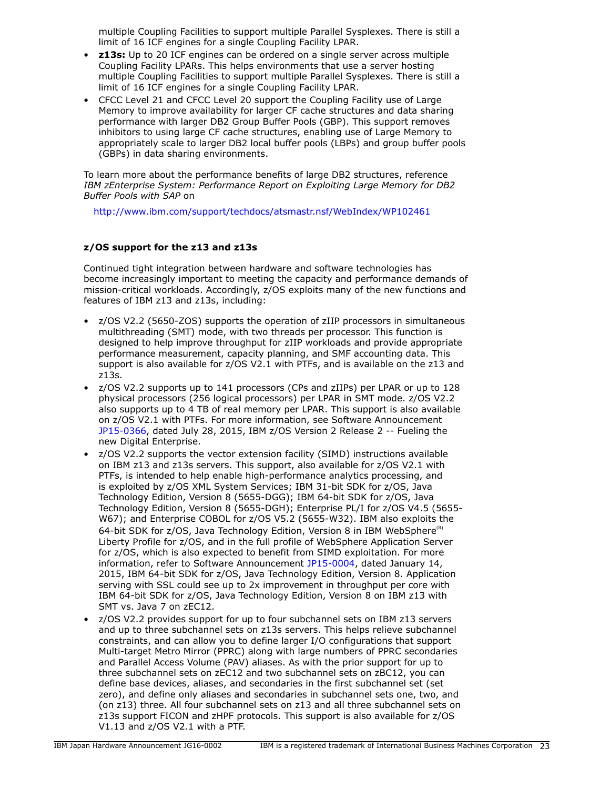multiple Coupling Facilities to support multiple Parallel Sysplexes. There is still a limit of 16 ICF engines for a single Coupling Facility LPAR.

- **z13s:** Up to 20 ICF engines can be ordered on a single server across multiple Coupling Facility LPARs. This helps environments that use a server hosting multiple Coupling Facilities to support multiple Parallel Sysplexes. There is still a limit of 16 ICF engines for a single Coupling Facility LPAR.
- CFCC Level 21 and CFCC Level 20 support the Coupling Facility use of Large Memory to improve availability for larger CF cache structures and data sharing performance with larger DB2 Group Buffer Pools (GBP). This support removes inhibitors to using large CF cache structures, enabling use of Large Memory to appropriately scale to larger DB2 local buffer pools (LBPs) and group buffer pools (GBPs) in data sharing environments.

To learn more about the performance benefits of large DB2 structures, reference *IBM zEnterprise System: Performance Report on Exploiting Large Memory for DB2 Buffer Pools with SAP* on

<http://www.ibm.com/support/techdocs/atsmastr.nsf/WebIndex/WP102461>

# **z/OS support for the z13 and z13s**

Continued tight integration between hardware and software technologies has become increasingly important to meeting the capacity and performance demands of mission-critical workloads. Accordingly, z/OS exploits many of the new functions and features of IBM z13 and z13s, including:

- z/OS V2.2 (5650-ZOS) supports the operation of zIIP processors in simultaneous multithreading (SMT) mode, with two threads per processor. This function is designed to help improve throughput for zIIP workloads and provide appropriate performance measurement, capacity planning, and SMF accounting data. This support is also available for z/OS V2.1 with PTFs, and is available on the z13 and z13s.
- z/OS V2.2 supports up to 141 processors (CPs and zIIPs) per LPAR or up to 128 physical processors (256 logical processors) per LPAR in SMT mode. z/OS V2.2 also supports up to 4 TB of real memory per LPAR. This support is also available on z/OS V2.1 with PTFs. For more information, see Software Announcement [JP15-0366,](http://www.ibm.com/common/ssi/cgi-bin/ssialias?infotype=an&subtype=ca&appname=gpateam&supplier=760&letternum=ENUSJP15-0366) dated July 28, 2015, IBM z/OS Version 2 Release 2 -- Fueling the new Digital Enterprise.
- z/OS V2.2 supports the vector extension facility (SIMD) instructions available on IBM z13 and z13s servers. This support, also available for z/OS V2.1 with PTFs, is intended to help enable high-performance analytics processing, and is exploited by z/OS XML System Services; IBM 31-bit SDK for z/OS, Java Technology Edition, Version 8 (5655-DGG); IBM 64-bit SDK for z/OS, Java Technology Edition, Version 8 (5655-DGH); Enterprise PL/I for z/OS V4.5 (5655- W67); and Enterprise COBOL for z/OS V5.2 (5655-W32). IBM also exploits the 64-bit SDK for  $z/OS$ , Java Technology Edition, Version 8 in IBM WebSphere<sup>(R)</sup> Liberty Profile for z/OS, and in the full profile of WebSphere Application Server for z/OS, which is also expected to benefit from SIMD exploitation. For more information, refer to Software Announcement [JP15-0004](http://www.ibm.com/common/ssi/cgi-bin/ssialias?infotype=an&subtype=ca&appname=gpateam&supplier=760&letternum=ENUSJP15-0004), dated January 14, 2015, IBM 64-bit SDK for z/OS, Java Technology Edition, Version 8. Application serving with SSL could see up to 2x improvement in throughput per core with IBM 64-bit SDK for z/OS, Java Technology Edition, Version 8 on IBM z13 with SMT vs. Java 7 on zEC12.
- z/OS V2.2 provides support for up to four subchannel sets on IBM z13 servers and up to three subchannel sets on z13s servers. This helps relieve subchannel constraints, and can allow you to define larger I/O configurations that support Multi-target Metro Mirror (PPRC) along with large numbers of PPRC secondaries and Parallel Access Volume (PAV) aliases. As with the prior support for up to three subchannel sets on zEC12 and two subchannel sets on zBC12, you can define base devices, aliases, and secondaries in the first subchannel set (set zero), and define only aliases and secondaries in subchannel sets one, two, and (on z13) three. All four subchannel sets on z13 and all three subchannel sets on z13s support FICON and zHPF protocols. This support is also available for z/OS V1.13 and z/OS V2.1 with a PTF.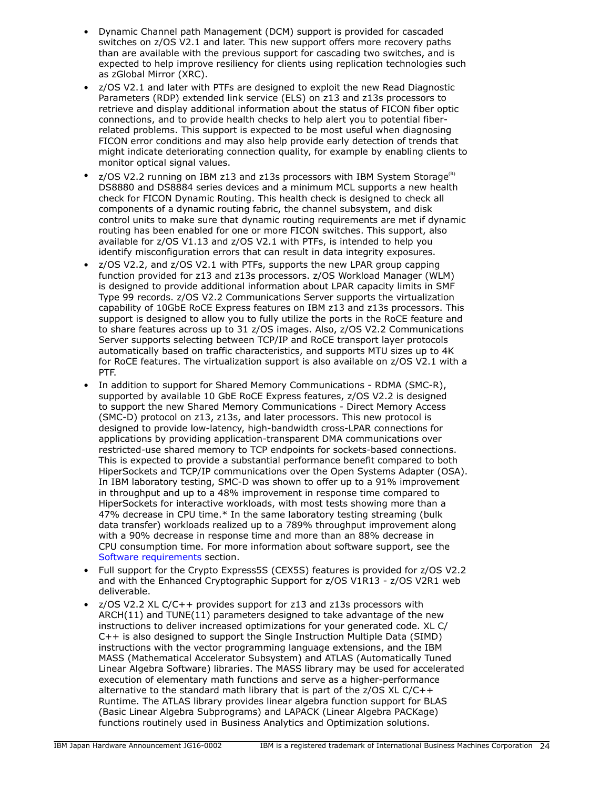- Dynamic Channel path Management (DCM) support is provided for cascaded switches on z/OS V2.1 and later. This new support offers more recovery paths than are available with the previous support for cascading two switches, and is expected to help improve resiliency for clients using replication technologies such as zGlobal Mirror (XRC).
- z/OS V2.1 and later with PTFs are designed to exploit the new Read Diagnostic Parameters (RDP) extended link service (ELS) on z13 and z13s processors to retrieve and display additional information about the status of FICON fiber optic connections, and to provide health checks to help alert you to potential fiberrelated problems. This support is expected to be most useful when diagnosing FICON error conditions and may also help provide early detection of trends that might indicate deteriorating connection quality, for example by enabling clients to monitor optical signal values.
- $z$ /OS V2.2 running on IBM z13 and z13s processors with IBM System Storage<sup>(R)</sup> DS8880 and DS8884 series devices and a minimum MCL supports a new health check for FICON Dynamic Routing. This health check is designed to check all components of a dynamic routing fabric, the channel subsystem, and disk control units to make sure that dynamic routing requirements are met if dynamic routing has been enabled for one or more FICON switches. This support, also available for z/OS V1.13 and z/OS V2.1 with PTFs, is intended to help you identify misconfiguration errors that can result in data integrity exposures.
- z/OS V2.2, and z/OS V2.1 with PTFs, supports the new LPAR group capping function provided for z13 and z13s processors. z/OS Workload Manager (WLM) is designed to provide additional information about LPAR capacity limits in SMF Type 99 records. z/OS V2.2 Communications Server supports the virtualization capability of 10GbE RoCE Express features on IBM z13 and z13s processors. This support is designed to allow you to fully utilize the ports in the RoCE feature and to share features across up to 31 z/OS images. Also, z/OS V2.2 Communications Server supports selecting between TCP/IP and RoCE transport layer protocols automatically based on traffic characteristics, and supports MTU sizes up to 4K for RoCE features. The virtualization support is also available on z/OS V2.1 with a PTF.
- In addition to support for Shared Memory Communications RDMA (SMC-R), supported by available 10 GbE RoCE Express features, z/OS V2.2 is designed to support the new Shared Memory Communications - Direct Memory Access (SMC-D) protocol on z13, z13s, and later processors. This new protocol is designed to provide low-latency, high-bandwidth cross-LPAR connections for applications by providing application-transparent DMA communications over restricted-use shared memory to TCP endpoints for sockets-based connections. This is expected to provide a substantial performance benefit compared to both HiperSockets and TCP/IP communications over the Open Systems Adapter (OSA). In IBM laboratory testing, SMC-D was shown to offer up to a 91% improvement in throughput and up to a 48% improvement in response time compared to HiperSockets for interactive workloads, with most tests showing more than a 47% decrease in CPU time.\* In the same laboratory testing streaming (bulk data transfer) workloads realized up to a 789% throughput improvement along with a 90% decrease in response time and more than an 88% decrease in CPU consumption time. For more information about software support, see the [Software requirements](#page-91-0) section.
- Full support for the Crypto Express5S (CEX5S) features is provided for z/OS V2.2 and with the Enhanced Cryptographic Support for z/OS V1R13 - z/OS V2R1 web deliverable.
- z/OS V2.2 XL C/C++ provides support for z13 and z13s processors with  $ARCH(11)$  and  $TUNE(11)$  parameters designed to take advantage of the new instructions to deliver increased optimizations for your generated code. XL C/ C++ is also designed to support the Single Instruction Multiple Data (SIMD) instructions with the vector programming language extensions, and the IBM MASS (Mathematical Accelerator Subsystem) and ATLAS (Automatically Tuned Linear Algebra Software) libraries. The MASS library may be used for accelerated execution of elementary math functions and serve as a higher-performance alternative to the standard math library that is part of the z/OS XL C/C++ Runtime. The ATLAS library provides linear algebra function support for BLAS (Basic Linear Algebra Subprograms) and LAPACK (Linear Algebra PACKage) functions routinely used in Business Analytics and Optimization solutions.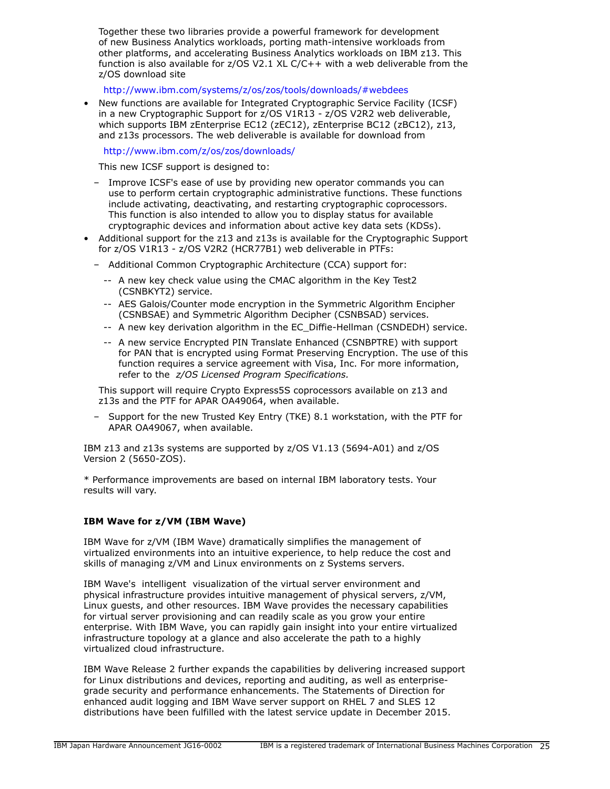Together these two libraries provide a powerful framework for development of new Business Analytics workloads, porting math-intensive workloads from other platforms, and accelerating Business Analytics workloads on IBM z13. This function is also available for z/OS V2.1 XL C/C++ with a web deliverable from the z/OS download site

<http://www.ibm.com/systems/z/os/zos/tools/downloads/#webdees>

• New functions are available for Integrated Cryptographic Service Facility (ICSF) in a new Cryptographic Support for z/OS V1R13 - z/OS V2R2 web deliverable, which supports IBM zEnterprise EC12 (zEC12), zEnterprise BC12 (zBC12), z13, and z13s processors. The web deliverable is available for download from

<http://www.ibm.com/z/os/zos/downloads/>

This new ICSF support is designed to:

- Improve ICSF's ease of use by providing new operator commands you can use to perform certain cryptographic administrative functions. These functions include activating, deactivating, and restarting cryptographic coprocessors. This function is also intended to allow you to display status for available cryptographic devices and information about active key data sets (KDSs).
- Additional support for the z13 and z13s is available for the Cryptographic Support for z/OS V1R13 - z/OS V2R2 (HCR77B1) web deliverable in PTFs:
	- Additional Common Cryptographic Architecture (CCA) support for:
		- -- A new key check value using the CMAC algorithm in the Key Test2 (CSNBKYT2) service.
		- -- AES Galois/Counter mode encryption in the Symmetric Algorithm Encipher (CSNBSAE) and Symmetric Algorithm Decipher (CSNBSAD) services.
		- -- A new key derivation algorithm in the EC\_Diffie-Hellman (CSNDEDH) service.
		- -- A new service Encrypted PIN Translate Enhanced (CSNBPTRE) with support for PAN that is encrypted using Format Preserving Encryption. The use of this function requires a service agreement with Visa, Inc. For more information, refer to the *z/OS Licensed Program Specifications.*

This support will require Crypto Express5S coprocessors available on z13 and z13s and the PTF for APAR OA49064, when available.

– Support for the new Trusted Key Entry (TKE) 8.1 workstation, with the PTF for APAR OA49067, when available.

IBM z13 and z13s systems are supported by z/OS V1.13 (5694-A01) and z/OS Version 2 (5650-ZOS).

\* Performance improvements are based on internal IBM laboratory tests. Your results will vary.

# **IBM Wave for z/VM (IBM Wave)**

IBM Wave for z/VM (IBM Wave) dramatically simplifies the management of virtualized environments into an intuitive experience, to help reduce the cost and skills of managing z/VM and Linux environments on z Systems servers.

IBM Wave's intelligent visualization of the virtual server environment and physical infrastructure provides intuitive management of physical servers, z/VM, Linux guests, and other resources. IBM Wave provides the necessary capabilities for virtual server provisioning and can readily scale as you grow your entire enterprise. With IBM Wave, you can rapidly gain insight into your entire virtualized infrastructure topology at a glance and also accelerate the path to a highly virtualized cloud infrastructure.

IBM Wave Release 2 further expands the capabilities by delivering increased support for Linux distributions and devices, reporting and auditing, as well as enterprisegrade security and performance enhancements. The Statements of Direction for enhanced audit logging and IBM Wave server support on RHEL 7 and SLES 12 distributions have been fulfilled with the latest service update in December 2015.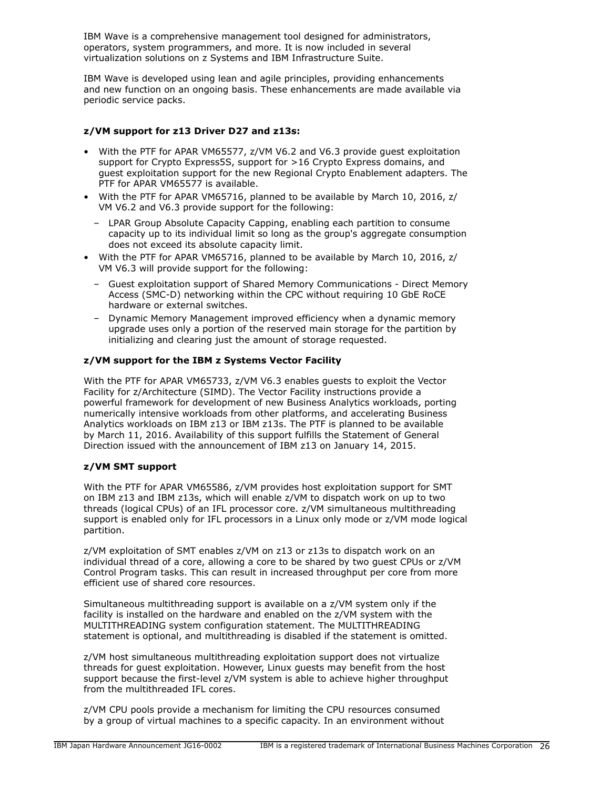IBM Wave is a comprehensive management tool designed for administrators, operators, system programmers, and more. It is now included in several virtualization solutions on z Systems and IBM Infrastructure Suite.

IBM Wave is developed using lean and agile principles, providing enhancements and new function on an ongoing basis. These enhancements are made available via periodic service packs.

# **z/VM support for z13 Driver D27 and z13s:**

- With the PTF for APAR VM65577, z/VM V6.2 and V6.3 provide guest exploitation support for Crypto Express5S, support for >16 Crypto Express domains, and guest exploitation support for the new Regional Crypto Enablement adapters. The PTF for APAR VM65577 is available.
- With the PTF for APAR VM65716, planned to be available by March 10, 2016, z/ VM V6.2 and V6.3 provide support for the following:
	- LPAR Group Absolute Capacity Capping, enabling each partition to consume capacity up to its individual limit so long as the group's aggregate consumption does not exceed its absolute capacity limit.
- With the PTF for APAR VM65716, planned to be available by March 10, 2016, z/ VM V6.3 will provide support for the following:
	- Guest exploitation support of Shared Memory Communications Direct Memory Access (SMC-D) networking within the CPC without requiring 10 GbE RoCE hardware or external switches.
	- Dynamic Memory Management improved efficiency when a dynamic memory upgrade uses only a portion of the reserved main storage for the partition by initializing and clearing just the amount of storage requested.

# **z/VM support for the IBM z Systems Vector Facility**

With the PTF for APAR VM65733, z/VM V6.3 enables guests to exploit the Vector Facility for z/Architecture (SIMD). The Vector Facility instructions provide a powerful framework for development of new Business Analytics workloads, porting numerically intensive workloads from other platforms, and accelerating Business Analytics workloads on IBM z13 or IBM z13s. The PTF is planned to be available by March 11, 2016. Availability of this support fulfills the Statement of General Direction issued with the announcement of IBM z13 on January 14, 2015.

# **z/VM SMT support**

With the PTF for APAR VM65586, z/VM provides host exploitation support for SMT on IBM z13 and IBM z13s, which will enable z/VM to dispatch work on up to two threads (logical CPUs) of an IFL processor core. z/VM simultaneous multithreading support is enabled only for IFL processors in a Linux only mode or z/VM mode logical partition.

z/VM exploitation of SMT enables z/VM on z13 or z13s to dispatch work on an individual thread of a core, allowing a core to be shared by two guest CPUs or z/VM Control Program tasks. This can result in increased throughput per core from more efficient use of shared core resources.

Simultaneous multithreading support is available on a z/VM system only if the facility is installed on the hardware and enabled on the z/VM system with the MULTITHREADING system configuration statement. The MULTITHREADING statement is optional, and multithreading is disabled if the statement is omitted.

z/VM host simultaneous multithreading exploitation support does not virtualize threads for guest exploitation. However, Linux guests may benefit from the host support because the first-level z/VM system is able to achieve higher throughput from the multithreaded IFL cores.

z/VM CPU pools provide a mechanism for limiting the CPU resources consumed by a group of virtual machines to a specific capacity. In an environment without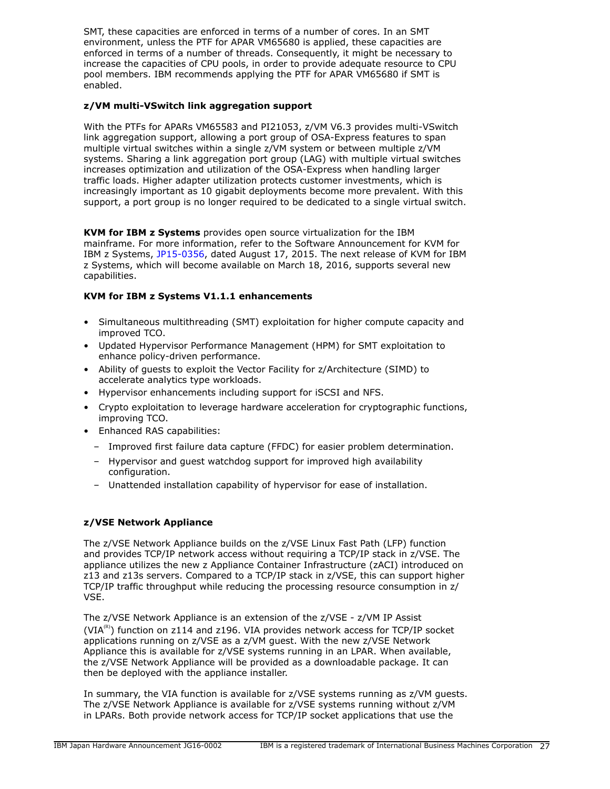SMT, these capacities are enforced in terms of a number of cores. In an SMT environment, unless the PTF for APAR VM65680 is applied, these capacities are enforced in terms of a number of threads. Consequently, it might be necessary to increase the capacities of CPU pools, in order to provide adequate resource to CPU pool members. IBM recommends applying the PTF for APAR VM65680 if SMT is enabled.

# **z/VM multi-VSwitch link aggregation support**

With the PTFs for APARs VM65583 and PI21053, z/VM V6.3 provides multi-VSwitch link aggregation support, allowing a port group of OSA-Express features to span multiple virtual switches within a single z/VM system or between multiple z/VM systems. Sharing a link aggregation port group (LAG) with multiple virtual switches increases optimization and utilization of the OSA-Express when handling larger traffic loads. Higher adapter utilization protects customer investments, which is increasingly important as 10 gigabit deployments become more prevalent. With this support, a port group is no longer required to be dedicated to a single virtual switch.

**KVM for IBM z Systems** provides open source virtualization for the IBM mainframe. For more information, refer to the Software Announcement for KVM for IBM z Systems, [JP15-0356](http://www.ibm.com/common/ssi/cgi-bin/ssialias?infotype=an&subtype=ca&appname=gpateam&supplier=760&letternum=ENUSJP15-0356), dated August 17, 2015. The next release of KVM for IBM z Systems, which will become available on March 18, 2016, supports several new capabilities.

# **KVM for IBM z Systems V1.1.1 enhancements**

- Simultaneous multithreading (SMT) exploitation for higher compute capacity and improved TCO.
- Updated Hypervisor Performance Management (HPM) for SMT exploitation to enhance policy-driven performance.
- Ability of guests to exploit the Vector Facility for z/Architecture (SIMD) to accelerate analytics type workloads.
- Hypervisor enhancements including support for iSCSI and NFS.
- Crypto exploitation to leverage hardware acceleration for cryptographic functions, improving TCO.
- Enhanced RAS capabilities:
	- Improved first failure data capture (FFDC) for easier problem determination.
	- Hypervisor and guest watchdog support for improved high availability configuration.
	- Unattended installation capability of hypervisor for ease of installation.

# **z/VSE Network Appliance**

The z/VSE Network Appliance builds on the z/VSE Linux Fast Path (LFP) function and provides TCP/IP network access without requiring a TCP/IP stack in z/VSE. The appliance utilizes the new z Appliance Container Infrastructure (zACI) introduced on z13 and z13s servers. Compared to a TCP/IP stack in z/VSE, this can support higher TCP/IP traffic throughput while reducing the processing resource consumption in z/ VSE.

The z/VSE Network Appliance is an extension of the z/VSE - z/VM IP Assist (VIA<sup>(R)</sup>) function on z114 and z196. VIA provides network access for TCP/IP socket applications running on z/VSE as a z/VM guest. With the new z/VSE Network Appliance this is available for z/VSE systems running in an LPAR. When available, the z/VSE Network Appliance will be provided as a downloadable package. It can then be deployed with the appliance installer.

In summary, the VIA function is available for z/VSE systems running as z/VM guests. The z/VSE Network Appliance is available for z/VSE systems running without z/VM in LPARs. Both provide network access for TCP/IP socket applications that use the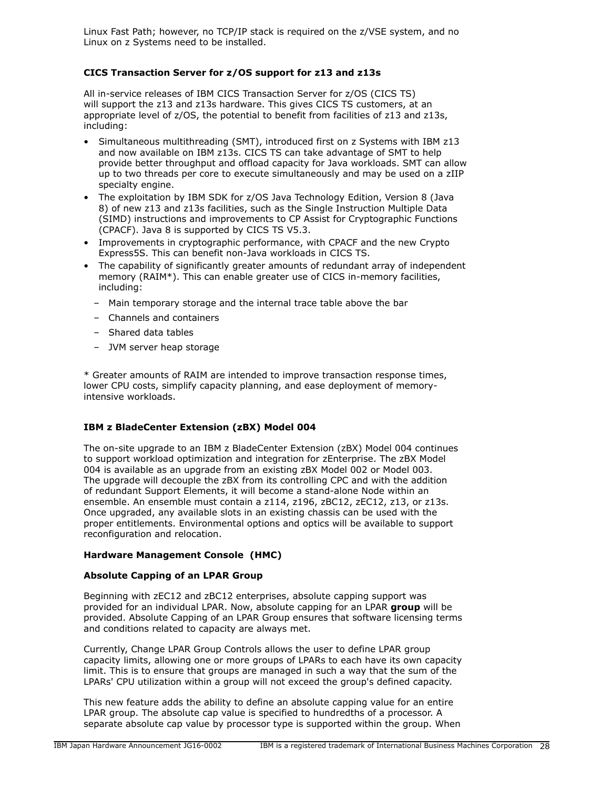Linux Fast Path; however, no TCP/IP stack is required on the z/VSE system, and no Linux on z Systems need to be installed.

# **CICS Transaction Server for z/OS support for z13 and z13s**

All in-service releases of IBM CICS Transaction Server for z/OS (CICS TS) will support the z13 and z13s hardware. This gives CICS TS customers, at an appropriate level of z/OS, the potential to benefit from facilities of z13 and z13s, including:

- Simultaneous multithreading (SMT), introduced first on z Systems with IBM z13 and now available on IBM z13s. CICS TS can take advantage of SMT to help provide better throughput and offload capacity for Java workloads. SMT can allow up to two threads per core to execute simultaneously and may be used on a zIIP specialty engine.
- The exploitation by IBM SDK for z/OS Java Technology Edition, Version 8 (Java 8) of new z13 and z13s facilities, such as the Single Instruction Multiple Data (SIMD) instructions and improvements to CP Assist for Cryptographic Functions (CPACF). Java 8 is supported by CICS TS V5.3.
- Improvements in cryptographic performance, with CPACF and the new Crypto Express5S. This can benefit non-Java workloads in CICS TS.
- The capability of significantly greater amounts of redundant array of independent memory (RAIM\*). This can enable greater use of CICS in-memory facilities, including:
	- Main temporary storage and the internal trace table above the bar
	- Channels and containers
	- Shared data tables
	- JVM server heap storage

\* Greater amounts of RAIM are intended to improve transaction response times, lower CPU costs, simplify capacity planning, and ease deployment of memoryintensive workloads.

# **IBM z BladeCenter Extension (zBX) Model 004**

The on-site upgrade to an IBM z BladeCenter Extension (zBX) Model 004 continues to support workload optimization and integration for zEnterprise. The zBX Model 004 is available as an upgrade from an existing zBX Model 002 or Model 003. The upgrade will decouple the zBX from its controlling CPC and with the addition of redundant Support Elements, it will become a stand-alone Node within an ensemble. An ensemble must contain a z114, z196, zBC12, zEC12, z13, or z13s. Once upgraded, any available slots in an existing chassis can be used with the proper entitlements. Environmental options and optics will be available to support reconfiguration and relocation.

# **Hardware Management Console (HMC)**

# **Absolute Capping of an LPAR Group**

Beginning with zEC12 and zBC12 enterprises, absolute capping support was provided for an individual LPAR. Now, absolute capping for an LPAR **group** will be provided. Absolute Capping of an LPAR Group ensures that software licensing terms and conditions related to capacity are always met.

Currently, Change LPAR Group Controls allows the user to define LPAR group capacity limits, allowing one or more groups of LPARs to each have its own capacity limit. This is to ensure that groups are managed in such a way that the sum of the LPARs' CPU utilization within a group will not exceed the group's defined capacity.

This new feature adds the ability to define an absolute capping value for an entire LPAR group. The absolute cap value is specified to hundredths of a processor. A separate absolute cap value by processor type is supported within the group. When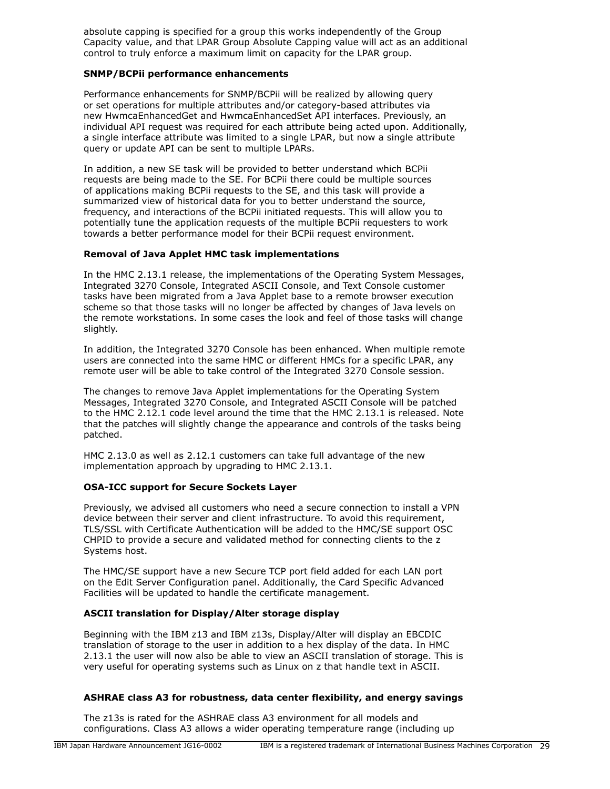absolute capping is specified for a group this works independently of the Group Capacity value, and that LPAR Group Absolute Capping value will act as an additional control to truly enforce a maximum limit on capacity for the LPAR group.

#### **SNMP/BCPii performance enhancements**

Performance enhancements for SNMP/BCPii will be realized by allowing query or set operations for multiple attributes and/or category-based attributes via new HwmcaEnhancedGet and HwmcaEnhancedSet API interfaces. Previously, an individual API request was required for each attribute being acted upon. Additionally, a single interface attribute was limited to a single LPAR, but now a single attribute query or update API can be sent to multiple LPARs.

In addition, a new SE task will be provided to better understand which BCPii requests are being made to the SE. For BCPii there could be multiple sources of applications making BCPii requests to the SE, and this task will provide a summarized view of historical data for you to better understand the source, frequency, and interactions of the BCPii initiated requests. This will allow you to potentially tune the application requests of the multiple BCPii requesters to work towards a better performance model for their BCPii request environment.

# **Removal of Java Applet HMC task implementations**

In the HMC 2.13.1 release, the implementations of the Operating System Messages, Integrated 3270 Console, Integrated ASCII Console, and Text Console customer tasks have been migrated from a Java Applet base to a remote browser execution scheme so that those tasks will no longer be affected by changes of Java levels on the remote workstations. In some cases the look and feel of those tasks will change slightly.

In addition, the Integrated 3270 Console has been enhanced. When multiple remote users are connected into the same HMC or different HMCs for a specific LPAR, any remote user will be able to take control of the Integrated 3270 Console session.

The changes to remove Java Applet implementations for the Operating System Messages, Integrated 3270 Console, and Integrated ASCII Console will be patched to the HMC 2.12.1 code level around the time that the HMC 2.13.1 is released. Note that the patches will slightly change the appearance and controls of the tasks being patched.

HMC 2.13.0 as well as 2.12.1 customers can take full advantage of the new implementation approach by upgrading to HMC 2.13.1.

# **OSA-ICC support for Secure Sockets Layer**

Previously, we advised all customers who need a secure connection to install a VPN device between their server and client infrastructure. To avoid this requirement, TLS/SSL with Certificate Authentication will be added to the HMC/SE support OSC CHPID to provide a secure and validated method for connecting clients to the z Systems host.

The HMC/SE support have a new Secure TCP port field added for each LAN port on the Edit Server Configuration panel. Additionally, the Card Specific Advanced Facilities will be updated to handle the certificate management.

# **ASCII translation for Display/Alter storage display**

Beginning with the IBM z13 and IBM z13s, Display/Alter will display an EBCDIC translation of storage to the user in addition to a hex display of the data. In HMC 2.13.1 the user will now also be able to view an ASCII translation of storage. This is very useful for operating systems such as Linux on z that handle text in ASCII.

# **ASHRAE class A3 for robustness, data center flexibility, and energy savings**

The z13s is rated for the ASHRAE class A3 environment for all models and configurations. Class A3 allows a wider operating temperature range (including up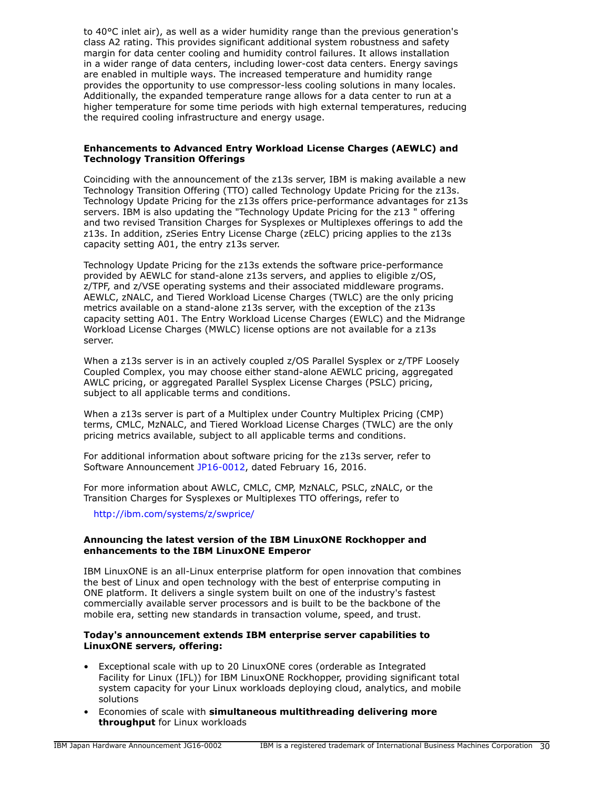to 40°C inlet air), as well as a wider humidity range than the previous generation's class A2 rating. This provides significant additional system robustness and safety margin for data center cooling and humidity control failures. It allows installation in a wider range of data centers, including lower-cost data centers. Energy savings are enabled in multiple ways. The increased temperature and humidity range provides the opportunity to use compressor-less cooling solutions in many locales. Additionally, the expanded temperature range allows for a data center to run at a higher temperature for some time periods with high external temperatures, reducing the required cooling infrastructure and energy usage.

# **Enhancements to Advanced Entry Workload License Charges (AEWLC) and Technology Transition Offerings**

Coinciding with the announcement of the z13s server, IBM is making available a new Technology Transition Offering (TTO) called Technology Update Pricing for the z13s. Technology Update Pricing for the z13s offers price-performance advantages for z13s servers. IBM is also updating the "Technology Update Pricing for the z13 " offering and two revised Transition Charges for Sysplexes or Multiplexes offerings to add the z13s. In addition, zSeries Entry License Charge (zELC) pricing applies to the z13s capacity setting A01, the entry z13s server.

Technology Update Pricing for the z13s extends the software price-performance provided by AEWLC for stand-alone z13s servers, and applies to eligible z/OS, z/TPF, and z/VSE operating systems and their associated middleware programs. AEWLC, zNALC, and Tiered Workload License Charges (TWLC) are the only pricing metrics available on a stand-alone z13s server, with the exception of the z13s capacity setting A01. The Entry Workload License Charges (EWLC) and the Midrange Workload License Charges (MWLC) license options are not available for a z13s server.

When a z13s server is in an actively coupled z/OS Parallel Sysplex or z/TPF Loosely Coupled Complex, you may choose either stand-alone AEWLC pricing, aggregated AWLC pricing, or aggregated Parallel Sysplex License Charges (PSLC) pricing, subject to all applicable terms and conditions.

When a z13s server is part of a Multiplex under Country Multiplex Pricing (CMP) terms, CMLC, MzNALC, and Tiered Workload License Charges (TWLC) are the only pricing metrics available, subject to all applicable terms and conditions.

For additional information about software pricing for the z13s server, refer to Software Announcement [JP16-0012](http://www.ibm.com/common/ssi/cgi-bin/ssialias?infotype=an&subtype=ca&appname=gpateam&supplier=760&letternum=ENUSJP16-0012), dated February 16, 2016.

For more information about AWLC, CMLC, CMP, MzNALC, PSLC, zNALC, or the Transition Charges for Sysplexes or Multiplexes TTO offerings, refer to

# <http://ibm.com/systems/z/swprice/>

#### **Announcing the latest version of the IBM LinuxONE Rockhopper and enhancements to the IBM LinuxONE Emperor**

IBM LinuxONE is an all-Linux enterprise platform for open innovation that combines the best of Linux and open technology with the best of enterprise computing in ONE platform. It delivers a single system built on one of the industry's fastest commercially available server processors and is built to be the backbone of the mobile era, setting new standards in transaction volume, speed, and trust.

#### **Today's announcement extends IBM enterprise server capabilities to LinuxONE servers, offering:**

- Exceptional scale with up to 20 LinuxONE cores (orderable as Integrated Facility for Linux (IFL)) for IBM LinuxONE Rockhopper, providing significant total system capacity for your Linux workloads deploying cloud, analytics, and mobile solutions
- Economies of scale with **simultaneous multithreading delivering more throughput** for Linux workloads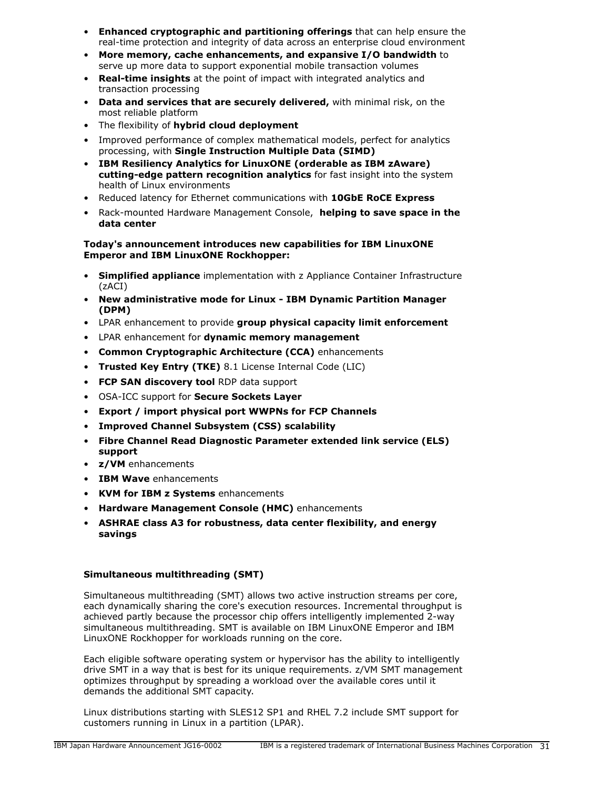- **Enhanced cryptographic and partitioning offerings** that can help ensure the real-time protection and integrity of data across an enterprise cloud environment
- **More memory, cache enhancements, and expansive I/O bandwidth** to serve up more data to support exponential mobile transaction volumes
- **Real-time insights** at the point of impact with integrated analytics and transaction processing
- **Data and services that are securely delivered,** with minimal risk, on the most reliable platform
- The flexibility of **hybrid cloud deployment**
- Improved performance of complex mathematical models, perfect for analytics processing, with **Single Instruction Multiple Data (SIMD)**
- **IBM Resiliency Analytics for LinuxONE (orderable as IBM zAware) cutting-edge pattern recognition analytics** for fast insight into the system health of Linux environments
- Reduced latency for Ethernet communications with **10GbE RoCE Express**
- Rack-mounted Hardware Management Console, **helping to save space in the data center**

# **Today's announcement introduces new capabilities for IBM LinuxONE Emperor and IBM LinuxONE Rockhopper:**

- **Simplified appliance** implementation with z Appliance Container Infrastructure (zACI)
- **New administrative mode for Linux IBM Dynamic Partition Manager (DPM)**
- LPAR enhancement to provide **group physical capacity limit enforcement**
- LPAR enhancement for **dynamic memory management**
- **Common Cryptographic Architecture (CCA)** enhancements
- **Trusted Key Entry (TKE)** 8.1 License Internal Code (LIC)
- **FCP SAN discovery tool** RDP data support
- OSA-ICC support for **Secure Sockets Layer**
- **Export / import physical port WWPNs for FCP Channels**
- **Improved Channel Subsystem (CSS) scalability**
- **Fibre Channel Read Diagnostic Parameter extended link service (ELS) support**
- **z/VM** enhancements
- **IBM Wave** enhancements
- **KVM for IBM z Systems** enhancements
- **Hardware Management Console (HMC)** enhancements
- **ASHRAE class A3 for robustness, data center flexibility, and energy savings**

# **Simultaneous multithreading (SMT)**

Simultaneous multithreading (SMT) allows two active instruction streams per core, each dynamically sharing the core's execution resources. Incremental throughput is achieved partly because the processor chip offers intelligently implemented 2-way simultaneous multithreading. SMT is available on IBM LinuxONE Emperor and IBM LinuxONE Rockhopper for workloads running on the core.

Each eligible software operating system or hypervisor has the ability to intelligently drive SMT in a way that is best for its unique requirements. z/VM SMT management optimizes throughput by spreading a workload over the available cores until it demands the additional SMT capacity.

Linux distributions starting with SLES12 SP1 and RHEL 7.2 include SMT support for customers running in Linux in a partition (LPAR).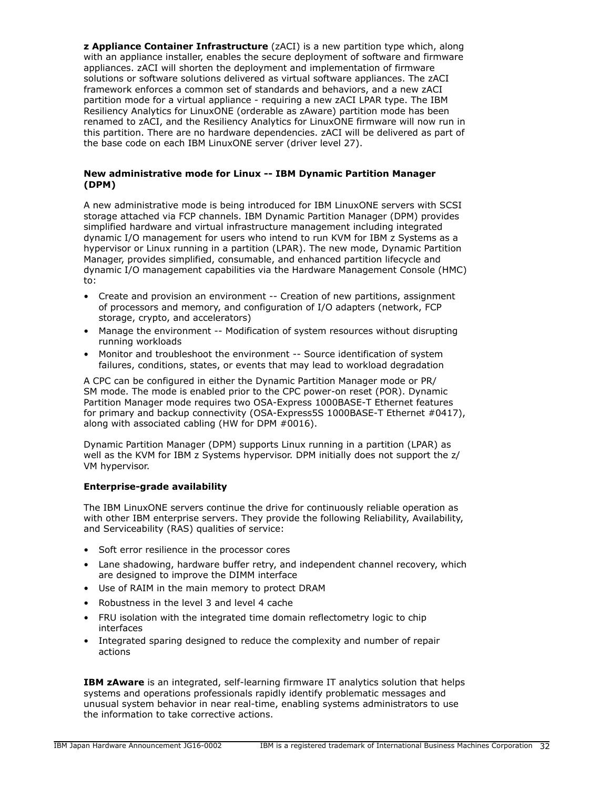**z Appliance Container Infrastructure** (zACI) is a new partition type which, along with an appliance installer, enables the secure deployment of software and firmware appliances. zACI will shorten the deployment and implementation of firmware solutions or software solutions delivered as virtual software appliances. The zACI framework enforces a common set of standards and behaviors, and a new zACI partition mode for a virtual appliance - requiring a new zACI LPAR type. The IBM Resiliency Analytics for LinuxONE (orderable as zAware) partition mode has been renamed to zACI, and the Resiliency Analytics for LinuxONE firmware will now run in this partition. There are no hardware dependencies. zACI will be delivered as part of the base code on each IBM LinuxONE server (driver level 27).

#### **New administrative mode for Linux -- IBM Dynamic Partition Manager (DPM)**

A new administrative mode is being introduced for IBM LinuxONE servers with SCSI storage attached via FCP channels. IBM Dynamic Partition Manager (DPM) provides simplified hardware and virtual infrastructure management including integrated dynamic I/O management for users who intend to run KVM for IBM z Systems as a hypervisor or Linux running in a partition (LPAR). The new mode, Dynamic Partition Manager, provides simplified, consumable, and enhanced partition lifecycle and dynamic I/O management capabilities via the Hardware Management Console (HMC) to:

- Create and provision an environment -- Creation of new partitions, assignment of processors and memory, and configuration of I/O adapters (network, FCP storage, crypto, and accelerators)
- Manage the environment -- Modification of system resources without disrupting running workloads
- Monitor and troubleshoot the environment -- Source identification of system failures, conditions, states, or events that may lead to workload degradation

A CPC can be configured in either the Dynamic Partition Manager mode or PR/ SM mode. The mode is enabled prior to the CPC power-on reset (POR). Dynamic Partition Manager mode requires two OSA-Express 1000BASE-T Ethernet features for primary and backup connectivity (OSA-Express5S 1000BASE-T Ethernet #0417), along with associated cabling (HW for DPM #0016).

Dynamic Partition Manager (DPM) supports Linux running in a partition (LPAR) as well as the KVM for IBM z Systems hypervisor. DPM initially does not support the z/ VM hypervisor.

# **Enterprise-grade availability**

The IBM LinuxONE servers continue the drive for continuously reliable operation as with other IBM enterprise servers. They provide the following Reliability, Availability, and Serviceability (RAS) qualities of service:

- Soft error resilience in the processor cores
- Lane shadowing, hardware buffer retry, and independent channel recovery, which are designed to improve the DIMM interface
- Use of RAIM in the main memory to protect DRAM
- Robustness in the level 3 and level 4 cache
- FRU isolation with the integrated time domain reflectometry logic to chip interfaces
- Integrated sparing designed to reduce the complexity and number of repair actions

**IBM zAware** is an integrated, self-learning firmware IT analytics solution that helps systems and operations professionals rapidly identify problematic messages and unusual system behavior in near real-time, enabling systems administrators to use the information to take corrective actions.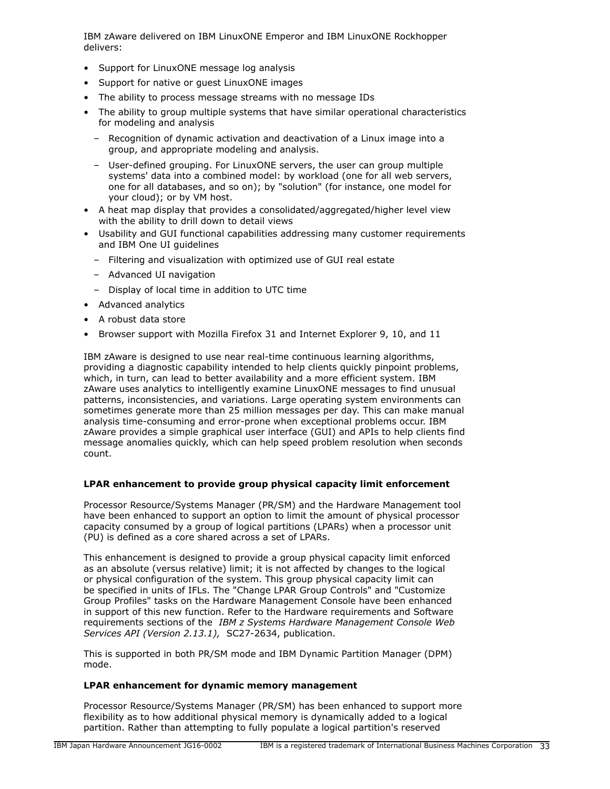IBM zAware delivered on IBM LinuxONE Emperor and IBM LinuxONE Rockhopper delivers:

- Support for LinuxONE message log analysis
- Support for native or guest LinuxONE images
- The ability to process message streams with no message IDs
- The ability to group multiple systems that have similar operational characteristics for modeling and analysis
	- Recognition of dynamic activation and deactivation of a Linux image into a group, and appropriate modeling and analysis.
	- User-defined grouping. For LinuxONE servers, the user can group multiple systems' data into a combined model: by workload (one for all web servers, one for all databases, and so on); by "solution" (for instance, one model for your cloud); or by VM host.
- A heat map display that provides a consolidated/aggregated/higher level view with the ability to drill down to detail views
- Usability and GUI functional capabilities addressing many customer requirements and IBM One UI guidelines
	- Filtering and visualization with optimized use of GUI real estate
	- Advanced UI navigation
	- Display of local time in addition to UTC time
- Advanced analytics
- A robust data store
- Browser support with Mozilla Firefox 31 and Internet Explorer 9, 10, and 11

IBM zAware is designed to use near real-time continuous learning algorithms, providing a diagnostic capability intended to help clients quickly pinpoint problems, which, in turn, can lead to better availability and a more efficient system. IBM zAware uses analytics to intelligently examine LinuxONE messages to find unusual patterns, inconsistencies, and variations. Large operating system environments can sometimes generate more than 25 million messages per day. This can make manual analysis time-consuming and error-prone when exceptional problems occur. IBM zAware provides a simple graphical user interface (GUI) and APIs to help clients find message anomalies quickly, which can help speed problem resolution when seconds count.

# **LPAR enhancement to provide group physical capacity limit enforcement**

Processor Resource/Systems Manager (PR/SM) and the Hardware Management tool have been enhanced to support an option to limit the amount of physical processor capacity consumed by a group of logical partitions (LPARs) when a processor unit (PU) is defined as a core shared across a set of LPARs.

This enhancement is designed to provide a group physical capacity limit enforced as an absolute (versus relative) limit; it is not affected by changes to the logical or physical configuration of the system. This group physical capacity limit can be specified in units of IFLs. The "Change LPAR Group Controls" and "Customize Group Profiles" tasks on the Hardware Management Console have been enhanced in support of this new function. Refer to the Hardware requirements and Software requirements sections of the *IBM z Systems Hardware Management Console Web Services API (Version 2.13.1),* SC27-2634, publication.

This is supported in both PR/SM mode and IBM Dynamic Partition Manager (DPM) mode.

# **LPAR enhancement for dynamic memory management**

Processor Resource/Systems Manager (PR/SM) has been enhanced to support more flexibility as to how additional physical memory is dynamically added to a logical partition. Rather than attempting to fully populate a logical partition's reserved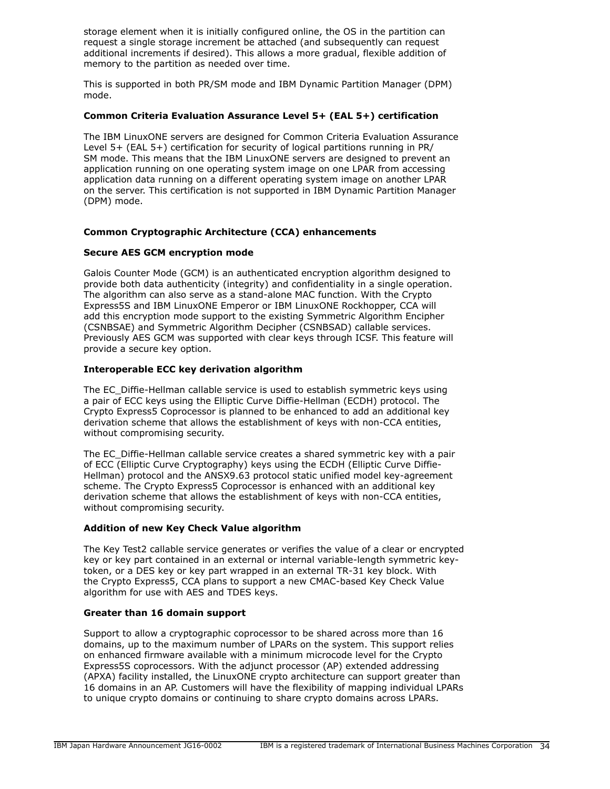storage element when it is initially configured online, the OS in the partition can request a single storage increment be attached (and subsequently can request additional increments if desired). This allows a more gradual, flexible addition of memory to the partition as needed over time.

This is supported in both PR/SM mode and IBM Dynamic Partition Manager (DPM) mode.

# **Common Criteria Evaluation Assurance Level 5+ (EAL 5+) certification**

The IBM LinuxONE servers are designed for Common Criteria Evaluation Assurance Level 5+ (EAL 5+) certification for security of logical partitions running in PR/ SM mode. This means that the IBM LinuxONE servers are designed to prevent an application running on one operating system image on one LPAR from accessing application data running on a different operating system image on another LPAR on the server. This certification is not supported in IBM Dynamic Partition Manager (DPM) mode.

# **Common Cryptographic Architecture (CCA) enhancements**

# **Secure AES GCM encryption mode**

Galois Counter Mode (GCM) is an authenticated encryption algorithm designed to provide both data authenticity (integrity) and confidentiality in a single operation. The algorithm can also serve as a stand-alone MAC function. With the Crypto Express5S and IBM LinuxONE Emperor or IBM LinuxONE Rockhopper, CCA will add this encryption mode support to the existing Symmetric Algorithm Encipher (CSNBSAE) and Symmetric Algorithm Decipher (CSNBSAD) callable services. Previously AES GCM was supported with clear keys through ICSF. This feature will provide a secure key option.

# **Interoperable ECC key derivation algorithm**

The EC\_Diffie-Hellman callable service is used to establish symmetric keys using a pair of ECC keys using the Elliptic Curve Diffie-Hellman (ECDH) protocol. The Crypto Express5 Coprocessor is planned to be enhanced to add an additional key derivation scheme that allows the establishment of keys with non-CCA entities, without compromising security.

The EC\_Diffie-Hellman callable service creates a shared symmetric key with a pair of ECC (Elliptic Curve Cryptography) keys using the ECDH (Elliptic Curve Diffie-Hellman) protocol and the ANSX9.63 protocol static unified model key-agreement scheme. The Crypto Express5 Coprocessor is enhanced with an additional key derivation scheme that allows the establishment of keys with non-CCA entities, without compromising security.

# **Addition of new Key Check Value algorithm**

The Key Test2 callable service generates or verifies the value of a clear or encrypted key or key part contained in an external or internal variable-length symmetric keytoken, or a DES key or key part wrapped in an external TR-31 key block. With the Crypto Express5, CCA plans to support a new CMAC-based Key Check Value algorithm for use with AES and TDES keys.

# **Greater than 16 domain support**

Support to allow a cryptographic coprocessor to be shared across more than 16 domains, up to the maximum number of LPARs on the system. This support relies on enhanced firmware available with a minimum microcode level for the Crypto Express5S coprocessors. With the adjunct processor (AP) extended addressing (APXA) facility installed, the LinuxONE crypto architecture can support greater than 16 domains in an AP. Customers will have the flexibility of mapping individual LPARs to unique crypto domains or continuing to share crypto domains across LPARs.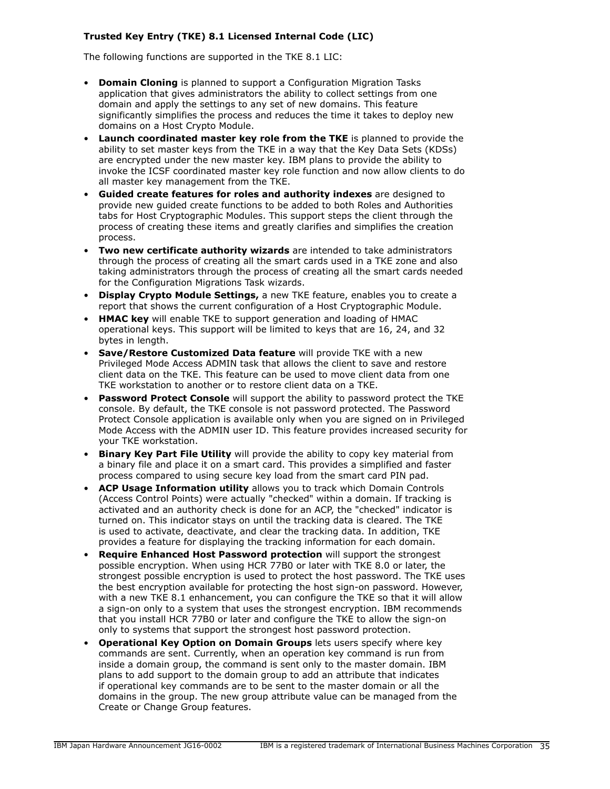# **Trusted Key Entry (TKE) 8.1 Licensed Internal Code (LIC)**

The following functions are supported in the TKE 8.1 LIC:

- **Domain Cloning** is planned to support a Configuration Migration Tasks application that gives administrators the ability to collect settings from one domain and apply the settings to any set of new domains. This feature significantly simplifies the process and reduces the time it takes to deploy new domains on a Host Crypto Module.
- **Launch coordinated master key role from the TKE** is planned to provide the ability to set master keys from the TKE in a way that the Key Data Sets (KDSs) are encrypted under the new master key. IBM plans to provide the ability to invoke the ICSF coordinated master key role function and now allow clients to do all master key management from the TKE.
- **Guided create features for roles and authority indexes** are designed to provide new guided create functions to be added to both Roles and Authorities tabs for Host Cryptographic Modules. This support steps the client through the process of creating these items and greatly clarifies and simplifies the creation process.
- **Two new certificate authority wizards** are intended to take administrators through the process of creating all the smart cards used in a TKE zone and also taking administrators through the process of creating all the smart cards needed for the Configuration Migrations Task wizards.
- **Display Crypto Module Settings,** a new TKE feature, enables you to create a report that shows the current configuration of a Host Cryptographic Module.
- **HMAC key** will enable TKE to support generation and loading of HMAC operational keys. This support will be limited to keys that are 16, 24, and 32 bytes in length.
- **Save/Restore Customized Data feature** will provide TKE with a new Privileged Mode Access ADMIN task that allows the client to save and restore client data on the TKE. This feature can be used to move client data from one TKE workstation to another or to restore client data on a TKE.
- **Password Protect Console** will support the ability to password protect the TKE console. By default, the TKE console is not password protected. The Password Protect Console application is available only when you are signed on in Privileged Mode Access with the ADMIN user ID. This feature provides increased security for your TKE workstation.
- **Binary Key Part File Utility** will provide the ability to copy key material from a binary file and place it on a smart card. This provides a simplified and faster process compared to using secure key load from the smart card PIN pad.
- **ACP Usage Information utility** allows you to track which Domain Controls (Access Control Points) were actually "checked" within a domain. If tracking is activated and an authority check is done for an ACP, the "checked" indicator is turned on. This indicator stays on until the tracking data is cleared. The TKE is used to activate, deactivate, and clear the tracking data. In addition, TKE provides a feature for displaying the tracking information for each domain.
- **Require Enhanced Host Password protection** will support the strongest possible encryption. When using HCR 77B0 or later with TKE 8.0 or later, the strongest possible encryption is used to protect the host password. The TKE uses the best encryption available for protecting the host sign-on password. However, with a new TKE 8.1 enhancement, you can configure the TKE so that it will allow a sign-on only to a system that uses the strongest encryption. IBM recommends that you install HCR 77B0 or later and configure the TKE to allow the sign-on only to systems that support the strongest host password protection.
- **Operational Key Option on Domain Groups** lets users specify where key commands are sent. Currently, when an operation key command is run from inside a domain group, the command is sent only to the master domain. IBM plans to add support to the domain group to add an attribute that indicates if operational key commands are to be sent to the master domain or all the domains in the group. The new group attribute value can be managed from the Create or Change Group features.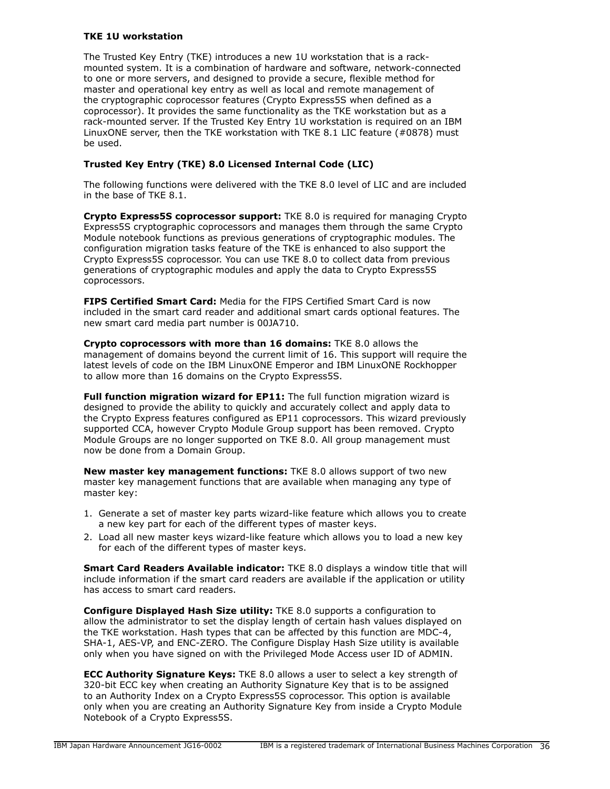# **TKE 1U workstation**

The Trusted Key Entry (TKE) introduces a new 1U workstation that is a rackmounted system. It is a combination of hardware and software, network-connected to one or more servers, and designed to provide a secure, flexible method for master and operational key entry as well as local and remote management of the cryptographic coprocessor features (Crypto Express5S when defined as a coprocessor). It provides the same functionality as the TKE workstation but as a rack-mounted server. If the Trusted Key Entry 1U workstation is required on an IBM LinuxONE server, then the TKE workstation with TKE 8.1 LIC feature (#0878) must be used.

# **Trusted Key Entry (TKE) 8.0 Licensed Internal Code (LIC)**

The following functions were delivered with the TKE 8.0 level of LIC and are included in the base of TKE 8.1.

**Crypto Express5S coprocessor support:** TKE 8.0 is required for managing Crypto Express5S cryptographic coprocessors and manages them through the same Crypto Module notebook functions as previous generations of cryptographic modules. The configuration migration tasks feature of the TKE is enhanced to also support the Crypto Express5S coprocessor. You can use TKE 8.0 to collect data from previous generations of cryptographic modules and apply the data to Crypto Express5S coprocessors.

**FIPS Certified Smart Card:** Media for the FIPS Certified Smart Card is now included in the smart card reader and additional smart cards optional features. The new smart card media part number is 00JA710.

**Crypto coprocessors with more than 16 domains:** TKE 8.0 allows the management of domains beyond the current limit of 16. This support will require the latest levels of code on the IBM LinuxONE Emperor and IBM LinuxONE Rockhopper to allow more than 16 domains on the Crypto Express5S.

**Full function migration wizard for EP11:** The full function migration wizard is designed to provide the ability to quickly and accurately collect and apply data to the Crypto Express features configured as EP11 coprocessors. This wizard previously supported CCA, however Crypto Module Group support has been removed. Crypto Module Groups are no longer supported on TKE 8.0. All group management must now be done from a Domain Group.

**New master key management functions:** TKE 8.0 allows support of two new master key management functions that are available when managing any type of master key:

- 1. Generate a set of master key parts wizard-like feature which allows you to create a new key part for each of the different types of master keys.
- 2. Load all new master keys wizard-like feature which allows you to load a new key for each of the different types of master keys.

**Smart Card Readers Available indicator:** TKE 8.0 displays a window title that will include information if the smart card readers are available if the application or utility has access to smart card readers.

**Configure Displayed Hash Size utility:** TKE 8.0 supports a configuration to allow the administrator to set the display length of certain hash values displayed on the TKE workstation. Hash types that can be affected by this function are MDC-4, SHA-1, AES-VP, and ENC-ZERO. The Configure Display Hash Size utility is available only when you have signed on with the Privileged Mode Access user ID of ADMIN.

**ECC Authority Signature Keys:** TKE 8.0 allows a user to select a key strength of 320-bit ECC key when creating an Authority Signature Key that is to be assigned to an Authority Index on a Crypto Express5S coprocessor. This option is available only when you are creating an Authority Signature Key from inside a Crypto Module Notebook of a Crypto Express5S.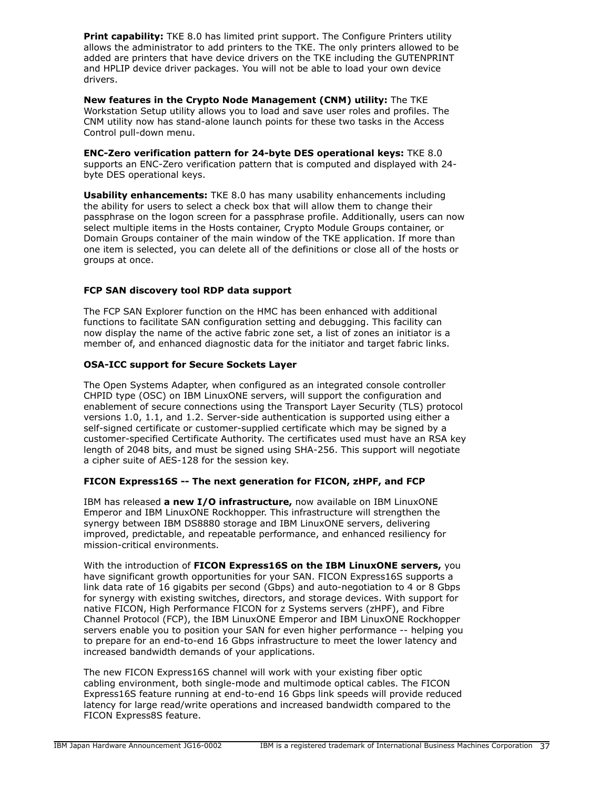**Print capability:** TKE 8.0 has limited print support. The Configure Printers utility allows the administrator to add printers to the TKE. The only printers allowed to be added are printers that have device drivers on the TKE including the GUTENPRINT and HPLIP device driver packages. You will not be able to load your own device drivers.

**New features in the Crypto Node Management (CNM) utility:** The TKE Workstation Setup utility allows you to load and save user roles and profiles. The CNM utility now has stand-alone launch points for these two tasks in the Access Control pull-down menu.

**ENC-Zero verification pattern for 24-byte DES operational keys:** TKE 8.0 supports an ENC-Zero verification pattern that is computed and displayed with 24 byte DES operational keys.

**Usability enhancements:** TKE 8.0 has many usability enhancements including the ability for users to select a check box that will allow them to change their passphrase on the logon screen for a passphrase profile. Additionally, users can now select multiple items in the Hosts container, Crypto Module Groups container, or Domain Groups container of the main window of the TKE application. If more than one item is selected, you can delete all of the definitions or close all of the hosts or groups at once.

# **FCP SAN discovery tool RDP data support**

The FCP SAN Explorer function on the HMC has been enhanced with additional functions to facilitate SAN configuration setting and debugging. This facility can now display the name of the active fabric zone set, a list of zones an initiator is a member of, and enhanced diagnostic data for the initiator and target fabric links.

## **OSA-ICC support for Secure Sockets Layer**

The Open Systems Adapter, when configured as an integrated console controller CHPID type (OSC) on IBM LinuxONE servers, will support the configuration and enablement of secure connections using the Transport Layer Security (TLS) protocol versions 1.0, 1.1, and 1.2. Server-side authentication is supported using either a self-signed certificate or customer-supplied certificate which may be signed by a customer-specified Certificate Authority. The certificates used must have an RSA key length of 2048 bits, and must be signed using SHA-256. This support will negotiate a cipher suite of AES-128 for the session key.

## **FICON Express16S -- The next generation for FICON, zHPF, and FCP**

IBM has released **a new I/O infrastructure,** now available on IBM LinuxONE Emperor and IBM LinuxONE Rockhopper. This infrastructure will strengthen the synergy between IBM DS8880 storage and IBM LinuxONE servers, delivering improved, predictable, and repeatable performance, and enhanced resiliency for mission-critical environments.

With the introduction of **FICON Express16S on the IBM LinuxONE servers,** you have significant growth opportunities for your SAN. FICON Express16S supports a link data rate of 16 gigabits per second (Gbps) and auto-negotiation to 4 or 8 Gbps for synergy with existing switches, directors, and storage devices. With support for native FICON, High Performance FICON for z Systems servers (zHPF), and Fibre Channel Protocol (FCP), the IBM LinuxONE Emperor and IBM LinuxONE Rockhopper servers enable you to position your SAN for even higher performance -- helping you to prepare for an end-to-end 16 Gbps infrastructure to meet the lower latency and increased bandwidth demands of your applications.

The new FICON Express16S channel will work with your existing fiber optic cabling environment, both single-mode and multimode optical cables. The FICON Express16S feature running at end-to-end 16 Gbps link speeds will provide reduced latency for large read/write operations and increased bandwidth compared to the FICON Express8S feature.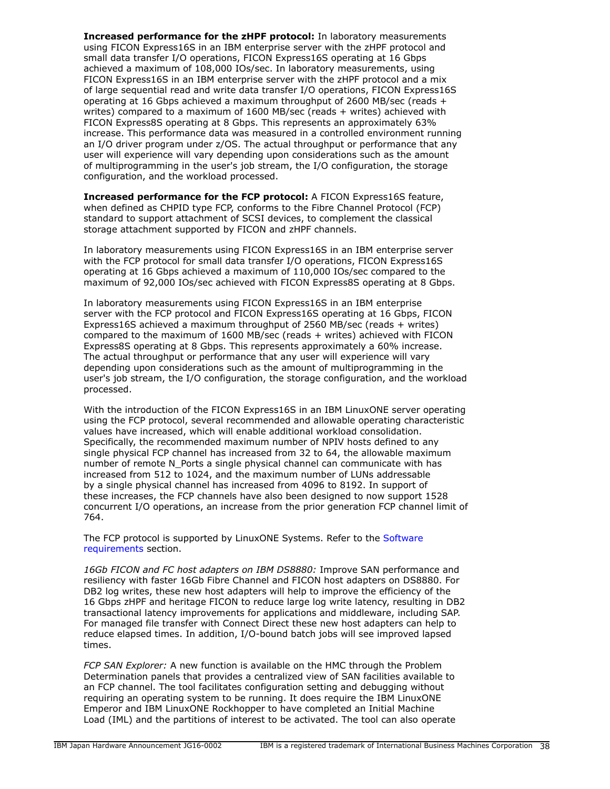**Increased performance for the zHPF protocol:** In laboratory measurements using FICON Express16S in an IBM enterprise server with the zHPF protocol and small data transfer I/O operations, FICON Express16S operating at 16 Gbps achieved a maximum of 108,000 IOs/sec. In laboratory measurements, using FICON Express16S in an IBM enterprise server with the zHPF protocol and a mix of large sequential read and write data transfer I/O operations, FICON Express16S operating at 16 Gbps achieved a maximum throughput of 2600 MB/sec (reads + writes) compared to a maximum of 1600 MB/sec (reads + writes) achieved with FICON Express8S operating at 8 Gbps. This represents an approximately 63% increase. This performance data was measured in a controlled environment running an I/O driver program under z/OS. The actual throughput or performance that any user will experience will vary depending upon considerations such as the amount of multiprogramming in the user's job stream, the I/O configuration, the storage configuration, and the workload processed.

**Increased performance for the FCP protocol:** A FICON Express16S feature, when defined as CHPID type FCP, conforms to the Fibre Channel Protocol (FCP) standard to support attachment of SCSI devices, to complement the classical storage attachment supported by FICON and zHPF channels.

In laboratory measurements using FICON Express16S in an IBM enterprise server with the FCP protocol for small data transfer I/O operations, FICON Express16S operating at 16 Gbps achieved a maximum of 110,000 IOs/sec compared to the maximum of 92,000 IOs/sec achieved with FICON Express8S operating at 8 Gbps.

In laboratory measurements using FICON Express16S in an IBM enterprise server with the FCP protocol and FICON Express16S operating at 16 Gbps, FICON Express16S achieved a maximum throughput of 2560 MB/sec (reads + writes) compared to the maximum of 1600 MB/sec (reads + writes) achieved with FICON Express8S operating at 8 Gbps. This represents approximately a 60% increase. The actual throughput or performance that any user will experience will vary depending upon considerations such as the amount of multiprogramming in the user's job stream, the I/O configuration, the storage configuration, and the workload processed.

With the introduction of the FICON Express16S in an IBM LinuxONE server operating using the FCP protocol, several recommended and allowable operating characteristic values have increased, which will enable additional workload consolidation. Specifically, the recommended maximum number of NPIV hosts defined to any single physical FCP channel has increased from 32 to 64, the allowable maximum number of remote N\_Ports a single physical channel can communicate with has increased from 512 to 1024, and the maximum number of LUNs addressable by a single physical channel has increased from 4096 to 8192. In support of these increases, the FCP channels have also been designed to now support 1528 concurrent I/O operations, an increase from the prior generation FCP channel limit of 764.

The FCP protocol is supported by LinuxONE Systems. Refer to the [Software](#page-91-0) [requirements](#page-91-0) section.

*16Gb FICON and FC host adapters on IBM DS8880:* Improve SAN performance and resiliency with faster 16Gb Fibre Channel and FICON host adapters on DS8880. For DB2 log writes, these new host adapters will help to improve the efficiency of the 16 Gbps zHPF and heritage FICON to reduce large log write latency, resulting in DB2 transactional latency improvements for applications and middleware, including SAP. For managed file transfer with Connect Direct these new host adapters can help to reduce elapsed times. In addition, I/O-bound batch jobs will see improved lapsed times.

*FCP SAN Explorer:* A new function is available on the HMC through the Problem Determination panels that provides a centralized view of SAN facilities available to an FCP channel. The tool facilitates configuration setting and debugging without requiring an operating system to be running. It does require the IBM LinuxONE Emperor and IBM LinuxONE Rockhopper to have completed an Initial Machine Load (IML) and the partitions of interest to be activated. The tool can also operate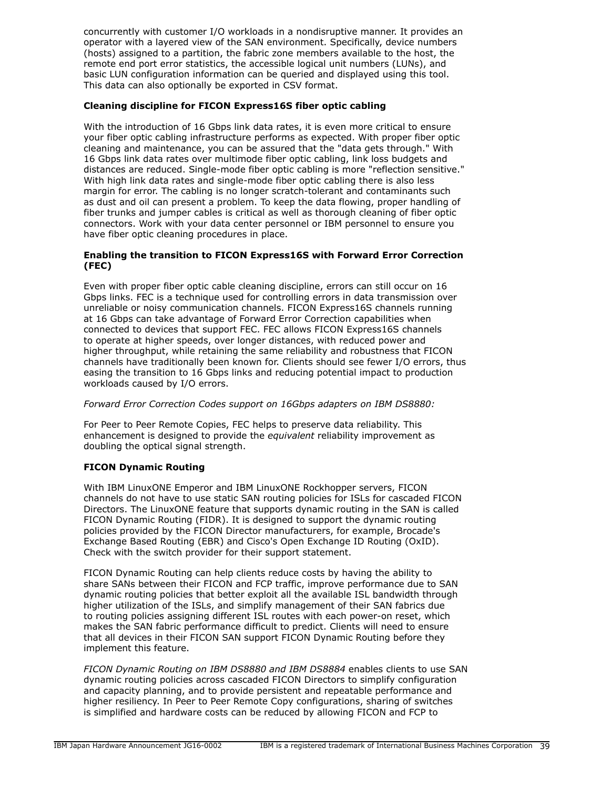concurrently with customer I/O workloads in a nondisruptive manner. It provides an operator with a layered view of the SAN environment. Specifically, device numbers (hosts) assigned to a partition, the fabric zone members available to the host, the remote end port error statistics, the accessible logical unit numbers (LUNs), and basic LUN configuration information can be queried and displayed using this tool. This data can also optionally be exported in CSV format.

## **Cleaning discipline for FICON Express16S fiber optic cabling**

With the introduction of 16 Gbps link data rates, it is even more critical to ensure your fiber optic cabling infrastructure performs as expected. With proper fiber optic cleaning and maintenance, you can be assured that the "data gets through." With 16 Gbps link data rates over multimode fiber optic cabling, link loss budgets and distances are reduced. Single-mode fiber optic cabling is more "reflection sensitive." With high link data rates and single-mode fiber optic cabling there is also less margin for error. The cabling is no longer scratch-tolerant and contaminants such as dust and oil can present a problem. To keep the data flowing, proper handling of fiber trunks and jumper cables is critical as well as thorough cleaning of fiber optic connectors. Work with your data center personnel or IBM personnel to ensure you have fiber optic cleaning procedures in place.

## **Enabling the transition to FICON Express16S with Forward Error Correction (FEC)**

Even with proper fiber optic cable cleaning discipline, errors can still occur on 16 Gbps links. FEC is a technique used for controlling errors in data transmission over unreliable or noisy communication channels. FICON Express16S channels running at 16 Gbps can take advantage of Forward Error Correction capabilities when connected to devices that support FEC. FEC allows FICON Express16S channels to operate at higher speeds, over longer distances, with reduced power and higher throughput, while retaining the same reliability and robustness that FICON channels have traditionally been known for. Clients should see fewer I/O errors, thus easing the transition to 16 Gbps links and reducing potential impact to production workloads caused by I/O errors.

## *Forward Error Correction Codes support on 16Gbps adapters on IBM DS8880:*

For Peer to Peer Remote Copies, FEC helps to preserve data reliability. This enhancement is designed to provide the *equivalent* reliability improvement as doubling the optical signal strength.

## **FICON Dynamic Routing**

With IBM LinuxONE Emperor and IBM LinuxONE Rockhopper servers, FICON channels do not have to use static SAN routing policies for ISLs for cascaded FICON Directors. The LinuxONE feature that supports dynamic routing in the SAN is called FICON Dynamic Routing (FIDR). It is designed to support the dynamic routing policies provided by the FICON Director manufacturers, for example, Brocade's Exchange Based Routing (EBR) and Cisco's Open Exchange ID Routing (OxID). Check with the switch provider for their support statement.

FICON Dynamic Routing can help clients reduce costs by having the ability to share SANs between their FICON and FCP traffic, improve performance due to SAN dynamic routing policies that better exploit all the available ISL bandwidth through higher utilization of the ISLs, and simplify management of their SAN fabrics due to routing policies assigning different ISL routes with each power-on reset, which makes the SAN fabric performance difficult to predict. Clients will need to ensure that all devices in their FICON SAN support FICON Dynamic Routing before they implement this feature.

*FICON Dynamic Routing on IBM DS8880 and IBM DS8884* enables clients to use SAN dynamic routing policies across cascaded FICON Directors to simplify configuration and capacity planning, and to provide persistent and repeatable performance and higher resiliency. In Peer to Peer Remote Copy configurations, sharing of switches is simplified and hardware costs can be reduced by allowing FICON and FCP to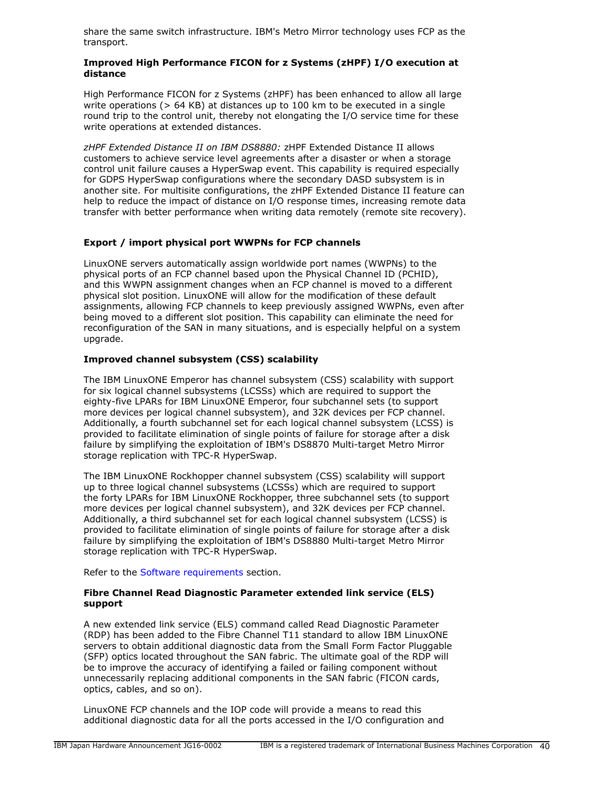share the same switch infrastructure. IBM's Metro Mirror technology uses FCP as the transport.

## **Improved High Performance FICON for z Systems (zHPF) I/O execution at distance**

High Performance FICON for z Systems (zHPF) has been enhanced to allow all large write operations (> 64 KB) at distances up to 100 km to be executed in a single round trip to the control unit, thereby not elongating the I/O service time for these write operations at extended distances.

*zHPF Extended Distance II on IBM DS8880:* zHPF Extended Distance II allows customers to achieve service level agreements after a disaster or when a storage control unit failure causes a HyperSwap event. This capability is required especially for GDPS HyperSwap configurations where the secondary DASD subsystem is in another site. For multisite configurations, the zHPF Extended Distance II feature can help to reduce the impact of distance on I/O response times, increasing remote data transfer with better performance when writing data remotely (remote site recovery).

# **Export / import physical port WWPNs for FCP channels**

LinuxONE servers automatically assign worldwide port names (WWPNs) to the physical ports of an FCP channel based upon the Physical Channel ID (PCHID), and this WWPN assignment changes when an FCP channel is moved to a different physical slot position. LinuxONE will allow for the modification of these default assignments, allowing FCP channels to keep previously assigned WWPNs, even after being moved to a different slot position. This capability can eliminate the need for reconfiguration of the SAN in many situations, and is especially helpful on a system upgrade.

# **Improved channel subsystem (CSS) scalability**

The IBM LinuxONE Emperor has channel subsystem (CSS) scalability with support for six logical channel subsystems (LCSSs) which are required to support the eighty-five LPARs for IBM LinuxONE Emperor, four subchannel sets (to support more devices per logical channel subsystem), and 32K devices per FCP channel. Additionally, a fourth subchannel set for each logical channel subsystem (LCSS) is provided to facilitate elimination of single points of failure for storage after a disk failure by simplifying the exploitation of IBM's DS8870 Multi-target Metro Mirror storage replication with TPC-R HyperSwap.

The IBM LinuxONE Rockhopper channel subsystem (CSS) scalability will support up to three logical channel subsystems (LCSSs) which are required to support the forty LPARs for IBM LinuxONE Rockhopper, three subchannel sets (to support more devices per logical channel subsystem), and 32K devices per FCP channel. Additionally, a third subchannel set for each logical channel subsystem (LCSS) is provided to facilitate elimination of single points of failure for storage after a disk failure by simplifying the exploitation of IBM's DS8880 Multi-target Metro Mirror storage replication with TPC-R HyperSwap.

Refer to the [Software requirements](#page-91-0) section.

#### **Fibre Channel Read Diagnostic Parameter extended link service (ELS) support**

A new extended link service (ELS) command called Read Diagnostic Parameter (RDP) has been added to the Fibre Channel T11 standard to allow IBM LinuxONE servers to obtain additional diagnostic data from the Small Form Factor Pluggable (SFP) optics located throughout the SAN fabric. The ultimate goal of the RDP will be to improve the accuracy of identifying a failed or failing component without unnecessarily replacing additional components in the SAN fabric (FICON cards, optics, cables, and so on).

LinuxONE FCP channels and the IOP code will provide a means to read this additional diagnostic data for all the ports accessed in the I/O configuration and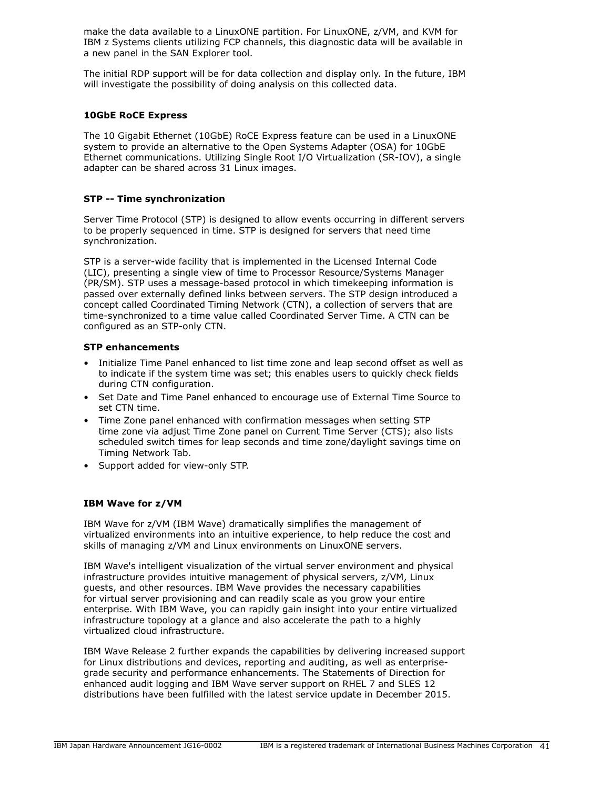make the data available to a LinuxONE partition. For LinuxONE, z/VM, and KVM for IBM z Systems clients utilizing FCP channels, this diagnostic data will be available in a new panel in the SAN Explorer tool.

The initial RDP support will be for data collection and display only. In the future, IBM will investigate the possibility of doing analysis on this collected data.

#### **10GbE RoCE Express**

The 10 Gigabit Ethernet (10GbE) RoCE Express feature can be used in a LinuxONE system to provide an alternative to the Open Systems Adapter (OSA) for 10GbE Ethernet communications. Utilizing Single Root I/O Virtualization (SR-IOV), a single adapter can be shared across 31 Linux images.

## **STP -- Time synchronization**

Server Time Protocol (STP) is designed to allow events occurring in different servers to be properly sequenced in time. STP is designed for servers that need time synchronization.

STP is a server-wide facility that is implemented in the Licensed Internal Code (LIC), presenting a single view of time to Processor Resource/Systems Manager (PR/SM). STP uses a message-based protocol in which timekeeping information is passed over externally defined links between servers. The STP design introduced a concept called Coordinated Timing Network (CTN), a collection of servers that are time-synchronized to a time value called Coordinated Server Time. A CTN can be configured as an STP-only CTN.

#### **STP enhancements**

- Initialize Time Panel enhanced to list time zone and leap second offset as well as to indicate if the system time was set; this enables users to quickly check fields during CTN configuration.
- Set Date and Time Panel enhanced to encourage use of External Time Source to set CTN time.
- Time Zone panel enhanced with confirmation messages when setting STP time zone via adjust Time Zone panel on Current Time Server (CTS); also lists scheduled switch times for leap seconds and time zone/daylight savings time on Timing Network Tab.
- Support added for view-only STP.

#### **IBM Wave for z/VM**

IBM Wave for z/VM (IBM Wave) dramatically simplifies the management of virtualized environments into an intuitive experience, to help reduce the cost and skills of managing z/VM and Linux environments on LinuxONE servers.

IBM Wave's intelligent visualization of the virtual server environment and physical infrastructure provides intuitive management of physical servers, z/VM, Linux guests, and other resources. IBM Wave provides the necessary capabilities for virtual server provisioning and can readily scale as you grow your entire enterprise. With IBM Wave, you can rapidly gain insight into your entire virtualized infrastructure topology at a glance and also accelerate the path to a highly virtualized cloud infrastructure.

IBM Wave Release 2 further expands the capabilities by delivering increased support for Linux distributions and devices, reporting and auditing, as well as enterprisegrade security and performance enhancements. The Statements of Direction for enhanced audit logging and IBM Wave server support on RHEL 7 and SLES 12 distributions have been fulfilled with the latest service update in December 2015.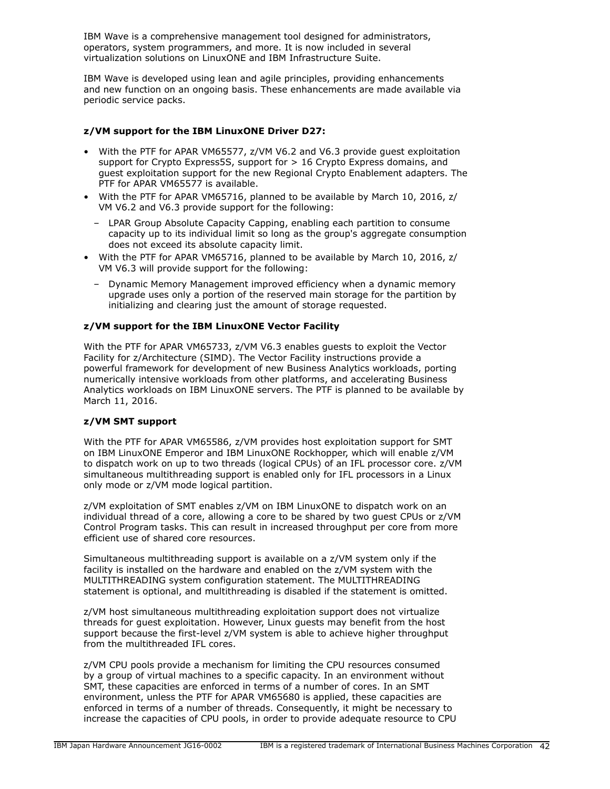IBM Wave is a comprehensive management tool designed for administrators, operators, system programmers, and more. It is now included in several virtualization solutions on LinuxONE and IBM Infrastructure Suite.

IBM Wave is developed using lean and agile principles, providing enhancements and new function on an ongoing basis. These enhancements are made available via periodic service packs.

# **z/VM support for the IBM LinuxONE Driver D27:**

- With the PTF for APAR VM65577, z/VM V6.2 and V6.3 provide guest exploitation support for Crypto Express5S, support for > 16 Crypto Express domains, and guest exploitation support for the new Regional Crypto Enablement adapters. The PTF for APAR VM65577 is available.
- With the PTF for APAR VM65716, planned to be available by March 10, 2016, z/ VM V6.2 and V6.3 provide support for the following:
	- LPAR Group Absolute Capacity Capping, enabling each partition to consume capacity up to its individual limit so long as the group's aggregate consumption does not exceed its absolute capacity limit.
- With the PTF for APAR VM65716, planned to be available by March 10, 2016, z/ VM V6.3 will provide support for the following:
	- Dynamic Memory Management improved efficiency when a dynamic memory upgrade uses only a portion of the reserved main storage for the partition by initializing and clearing just the amount of storage requested.

# **z/VM support for the IBM LinuxONE Vector Facility**

With the PTF for APAR VM65733, z/VM V6.3 enables guests to exploit the Vector Facility for z/Architecture (SIMD). The Vector Facility instructions provide a powerful framework for development of new Business Analytics workloads, porting numerically intensive workloads from other platforms, and accelerating Business Analytics workloads on IBM LinuxONE servers. The PTF is planned to be available by March 11, 2016.

## **z/VM SMT support**

With the PTF for APAR VM65586, z/VM provides host exploitation support for SMT on IBM LinuxONE Emperor and IBM LinuxONE Rockhopper, which will enable z/VM to dispatch work on up to two threads (logical CPUs) of an IFL processor core. z/VM simultaneous multithreading support is enabled only for IFL processors in a Linux only mode or z/VM mode logical partition.

z/VM exploitation of SMT enables z/VM on IBM LinuxONE to dispatch work on an individual thread of a core, allowing a core to be shared by two guest CPUs or z/VM Control Program tasks. This can result in increased throughput per core from more efficient use of shared core resources.

Simultaneous multithreading support is available on a z/VM system only if the facility is installed on the hardware and enabled on the z/VM system with the MULTITHREADING system configuration statement. The MULTITHREADING statement is optional, and multithreading is disabled if the statement is omitted.

z/VM host simultaneous multithreading exploitation support does not virtualize threads for guest exploitation. However, Linux guests may benefit from the host support because the first-level z/VM system is able to achieve higher throughput from the multithreaded IFL cores.

z/VM CPU pools provide a mechanism for limiting the CPU resources consumed by a group of virtual machines to a specific capacity. In an environment without SMT, these capacities are enforced in terms of a number of cores. In an SMT environment, unless the PTF for APAR VM65680 is applied, these capacities are enforced in terms of a number of threads. Consequently, it might be necessary to increase the capacities of CPU pools, in order to provide adequate resource to CPU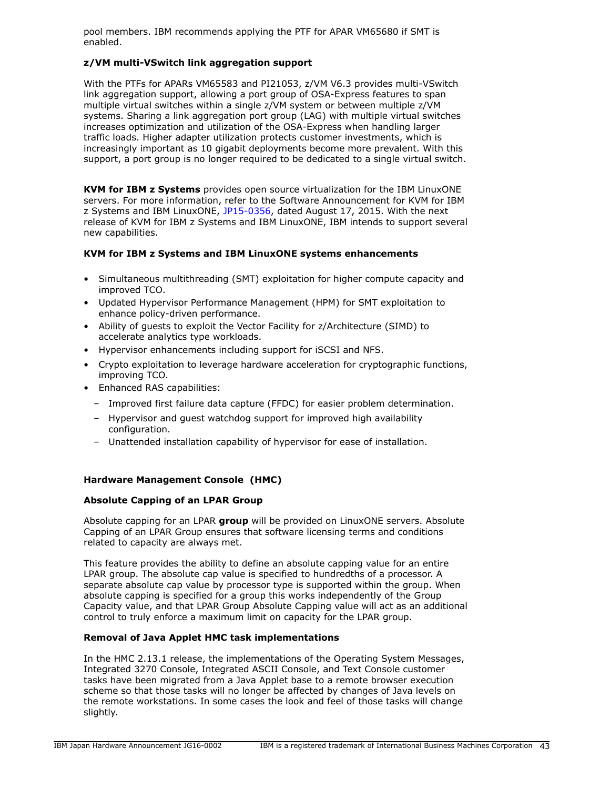pool members. IBM recommends applying the PTF for APAR VM65680 if SMT is enabled.

## **z/VM multi-VSwitch link aggregation support**

With the PTFs for APARs VM65583 and PI21053, z/VM V6.3 provides multi-VSwitch link aggregation support, allowing a port group of OSA-Express features to span multiple virtual switches within a single z/VM system or between multiple z/VM systems. Sharing a link aggregation port group (LAG) with multiple virtual switches increases optimization and utilization of the OSA-Express when handling larger traffic loads. Higher adapter utilization protects customer investments, which is increasingly important as 10 gigabit deployments become more prevalent. With this support, a port group is no longer required to be dedicated to a single virtual switch.

**KVM for IBM z Systems** provides open source virtualization for the IBM LinuxONE servers. For more information, refer to the Software Announcement for KVM for IBM z Systems and IBM LinuxONE, [JP15-0356,](http://www.ibm.com/common/ssi/cgi-bin/ssialias?infotype=an&subtype=ca&appname=gpateam&supplier=760&letternum=ENUSJP15-0356) dated August 17, 2015. With the next release of KVM for IBM z Systems and IBM LinuxONE, IBM intends to support several new capabilities.

## **KVM for IBM z Systems and IBM LinuxONE systems enhancements**

- Simultaneous multithreading (SMT) exploitation for higher compute capacity and improved TCO.
- Updated Hypervisor Performance Management (HPM) for SMT exploitation to enhance policy-driven performance.
- Ability of guests to exploit the Vector Facility for z/Architecture (SIMD) to accelerate analytics type workloads.
- Hypervisor enhancements including support for iSCSI and NFS.
- Crypto exploitation to leverage hardware acceleration for cryptographic functions, improving TCO.
- Enhanced RAS capabilities:
	- Improved first failure data capture (FFDC) for easier problem determination.
	- Hypervisor and guest watchdog support for improved high availability configuration.
	- Unattended installation capability of hypervisor for ease of installation.

# **Hardware Management Console (HMC)**

# **Absolute Capping of an LPAR Group**

Absolute capping for an LPAR **group** will be provided on LinuxONE servers. Absolute Capping of an LPAR Group ensures that software licensing terms and conditions related to capacity are always met.

This feature provides the ability to define an absolute capping value for an entire LPAR group. The absolute cap value is specified to hundredths of a processor. A separate absolute cap value by processor type is supported within the group. When absolute capping is specified for a group this works independently of the Group Capacity value, and that LPAR Group Absolute Capping value will act as an additional control to truly enforce a maximum limit on capacity for the LPAR group.

## **Removal of Java Applet HMC task implementations**

In the HMC 2.13.1 release, the implementations of the Operating System Messages, Integrated 3270 Console, Integrated ASCII Console, and Text Console customer tasks have been migrated from a Java Applet base to a remote browser execution scheme so that those tasks will no longer be affected by changes of Java levels on the remote workstations. In some cases the look and feel of those tasks will change slightly.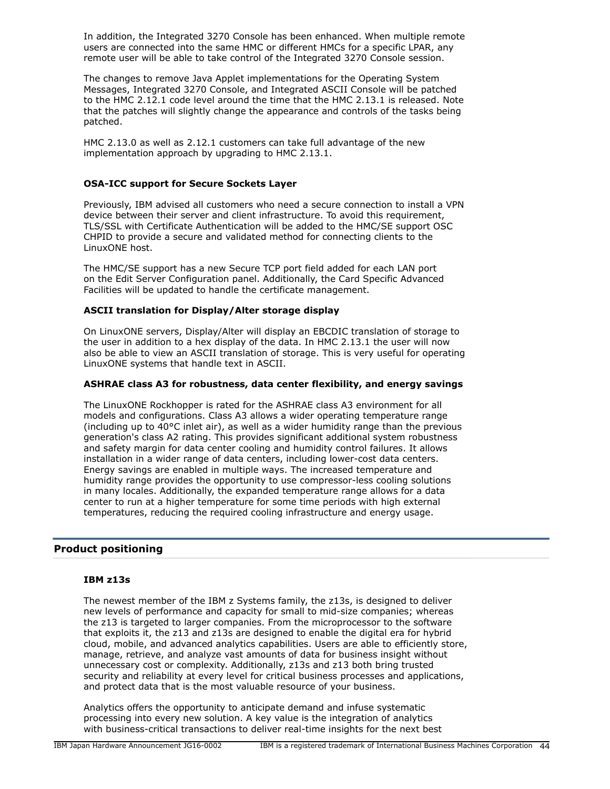In addition, the Integrated 3270 Console has been enhanced. When multiple remote users are connected into the same HMC or different HMCs for a specific LPAR, any remote user will be able to take control of the Integrated 3270 Console session.

The changes to remove Java Applet implementations for the Operating System Messages, Integrated 3270 Console, and Integrated ASCII Console will be patched to the HMC 2.12.1 code level around the time that the HMC 2.13.1 is released. Note that the patches will slightly change the appearance and controls of the tasks being patched.

HMC 2.13.0 as well as 2.12.1 customers can take full advantage of the new implementation approach by upgrading to HMC 2.13.1.

#### **OSA-ICC support for Secure Sockets Layer**

Previously, IBM advised all customers who need a secure connection to install a VPN device between their server and client infrastructure. To avoid this requirement, TLS/SSL with Certificate Authentication will be added to the HMC/SE support OSC CHPID to provide a secure and validated method for connecting clients to the LinuxONE host.

The HMC/SE support has a new Secure TCP port field added for each LAN port on the Edit Server Configuration panel. Additionally, the Card Specific Advanced Facilities will be updated to handle the certificate management.

#### **ASCII translation for Display/Alter storage display**

On LinuxONE servers, Display/Alter will display an EBCDIC translation of storage to the user in addition to a hex display of the data. In HMC 2.13.1 the user will now also be able to view an ASCII translation of storage. This is very useful for operating LinuxONE systems that handle text in ASCII.

#### **ASHRAE class A3 for robustness, data center flexibility, and energy savings**

The LinuxONE Rockhopper is rated for the ASHRAE class A3 environment for all models and configurations. Class A3 allows a wider operating temperature range (including up to 40°C inlet air), as well as a wider humidity range than the previous generation's class A2 rating. This provides significant additional system robustness and safety margin for data center cooling and humidity control failures. It allows installation in a wider range of data centers, including lower-cost data centers. Energy savings are enabled in multiple ways. The increased temperature and humidity range provides the opportunity to use compressor-less cooling solutions in many locales. Additionally, the expanded temperature range allows for a data center to run at a higher temperature for some time periods with high external temperatures, reducing the required cooling infrastructure and energy usage.

## **Product positioning**

#### **IBM z13s**

The newest member of the IBM z Systems family, the z13s, is designed to deliver new levels of performance and capacity for small to mid-size companies; whereas the z13 is targeted to larger companies. From the microprocessor to the software that exploits it, the z13 and z13s are designed to enable the digital era for hybrid cloud, mobile, and advanced analytics capabilities. Users are able to efficiently store, manage, retrieve, and analyze vast amounts of data for business insight without unnecessary cost or complexity. Additionally, z13s and z13 both bring trusted security and reliability at every level for critical business processes and applications, and protect data that is the most valuable resource of your business.

Analytics offers the opportunity to anticipate demand and infuse systematic processing into every new solution. A key value is the integration of analytics with business-critical transactions to deliver real-time insights for the next best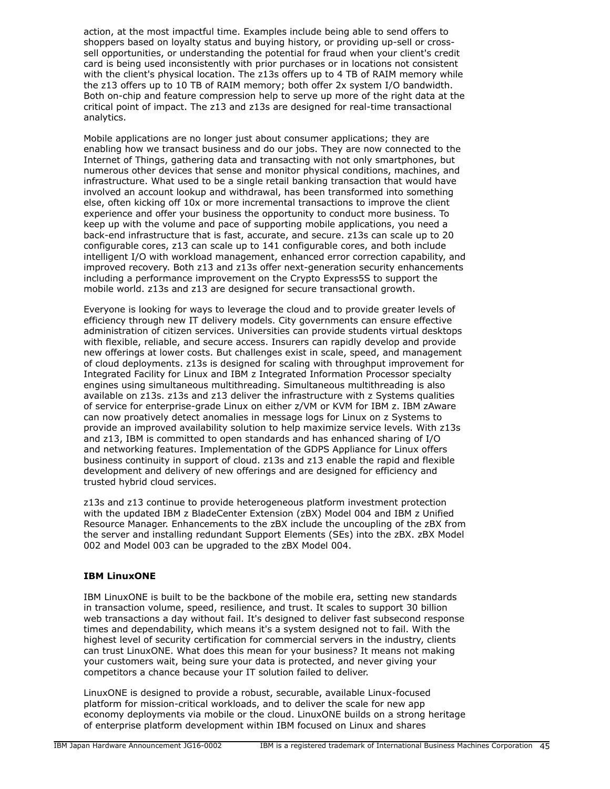action, at the most impactful time. Examples include being able to send offers to shoppers based on loyalty status and buying history, or providing up-sell or crosssell opportunities, or understanding the potential for fraud when your client's credit card is being used inconsistently with prior purchases or in locations not consistent with the client's physical location. The z13s offers up to 4 TB of RAIM memory while the z13 offers up to 10 TB of RAIM memory; both offer 2x system I/O bandwidth. Both on-chip and feature compression help to serve up more of the right data at the critical point of impact. The z13 and z13s are designed for real-time transactional analytics.

Mobile applications are no longer just about consumer applications; they are enabling how we transact business and do our jobs. They are now connected to the Internet of Things, gathering data and transacting with not only smartphones, but numerous other devices that sense and monitor physical conditions, machines, and infrastructure. What used to be a single retail banking transaction that would have involved an account lookup and withdrawal, has been transformed into something else, often kicking off 10x or more incremental transactions to improve the client experience and offer your business the opportunity to conduct more business. To keep up with the volume and pace of supporting mobile applications, you need a back-end infrastructure that is fast, accurate, and secure. z13s can scale up to 20 configurable cores, z13 can scale up to 141 configurable cores, and both include intelligent I/O with workload management, enhanced error correction capability, and improved recovery. Both z13 and z13s offer next-generation security enhancements including a performance improvement on the Crypto Express5S to support the mobile world. z13s and z13 are designed for secure transactional growth.

Everyone is looking for ways to leverage the cloud and to provide greater levels of efficiency through new IT delivery models. City governments can ensure effective administration of citizen services. Universities can provide students virtual desktops with flexible, reliable, and secure access. Insurers can rapidly develop and provide new offerings at lower costs. But challenges exist in scale, speed, and management of cloud deployments. z13s is designed for scaling with throughput improvement for Integrated Facility for Linux and IBM z Integrated Information Processor specialty engines using simultaneous multithreading. Simultaneous multithreading is also available on z13s. z13s and z13 deliver the infrastructure with z Systems qualities of service for enterprise-grade Linux on either z/VM or KVM for IBM z. IBM zAware can now proatively detect anomalies in message logs for Linux on z Systems to provide an improved availability solution to help maximize service levels. With z13s and z13, IBM is committed to open standards and has enhanced sharing of I/O and networking features. Implementation of the GDPS Appliance for Linux offers business continuity in support of cloud. z13s and z13 enable the rapid and flexible development and delivery of new offerings and are designed for efficiency and trusted hybrid cloud services.

z13s and z13 continue to provide heterogeneous platform investment protection with the updated IBM z BladeCenter Extension (zBX) Model 004 and IBM z Unified Resource Manager. Enhancements to the zBX include the uncoupling of the zBX from the server and installing redundant Support Elements (SEs) into the zBX. zBX Model 002 and Model 003 can be upgraded to the zBX Model 004.

## **IBM LinuxONE**

IBM LinuxONE is built to be the backbone of the mobile era, setting new standards in transaction volume, speed, resilience, and trust. It scales to support 30 billion web transactions a day without fail. It's designed to deliver fast subsecond response times and dependability, which means it's a system designed not to fail. With the highest level of security certification for commercial servers in the industry, clients can trust LinuxONE. What does this mean for your business? It means not making your customers wait, being sure your data is protected, and never giving your competitors a chance because your IT solution failed to deliver.

LinuxONE is designed to provide a robust, securable, available Linux-focused platform for mission-critical workloads, and to deliver the scale for new app economy deployments via mobile or the cloud. LinuxONE builds on a strong heritage of enterprise platform development within IBM focused on Linux and shares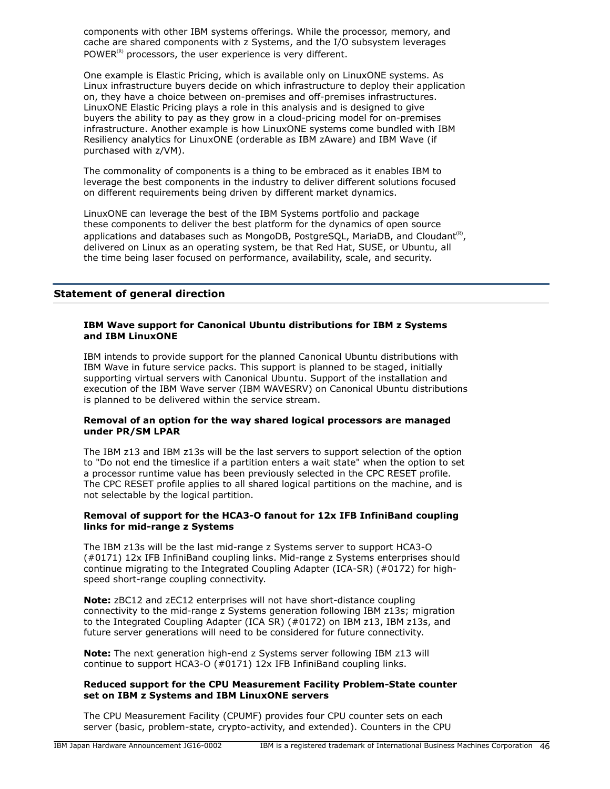components with other IBM systems offerings. While the processor, memory, and cache are shared components with z Systems, and the I/O subsystem leverages POWER $^{(R)}$  processors, the user experience is very different.

One example is Elastic Pricing, which is available only on LinuxONE systems. As Linux infrastructure buyers decide on which infrastructure to deploy their application on, they have a choice between on-premises and off-premises infrastructures. LinuxONE Elastic Pricing plays a role in this analysis and is designed to give buyers the ability to pay as they grow in a cloud-pricing model for on-premises infrastructure. Another example is how LinuxONE systems come bundled with IBM Resiliency analytics for LinuxONE (orderable as IBM zAware) and IBM Wave (if purchased with z/VM).

The commonality of components is a thing to be embraced as it enables IBM to leverage the best components in the industry to deliver different solutions focused on different requirements being driven by different market dynamics.

LinuxONE can leverage the best of the IBM Systems portfolio and package these components to deliver the best platform for the dynamics of open source applications and databases such as MongoDB, PostgreSQL, MariaDB, and Cloudant<sup>(R)</sup>, delivered on Linux as an operating system, be that Red Hat, SUSE, or Ubuntu, all the time being laser focused on performance, availability, scale, and security.

## **Statement of general direction**

#### **IBM Wave support for Canonical Ubuntu distributions for IBM z Systems and IBM LinuxONE**

IBM intends to provide support for the planned Canonical Ubuntu distributions with IBM Wave in future service packs. This support is planned to be staged, initially supporting virtual servers with Canonical Ubuntu. Support of the installation and execution of the IBM Wave server (IBM WAVESRV) on Canonical Ubuntu distributions is planned to be delivered within the service stream.

#### **Removal of an option for the way shared logical processors are managed under PR/SM LPAR**

The IBM z13 and IBM z13s will be the last servers to support selection of the option to "Do not end the timeslice if a partition enters a wait state" when the option to set a processor runtime value has been previously selected in the CPC RESET profile. The CPC RESET profile applies to all shared logical partitions on the machine, and is not selectable by the logical partition.

#### **Removal of support for the HCA3-O fanout for 12x IFB InfiniBand coupling links for mid-range z Systems**

The IBM z13s will be the last mid-range z Systems server to support HCA3-O (#0171) 12x IFB InfiniBand coupling links. Mid-range z Systems enterprises should continue migrating to the Integrated Coupling Adapter (ICA-SR) (#0172) for highspeed short-range coupling connectivity.

**Note:** zBC12 and zEC12 enterprises will not have short-distance coupling connectivity to the mid-range z Systems generation following IBM z13s; migration to the Integrated Coupling Adapter (ICA SR) (#0172) on IBM z13, IBM z13s, and future server generations will need to be considered for future connectivity.

**Note:** The next generation high-end z Systems server following IBM z13 will continue to support HCA3-O (#0171) 12x IFB InfiniBand coupling links.

#### **Reduced support for the CPU Measurement Facility Problem-State counter set on IBM z Systems and IBM LinuxONE servers**

The CPU Measurement Facility (CPUMF) provides four CPU counter sets on each server (basic, problem-state, crypto-activity, and extended). Counters in the CPU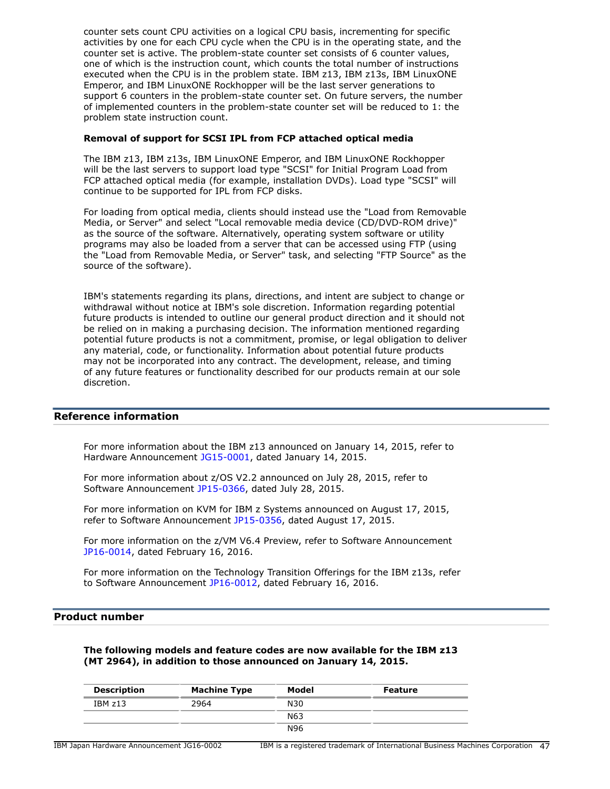counter sets count CPU activities on a logical CPU basis, incrementing for specific activities by one for each CPU cycle when the CPU is in the operating state, and the counter set is active. The problem-state counter set consists of 6 counter values, one of which is the instruction count, which counts the total number of instructions executed when the CPU is in the problem state. IBM z13, IBM z13s, IBM LinuxONE Emperor, and IBM LinuxONE Rockhopper will be the last server generations to support 6 counters in the problem-state counter set. On future servers, the number of implemented counters in the problem-state counter set will be reduced to 1: the problem state instruction count.

#### **Removal of support for SCSI IPL from FCP attached optical media**

The IBM z13, IBM z13s, IBM LinuxONE Emperor, and IBM LinuxONE Rockhopper will be the last servers to support load type "SCSI" for Initial Program Load from FCP attached optical media (for example, installation DVDs). Load type "SCSI" will continue to be supported for IPL from FCP disks.

For loading from optical media, clients should instead use the "Load from Removable Media, or Server" and select "Local removable media device (CD/DVD-ROM drive)" as the source of the software. Alternatively, operating system software or utility programs may also be loaded from a server that can be accessed using FTP (using the "Load from Removable Media, or Server" task, and selecting "FTP Source" as the source of the software).

IBM's statements regarding its plans, directions, and intent are subject to change or withdrawal without notice at IBM's sole discretion. Information regarding potential future products is intended to outline our general product direction and it should not be relied on in making a purchasing decision. The information mentioned regarding potential future products is not a commitment, promise, or legal obligation to deliver any material, code, or functionality. Information about potential future products may not be incorporated into any contract. The development, release, and timing of any future features or functionality described for our products remain at our sole discretion.

## **Reference information**

For more information about the IBM z13 announced on January 14, 2015, refer to Hardware Announcement [JG15-0001,](http://www.ibm.com/common/ssi/cgi-bin/ssialias?infotype=an&subtype=ca&appname=gpateam&supplier=760&letternum=ENUSJG15-0001) dated January 14, 2015.

For more information about z/OS V2.2 announced on July 28, 2015, refer to Software Announcement [JP15-0366](http://www.ibm.com/common/ssi/cgi-bin/ssialias?infotype=an&subtype=ca&appname=gpateam&supplier=760&letternum=ENUSJP15-0366), dated July 28, 2015.

For more information on KVM for IBM z Systems announced on August 17, 2015, refer to Software Announcement [JP15-0356,](http://www.ibm.com/common/ssi/cgi-bin/ssialias?infotype=an&subtype=ca&appname=gpateam&supplier=760&letternum=ENUSJP15-0356) dated August 17, 2015.

For more information on the z/VM V6.4 Preview, refer to Software Announcement [JP16-0014,](http://www.ibm.com/common/ssi/cgi-bin/ssialias?infotype=an&subtype=ca&appname=gpateam&supplier=760&letternum=ENUSJP16-0014) dated February 16, 2016.

For more information on the Technology Transition Offerings for the IBM z13s, refer to Software Announcement [JP16-0012](http://www.ibm.com/common/ssi/cgi-bin/ssialias?infotype=an&subtype=ca&appname=gpateam&supplier=760&letternum=ENUSJP16-0012), dated February 16, 2016.

#### **Product number**

**The following models and feature codes are now available for the IBM z13 (MT 2964), in addition to those announced on January 14, 2015.**

| <b>Description</b> | <b>Machine Type</b> | Model           | <b>Feature</b> |
|--------------------|---------------------|-----------------|----------------|
| IBMz13             | 2964                | N30             |                |
|                    |                     | N <sub>63</sub> |                |
|                    |                     | N96             |                |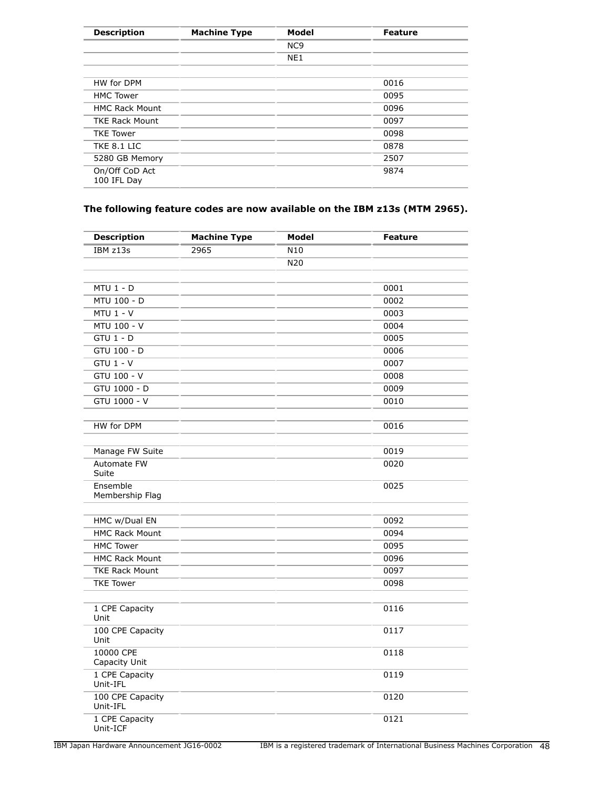| <b>Description</b>            | <b>Machine Type</b> | Model           | <b>Feature</b> |
|-------------------------------|---------------------|-----------------|----------------|
|                               |                     | NC <sub>9</sub> |                |
|                               |                     | NE <sub>1</sub> |                |
| HW for DPM                    |                     |                 | 0016           |
| <b>HMC Tower</b>              |                     |                 | 0095           |
| <b>HMC Rack Mount</b>         |                     |                 | 0096           |
| <b>TKE Rack Mount</b>         |                     |                 | 0097           |
| <b>TKE Tower</b>              |                     |                 | 0098           |
| TKE 8.1 LIC                   |                     |                 | 0878           |
| 5280 GB Memory                |                     |                 | 2507           |
| On/Off CoD Act<br>100 IFL Day |                     |                 | 9874           |
|                               |                     |                 |                |

# **The following feature codes are now available on the IBM z13s (MTM 2965).**

| <b>Description</b>           | <b>Machine Type</b> | Model           | <b>Feature</b> |
|------------------------------|---------------------|-----------------|----------------|
| IBM z13s                     | 2965                | N <sub>10</sub> |                |
|                              |                     | N20             |                |
|                              |                     |                 |                |
| $MTU$ 1 - D                  |                     |                 | 0001           |
| MTU 100 - D<br>$MTU$ 1 - V   |                     |                 | 0002<br>0003   |
|                              |                     |                 |                |
| MTU 100 - V                  |                     |                 | 0004           |
| $GTU$ 1 - $D$                |                     |                 | 0005           |
| GTU 100 - D                  |                     |                 | 0006           |
| $GTU$ 1 - $V$                |                     |                 | 0007           |
| GTU 100 - V                  |                     |                 | 0008           |
| GTU 1000 - D                 |                     |                 | 0009           |
| GTU 1000 - V                 |                     |                 | 0010           |
| HW for DPM                   |                     |                 | 0016           |
| Manage FW Suite              |                     |                 | 0019           |
| Automate FW<br>Suite         |                     |                 | 0020           |
| Ensemble<br>Membership Flag  |                     |                 | 0025           |
| HMC w/Dual EN                |                     |                 | 0092           |
| <b>HMC Rack Mount</b>        |                     |                 | 0094           |
| <b>HMC Tower</b>             |                     |                 | 0095           |
| <b>HMC Rack Mount</b>        |                     |                 | 0096           |
| <b>TKE Rack Mount</b>        |                     |                 | 0097           |
| <b>TKE Tower</b>             |                     |                 | 0098           |
| 1 CPE Capacity<br>Unit       |                     |                 | 0116           |
| 100 CPE Capacity<br>Unit     |                     |                 | 0117           |
| 10000 CPE<br>Capacity Unit   |                     |                 | 0118           |
| 1 CPE Capacity<br>Unit-IFL   |                     |                 | 0119           |
| 100 CPE Capacity<br>Unit-IFL |                     |                 | 0120           |
| 1 CPE Capacity<br>Unit-ICF   |                     |                 | 0121           |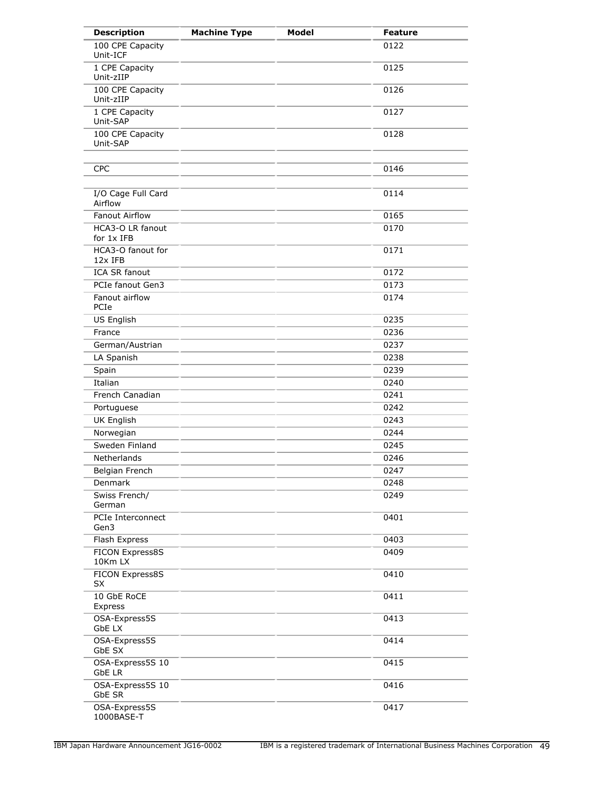| <b>Description</b>                | <b>Machine Type</b> | <b>Model</b> | <b>Feature</b> |
|-----------------------------------|---------------------|--------------|----------------|
| 100 CPE Capacity<br>Unit-ICF      |                     |              | 0122           |
| 1 CPE Capacity<br>Unit-zIIP       |                     |              | 0125           |
| 100 CPE Capacity<br>Unit-zIIP     |                     |              | 0126           |
| 1 CPE Capacity<br>Unit-SAP        |                     |              | 0127           |
| 100 CPE Capacity<br>Unit-SAP      |                     |              | 0128           |
| <b>CPC</b>                        |                     |              | 0146           |
| I/O Cage Full Card<br>Airflow     |                     |              | 0114           |
| <b>Fanout Airflow</b>             |                     |              | 0165           |
| HCA3-O LR fanout<br>for 1x IFB    |                     |              | 0170           |
| HCA3-O fanout for<br>12x IFB      |                     |              | 0171           |
| <b>ICA SR fanout</b>              |                     |              | 0172           |
| PCIe fanout Gen3                  |                     |              | 0173           |
| Fanout airflow<br>PCIe            |                     |              | 0174           |
| US English                        |                     |              | 0235           |
| France                            |                     |              | 0236           |
| German/Austrian                   |                     |              | 0237           |
| LA Spanish                        |                     |              | 0238           |
| Spain                             |                     |              | 0239           |
| Italian                           |                     |              | 0240           |
| French Canadian                   |                     |              | 0241           |
| Portuguese                        |                     |              | 0242           |
| <b>UK English</b>                 |                     |              | 0243           |
| Norwegian                         |                     |              | 0244           |
| Sweden Finland                    |                     |              | 0245           |
| Netherlands                       |                     |              | 0246           |
| Belgian French                    |                     |              | 0247           |
| Denmark                           |                     |              | 0248           |
| Swiss French/<br>German           |                     |              | 0249           |
| PCIe Interconnect<br>Gen3         |                     |              | 0401           |
| Flash Express                     |                     |              | 0403           |
| FICON Express8S<br>10Km LX        |                     |              | 0409           |
| FICON Express8S<br>SX             |                     |              | 0410           |
| 10 GbE RoCE<br>Express            |                     |              | 0411           |
| OSA-Express5S<br>GbE LX           |                     |              | 0413           |
| OSA-Express5S<br>GbE SX           |                     |              | 0414           |
| OSA-Express5S 10<br><b>GbE LR</b> |                     |              | 0415           |
| OSA-Express5S 10<br>GbE SR        |                     |              | 0416           |
| OSA-Express5S<br>1000BASE-T       |                     |              | 0417           |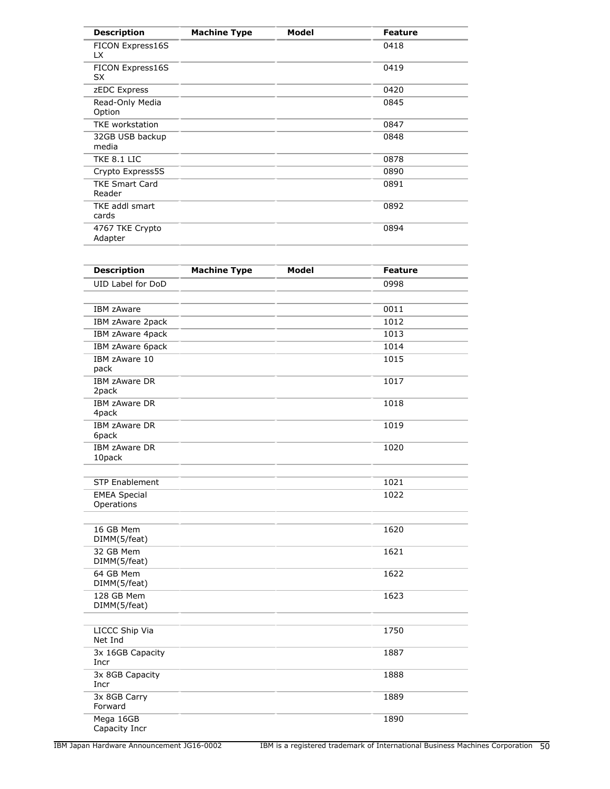| <b>Description</b>              | <b>Machine Type</b> | <b>Model</b> | <b>Feature</b> |
|---------------------------------|---------------------|--------------|----------------|
| FICON Express16S<br>LX.         |                     |              | 0418           |
| FICON Express16S<br>SX          |                     |              | 0419           |
| zEDC Express                    |                     |              | 0420           |
| Read-Only Media<br>Option       |                     |              | 0845           |
| <b>TKE</b> workstation          |                     |              | 0847           |
| 32GB USB backup<br>media        |                     |              | 0848           |
| TKE 8.1 LIC                     |                     |              | 0878           |
| Crypto Express5S                |                     |              | 0890           |
| <b>TKE Smart Card</b><br>Reader |                     |              | 0891           |
| TKE addl smart<br>cards         |                     |              | 0892           |
| 4767 TKE Crypto<br>Adapter      |                     |              | 0894           |

| <b>Description</b>                | <b>Machine Type</b> | Model | <b>Feature</b> |
|-----------------------------------|---------------------|-------|----------------|
| UID Label for DoD                 |                     |       | 0998           |
|                                   |                     |       |                |
| <b>IBM zAware</b>                 |                     |       | 0011           |
| IBM zAware 2pack                  |                     |       | 1012           |
| IBM zAware 4pack                  |                     |       | 1013           |
| IBM zAware 6pack                  |                     |       | 1014           |
| IBM zAware 10<br>pack             |                     |       | 1015           |
| IBM zAware DR<br>2pack            |                     |       | 1017           |
| <b>IBM zAware DR</b><br>4pack     |                     |       | 1018           |
| <b>IBM zAware DR</b><br>6pack     |                     |       | 1019           |
| <b>IBM zAware DR</b><br>10pack    |                     |       | 1020           |
| <b>STP Enablement</b>             |                     |       | 1021           |
| <b>EMEA Special</b><br>Operations |                     |       | 1022           |
| 16 GB Mem<br>DIMM(5/feat)         |                     |       | 1620           |
| 32 GB Mem<br>DIMM(5/feat)         |                     |       | 1621           |
| 64 GB Mem<br>DIMM(5/feat)         |                     |       | 1622           |
| 128 GB Mem<br>DIMM(5/feat)        |                     |       | 1623           |
| LICCC Ship Via<br>Net Ind         |                     |       | 1750           |
| 3x 16GB Capacity<br>Incr          |                     |       | 1887           |
| 3x 8GB Capacity<br>Incr           |                     |       | 1888           |
| 3x 8GB Carry<br>Forward           |                     |       | 1889           |
| Mega 16GB<br>Capacity Incr        |                     |       | 1890           |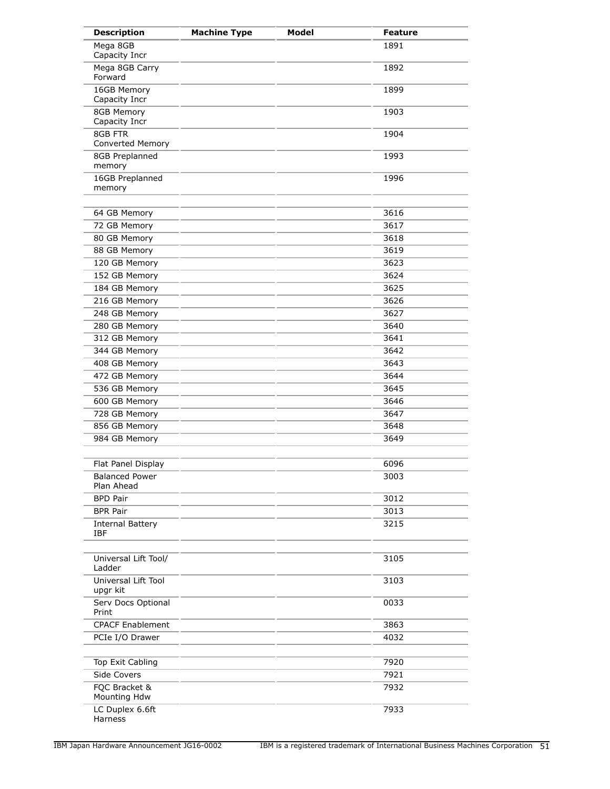| <b>Description</b>                    | <b>Machine Type</b> | <b>Model</b> | <b>Feature</b> |
|---------------------------------------|---------------------|--------------|----------------|
| Mega 8GB<br>Capacity Incr             |                     |              | 1891           |
| Mega 8GB Carry<br>Forward             |                     |              | 1892           |
| 16GB Memory<br>Capacity Incr          |                     |              | 1899           |
| 8GB Memory<br>Capacity Incr           |                     |              | 1903           |
| 8GB FTR<br>Converted Memory           |                     |              | 1904           |
| 8GB Preplanned<br>memory              |                     |              | 1993           |
| 16GB Preplanned<br>memory             |                     |              | 1996           |
| 64 GB Memory                          |                     |              | 3616           |
| 72 GB Memory                          |                     |              | 3617           |
| 80 GB Memory                          |                     |              | 3618           |
| 88 GB Memory                          |                     |              | 3619           |
| 120 GB Memory                         |                     |              | 3623           |
| 152 GB Memory                         |                     |              | 3624           |
| 184 GB Memory                         |                     |              | 3625           |
| 216 GB Memory                         |                     |              | 3626           |
| 248 GB Memory                         |                     |              | 3627           |
|                                       |                     |              | 3640           |
| 280 GB Memory                         |                     |              |                |
| 312 GB Memory                         |                     |              | 3641           |
| 344 GB Memory                         |                     |              | 3642           |
| 408 GB Memory                         |                     |              | 3643           |
| 472 GB Memory                         |                     |              | 3644           |
| 536 GB Memory                         |                     |              | 3645           |
| 600 GB Memory                         |                     |              | 3646           |
| 728 GB Memory                         |                     |              | 3647           |
| 856 GB Memory                         |                     |              | 3648           |
| 984 GB Memory                         |                     |              | 3649           |
| Flat Panel Display                    |                     |              | 6096           |
| <b>Balanced Power</b><br>Plan Ahead   |                     |              | 3003           |
| <b>BPD Pair</b>                       |                     |              | 3012           |
| <b>BPR Pair</b>                       |                     |              | 3013           |
| <b>Internal Battery</b><br><b>IBF</b> |                     |              | 3215           |
| Universal Lift Tool/<br>Ladder        |                     |              | 3105           |
| Universal Lift Tool<br>upgr kit       |                     |              | 3103           |
| Serv Docs Optional<br>Print           |                     |              | 0033           |
| <b>CPACF Enablement</b>               |                     |              | 3863           |
| PCIe I/O Drawer                       |                     |              | 4032           |
| Top Exit Cabling                      |                     |              | 7920           |
| Side Covers                           |                     |              | 7921           |
| FQC Bracket &<br>Mounting Hdw         |                     |              | 7932           |
| LC Duplex 6.6ft<br>Harness            |                     |              | 7933           |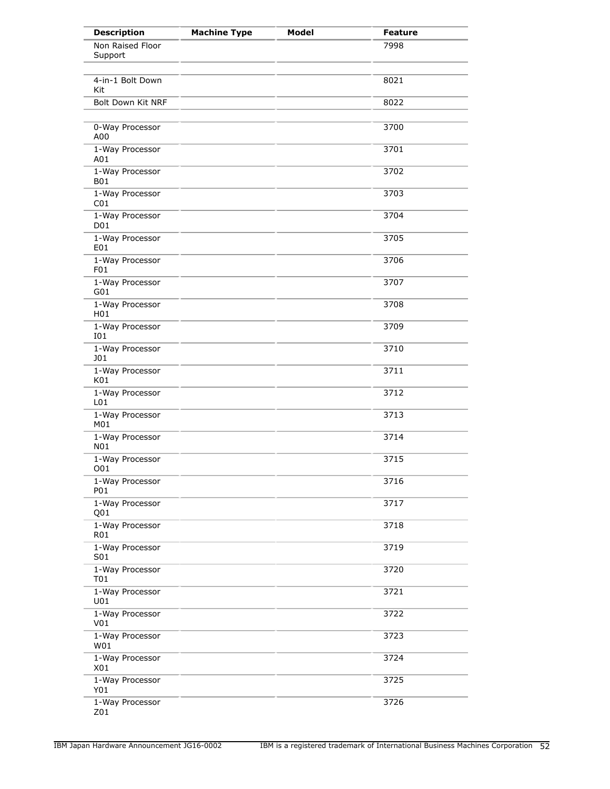| <b>Description</b>                 | <b>Machine Type</b> | <b>Model</b> | <b>Feature</b> |
|------------------------------------|---------------------|--------------|----------------|
| Non Raised Floor<br>Support        |                     |              | 7998           |
| 4-in-1 Bolt Down<br>Kit            |                     |              | 8021           |
| Bolt Down Kit NRF                  |                     |              | 8022           |
| 0-Way Processor<br>A00             |                     |              | 3700           |
| 1-Way Processor<br>A01             |                     |              | 3701           |
| 1-Way Processor<br><b>B01</b>      |                     |              | 3702           |
| 1-Way Processor<br>CO <sub>1</sub> |                     |              | 3703           |
| 1-Way Processor<br>D01             |                     |              | 3704           |
| 1-Way Processor<br>E01             |                     |              | 3705           |
| 1-Way Processor<br>F <sub>01</sub> |                     |              | 3706           |
| 1-Way Processor<br>G01             |                     |              | 3707           |
| 1-Way Processor<br>H <sub>01</sub> |                     |              | 3708           |
| 1-Way Processor<br>I01             |                     |              | 3709           |
| 1-Way Processor<br><b>JO1</b>      |                     |              | 3710           |
| 1-Way Processor<br>K01             |                     |              | 3711           |
| 1-Way Processor<br>L <sub>01</sub> |                     |              | 3712           |
| 1-Way Processor<br>M01             |                     |              | 3713           |
| 1-Way Processor<br>N01             |                     |              | 3714           |
| 1-Way Processor<br>O01             |                     |              | 3715           |
| 1-Way Processor<br>P01             |                     |              | 3716           |
| 1-Way Processor<br>Q01             |                     |              | 3717           |
| 1-Way Processor<br>R01             |                     |              | 3718           |
| 1-Way Processor<br>S01             |                     |              | 3719           |
| 1-Way Processor<br>T01             |                     |              | 3720           |
| 1-Way Processor<br>U01             |                     |              | 3721           |
| 1-Way Processor<br>V <sub>01</sub> |                     |              | 3722           |
| 1-Way Processor<br>W01             |                     |              | 3723           |
| 1-Way Processor<br>X01             |                     |              | 3724           |
| 1-Way Processor<br>Y01             |                     |              | 3725           |
| 1-Way Processor<br>Z01             |                     |              | 3726           |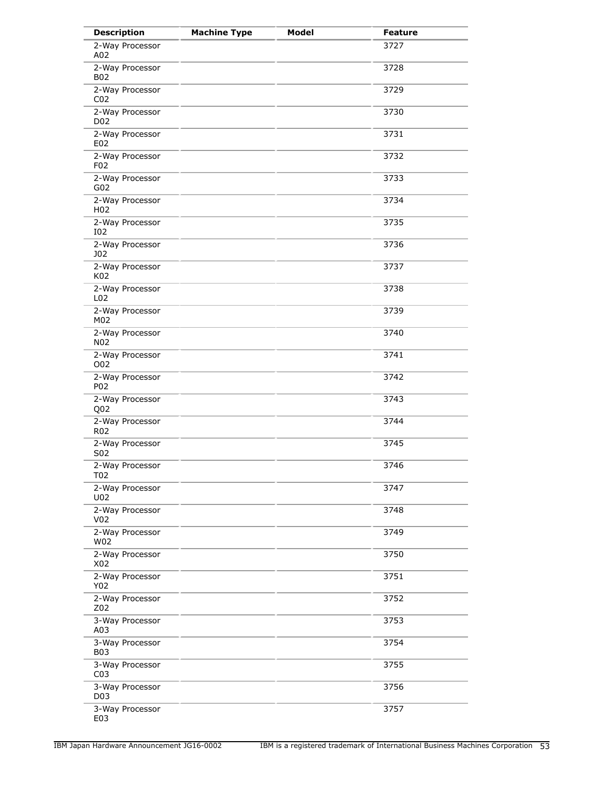| <b>Description</b>                  | <b>Machine Type</b> | <b>Model</b> | <b>Feature</b> |
|-------------------------------------|---------------------|--------------|----------------|
| 2-Way Processor<br>A02              |                     |              | 3727           |
| 2-Way Processor<br><b>B02</b>       |                     |              | 3728           |
| 2-Way Processor<br>CO <sub>2</sub>  |                     |              | 3729           |
| 2-Way Processor<br>D <sub>0</sub> 2 |                     |              | 3730           |
| 2-Way Processor<br>E02              |                     |              | 3731           |
| 2-Way Processor<br>F <sub>0</sub> 2 |                     |              | 3732           |
| 2-Way Processor<br>G02              |                     |              | 3733           |
| 2-Way Processor<br>H <sub>0</sub> 2 |                     |              | 3734           |
| 2-Way Processor<br><b>IO2</b>       |                     |              | 3735           |
| 2-Way Processor<br>J02              |                     |              | 3736           |
| 2-Way Processor<br>K02              |                     |              | 3737           |
| 2-Way Processor<br>L <sub>02</sub>  |                     |              | 3738           |
| 2-Way Processor<br>M02              |                     |              | 3739           |
| 2-Way Processor<br>N <sub>0</sub> 2 |                     |              | 3740           |
| 2-Way Processor<br>O02              |                     |              | 3741           |
| 2-Way Processor<br>P02              |                     |              | 3742           |
| 2-Way Processor<br>Q <sub>0</sub> 2 |                     |              | 3743           |
| 2-Way Processor<br>R <sub>02</sub>  |                     |              | 3744           |
| 2-Way Processor<br>S <sub>0</sub> 2 |                     |              | 3745           |
| 2-Way Processor<br>T02              |                     |              | 3746           |
| 2-Way Processor<br>U02              |                     |              | 3747           |
| 2-Way Processor<br>V <sub>02</sub>  |                     |              | 3748           |
| 2-Way Processor<br>W02              |                     |              | 3749           |
| 2-Way Processor<br>X02              |                     |              | 3750           |
| 2-Way Processor<br>Y02              |                     |              | 3751           |
| 2-Way Processor<br>Z02              |                     |              | 3752           |
| 3-Way Processor<br>A03              |                     |              | 3753           |
| 3-Way Processor<br><b>B03</b>       |                     |              | 3754           |
| 3-Way Processor<br>CO <sub>3</sub>  |                     |              | 3755           |
| 3-Way Processor<br>D <sub>0</sub> 3 |                     |              | 3756           |
| 3-Way Processor<br>E03              |                     |              | 3757           |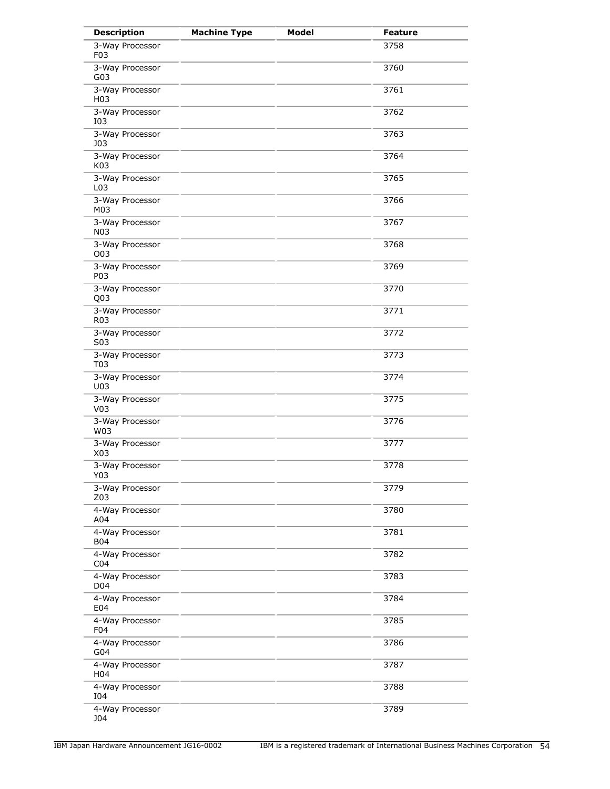| <b>Description</b>                  | <b>Machine Type</b> | <b>Model</b> | <b>Feature</b> |
|-------------------------------------|---------------------|--------------|----------------|
| 3-Way Processor<br>F <sub>0</sub> 3 |                     |              | 3758           |
| 3-Way Processor<br>G03              |                     |              | 3760           |
| 3-Way Processor<br>H <sub>0</sub> 3 |                     |              | 3761           |
| 3-Way Processor<br>I03              |                     |              | 3762           |
| 3-Way Processor<br><b>J03</b>       |                     |              | 3763           |
| 3-Way Processor<br>K03              |                     |              | 3764           |
| 3-Way Processor<br>L <sub>0</sub> 3 |                     |              | 3765           |
| 3-Way Processor<br>M03              |                     |              | 3766           |
| 3-Way Processor<br><b>N03</b>       |                     |              | 3767           |
| 3-Way Processor<br>O03              |                     |              | 3768           |
| 3-Way Processor<br>P03              |                     |              | 3769           |
| 3-Way Processor<br>Q <sub>0</sub> 3 |                     |              | 3770           |
| 3-Way Processor<br>R <sub>0</sub> 3 |                     |              | 3771           |
| 3-Way Processor<br>S03              |                     |              | 3772           |
| 3-Way Processor<br>T03              |                     |              | 3773           |
| 3-Way Processor<br>U03              |                     |              | 3774           |
| 3-Way Processor<br>V <sub>03</sub>  |                     |              | 3775           |
| 3-Way Processor<br>W03              |                     |              | 3776           |
| 3-Way Processor<br>X03              |                     |              | 3777           |
| 3-Way Processor<br>Y03              |                     |              | 3778           |
| 3-Way Processor<br>Z03              |                     |              | 3779           |
| 4-Way Processor<br>A04              |                     |              | 3780           |
| 4-Way Processor<br><b>B04</b>       |                     |              | 3781           |
| 4-Way Processor<br>CO <sub>4</sub>  |                     |              | 3782           |
| 4-Way Processor<br>D04              |                     |              | 3783           |
| 4-Way Processor<br>E04              |                     |              | 3784           |
| 4-Way Processor<br>F <sub>04</sub>  |                     |              | 3785           |
| 4-Way Processor<br>G04              |                     |              | 3786           |
| 4-Way Processor<br>H <sub>04</sub>  |                     |              | 3787           |
| 4-Way Processor<br>I04              |                     |              | 3788           |
| 4-Way Processor<br>J04              |                     |              | 3789           |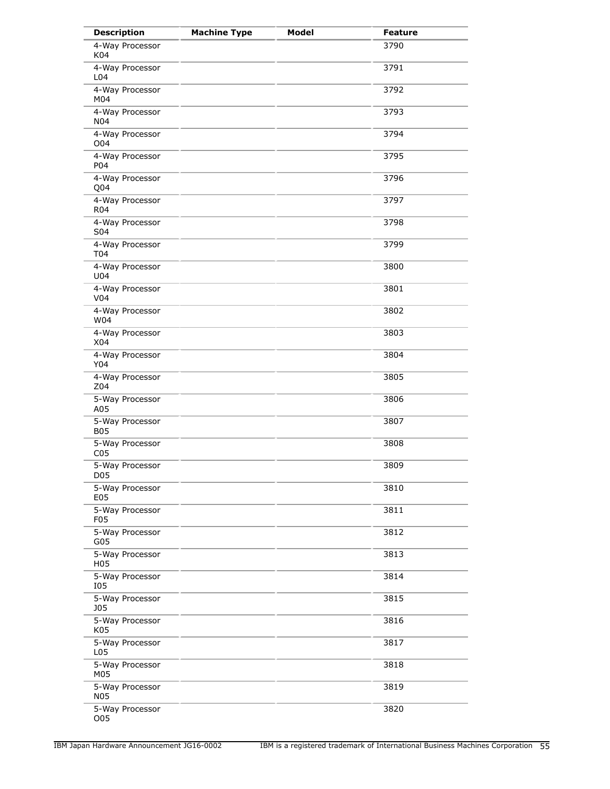| <b>Description</b>                  | <b>Machine Type</b> | <b>Model</b> | <b>Feature</b> |
|-------------------------------------|---------------------|--------------|----------------|
| 4-Way Processor<br>K04              |                     |              | 3790           |
| 4-Way Processor<br>L <sub>04</sub>  |                     |              | 3791           |
| 4-Way Processor<br>M04              |                     |              | 3792           |
| 4-Way Processor<br>N <sub>04</sub>  |                     |              | 3793           |
| 4-Way Processor<br>O <sub>04</sub>  |                     |              | 3794           |
| 4-Way Processor<br>P04              |                     |              | 3795           |
| 4-Way Processor<br>Q04              |                     |              | 3796           |
| 4-Way Processor<br><b>R04</b>       |                     |              | 3797           |
| 4-Way Processor<br>S04              |                     |              | 3798           |
| 4-Way Processor<br><b>T04</b>       |                     |              | 3799           |
| 4-Way Processor<br>U04              |                     |              | 3800           |
| 4-Way Processor<br>V <sub>04</sub>  |                     |              | 3801           |
| 4-Way Processor<br>W04              |                     |              | 3802           |
| 4-Way Processor<br>X04              |                     |              | 3803           |
| 4-Way Processor<br>Y04              |                     |              | 3804           |
| 4-Way Processor<br>Z04              |                     |              | 3805           |
| 5-Way Processor<br>A05              |                     |              | 3806           |
| 5-Way Processor<br><b>B05</b>       |                     |              | 3807           |
| 5-Way Processor<br>CO <sub>5</sub>  |                     |              | 3808           |
| 5-Way Processor<br>D <sub>05</sub>  |                     |              | 3809           |
| 5-Way Processor<br>E05              |                     |              | 3810           |
| 5-Way Processor<br>F <sub>0</sub> 5 |                     |              | 3811           |
| 5-Way Processor<br>G05              |                     |              | 3812           |
| 5-Way Processor<br>H <sub>0</sub> 5 |                     |              | 3813           |
| 5-Way Processor<br>I05              |                     |              | 3814           |
| 5-Way Processor<br><b>J05</b>       |                     |              | 3815           |
| 5-Way Processor<br>K05              |                     |              | 3816           |
| 5-Way Processor<br>L05              |                     |              | 3817           |
| 5-Way Processor<br>M05              |                     |              | 3818           |
| 5-Way Processor<br><b>N05</b>       |                     |              | 3819           |
| 5-Way Processor<br>O05              |                     |              | 3820           |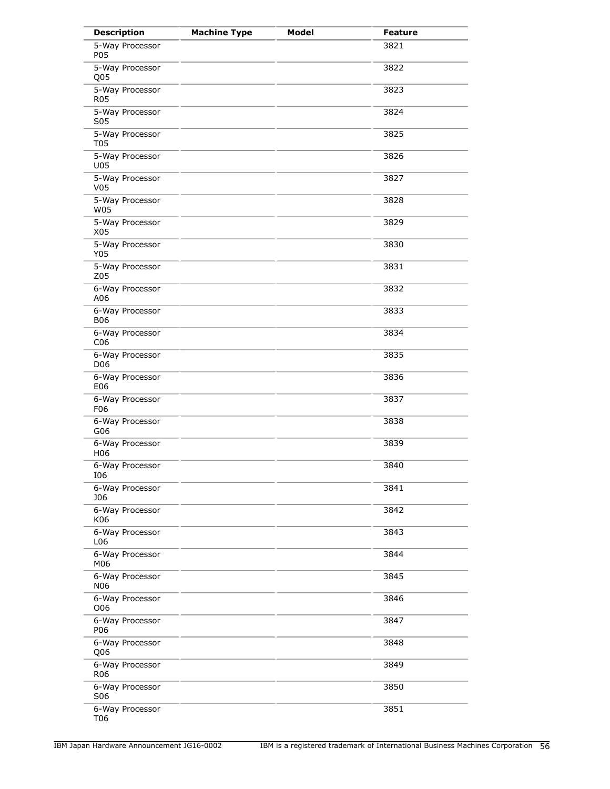| <b>Description</b>                 | <b>Machine Type</b> | <b>Model</b> | <b>Feature</b> |
|------------------------------------|---------------------|--------------|----------------|
| 5-Way Processor<br>P05             |                     |              | 3821           |
| 5-Way Processor<br>Q <sub>05</sub> |                     |              | 3822           |
| 5-Way Processor<br><b>R05</b>      |                     |              | 3823           |
| 5-Way Processor<br>S05             |                     |              | 3824           |
| 5-Way Processor<br><b>T05</b>      |                     |              | 3825           |
| 5-Way Processor<br>U05             |                     |              | 3826           |
| 5-Way Processor<br>V05             |                     |              | 3827           |
| 5-Way Processor<br>W05             |                     |              | 3828           |
| 5-Way Processor<br>X05             |                     |              | 3829           |
| 5-Way Processor<br>Y05             |                     |              | 3830           |
| 5-Way Processor<br>Z05             |                     |              | 3831           |
| 6-Way Processor<br>A06             |                     |              | 3832           |
| 6-Way Processor<br><b>B06</b>      |                     |              | 3833           |
| 6-Way Processor<br>C <sub>06</sub> |                     |              | 3834           |
| 6-Way Processor<br>D <sub>06</sub> |                     |              | 3835           |
| 6-Way Processor<br>E06             |                     |              | 3836           |
| 6-Way Processor<br>F06             |                     |              | 3837           |
| 6-Way Processor<br>G06             |                     |              | 3838           |
| 6-Way Processor<br>H <sub>06</sub> |                     |              | 3839           |
| 6-Way Processor<br>106             |                     |              | 3840           |
| 6-Way Processor<br><b>J06</b>      |                     |              | 3841           |
| 6-Way Processor<br>K06             |                     |              | 3842           |
| 6-Way Processor<br>L06             |                     |              | 3843           |
| 6-Way Processor<br>M06             |                     |              | 3844           |
| 6-Way Processor<br><b>N06</b>      |                     |              | 3845           |
| 6-Way Processor<br>O06             |                     |              | 3846           |
| 6-Way Processor<br>P06             |                     |              | 3847           |
| 6-Way Processor<br>Q <sub>06</sub> |                     |              | 3848           |
| 6-Way Processor<br>R <sub>06</sub> |                     |              | 3849           |
| 6-Way Processor<br>S06             |                     |              | 3850           |
| 6-Way Processor<br>T06             |                     |              | 3851           |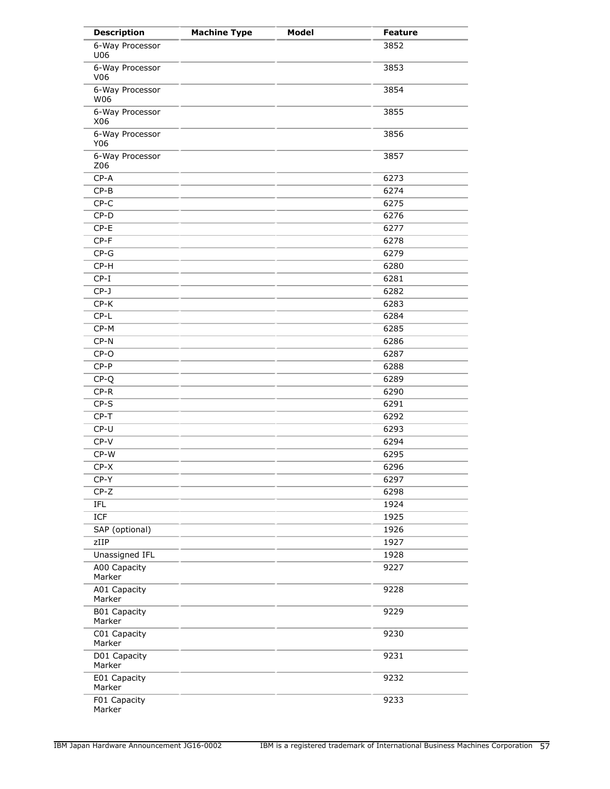| <b>Description</b>            | <b>Machine Type</b> | Model | <b>Feature</b> |
|-------------------------------|---------------------|-------|----------------|
| 6-Way Processor<br>U06        |                     |       | 3852           |
| 6-Way Processor<br>V06        |                     |       | 3853           |
| 6-Way Processor<br>W06        |                     |       | 3854           |
| 6-Way Processor<br>X06        |                     |       | 3855           |
| 6-Way Processor<br>Y06        |                     |       | 3856           |
| 6-Way Processor<br>Z06        |                     |       | 3857           |
| $CP - A$                      |                     |       | 6273           |
| $CP-B$                        |                     |       | 6274           |
| $CP-C$                        |                     |       | 6275           |
| $CP-D$                        |                     |       | 6276           |
| $CP-E$                        |                     |       | 6277           |
| $CP-F$                        |                     |       | 6278           |
| $CP-G$                        |                     |       | 6279           |
| $CP-H$                        |                     |       | 6280           |
| $CP-I$                        |                     |       | 6281           |
| $CP-J$                        |                     |       | 6282           |
| $CP-K$                        |                     |       | 6283           |
| $CP-L$                        |                     |       | 6284           |
| CP-M                          |                     |       | 6285           |
| $CP-N$                        |                     |       | 6286           |
| $CP-O$                        |                     |       | 6287           |
|                               |                     |       |                |
| $CP-P$                        |                     |       | 6288           |
| $CP-Q$                        |                     |       | 6289           |
| $CP-R$                        |                     |       | 6290           |
| $CP-S$                        |                     |       | 6291           |
| $CP-T$                        |                     |       | 6292           |
| CP-U                          |                     |       | 6293           |
| $CP-V$                        |                     |       | 6294           |
| CP-W                          |                     |       | 6295           |
| $CP-X$                        |                     |       | 6296           |
| CP-Y                          |                     |       | 6297           |
| $CP-Z$                        |                     |       | 6298           |
| IFL                           |                     |       | 1924           |
| ICF                           |                     |       | 1925           |
| SAP (optional)                |                     |       | 1926           |
| zIIP                          |                     |       | 1927           |
| Unassigned IFL                |                     |       | 1928           |
| A00 Capacity<br>Marker        |                     |       | 9227           |
| A01 Capacity<br>Marker        |                     |       | 9228           |
| <b>B01 Capacity</b><br>Marker |                     |       | 9229           |
| C01 Capacity<br>Marker        |                     |       | 9230           |
| D01 Capacity<br>Marker        |                     |       | 9231           |
| E01 Capacity<br>Marker        |                     |       | 9232           |
| F01 Capacity<br>Marker        |                     |       | 9233           |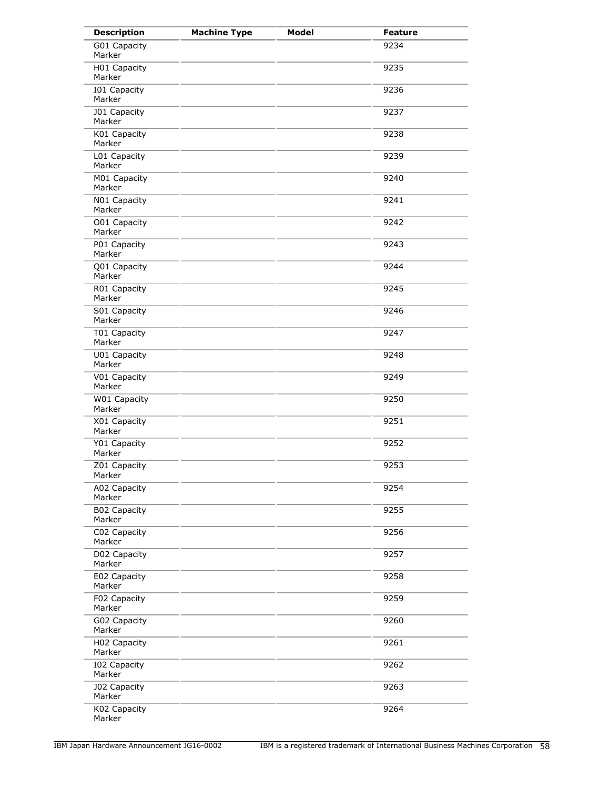| <b>Description</b>                  | <b>Machine Type</b> | <b>Model</b> | <b>Feature</b> |
|-------------------------------------|---------------------|--------------|----------------|
| G01 Capacity<br>Marker              |                     |              | 9234           |
| H01 Capacity<br>Marker              |                     |              | 9235           |
| I01 Capacity<br>Marker              |                     |              | 9236           |
| J01 Capacity<br>Marker              |                     |              | 9237           |
| K01 Capacity<br>Marker              |                     |              | 9238           |
| L01 Capacity<br>Marker              |                     |              | 9239           |
| M01 Capacity<br>Marker              |                     |              | 9240           |
| N01 Capacity<br>Marker              |                     |              | 9241           |
| O01 Capacity<br>Marker              |                     |              | 9242           |
| $\overline{P01}$ Capacity<br>Marker |                     |              | 9243           |
| Q01 Capacity<br>Marker              |                     |              | 9244           |
| R01 Capacity<br>Marker              |                     |              | 9245           |
| S01 Capacity<br>Marker              |                     |              | 9246           |
| T01 Capacity<br>Marker              |                     |              | 9247           |
| U01 Capacity<br>Marker              |                     |              | 9248           |
| V01 Capacity<br>Marker              |                     |              | 9249           |
| W01 Capacity<br>Marker              |                     |              | 9250           |
| X01 Capacity<br>Marker              |                     |              | 9251           |
| Y01 Capacity<br>Marker              |                     |              | 9252           |
| Z01 Capacity<br>Marker              |                     |              | 9253           |
| A02 Capacity<br>Marker              |                     |              | 9254           |
| <b>B02 Capacity</b><br>Marker       |                     |              | 9255           |
| C02 Capacity<br>Marker              |                     |              | 9256           |
| D02 Capacity<br>Marker              |                     |              | 9257           |
| E02 Capacity<br>Marker              |                     |              | 9258           |
| F02 Capacity<br>Marker              |                     |              | 9259           |
| G02 Capacity<br>Marker              |                     |              | 9260           |
| H02 Capacity<br>Marker              |                     |              | 9261           |
| <b>I02 Capacity</b><br>Marker       |                     |              | 9262           |
| <b>J02 Capacity</b><br>Marker       |                     |              | 9263           |
| K02 Capacity<br>Marker              |                     |              | 9264           |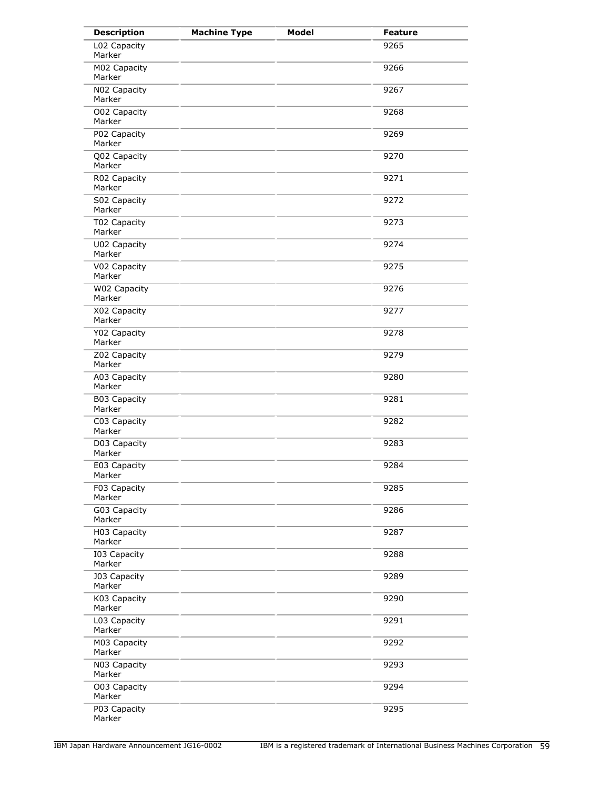| <b>Description</b>            | <b>Machine Type</b> | Model | <b>Feature</b> |
|-------------------------------|---------------------|-------|----------------|
| L02 Capacity<br>Marker        |                     |       | 9265           |
| M02 Capacity<br>Marker        |                     |       | 9266           |
| N02 Capacity<br>Marker        |                     |       | 9267           |
| O02 Capacity<br>Marker        |                     |       | 9268           |
| P02 Capacity<br>Marker        |                     |       | 9269           |
| Q02 Capacity<br>Marker        |                     |       | 9270           |
| R02 Capacity<br>Marker        |                     |       | 9271           |
| S02 Capacity<br>Marker        |                     |       | 9272           |
| T02 Capacity<br>Marker        |                     |       | 9273           |
| U02 Capacity<br>Marker        |                     |       | 9274           |
| V02 Capacity<br>Marker        |                     |       | 9275           |
| W02 Capacity<br>Marker        |                     |       | 9276           |
| X02 Capacity<br>Marker        |                     |       | 9277           |
| Y02 Capacity<br>Marker        |                     |       | 9278           |
| Z02 Capacity<br>Marker        |                     |       | 9279           |
| A03 Capacity<br>Marker        |                     |       | 9280           |
| B03 Capacity<br>Marker        |                     |       | 9281           |
| C03 Capacity<br>Marker        |                     |       | 9282           |
| D03 Capacity<br>Marker        |                     |       | 9283           |
| E03 Capacity<br>Marker        |                     |       | 9284           |
| F03 Capacity<br>Marker        |                     |       | 9285           |
| G03 Capacity<br>Marker        |                     |       | 9286           |
| H03 Capacity<br>Marker        |                     |       | 9287           |
| I03 Capacity<br>Marker        |                     |       | 9288           |
| <b>J03 Capacity</b><br>Marker |                     |       | 9289           |
| K03 Capacity<br>Marker        |                     |       | 9290           |
| L03 Capacity<br>Marker        |                     |       | 9291           |
| M03 Capacity<br>Marker        |                     |       | 9292           |
| N03 Capacity<br>Marker        |                     |       | 9293           |
| O03 Capacity<br>Marker        |                     |       | 9294           |
| P03 Capacity<br>Marker        |                     |       | 9295           |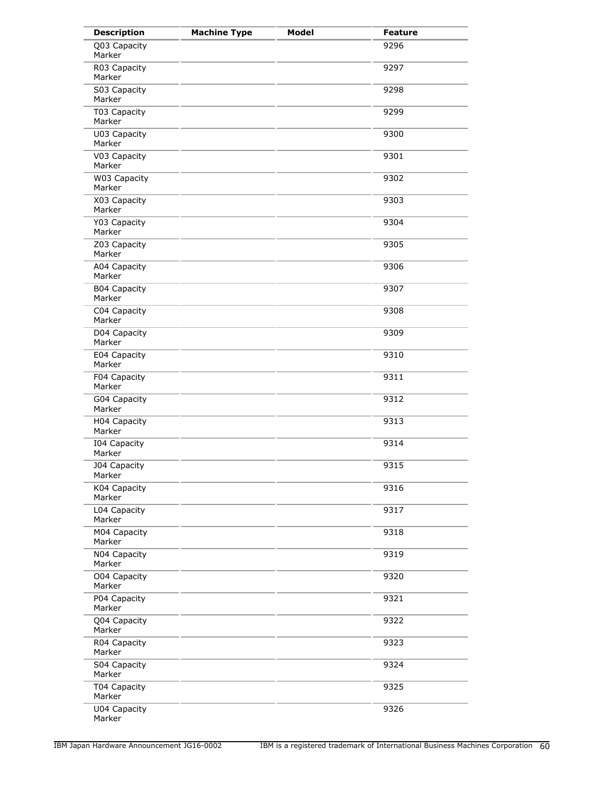| <b>Description</b>            | <b>Machine Type</b> | <b>Model</b> | <b>Feature</b> |
|-------------------------------|---------------------|--------------|----------------|
| Q03 Capacity<br>Marker        |                     |              | 9296           |
| R03 Capacity<br>Marker        |                     |              | 9297           |
| S03 Capacity<br>Marker        |                     |              | 9298           |
| T03 Capacity<br>Marker        |                     |              | 9299           |
| U03 Capacity<br>Marker        |                     |              | 9300           |
| V03 Capacity<br>Marker        |                     |              | 9301           |
| W03 Capacity<br>Marker        |                     |              | 9302           |
| X03 Capacity<br>Marker        |                     |              | 9303           |
| Y03 Capacity<br>Marker        |                     |              | 9304           |
| Z03 Capacity<br>Marker        |                     |              | 9305           |
| A04 Capacity<br>Marker        |                     |              | 9306           |
| <b>B04 Capacity</b><br>Marker |                     |              | 9307           |
| C04 Capacity<br>Marker        |                     |              | 9308           |
| D04 Capacity<br>Marker        |                     |              | 9309           |
| E04 Capacity<br>Marker        |                     |              | 9310           |
| F04 Capacity<br>Marker        |                     |              | 9311           |
| G04 Capacity<br>Marker        |                     |              | 9312           |
| H04 Capacity<br>Marker        |                     |              | 9313           |
| I04 Capacity<br>Marker        |                     |              | 9314           |
| <b>J04 Capacity</b><br>Marker |                     |              | 9315           |
| K04 Capacity<br>Marker        |                     |              | 9316           |
| L04 Capacity<br>Marker        |                     |              | 9317           |
| M04 Capacity<br>Marker        |                     |              | 9318           |
| N04 Capacity<br>Marker        |                     |              | 9319           |
| O04 Capacity<br>Marker        |                     |              | 9320           |
| P04 Capacity<br>Marker        |                     |              | 9321           |
| Q04 Capacity<br>Marker        |                     |              | 9322           |
| R04 Capacity<br>Marker        |                     |              | 9323           |
| S04 Capacity<br>Marker        |                     |              | 9324           |
| T04 Capacity<br>Marker        |                     |              | 9325           |
| U04 Capacity<br>Marker        |                     |              | 9326           |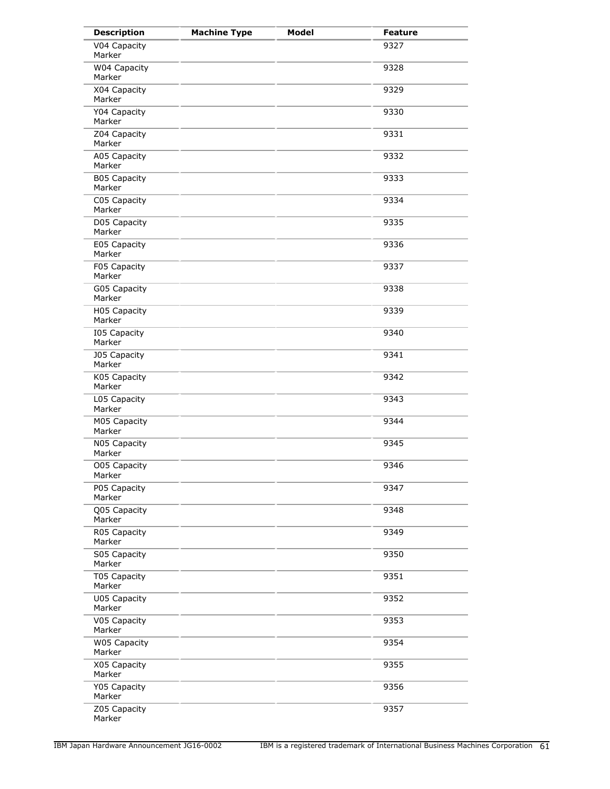| <b>Description</b>            | <b>Machine Type</b> | <b>Model</b> | <b>Feature</b> |
|-------------------------------|---------------------|--------------|----------------|
| V04 Capacity<br>Marker        |                     |              | 9327           |
| W04 Capacity<br>Marker        |                     |              | 9328           |
| X04 Capacity<br>Marker        |                     |              | 9329           |
| Y04 Capacity<br>Marker        |                     |              | 9330           |
| Z04 Capacity<br>Marker        |                     |              | 9331           |
| A05 Capacity<br>Marker        |                     |              | 9332           |
| <b>B05 Capacity</b><br>Marker |                     |              | 9333           |
| C05 Capacity<br>Marker        |                     |              | 9334           |
| D05 Capacity<br>Marker        |                     |              | 9335           |
| E05 Capacity<br>Marker        |                     |              | 9336           |
| F05 Capacity<br>Marker        |                     |              | 9337           |
| G05 Capacity<br>Marker        |                     |              | 9338           |
| H05 Capacity<br>Marker        |                     |              | 9339           |
| <b>I05 Capacity</b><br>Marker |                     |              | 9340           |
| <b>J05 Capacity</b><br>Marker |                     |              | 9341           |
| K05 Capacity<br>Marker        |                     |              | 9342           |
| L05 Capacity<br>Marker        |                     |              | 9343           |
| M05 Capacity<br>Marker        |                     |              | 9344           |
| N05 Capacity<br>Marker        |                     |              | 9345           |
| O05 Capacity<br>Marker        |                     |              | 9346           |
| P05 Capacity<br>Marker        |                     |              | 9347           |
| Q05 Capacity<br>Marker        |                     |              | 9348           |
| R05 Capacity<br>Marker        |                     |              | 9349           |
| S05 Capacity<br>Marker        |                     |              | 9350           |
| T05 Capacity<br>Marker        |                     |              | 9351           |
| U05 Capacity<br>Marker        |                     |              | 9352           |
| V05 Capacity<br>Marker        |                     |              | 9353           |
| W05 Capacity<br>Marker        |                     |              | 9354           |
| X05 Capacity<br>Marker        |                     |              | 9355           |
| Y05 Capacity<br>Marker        |                     |              | 9356           |
| Z05 Capacity<br>Marker        |                     |              | 9357           |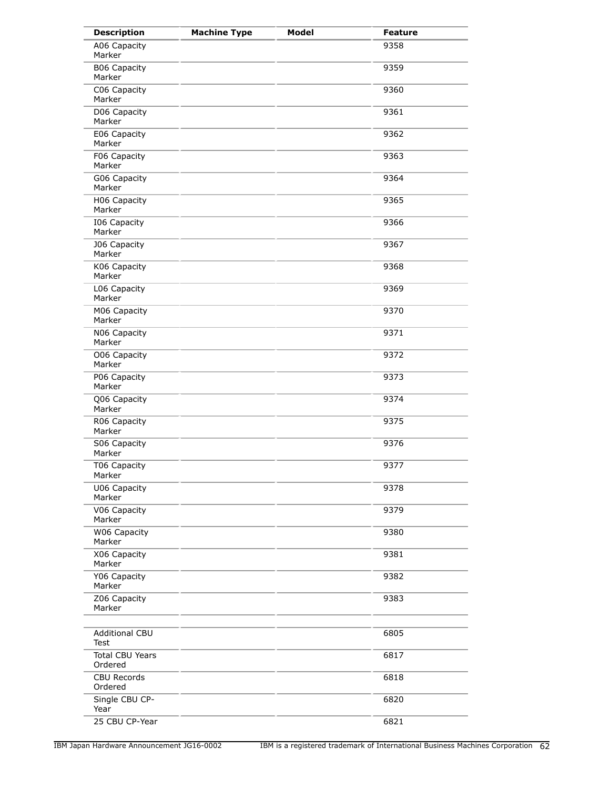| <b>Description</b>                | <b>Machine Type</b> | <b>Model</b> | <b>Feature</b> |
|-----------------------------------|---------------------|--------------|----------------|
| A06 Capacity<br>Marker            |                     |              | 9358           |
| <b>B06 Capacity</b><br>Marker     |                     |              | 9359           |
| C06 Capacity<br>Marker            |                     |              | 9360           |
| D06 Capacity<br>Marker            |                     |              | 9361           |
| E06 Capacity<br>Marker            |                     |              | 9362           |
| F06 Capacity<br>Marker            |                     |              | 9363           |
| G06 Capacity<br>Marker            |                     |              | 9364           |
| H06 Capacity<br>Marker            |                     |              | 9365           |
| I06 Capacity<br>Marker            |                     |              | 9366           |
| <b>J06 Capacity</b><br>Marker     |                     |              | 9367           |
| K06 Capacity<br>Marker            |                     |              | 9368           |
| L06 Capacity<br>Marker            |                     |              | 9369           |
| M06 Capacity<br>Marker            |                     |              | 9370           |
| N06 Capacity<br>Marker            |                     |              | 9371           |
| O06 Capacity<br>Marker            |                     |              | 9372           |
| P06 Capacity<br>Marker            |                     |              | 9373           |
| Q06 Capacity<br>Marker            |                     |              | 9374           |
| R06 Capacity<br>Marker            |                     |              | 9375           |
| S06 Capacity<br>Marker            |                     |              | 9376           |
| T06 Capacity<br>Marker            |                     |              | 9377           |
| U06 Capacity<br>Marker            |                     |              | 9378           |
| V06 Capacity<br>Marker            |                     |              | 9379           |
| W06 Capacity<br>Marker            |                     |              | 9380           |
| X06 Capacity<br>Marker            |                     |              | 9381           |
| Y06 Capacity<br>Marker            |                     |              | 9382           |
| Z06 Capacity<br>Marker            |                     |              | 9383           |
| <b>Additional CBU</b><br>Test     |                     |              | 6805           |
| <b>Total CBU Years</b><br>Ordered |                     |              | 6817           |
| <b>CBU Records</b><br>Ordered     |                     |              | 6818           |
| Single CBU CP-<br>Year            |                     |              | 6820           |
| 25 CBU CP-Year                    |                     |              | 6821           |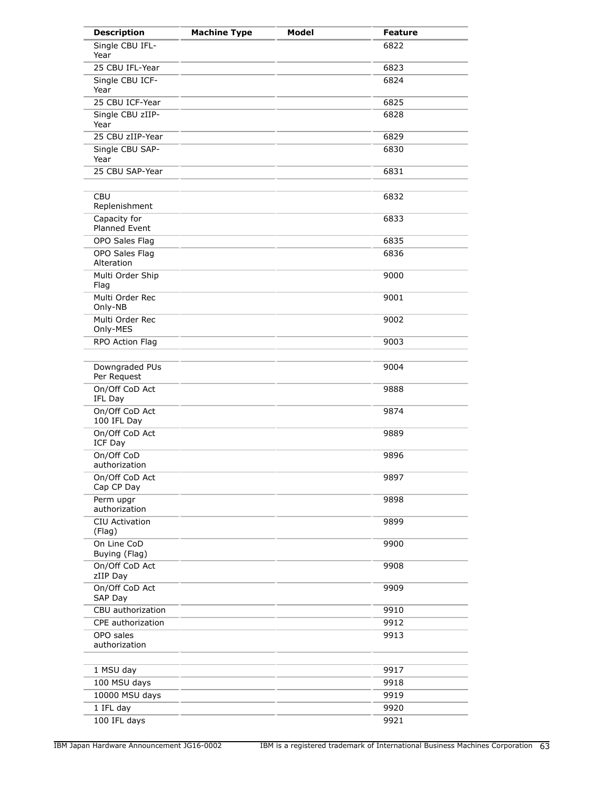| <b>Description</b>                   | <b>Machine Type</b> | <b>Model</b> | <b>Feature</b> |
|--------------------------------------|---------------------|--------------|----------------|
| Single CBU IFL-<br>Year              |                     |              | 6822           |
| 25 CBU IFL-Year                      |                     |              | 6823           |
| Single CBU ICF-<br>Year              |                     |              | 6824           |
| 25 CBU ICF-Year                      |                     |              | 6825           |
| Single CBU zIIP-<br>Year             |                     |              | 6828           |
| 25 CBU zIIP-Year                     |                     |              | 6829           |
| Single CBU SAP-<br>Year              |                     |              | 6830           |
| 25 CBU SAP-Year                      |                     |              | 6831           |
|                                      |                     |              |                |
| <b>CBU</b><br>Replenishment          |                     |              | 6832           |
| Capacity for<br><b>Planned Event</b> |                     |              | 6833           |
| OPO Sales Flag                       |                     |              | 6835           |
| OPO Sales Flag<br>Alteration         |                     |              | 6836           |
| Multi Order Ship<br>Flag             |                     |              | 9000           |
| Multi Order Rec<br>Only-NB           |                     |              | 9001           |
| Multi Order Rec<br>Only-MES          |                     |              | 9002           |
| RPO Action Flag                      |                     |              | 9003           |
| Downgraded PUs<br>Per Request        |                     |              | 9004           |
| On/Off CoD Act<br>IFL Day            |                     |              | 9888           |
| On/Off CoD Act<br>100 IFL Day        |                     |              | 9874           |
| On/Off CoD Act<br>ICF Day            |                     |              | 9889           |
| On/Off CoD<br>authorization          |                     |              | 9896           |
| On/Off CoD Act<br>Cap CP Day         |                     |              | 9897           |
| Perm upgr<br>authorization           |                     |              | 9898           |
| <b>CIU Activation</b><br>(Flag)      |                     |              | 9899           |
| On Line CoD<br>Buying (Flag)         |                     |              | 9900           |
| On/Off CoD Act<br>zIIP Day           |                     |              | 9908           |
| On/Off CoD Act<br>SAP Day            |                     |              | 9909           |
| CBU authorization                    |                     |              | 9910           |
| CPE authorization                    |                     |              | 9912           |
| OPO sales<br>authorization           |                     |              | 9913           |
| 1 MSU day                            |                     |              | 9917           |
| 100 MSU days                         |                     |              | 9918           |
| 10000 MSU days                       |                     |              | 9919           |
| 1 IFL day                            |                     |              | 9920           |
| 100 IFL days                         |                     |              | 9921           |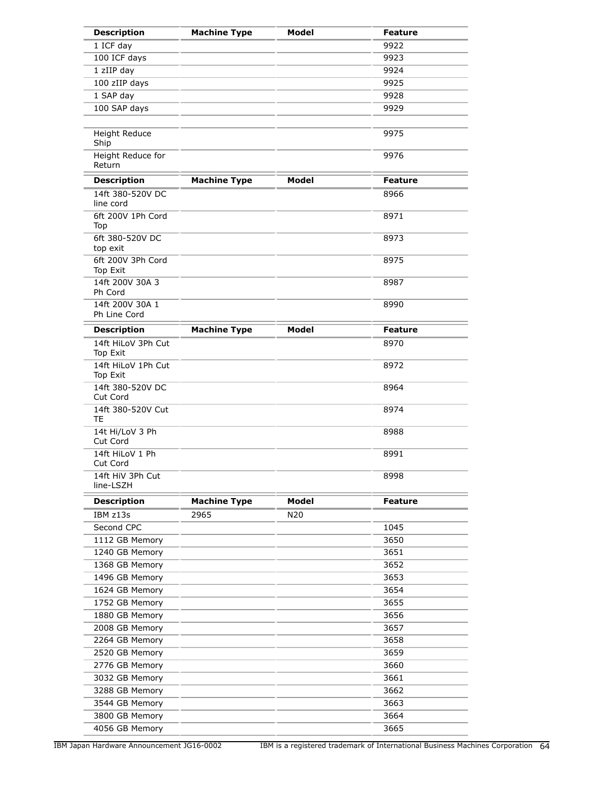| <b>Description</b>              | <b>Machine Type</b> | <b>Model</b> | <b>Feature</b> |
|---------------------------------|---------------------|--------------|----------------|
| 1 ICF day                       |                     |              | 9922           |
| 100 ICF days                    |                     |              | 9923           |
| 1 zIIP day                      |                     |              | 9924           |
| 100 zIIP days                   |                     |              | 9925           |
| 1 SAP day                       |                     |              | 9928           |
| 100 SAP days                    |                     |              | 9929           |
|                                 |                     |              |                |
| <b>Height Reduce</b><br>Ship    |                     |              | 9975           |
| Height Reduce for<br>Return     |                     |              | 9976           |
| <b>Description</b>              | <b>Machine Type</b> | Model        | <b>Feature</b> |
| 14ft 380-520V DC<br>line cord   |                     |              | 8966           |
| 6ft 200V 1Ph Cord<br>Top        |                     |              | 8971           |
| 6ft 380-520V DC<br>top exit     |                     |              | 8973           |
| 6ft 200V 3Ph Cord<br>Top Exit   |                     |              | 8975           |
| 14ft 200V 30A 3<br>Ph Cord      |                     |              | 8987           |
| 14ft 200V 30A 1<br>Ph Line Cord |                     |              | 8990           |
| <b>Description</b>              | <b>Machine Type</b> | <b>Model</b> | <b>Feature</b> |
| 14ft HiLoV 3Ph Cut<br>Top Exit  |                     |              | 8970           |
| 14ft HiLoV 1Ph Cut<br>Top Exit  |                     |              | 8972           |
| 14ft 380-520V DC<br>Cut Cord    |                     |              | 8964           |
| 14ft 380-520V Cut<br>TE         |                     |              | 8974           |
| 14t Hi/LoV 3 Ph<br>Cut Cord     |                     |              | 8988           |
| 14ft HiLoV 1 Ph<br>Cut Cord     |                     |              | 8991           |
| 14ft HiV 3Ph Cut<br>line-LSZH   |                     |              | 8998           |
| <b>Description</b>              | <b>Machine Type</b> | Model        | <b>Feature</b> |
| IBM z13s                        | 2965                | N20          |                |
| Second CPC                      |                     |              | 1045           |
| 1112 GB Memory                  |                     |              | 3650           |
| 1240 GB Memory                  |                     |              | 3651           |
| 1368 GB Memory                  |                     |              | 3652           |
| 1496 GB Memory                  |                     |              | 3653           |
| 1624 GB Memory                  |                     |              | 3654           |
| 1752 GB Memory                  |                     |              | 3655           |
| 1880 GB Memory                  |                     |              | 3656           |
| 2008 GB Memory                  |                     |              | 3657           |
| 2264 GB Memory                  |                     |              | 3658           |
| 2520 GB Memory                  |                     |              | 3659           |
| 2776 GB Memory                  |                     |              | 3660           |
| 3032 GB Memory                  |                     |              | 3661           |
| 3288 GB Memory                  |                     |              | 3662           |
| 3544 GB Memory                  |                     |              | 3663           |
| 3800 GB Memory                  |                     |              | 3664           |
| 4056 GB Memory                  |                     |              | 3665           |
|                                 |                     |              |                |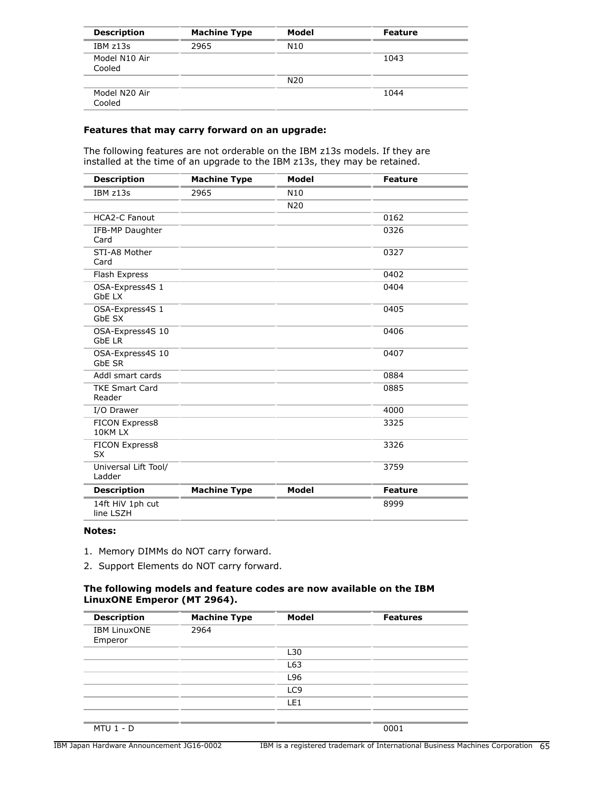| <b>Description</b>      | <b>Machine Type</b> | Model           | <b>Feature</b> |
|-------------------------|---------------------|-----------------|----------------|
| IBM z13s                | 2965                | N10             |                |
| Model N10 Air<br>Cooled |                     |                 | 1043           |
|                         |                     | N <sub>20</sub> |                |
| Model N20 Air<br>Cooled |                     |                 | 1044           |

#### **Features that may carry forward on an upgrade:**

The following features are not orderable on the IBM z13s models. If they are installed at the time of an upgrade to the IBM z13s, they may be retained.

| <b>Description</b>                | <b>Machine Type</b> | <b>Model</b>    | <b>Feature</b> |
|-----------------------------------|---------------------|-----------------|----------------|
| IBM z13s                          | 2965                | N <sub>10</sub> |                |
|                                   |                     | N <sub>20</sub> |                |
| <b>HCA2-C Fanout</b>              |                     |                 | 0162           |
| IFB-MP Daughter<br>Card           |                     |                 | 0326           |
| STI-A8 Mother<br>Card             |                     |                 | 0327           |
| Flash Express                     |                     |                 | 0402           |
| OSA-Express4S 1<br><b>GbELX</b>   |                     |                 | 0404           |
| OSA-Express4S 1<br>GbE SX         |                     |                 | 0405           |
| OSA-Express4S 10<br><b>GbE LR</b> |                     |                 | 0406           |
| OSA-Express4S 10<br>GbE SR        |                     |                 | 0407           |
| Addl smart cards                  |                     |                 | 0884           |
| <b>TKE Smart Card</b><br>Reader   |                     |                 | 0885           |
| I/O Drawer                        |                     |                 | 4000           |
| FICON Express8<br>10KM LX         |                     |                 | 3325           |
| FICON Express8<br><b>SX</b>       |                     |                 | 3326           |
| Universal Lift Tool/<br>Ladder    |                     |                 | 3759           |
| <b>Description</b>                | <b>Machine Type</b> | Model           | <b>Feature</b> |
| 14ft HiV 1ph cut<br>line LSZH     |                     |                 | 8999           |

#### **Notes:**

- 1. Memory DIMMs do NOT carry forward.
- 2. Support Elements do NOT carry forward.

#### **The following models and feature codes are now available on the IBM LinuxONE Emperor (MT 2964).**

| <b>Description</b>             | <b>Machine Type</b> | Model           | <b>Features</b> |
|--------------------------------|---------------------|-----------------|-----------------|
| <b>IBM LinuxONE</b><br>Emperor | 2964                |                 |                 |
|                                |                     | L30             |                 |
|                                |                     | L63             |                 |
|                                |                     | L96             |                 |
|                                |                     | LC <sub>9</sub> |                 |
|                                |                     | LE1             |                 |
|                                |                     |                 |                 |
| <b>MTU 1 - D</b>               |                     |                 | 0001            |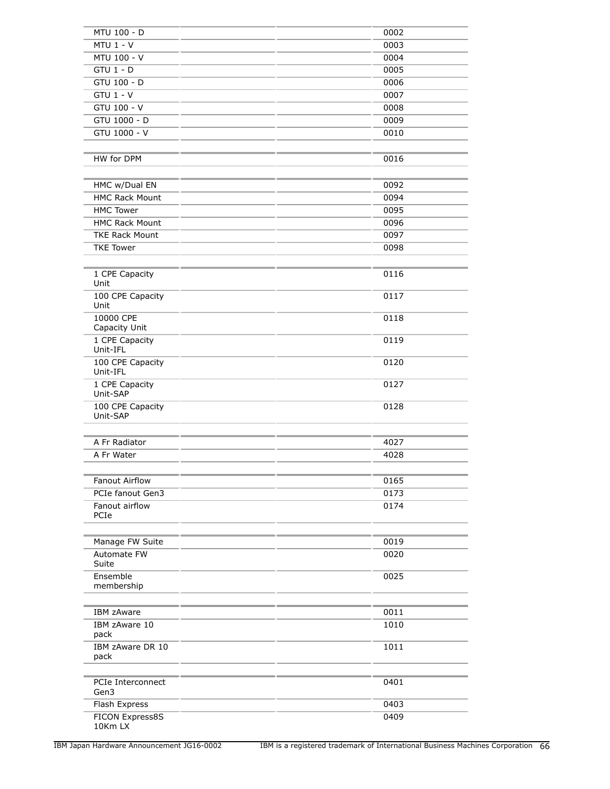| MTU 100 - D                  | 0002 |
|------------------------------|------|
| $MTU$ 1 - V                  | 0003 |
| MTU 100 - V                  | 0004 |
| $GTU$ 1 - $D$                | 0005 |
| GTU 100 - D                  | 0006 |
| $GTU$ 1 - $V$                | 0007 |
| GTU 100 - V                  | 0008 |
| GTU 1000 - D                 | 0009 |
| GTU 1000 - $V$               | 0010 |
|                              |      |
| HW for DPM                   | 0016 |
|                              |      |
|                              |      |
| HMC w/Dual EN                | 0092 |
| <b>HMC Rack Mount</b>        | 0094 |
| <b>HMC Tower</b>             | 0095 |
| <b>HMC Rack Mount</b>        | 0096 |
| <b>TKE Rack Mount</b>        | 0097 |
| <b>TKE Tower</b>             | 0098 |
|                              |      |
| 1 CPE Capacity<br>Unit       | 0116 |
| 100 CPE Capacity             | 0117 |
| Unit                         |      |
| 10000 CPE<br>Capacity Unit   | 0118 |
| 1 CPE Capacity               | 0119 |
| Unit-IFL                     |      |
| 100 CPE Capacity<br>Unit-IFL | 0120 |
| 1 CPE Capacity               | 0127 |
| Unit-SAP                     |      |
| 100 CPE Capacity<br>Unit-SAP | 0128 |
| A Fr Radiator                |      |
|                              | 4027 |
| A Fr Water                   | 4028 |
|                              |      |
| <b>Fanout Airflow</b>        | 0165 |
| PCIe fanout Gen3             | 0173 |
| Fanout airflow<br>PCIe       | 0174 |
|                              |      |
| Manage FW Suite              | 0019 |
| Automate FW<br>Suite         | 0020 |
| Ensemble                     | 0025 |
| membership                   |      |
|                              |      |
| <b>IBM zAware</b>            | 0011 |
| IBM zAware 10<br>pack        | 1010 |
| IBM zAware DR 10<br>pack     | 1011 |
|                              |      |
| PCIe Interconnect            | 0401 |
| Gen3                         |      |
| Flash Express                | 0403 |
| FICON Express8S<br>10Km LX   | 0409 |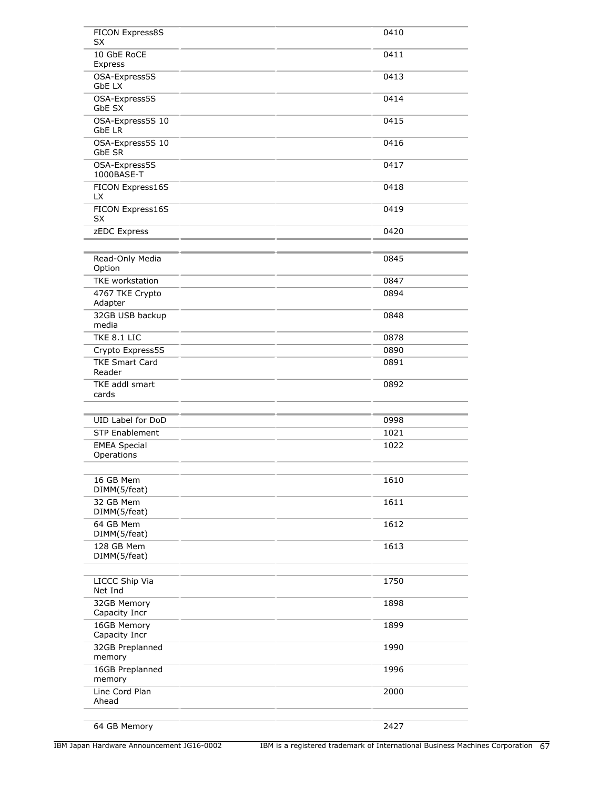| FICON Express8S                   | 0410 |
|-----------------------------------|------|
| SX<br>10 GbE RoCE                 | 0411 |
| Express                           |      |
| OSA-Express5S<br>GbE LX           | 0413 |
| OSA-Express5S<br>GbE SX           | 0414 |
| OSA-Express5S 10<br>GbE LR        | 0415 |
| OSA-Express5S 10<br>GbE SR        | 0416 |
| OSA-Express5S<br>1000BASE-T       | 0417 |
| FICON Express16S<br>LX            | 0418 |
| FICON Express16S<br><b>SX</b>     | 0419 |
| zEDC Express                      | 0420 |
|                                   |      |
|                                   |      |
| Read-Only Media<br>Option         | 0845 |
| TKE workstation                   | 0847 |
| 4767 TKE Crypto<br>Adapter        | 0894 |
| 32GB USB backup<br>media          | 0848 |
| TKE 8.1 LIC                       | 0878 |
| Crypto Express5S                  | 0890 |
| <b>TKE Smart Card</b><br>Reader   | 0891 |
| TKE addl smart<br>cards           | 0892 |
|                                   |      |
| UID Label for DoD                 | 0998 |
| <b>STP Enablement</b>             | 1021 |
| <b>EMEA Special</b><br>Operations | 1022 |
|                                   |      |
| 16 GB Mem<br>DIMM(5/feat)         | 1610 |
| 32 GB Mem<br>DIMM(5/feat)         | 1611 |
| 64 GB Mem<br>DIMM(5/feat)         | 1612 |
| 128 GB Mem<br>DIMM(5/feat)        | 1613 |
|                                   |      |
| LICCC Ship Via<br>Net Ind         | 1750 |
| 32GB Memory<br>Capacity Incr      | 1898 |
| 16GB Memory<br>Capacity Incr      | 1899 |
| 32GB Preplanned<br>memory         | 1990 |
| 16GB Preplanned<br>memory         | 1996 |
| Line Cord Plan<br>Ahead           | 2000 |
| 64 GB Memory                      | 2427 |
|                                   |      |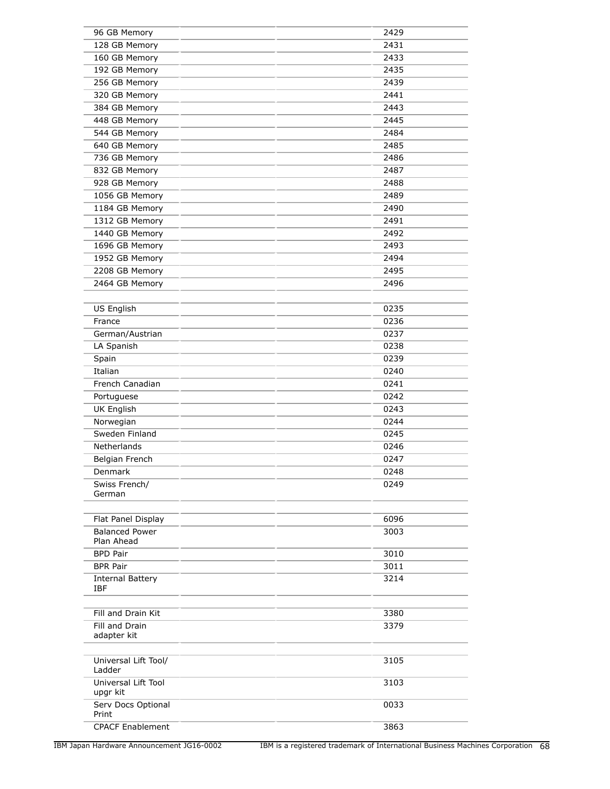| 96 GB Memory                   | 2429 |
|--------------------------------|------|
| 128 GB Memory                  | 2431 |
| 160 GB Memory                  | 2433 |
| 192 GB Memory                  | 2435 |
| 256 GB Memory                  | 2439 |
| 320 GB Memory                  | 2441 |
| 384 GB Memory                  | 2443 |
| 448 GB Memory                  | 2445 |
| 544 GB Memory                  | 2484 |
| 640 GB Memory                  | 2485 |
| 736 GB Memory                  | 2486 |
| 832 GB Memory                  | 2487 |
| 928 GB Memory                  | 2488 |
| 1056 GB Memory                 | 2489 |
| 1184 GB Memory                 | 2490 |
| 1312 GB Memory                 | 2491 |
| 1440 GB Memory                 | 2492 |
| 1696 GB Memory                 | 2493 |
| 1952 GB Memory                 | 2494 |
| 2208 GB Memory                 | 2495 |
| 2464 GB Memory                 | 2496 |
|                                |      |
| <b>US English</b>              | 0235 |
| France                         | 0236 |
| German/Austrian                | 0237 |
| LA Spanish                     | 0238 |
| Spain                          | 0239 |
| Italian                        | 0240 |
| French Canadian                | 0241 |
| Portuguese                     | 0242 |
| <b>UK English</b>              | 0243 |
| Norwegian                      | 0244 |
| Sweden Finland                 | 0245 |
| Netherlands                    | 0246 |
| Belgian French                 | 0247 |
| Denmark                        | 0248 |
| Swiss French/                  | 0249 |
| German                         |      |
| Flat Panel Display             | 6096 |
| <b>Balanced Power</b>          | 3003 |
| Plan Ahead                     |      |
| <b>BPD Pair</b>                | 3010 |
| <b>BPR Pair</b>                | 3011 |
| <b>Internal Battery</b>        | 3214 |
| <b>IBF</b>                     |      |
|                                |      |
| Fill and Drain Kit             | 3380 |
| Fill and Drain                 | 3379 |
| adapter kit                    |      |
| Universal Lift Tool/<br>Ladder | 3105 |
| Universal Lift Tool            | 3103 |
| upgr kit                       |      |
| Serv Docs Optional<br>Print    | 0033 |
| <b>CPACF Enablement</b>        | 3863 |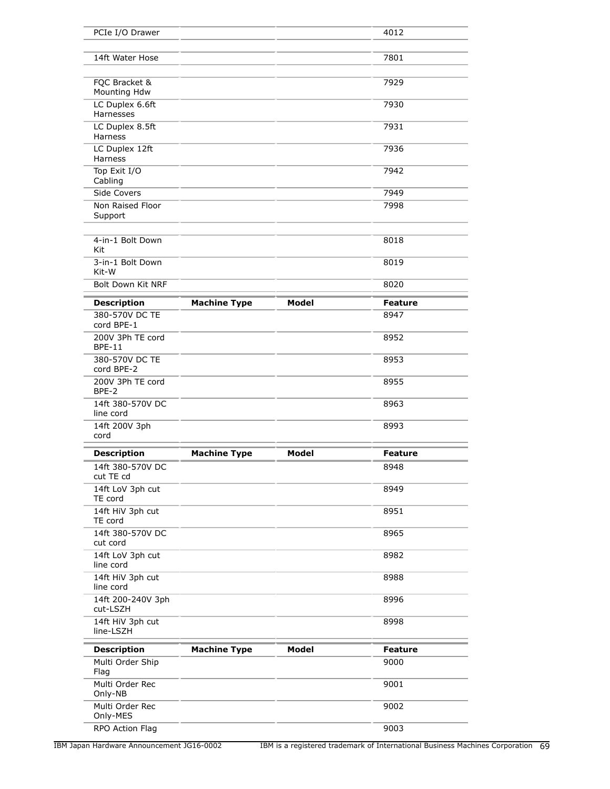| PCIe I/O Drawer                   |                     |              | 4012           |
|-----------------------------------|---------------------|--------------|----------------|
|                                   |                     |              |                |
| 14ft Water Hose                   |                     |              | 7801           |
|                                   |                     |              |                |
| FQC Bracket &<br>Mounting Hdw     |                     |              | 7929           |
| LC Duplex 6.6ft<br>Harnesses      |                     |              | 7930           |
| LC Duplex 8.5ft<br>Harness        |                     |              | 7931           |
| LC Duplex 12ft<br>Harness         |                     |              | 7936           |
| Top Exit I/O<br>Cabling           |                     |              | 7942           |
| Side Covers                       |                     |              | 7949           |
| Non Raised Floor<br>Support       |                     |              | 7998           |
| 4-in-1 Bolt Down<br>Kit           |                     |              | 8018           |
| 3-in-1 Bolt Down<br>Kit-W         |                     |              | 8019           |
| Bolt Down Kit NRF                 |                     |              | 8020           |
| <b>Description</b>                | <b>Machine Type</b> | <b>Model</b> | <b>Feature</b> |
| 380-570V DC TE<br>cord BPE-1      |                     |              | 8947           |
| 200V 3Ph TE cord<br><b>BPE-11</b> |                     |              | 8952           |
| 380-570V DC TE<br>cord BPE-2      |                     |              | 8953           |
| 200V 3Ph TE cord<br>BPE-2         |                     |              | 8955           |
| 14ft 380-570V DC<br>line cord     |                     |              | 8963           |
| 14ft 200V 3ph<br>cord             |                     |              | 8993           |
| <b>Description</b>                | <b>Machine Type</b> | <b>Model</b> | <b>Feature</b> |
| 14ft 380-570V DC<br>cut TE cd     |                     |              | 8948           |
| 14ft LoV 3ph cut<br>TE cord       |                     |              | 8949           |
| 14ft HiV 3ph cut<br>TE cord       |                     |              | 8951           |
| 14ft 380-570V DC<br>cut cord      |                     |              | 8965           |
| 14ft LoV 3ph cut<br>line cord     |                     |              | 8982           |
| 14ft HiV 3ph cut<br>line cord     |                     |              | 8988           |
| 14ft 200-240V 3ph<br>cut-LSZH     |                     |              | 8996           |
| 14ft HiV 3ph cut<br>line-LSZH     |                     |              | 8998           |
| <b>Description</b>                | <b>Machine Type</b> | <b>Model</b> | <b>Feature</b> |
| Multi Order Ship<br>Flag          |                     |              | 9000           |
| Multi Order Rec<br>Only-NB        |                     |              | 9001           |
| Multi Order Rec<br>Only-MES       |                     |              | 9002           |
| RPO Action Flag                   |                     |              | 9003           |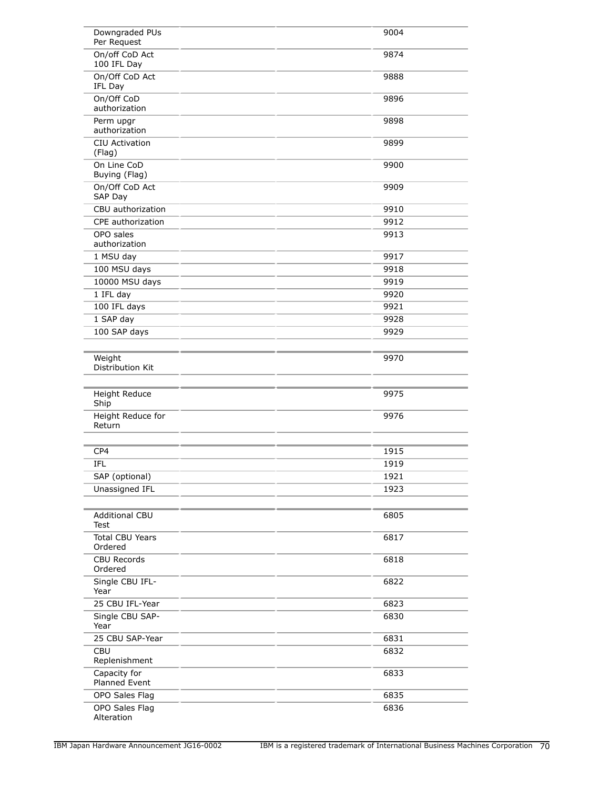| Downgraded PUs<br>Per Request     | 9004 |
|-----------------------------------|------|
| On/off CoD Act<br>100 IFL Day     | 9874 |
| On/Off CoD Act<br>IFL Day         | 9888 |
| On/Off CoD<br>authorization       | 9896 |
| Perm upgr<br>authorization        | 9898 |
| CIU Activation<br>(Flag)          | 9899 |
| On Line CoD<br>Buying (Flag)      | 9900 |
| On/Off CoD Act<br>SAP Day         | 9909 |
| CBU authorization                 | 9910 |
| CPE authorization                 | 9912 |
| OPO sales<br>authorization        | 9913 |
| 1 MSU day                         | 9917 |
| 100 MSU days                      | 9918 |
| 10000 MSU days                    | 9919 |
| 1 IFL day                         | 9920 |
| 100 IFL days                      | 9921 |
| 1 SAP day                         | 9928 |
| 100 SAP days                      | 9929 |
| Weight<br>Distribution Kit        | 9970 |
| Height Reduce<br>Ship             | 9975 |
| Height Reduce for<br>Return       | 9976 |
| CP4                               | 1915 |
| IFL                               | 1919 |
| SAP (optional)                    | 1921 |
| Unassigned IFL                    | 1923 |
|                                   |      |
| <b>Additional CBU</b><br>Test     | 6805 |
| <b>Total CBU Years</b><br>Ordered | 6817 |
| <b>CBU Records</b><br>Ordered     | 6818 |
| Single CBU IFL-<br>Year           | 6822 |
| 25 CBU IFL-Year                   | 6823 |
| Single CBU SAP-<br>Year           | 6830 |
| 25 CBU SAP-Year                   | 6831 |
| <b>CBU</b><br>Replenishment       | 6832 |
| Capacity for<br>Planned Event     | 6833 |
| OPO Sales Flag                    | 6835 |
| OPO Sales Flag<br>Alteration      | 6836 |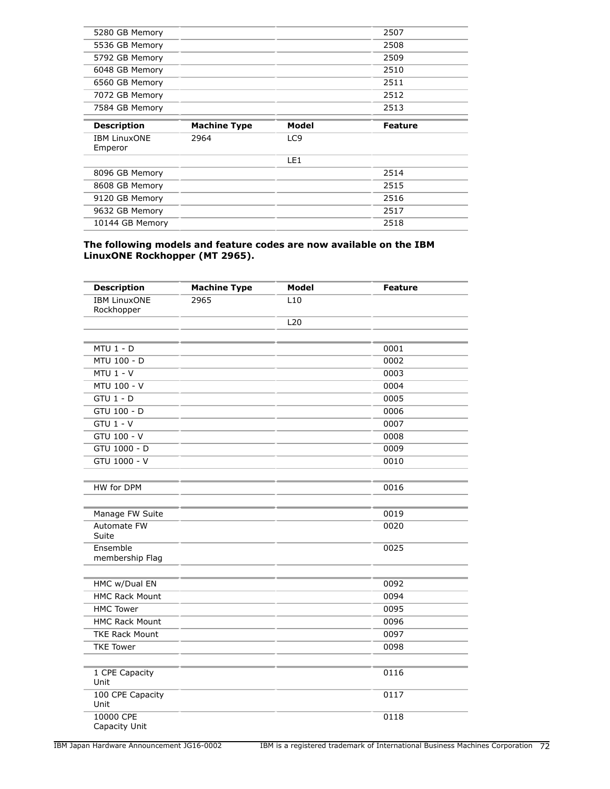| 5280 GB Memory                 |                     |       | 2507           |  |
|--------------------------------|---------------------|-------|----------------|--|
| 5536 GB Memory                 |                     |       | 2508           |  |
| 5792 GB Memory                 |                     |       | 2509           |  |
| 6048 GB Memory                 |                     |       | 2510           |  |
| 6560 GB Memory                 |                     |       | 2511           |  |
| 7072 GB Memory                 |                     |       | 2512           |  |
| 7584 GB Memory                 |                     |       | 2513           |  |
|                                |                     |       |                |  |
| <b>Description</b>             | <b>Machine Type</b> | Model | <b>Feature</b> |  |
|                                |                     |       |                |  |
| <b>IBM LinuxONE</b><br>Emperor | 2964                | LC9   |                |  |
|                                |                     | LE1   |                |  |
| 8096 GB Memory                 |                     |       | 2514           |  |
| 8608 GB Memory                 |                     |       | 2515           |  |
| 9120 GB Memory                 |                     |       | 2516           |  |
| 9632 GB Memory                 |                     |       | 2517           |  |
| 10144 GB Memory                |                     |       | 2518           |  |

#### **The following models and feature codes are now available on the IBM LinuxONE Rockhopper (MT 2965).**

| <b>Description</b>                | <b>Machine Type</b> | <b>Model</b> | <b>Feature</b> |
|-----------------------------------|---------------------|--------------|----------------|
| <b>IBM LinuxONE</b><br>Rockhopper | 2965                | L10          |                |
|                                   |                     | L20          |                |
|                                   |                     |              |                |
| $MTU$ 1 - $D$                     |                     |              | 0001           |
| MTU 100 - D                       |                     |              | 0002           |
| $MTU$ 1 - V                       |                     |              | 0003           |
| MTU 100 - V                       |                     |              | 0004           |
| $GTU$ 1 - $D$                     |                     |              | 0005           |
| GTU 100 - D                       |                     |              | 0006           |
| $GTU$ 1 - $V$                     |                     |              | 0007           |
| GTU 100 - V                       |                     |              | 0008           |
| GTU 1000 - D                      |                     |              | 0009           |
| GTU 1000 - V                      |                     |              | 0010           |
|                                   |                     |              |                |
| HW for DPM                        |                     |              | 0016           |
|                                   |                     |              |                |
| Manage FW Suite                   |                     |              | 0019           |
| Automate FW<br>Suite              |                     |              | 0020           |
| Ensemble<br>membership Flag       |                     |              | 0025           |
|                                   |                     |              |                |
| HMC w/Dual EN                     |                     |              | 0092           |
| <b>HMC Rack Mount</b>             |                     |              | 0094           |
| <b>HMC Tower</b>                  |                     |              | 0095           |
| <b>HMC Rack Mount</b>             |                     |              | 0096           |
| <b>TKE Rack Mount</b>             |                     |              | 0097           |
| <b>TKE Tower</b>                  |                     |              | 0098           |
|                                   |                     |              |                |
| 1 CPE Capacity<br>Unit            |                     |              | 0116           |
| 100 CPE Capacity<br>Unit          |                     |              | 0117           |
| 10000 CPE<br>Capacity Unit        |                     |              | 0118           |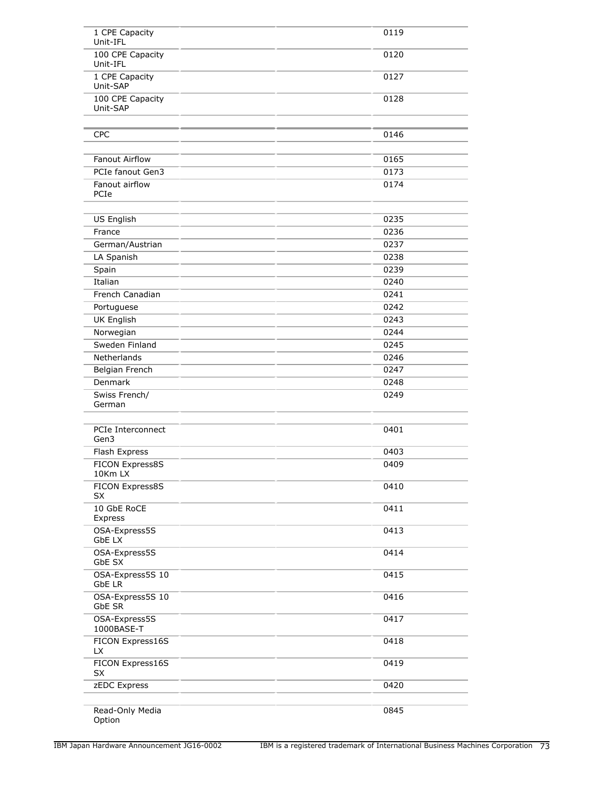| 1 CPE Capacity<br>Unit-IFL   | 0119 |
|------------------------------|------|
| 100 CPE Capacity<br>Unit-IFL | 0120 |
| 1 CPE Capacity<br>Unit-SAP   | 0127 |
| 100 CPE Capacity<br>Unit-SAP | 0128 |
| <b>CPC</b>                   | 0146 |
| Fanout Airflow               | 0165 |
| PCIe fanout Gen3             | 0173 |
| Fanout airflow<br>PCIe       | 0174 |
| US English                   | 0235 |
| France                       | 0236 |
| German/Austrian              | 0237 |
| LA Spanish                   | 0238 |
| Spain                        | 0239 |
| Italian                      | 0240 |
| French Canadian              | 0241 |
| Portuguese                   | 0242 |
| UK English                   | 0243 |
| Norwegian                    | 0244 |
| Sweden Finland               | 0245 |
| Netherlands                  | 0246 |
| Belgian French               | 0247 |
| Denmark                      | 0248 |
| Swiss French/<br>German      | 0249 |
| PCIe Interconnect<br>Gen3    | 0401 |
| Flash Express                | 0403 |
| FICON Express8S<br>10Km LX   | 0409 |
| FICON Express8S<br><b>SX</b> | 0410 |
| 10 GbE RoCE<br>Express       | 0411 |
| OSA-Express5S<br>GbE LX      | 0413 |
| OSA-Express5S<br>GbE SX      | 0414 |
| OSA-Express5S 10<br>GbE LR   | 0415 |
| OSA-Express5S 10<br>GbE SR   | 0416 |
| OSA-Express5S<br>1000BASE-T  | 0417 |
| FICON Express16S<br>LX.      | 0418 |
| FICON Express16S<br>SX       | 0419 |
| zEDC Express                 | 0420 |
| Read-Only Media<br>Option    | 0845 |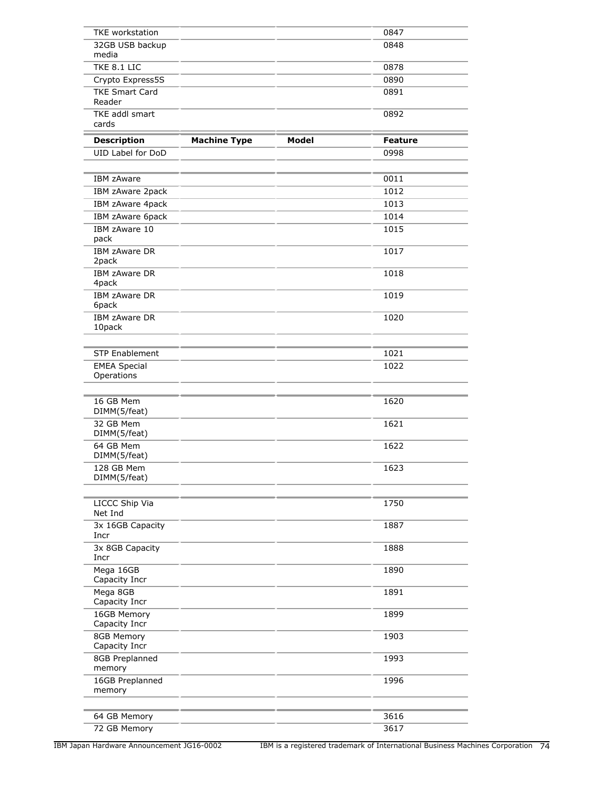| <b>TKE</b> workstation            |                     |              | 0847           |
|-----------------------------------|---------------------|--------------|----------------|
| 32GB USB backup<br>media          |                     |              | 0848           |
| TKE 8.1 LIC                       |                     |              | 0878           |
| Crypto Express5S                  |                     |              | 0890           |
| <b>TKE Smart Card</b><br>Reader   |                     |              | 0891           |
| TKE addl smart<br>cards           |                     |              | 0892           |
| <b>Description</b>                | <b>Machine Type</b> | <b>Model</b> | <b>Feature</b> |
| UID Label for DoD                 |                     |              | 0998           |
|                                   |                     |              |                |
| <b>IBM zAware</b>                 |                     |              | 0011           |
| IBM zAware 2pack                  |                     |              | 1012           |
| IBM zAware 4pack                  |                     |              | 1013           |
| IBM zAware 6pack                  |                     |              | 1014           |
| IBM zAware 10<br>pack             |                     |              | 1015           |
| IBM zAware DR<br>2pack            |                     |              | 1017           |
| IBM zAware DR<br>4pack            |                     |              | 1018           |
| IBM zAware DR<br>6pack            |                     |              | 1019           |
| IBM zAware DR<br>10pack           |                     |              | 1020           |
| <b>STP Enablement</b>             |                     |              | 1021           |
| <b>EMEA Special</b><br>Operations |                     |              | 1022           |
| 16 GB Mem<br>DIMM(5/feat)         |                     |              | 1620           |
| 32 GB Mem<br>DIMM(5/feat)         |                     |              | 1621           |
| 64 GB Mem<br>DIMM(5/feat)         |                     |              | 1622           |
| 128 GB Mem<br>DIMM(5/feat)        |                     |              | 1623           |
| LICCC Ship Via<br>Net Ind         |                     |              | 1750           |
| 3x 16GB Capacity<br>Incr          |                     |              | 1887           |
| 3x 8GB Capacity<br>Incr           |                     |              | 1888           |
| Mega 16GB<br>Capacity Incr        |                     |              | 1890           |
| Mega 8GB<br>Capacity Incr         |                     |              | 1891           |
| 16GB Memory<br>Capacity Incr      |                     |              | 1899           |
| 8GB Memory<br>Capacity Incr       |                     |              | 1903           |
| 8GB Preplanned<br>memory          |                     |              | 1993           |
| 16GB Preplanned<br>memory         |                     |              | 1996           |
| 64 GB Memory                      |                     |              | 3616           |
| 72 GB Memory                      |                     |              | 3617           |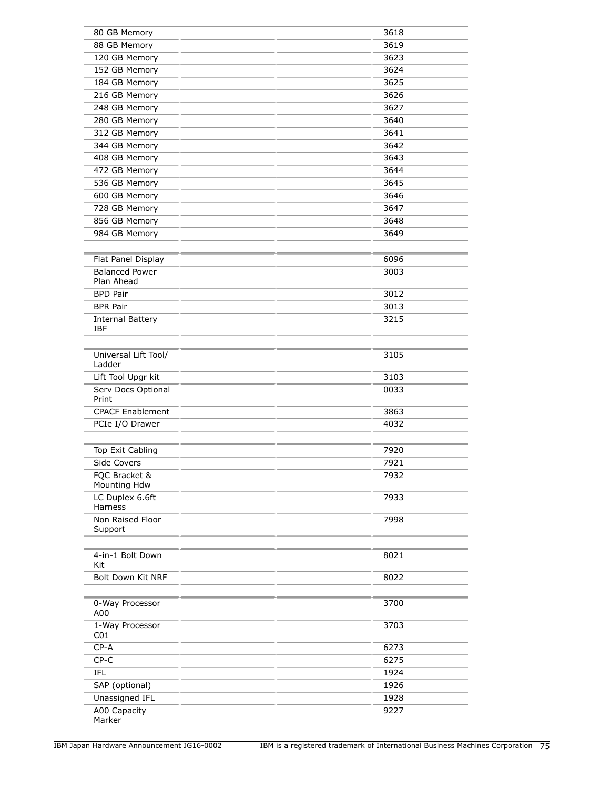| 80 GB Memory            | 3618 |
|-------------------------|------|
| 88 GB Memory            | 3619 |
| 120 GB Memory           | 3623 |
| 152 GB Memory           | 3624 |
| 184 GB Memory           | 3625 |
| 216 GB Memory           | 3626 |
| 248 GB Memory           | 3627 |
| 280 GB Memory           | 3640 |
| 312 GB Memory           | 3641 |
| 344 GB Memory           | 3642 |
|                         | 3643 |
| 408 GB Memory           |      |
| 472 GB Memory           | 3644 |
| 536 GB Memory           | 3645 |
| 600 GB Memory           | 3646 |
| 728 GB Memory           | 3647 |
| 856 GB Memory           | 3648 |
| 984 GB Memory           | 3649 |
|                         |      |
| Flat Panel Display      | 6096 |
| <b>Balanced Power</b>   | 3003 |
| Plan Ahead              |      |
| <b>BPD Pair</b>         | 3012 |
| <b>BPR Pair</b>         | 3013 |
| <b>Internal Battery</b> | 3215 |
| <b>IBF</b>              |      |
|                         |      |
| Universal Lift Tool/    | 3105 |
| Ladder                  |      |
| Lift Tool Upgr kit      | 3103 |
| Serv Docs Optional      | 0033 |
| Print                   |      |
| <b>CPACF Enablement</b> | 3863 |
| PCIe I/O Drawer         | 4032 |
|                         |      |
| Top Exit Cabling        | 7920 |
| Side Covers             | 7921 |
| FQC Bracket &           | 7932 |
| Mounting Hdw            |      |
| LC Duplex 6.6ft         | 7933 |
| Harness                 |      |
| Non Raised Floor        | 7998 |
| Support                 |      |
|                         |      |
| 4-in-1 Bolt Down        | 8021 |
| Kit                     |      |
| Bolt Down Kit NRF       | 8022 |
|                         |      |
| 0-Way Processor         | 3700 |
| A00                     |      |
| 1-Way Processor         | 3703 |
| C <sub>01</sub>         |      |
| $CP - A$                | 6273 |
| $CP-C$                  | 6275 |
| IFL                     | 1924 |
| SAP (optional)          | 1926 |
| Unassigned IFL          | 1928 |
| A00 Capacity            | 9227 |
| Marker                  |      |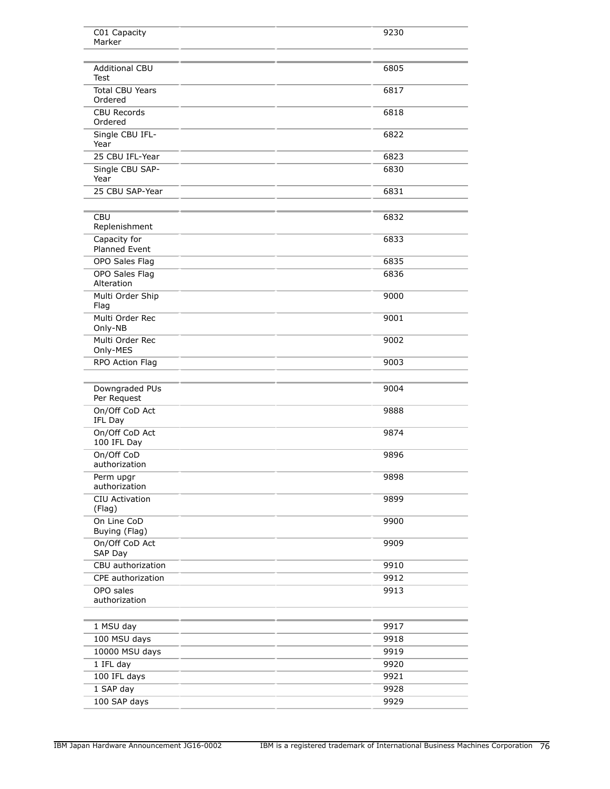| C01 Capacity                         | 9230 |
|--------------------------------------|------|
| Marker                               |      |
|                                      |      |
| <b>Additional CBU</b><br><b>Test</b> | 6805 |
| <b>Total CBU Years</b><br>Ordered    | 6817 |
| <b>CBU Records</b><br>Ordered        | 6818 |
| Single CBU IFL-<br>Year              | 6822 |
| 25 CBU IFL-Year                      | 6823 |
| Single CBU SAP-<br>Year              | 6830 |
| 25 CBU SAP-Year                      | 6831 |
| <b>CBU</b>                           | 6832 |
| Replenishment                        |      |
| Capacity for<br><b>Planned Event</b> | 6833 |
| OPO Sales Flag                       | 6835 |
| OPO Sales Flag<br>Alteration         | 6836 |
| Multi Order Ship<br>Flag             | 9000 |
| Multi Order Rec<br>Only-NB           | 9001 |
| Multi Order Rec<br>Only-MES          | 9002 |
| RPO Action Flag                      | 9003 |
| Downgraded PUs                       | 9004 |
| Per Request                          |      |
| On/Off CoD Act<br>IFL Day            | 9888 |
| On/Off CoD Act<br>100 IFL Day        | 9874 |
| On/Off CoD<br>authorization          | 9896 |
| Perm upgr<br>authorization           | 9898 |
| CIU Activation<br>(Flag)             | 9899 |
| On Line CoD<br>Buying (Flag)         | 9900 |
| On/Off CoD Act<br>SAP Day            | 9909 |
| CBU authorization                    | 9910 |
| CPE authorization                    | 9912 |
| OPO sales<br>authorization           | 9913 |
|                                      |      |
| 1 MSU day                            | 9917 |
| 100 MSU days                         | 9918 |
| 10000 MSU days                       | 9919 |
| 1 IFL day                            | 9920 |
| 100 IFL days                         | 9921 |
| 1 SAP day                            | 9928 |
| 100 SAP days                         | 9929 |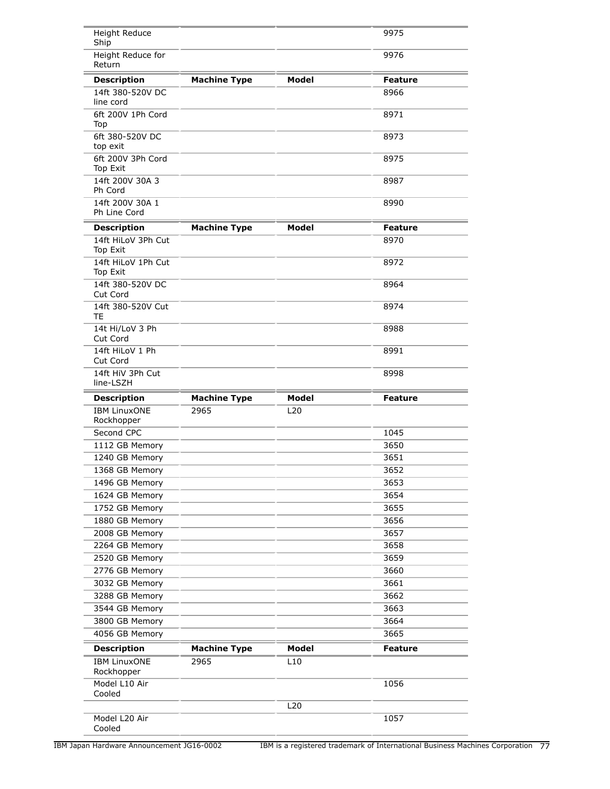| Height Reduce<br>Ship                     |                             |                     | 9975           |
|-------------------------------------------|-----------------------------|---------------------|----------------|
| Height Reduce for<br>Return               |                             |                     | 9976           |
| <b>Description</b>                        | <b>Machine Type</b>         | <b>Model</b>        | <b>Feature</b> |
| 14ft 380-520V DC<br>line cord             |                             |                     | 8966           |
| 6ft 200V 1Ph Cord<br>Top                  |                             |                     | 8971           |
| 6ft 380-520V DC<br>top exit               |                             |                     | 8973           |
| 6ft 200V 3Ph Cord<br>Top Exit             |                             |                     | 8975           |
| 14ft 200V 30A 3<br>Ph Cord                |                             |                     | 8987           |
| 14ft 200V 30A 1<br>Ph Line Cord           |                             |                     | 8990           |
| <b>Description</b>                        | <b>Machine Type</b>         | <b>Model</b>        | <b>Feature</b> |
| 14ft HiLoV 3Ph Cut<br>Top Exit            |                             |                     | 8970           |
| 14ft HiLoV 1Ph Cut<br>Top Exit            |                             |                     | 8972           |
| 14ft 380-520V DC<br>Cut Cord              |                             |                     | 8964           |
| 14ft 380-520V Cut<br>TE                   |                             |                     | 8974           |
| 14t Hi/LoV 3 Ph<br>Cut Cord               |                             |                     | 8988           |
| 14ft HiLoV 1 Ph<br>Cut Cord               |                             |                     | 8991           |
| 14ft HiV 3Ph Cut<br>line-LSZH             |                             |                     | 8998           |
| <b>Description</b>                        | <b>Machine Type</b>         | <b>Model</b>        | <b>Feature</b> |
| <b>IBM LinuxONE</b><br>Rockhopper         | 2965                        | L20                 |                |
| Second CPC                                |                             |                     | 1045           |
| 1112 GB Memory                            |                             |                     | 3650           |
| 1240 GB Memory                            |                             |                     | 3651           |
| 1368 GB Memory                            |                             |                     | 3652           |
| 1496 GB Memory                            |                             |                     | 3653           |
| 1624 GB Memory                            |                             |                     | 3654           |
| 1752 GB Memory                            |                             |                     | 3655           |
| 1880 GB Memory                            |                             |                     | 3656           |
| 2008 GB Memory                            |                             |                     | 3657           |
| 2264 GB Memory                            |                             |                     | 3658           |
| 2520 GB Memory                            |                             |                     | 3659           |
| 2776 GB Memory                            |                             |                     | 3660           |
| 3032 GB Memory                            |                             |                     | 3661           |
| 3288 GB Memory                            |                             |                     | 3662           |
| 3544 GB Memory                            |                             |                     | 3663           |
| 3800 GB Memory                            |                             |                     | 3664           |
| 4056 GB Memory                            |                             |                     | 3665           |
| <b>Description</b><br><b>IBM LinuxONE</b> | <b>Machine Type</b><br>2965 | <b>Model</b><br>L10 | <b>Feature</b> |
| Rockhopper<br>Model L10 Air               |                             |                     | 1056           |
| Cooled                                    |                             | L20                 |                |
| Model L20 Air<br>Cooled                   |                             |                     | 1057           |

IBM Japan Hardware Announcement JG16-0002 IBM is a registered trademark of International Business Machines Corporation 77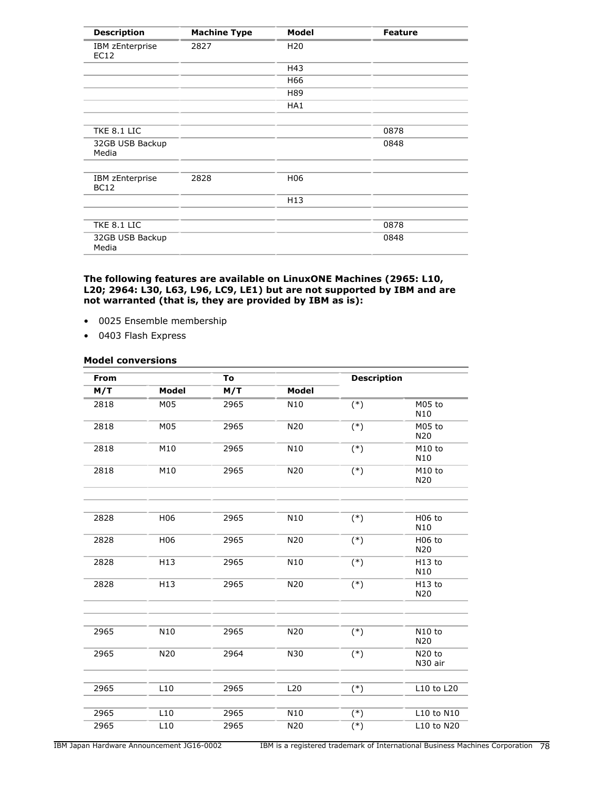| <b>Description</b>             | <b>Machine Type</b> | Model           | <b>Feature</b> |
|--------------------------------|---------------------|-----------------|----------------|
| IBM zEnterprise<br>EC12        | 2827                | H <sub>20</sub> |                |
|                                |                     | H43             |                |
|                                |                     | H66             |                |
|                                |                     | H89             |                |
|                                |                     | HA1             |                |
|                                |                     |                 |                |
| TKE 8.1 LIC                    |                     |                 | 0878           |
| 32GB USB Backup<br>Media       |                     |                 | 0848           |
|                                |                     |                 |                |
| IBM zEnterprise<br><b>BC12</b> | 2828                | H <sub>06</sub> |                |
|                                |                     | H13             |                |
|                                |                     |                 |                |
| TKE 8.1 LIC                    |                     |                 | 0878           |
| 32GB USB Backup<br>Media       |                     |                 | 0848           |

### **The following features are available on LinuxONE Machines (2965: L10, L20; 2964: L30, L63, L96, LC9, LE1) but are not supported by IBM and are not warranted (that is, they are provided by IBM as is):**

- 0025 Ensemble membership
- 0403 Flash Express

### **Model conversions**

| From |                 | To   | <b>Description</b> |       |                               |
|------|-----------------|------|--------------------|-------|-------------------------------|
| M/T  | Model           | M/T  | <b>Model</b>       |       |                               |
| 2818 | M05             | 2965 | N10                | $(*)$ | M05 to<br>N10                 |
| 2818 | M05             | 2965 | N20                | $(*)$ | M05 to<br>N20                 |
| 2818 | M10             | 2965 | N10                | $(*)$ | M10 to<br>N10                 |
| 2818 | M10             | 2965 | N20                | $(*)$ | M10 to<br>N20                 |
| 2828 | H06             | 2965 | N10                | $(*)$ | H06 to<br>N10                 |
| 2828 | H <sub>06</sub> | 2965 | N20                | $(*)$ | <b>H06 to</b><br>N20          |
| 2828 | H13             | 2965 | N10                | $(*)$ | H13 to<br>N <sub>10</sub>     |
| 2828 | H13             | 2965 | N20                | $(*)$ | H13 to<br>N20                 |
|      |                 |      |                    |       |                               |
| 2965 | N10             | 2965 | N20                | $(*)$ | N10 to<br>N20                 |
| 2965 | N20             | 2964 | N30                | $(*)$ | N <sub>20</sub> to<br>N30 air |
| 2965 | L10             | 2965 | L20                |       | L10 to L20                    |
|      |                 |      |                    | $(*)$ |                               |
| 2965 | L10             | 2965 | N <sub>10</sub>    | $(*)$ | L10 to N10                    |
| 2965 | L10             | 2965 | N20                | $(*)$ | L10 to N20                    |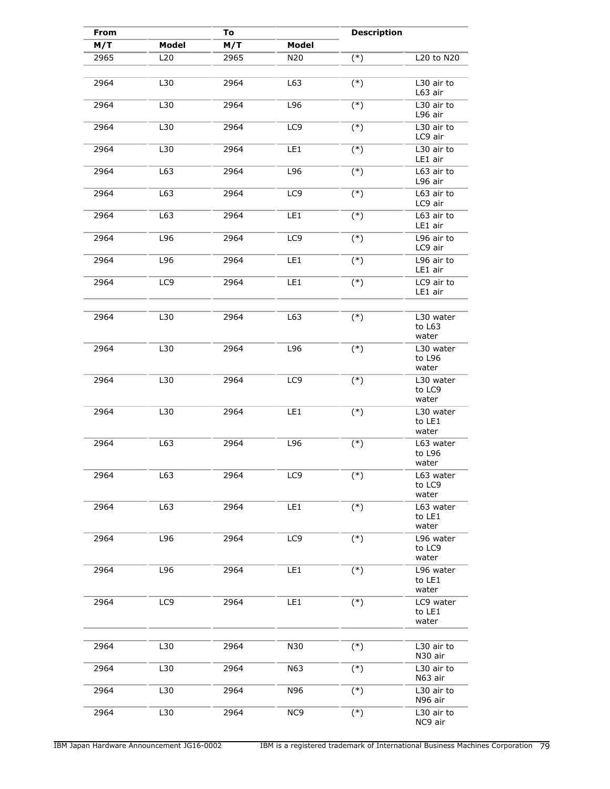| From<br>To |                 |      |                 | <b>Description</b> |                              |
|------------|-----------------|------|-----------------|--------------------|------------------------------|
| M/T        | <b>Model</b>    | M/T  | Model           |                    |                              |
| 2965       | L20             | 2965 | N20             | $(*)$              | $L20$ to $N20$               |
| 2964       | L30             | 2964 | L63             | $(*)$              | L30 air to<br>L63 air        |
| 2964       | L30             | 2964 | L96             | $(*)$              | L30 air to<br>L96 air        |
| 2964       | L30             | 2964 | LC9             | $(*)$              | L30 air to<br>LC9 air        |
| 2964       | L30             | 2964 | LE1             | $(*)$              | L30 air to<br>LE1 air        |
| 2964       | L63             | 2964 | L96             | $(*)$              | L63 air to<br>L96 air        |
| 2964       | L63             | 2964 | LC <sub>9</sub> | $(*)$              | L63 air to<br>LC9 air        |
| 2964       | L63             | 2964 | LE1             | $(*)$              | L63 air to<br>LE1 air        |
| 2964       | L96             | 2964 | LC9             | $(*)$              | L96 air to<br>LC9 air        |
| 2964       | L96             | 2964 | LE1             | $(*)$              | L96 air to<br>LE1 air        |
| 2964       | LC <sub>9</sub> | 2964 | LE1             | $(*)$              | LC9 air to<br>LE1 air        |
| 2964       | L30             | 2964 | L63             | $(*)$              | L30 water                    |
|            |                 |      |                 |                    | to L63<br>water              |
| 2964       | L30             | 2964 | L96             | $(*)$              | L30 water<br>to L96<br>water |
| 2964       | L30             | 2964 | LC9             | $(*)$              | L30 water<br>to LC9<br>water |
| 2964       | L30             | 2964 | LE1             | $(*)$              | L30 water<br>to LE1<br>water |
| 2964       | L63             | 2964 | L96             | $(*)$              | L63 water<br>to L96<br>water |
| 2964       | L63             | 2964 | LC <sub>9</sub> | $(*)$              | L63 water<br>to LC9<br>water |
| 2964       | L63             | 2964 | LE1             | $(*)$              | L63 water<br>to LE1<br>water |
| 2964       | L96             | 2964 | LC <sub>9</sub> | $(*)$              | L96 water<br>to LC9<br>water |
| 2964       | L96             | 2964 | LE1             | $(*)$              | L96 water<br>to LE1<br>water |
| 2964       | LC9             | 2964 | LEI             | $(*)$              | LC9 water<br>to LE1<br>water |
| 2964       | L30             | 2964 | N30             | $(*)$              | L30 air to<br>N30 air        |
| 2964       | L30             | 2964 | N63             | $(*)$              | L30 air to<br>N63 air        |
| 2964       | L30             | 2964 | N96             | $(*)$              | L30 air to<br>N96 air        |
| 2964       | L30             | 2964 | NC <sub>9</sub> | $(*)$              | L30 air to<br>NC9 air        |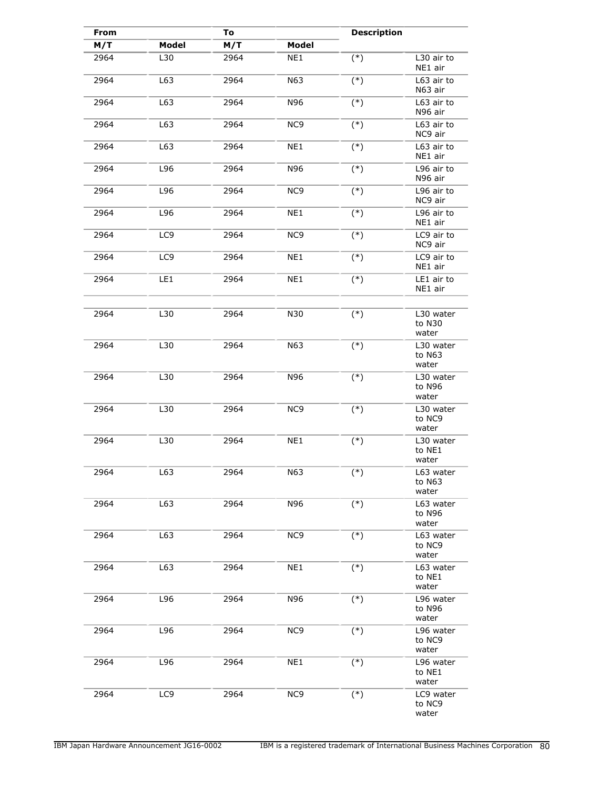| From | To           |      | <b>Description</b> |       |                                |
|------|--------------|------|--------------------|-------|--------------------------------|
| M/T  | <b>Model</b> | M/T  | Model              |       |                                |
| 2964 | L30          | 2964 | NE1                | $(*)$ | L30 air to<br>NE1 air          |
| 2964 | L63          | 2964 | N63                | $(*)$ | L63 air to<br>N63 air          |
| 2964 | L63          | 2964 | N96                | $(*)$ | L63 air to<br>N96 air          |
| 2964 | L63          | 2964 | NC <sub>9</sub>    | $(*)$ | L63 air to<br>NC9 air          |
| 2964 | L63          | 2964 | NE1                | $(*)$ | L63 air to<br>NE1 air          |
| 2964 | L96          | 2964 | N96                | $(*)$ | L96 air to<br>N96 air          |
| 2964 | L96          | 2964 | NC9                | $(*)$ | L96 air to<br>NC9 air          |
| 2964 | L96          | 2964 | NE1                | $(*)$ | L96 air to<br>NE1 air          |
| 2964 | LC9          | 2964 | NC <sub>9</sub>    | $(*)$ | LC9 air to<br>NC9 air          |
| 2964 | LC9          | 2964 | NE1                | $(*)$ | LC9 air to<br>NE1 air          |
| 2964 | LE1          | 2964 | NE1                | $(*)$ | LE1 air to<br>NE1 air          |
|      |              |      |                    |       |                                |
| 2964 | L30          | 2964 | N30                | $(*)$ | L30 water<br>to N30<br>water   |
| 2964 | L30          | 2964 | N63                | $(*)$ | L30 water<br>to N63<br>water   |
| 2964 | L30          | 2964 | N96                | $(*)$ | L30 water<br>to N96<br>water   |
| 2964 | L30          | 2964 | NC <sub>9</sub>    | $(*)$ | L30 water<br>to NC9<br>water   |
| 2964 | L30          | 2964 | NE1                | $(*)$ | L30 water<br>to NE1<br>water   |
| 2964 | L63          | 2964 | N63                | $(*)$ | L63 water<br>to N63<br>water   |
| 2964 | L63          | 2964 | N96                | $(*)$ | L63 water<br>to N96<br>water   |
| 2964 | L63          | 2964 | NC <sub>9</sub>    | $(*)$ | L63 water<br>to NC9<br>water   |
| 2964 | L63          | 2964 | NE1                | $(*)$ | $L63$ water<br>to NE1<br>water |
| 2964 | L96          | 2964 | N96                | $(*)$ | L96 water<br>to N96<br>water   |
| 2964 | L96          | 2964 | NC <sub>9</sub>    | $(*)$ | L96 water<br>to NC9<br>water   |
| 2964 | L96          | 2964 | NE1                | $(*)$ | L96 water<br>to NE1<br>water   |
| 2964 | LC9          | 2964 | NC <sub>9</sub>    | $(*)$ | LC9 water<br>to NC9<br>water   |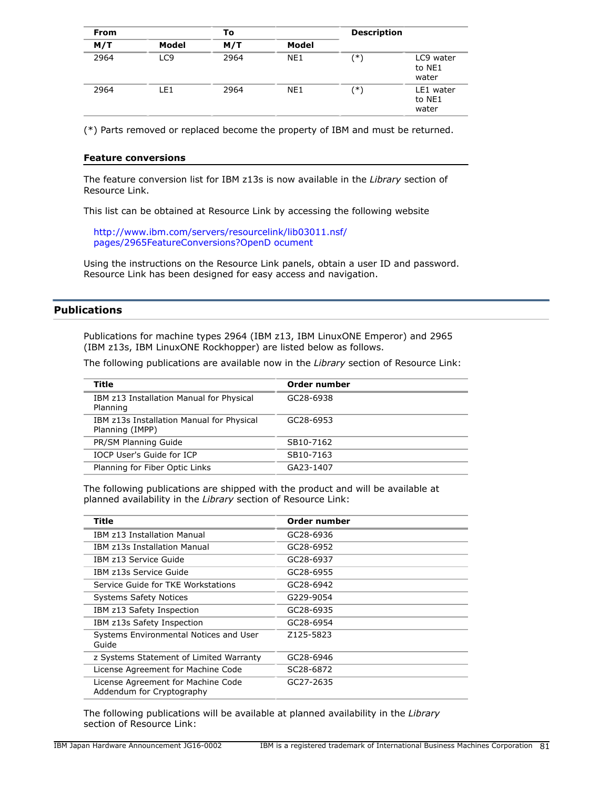| <b>From</b> |                 | To   |       | <b>Description</b> |                              |
|-------------|-----------------|------|-------|--------------------|------------------------------|
| M/T         | Model           | M/T  | Model |                    |                              |
| 2964        | LC <sub>9</sub> | 2964 | NE1   | ′*)                | LC9 water<br>to NE1<br>water |
| 2964        | LE1             | 2964 | NE1   | ′*)                | LE1 water<br>to NE1<br>water |

(\*) Parts removed or replaced become the property of IBM and must be returned.

### **Feature conversions**

The feature conversion list for IBM z13s is now available in the *Library* section of Resource Link.

This list can be obtained at Resource Link by accessing the following website

[http://www.ibm.com/servers/resourcelink/lib03011.nsf/](http://www.ibm.com/servers/resourcelink/lib03011.nsf/pages/2965FeatureConversions?OpenDocument) [pages/2965FeatureConversions?OpenD ocument](http://www.ibm.com/servers/resourcelink/lib03011.nsf/pages/2965FeatureConversions?OpenDocument)

Using the instructions on the Resource Link panels, obtain a user ID and password. Resource Link has been designed for easy access and navigation.

# **Publications**

Publications for machine types 2964 (IBM z13, IBM LinuxONE Emperor) and 2965 (IBM z13s, IBM LinuxONE Rockhopper) are listed below as follows.

The following publications are available now in the *Library* section of Resource Link:

| Title                                                        | Order number           |
|--------------------------------------------------------------|------------------------|
| IBM z13 Installation Manual for Physical<br>Planning         | GC28-6938              |
| IBM z13s Installation Manual for Physical<br>Planning (IMPP) | GC28-6953              |
| PR/SM Planning Guide                                         | SB10-7162              |
| <b>IOCP User's Guide for ICP</b>                             | SB10-7163              |
| Planning for Fiber Optic Links                               | GA <sub>23</sub> -1407 |
|                                                              |                        |

The following publications are shipped with the product and will be available at planned availability in the *Library* section of Resource Link:

| Title                                                           | Order number |
|-----------------------------------------------------------------|--------------|
| IBM z13 Installation Manual                                     | GC28-6936    |
| IBM z13s Installation Manual                                    | GC28-6952    |
| IBM z13 Service Guide                                           | GC28-6937    |
| IBM z13s Service Guide                                          | GC28-6955    |
| Service Guide for TKE Workstations                              | GC28-6942    |
| <b>Systems Safety Notices</b>                                   | G229-9054    |
| IBM z13 Safety Inspection                                       | GC28-6935    |
| IBM z13s Safety Inspection                                      | GC28-6954    |
| Systems Environmental Notices and User<br>Guide                 | Z125-5823    |
| z Systems Statement of Limited Warranty                         | GC28-6946    |
| License Agreement for Machine Code                              | SC28-6872    |
| License Agreement for Machine Code<br>Addendum for Cryptography | GC27-2635    |

The following publications will be available at planned availability in the *Library* section of Resource Link: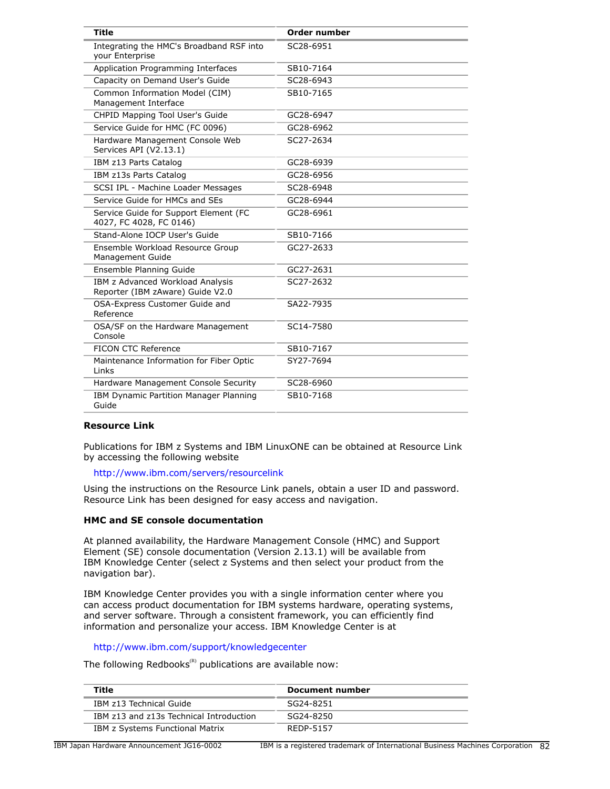| <b>Title</b>                                                         | <b>Order number</b> |
|----------------------------------------------------------------------|---------------------|
| Integrating the HMC's Broadband RSF into<br>your Enterprise          | SC28-6951           |
| Application Programming Interfaces                                   | SB10-7164           |
| Capacity on Demand User's Guide                                      | SC28-6943           |
| Common Information Model (CIM)<br>Management Interface               | SB10-7165           |
| CHPID Mapping Tool User's Guide                                      | GC28-6947           |
| Service Guide for HMC (FC 0096)                                      | GC28-6962           |
| Hardware Management Console Web<br>Services API (V2.13.1)            | SC27-2634           |
| IBM z13 Parts Catalog                                                | GC28-6939           |
| IBM z13s Parts Catalog                                               | GC28-6956           |
| SCSI IPL - Machine Loader Messages                                   | SC28-6948           |
| Service Guide for HMCs and SEs                                       | GC28-6944           |
| Service Guide for Support Element (FC<br>4027, FC 4028, FC 0146)     | GC28-6961           |
| Stand-Alone IOCP User's Guide                                        | SB10-7166           |
| Ensemble Workload Resource Group<br>Management Guide                 | GC27-2633           |
| Ensemble Planning Guide                                              | GC27-2631           |
| IBM z Advanced Workload Analysis<br>Reporter (IBM zAware) Guide V2.0 | SC27-2632           |
| OSA-Express Customer Guide and<br>Reference                          | SA22-7935           |
| OSA/SF on the Hardware Management<br>Console                         | SC14-7580           |
| FICON CTC Reference                                                  | SB10-7167           |
| Maintenance Information for Fiber Optic<br>Links                     | SY27-7694           |
| Hardware Management Console Security                                 | SC28-6960           |
| IBM Dynamic Partition Manager Planning<br>Guide                      | SB10-7168           |

### **Resource Link**

Publications for IBM z Systems and IBM LinuxONE can be obtained at Resource Link by accessing the following website

<http://www.ibm.com/servers/resourcelink>

Using the instructions on the Resource Link panels, obtain a user ID and password. Resource Link has been designed for easy access and navigation.

### **HMC and SE console documentation**

At planned availability, the Hardware Management Console (HMC) and Support Element (SE) console documentation (Version 2.13.1) will be available from IBM Knowledge Center (select z Systems and then select your product from the navigation bar).

IBM Knowledge Center provides you with a single information center where you can access product documentation for IBM systems hardware, operating systems, and server software. Through a consistent framework, you can efficiently find information and personalize your access. IBM Knowledge Center is at

<http://www.ibm.com/support/knowledgecenter>

The following Redbooks<sup>(R)</sup> publications are available now:

| Title                                   | <b>Document number</b> |
|-----------------------------------------|------------------------|
| IBM z13 Technical Guide                 | SG24-8251              |
| IBM z13 and z13s Technical Introduction | SG24-8250              |
| IBM z Systems Functional Matrix         | RFDP-5157              |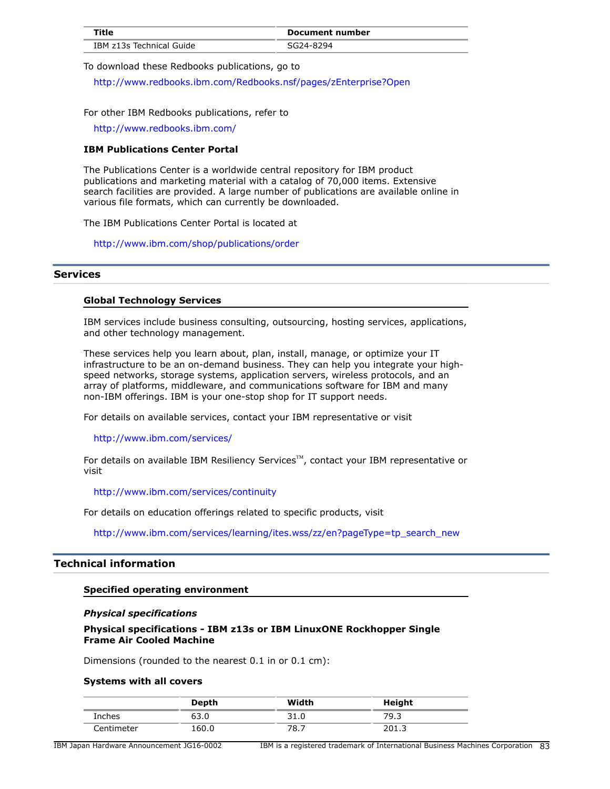|                          | Document number |
|--------------------------|-----------------|
| IBM z13s Technical Guide |                 |

To download these Redbooks publications, go to

<http://www.redbooks.ibm.com/Redbooks.nsf/pages/zEnterprise?Open>

For other IBM Redbooks publications, refer to

<http://www.redbooks.ibm.com/>

### **IBM Publications Center Portal**

The Publications Center is a worldwide central repository for IBM product publications and marketing material with a catalog of 70,000 items. Extensive search facilities are provided. A large number of publications are available online in various file formats, which can currently be downloaded.

The IBM Publications Center Portal is located at

<http://www.ibm.com/shop/publications/order>

### **Services**

### **Global Technology Services**

IBM services include business consulting, outsourcing, hosting services, applications, and other technology management.

These services help you learn about, plan, install, manage, or optimize your IT infrastructure to be an on-demand business. They can help you integrate your highspeed networks, storage systems, application servers, wireless protocols, and an array of platforms, middleware, and communications software for IBM and many non-IBM offerings. IBM is your one-stop shop for IT support needs.

For details on available services, contact your IBM representative or visit

#### <http://www.ibm.com/services/>

For details on available IBM Resiliency Services<sup>™</sup>, contact your IBM representative or visit

<http://www.ibm.com/services/continuity>

For details on education offerings related to specific products, visit

[http://www.ibm.com/services/learning/ites.wss/zz/en?pageType=tp\\_search\\_new](http://www.ibm.com/services/learning/ites.wss/zz/en?pageType=tp_search_new)

## **Technical information**

### **Specified operating environment**

### *Physical specifications*

### **Physical specifications - IBM z13s or IBM LinuxONE Rockhopper Single Frame Air Cooled Machine**

Dimensions (rounded to the nearest 0.1 in or 0.1 cm):

#### **Systems with all covers**

|            | Depth | Width      | Height |
|------------|-------|------------|--------|
| Inches     | 63.0  | つぇ<br>31.U | 79.3   |
| Centimeter | 160.0 | 70<br>0.7  | 201.J  |

IBM Japan Hardware Announcement JG16-0002 IBM is a registered trademark of International Business Machines Corporation 83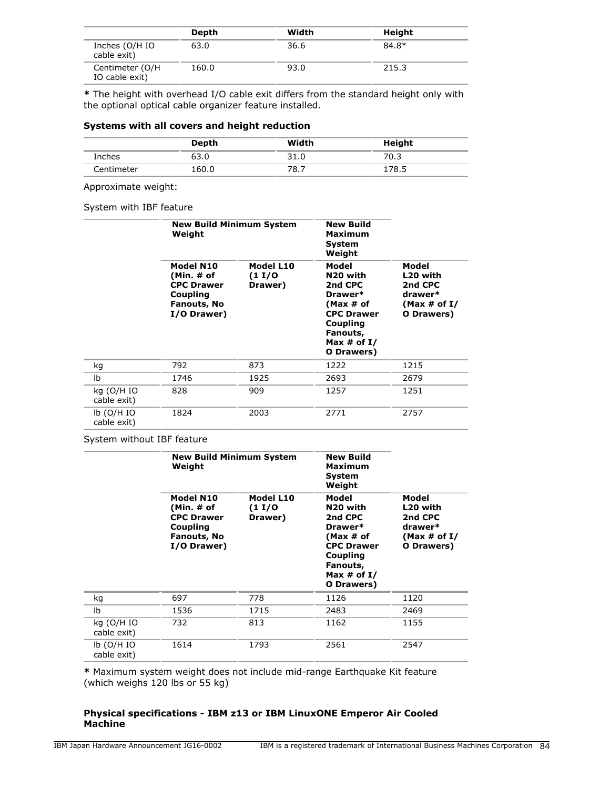|                                    | Depth | Width | Height |
|------------------------------------|-------|-------|--------|
| Inches (O/H IO<br>cable exit)      | 63.0  | 36.6  | 84.8*  |
| Centimeter (O/H)<br>IO cable exit) | 160.0 | 93.0  | 215.3  |

**\*** The height with overhead I/O cable exit differs from the standard height only with the optional optical cable organizer feature installed.

# **Systems with all covers and height reduction**

|            | Depth | Width | Height |
|------------|-------|-------|--------|
| Inches     | 03.U  | 31.0  | ڌ.70   |
| Centimeter | 160.0 | 78.,  | 178.5  |

Approximate weight:

### System with IBF feature

|                             | <b>New Build Minimum System</b><br>Weight                                              |                                | <b>New Build</b><br><b>Maximum</b><br><b>System</b><br>Weight                                                                                |                                                                          |
|-----------------------------|----------------------------------------------------------------------------------------|--------------------------------|----------------------------------------------------------------------------------------------------------------------------------------------|--------------------------------------------------------------------------|
|                             | Model N10<br>(Min. # of<br><b>CPC Drawer</b><br>Coupling<br>Fanouts, No<br>I/O Drawer) | Model L10<br>(1 I/O<br>Drawer) | Model<br>N <sub>20</sub> with<br>2nd CPC<br>Drawer*<br>(Max # of<br><b>CPC Drawer</b><br>Coupling<br>Fanouts,<br>Max $#$ of I/<br>O Drawers) | Model<br>L20 with<br>2nd CPC<br>drawer*<br>(Max $\#$ of I/<br>O Drawers) |
| kg                          | 792                                                                                    | 873                            | 1222                                                                                                                                         | 1215                                                                     |
| Ib                          | 1746                                                                                   | 1925                           | 2693                                                                                                                                         | 2679                                                                     |
| kg (O/H IO<br>cable exit)   | 828                                                                                    | 909                            | 1257                                                                                                                                         | 1251                                                                     |
| $lb$ (O/H IO<br>cable exit) | 1824                                                                                   | 2003                           | 2771                                                                                                                                         | 2757                                                                     |

### System without IBF feature

|                             | <b>New Build Minimum System</b><br>Weight                                                     |                               | <b>New Build</b><br><b>Maximum</b><br>System<br>Weight                                                                                       |                                                                          |
|-----------------------------|-----------------------------------------------------------------------------------------------|-------------------------------|----------------------------------------------------------------------------------------------------------------------------------------------|--------------------------------------------------------------------------|
|                             | Model N10<br>(Min. # of<br><b>CPC Drawer</b><br>Coupling<br><b>Fanouts, No</b><br>I/O Drawer) | Model L10<br>(11/0<br>Drawer) | Model<br>N <sub>20</sub> with<br>2nd CPC<br>Drawer*<br>(Max # of<br><b>CPC Drawer</b><br>Coupling<br>Fanouts,<br>Max $#$ of I/<br>O Drawers) | Model<br>L20 with<br>2nd CPC<br>drawer*<br>(Max $\#$ of I/<br>O Drawers) |
| kg                          | 697                                                                                           | 778                           | 1126                                                                                                                                         | 1120                                                                     |
| Ib                          | 1536                                                                                          | 1715                          | 2483                                                                                                                                         | 2469                                                                     |
| kg (O/H IO<br>cable exit)   | 732                                                                                           | 813                           | 1162                                                                                                                                         | 1155                                                                     |
| $lb$ (O/H IO<br>cable exit) | 1614                                                                                          | 1793                          | 2561                                                                                                                                         | 2547                                                                     |

**\*** Maximum system weight does not include mid-range Earthquake Kit feature (which weighs 120 lbs or 55 kg)

### **Physical specifications - IBM z13 or IBM LinuxONE Emperor Air Cooled Machine**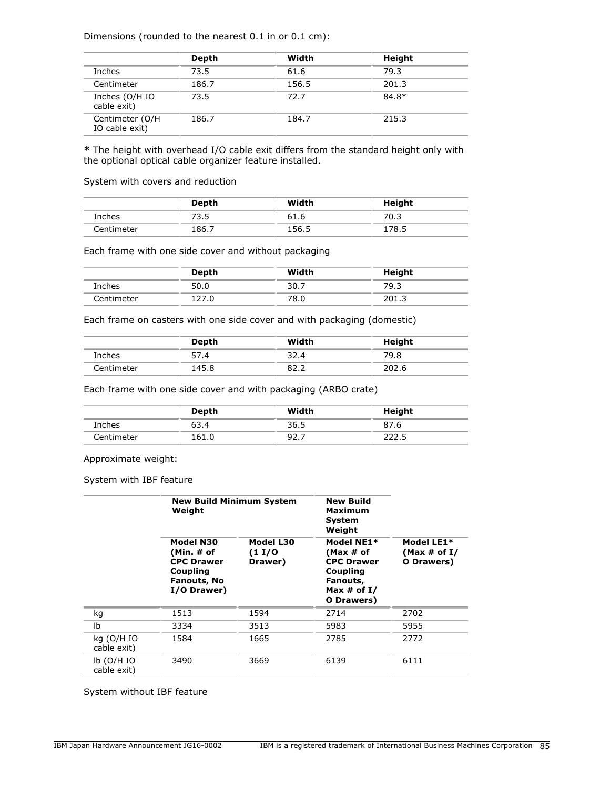Dimensions (rounded to the nearest 0.1 in or 0.1 cm):

|                                   | Depth | Width | <b>Height</b> |
|-----------------------------------|-------|-------|---------------|
| Inches                            | 73.5  | 61.6  | 79.3          |
| Centimeter                        | 186.7 | 156.5 | 201.3         |
| Inches (O/H IO<br>cable exit)     | 73.5  | 72.7  | 84.8*         |
| Centimeter (O/H<br>IO cable exit) | 186.7 | 184.7 | 215.3         |

**\*** The height with overhead I/O cable exit differs from the standard height only with the optional optical cable organizer feature installed.

System with covers and reduction

|            | Depth | Width | Height |
|------------|-------|-------|--------|
| Inches     | 73.5  | 61.6  | 70.3   |
| Centimeter | 186.7 | 156.5 | 178.5  |

Each frame with one side cover and without packaging

|               | Depth | Width | Height |
|---------------|-------|-------|--------|
| <b>Inches</b> | 50.0  | 30.7  | 39.3   |
| Centimeter    |       | 78.0  | 201.3  |

Each frame on casters with one side cover and with packaging (domestic)

|            | Depth | Width       | Height |
|------------|-------|-------------|--------|
| Inches     | 57.4  | 32.4        | 79.8   |
| Centimeter | 145.8 | ຂາ<br>ے . ے | 202.6  |

Each frame with one side cover and with packaging (ARBO crate)

|            | Depth | Width | Height |
|------------|-------|-------|--------|
| Inches     | 63.4  | 36.5  | 87.6   |
| Centimeter | 161.0 | 92.7  |        |

Approximate weight:

System with IBF feature

|                             | <b>New Build Minimum System</b><br>Weight                                                     |                               | <b>New Build</b><br>Maximum<br><b>System</b><br>Weight                                              |                                             |
|-----------------------------|-----------------------------------------------------------------------------------------------|-------------------------------|-----------------------------------------------------------------------------------------------------|---------------------------------------------|
|                             | Model N30<br>(Min. # of<br><b>CPC Drawer</b><br><b>Coupling</b><br>Fanouts, No<br>I/O Drawer) | Model L30<br>(11/0<br>Drawer) | Model NE1*<br>(Max # of<br><b>CPC Drawer</b><br>Coupling<br>Fanouts,<br>Max # of $I/$<br>O Drawers) | Model LE1*<br>(Max $\#$ of I/<br>O Drawers) |
| kg                          | 1513                                                                                          | 1594                          | 2714                                                                                                | 2702                                        |
| Ib                          | 3334                                                                                          | 3513                          | 5983                                                                                                | 5955                                        |
| kg (O/H IO<br>cable exit)   | 1584                                                                                          | 1665                          | 2785                                                                                                | 2772                                        |
| $lb$ (O/H IO<br>cable exit) | 3490                                                                                          | 3669                          | 6139                                                                                                | 6111                                        |

System without IBF feature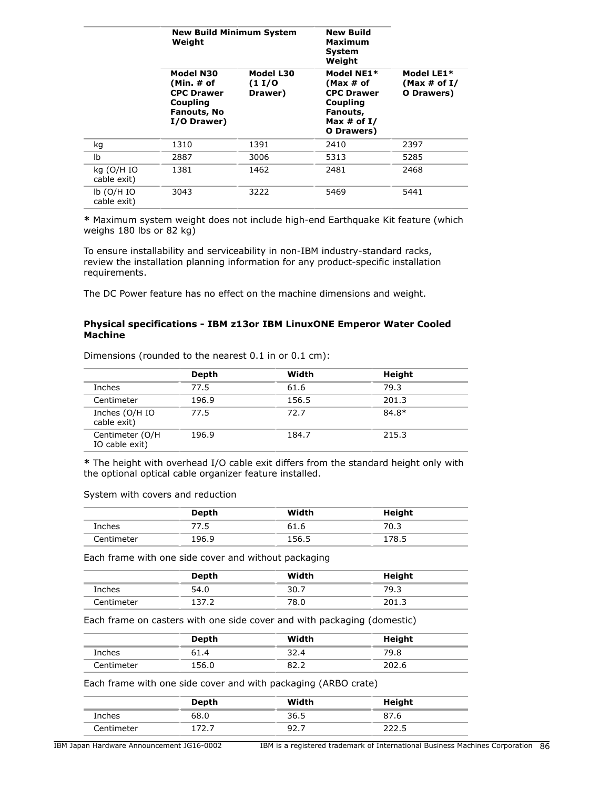|                             | <b>New Build Minimum System</b><br>Weight                                              |                                | <b>New Build</b><br><b>Maximum</b><br>System<br>Weight                                              |                                             |
|-----------------------------|----------------------------------------------------------------------------------------|--------------------------------|-----------------------------------------------------------------------------------------------------|---------------------------------------------|
|                             | Model N30<br>(Min. # of<br><b>CPC Drawer</b><br>Coupling<br>Fanouts, No<br>I/O Drawer) | Model L30<br>(1 I/O<br>Drawer) | Model NE1*<br>(Max # of<br><b>CPC Drawer</b><br>Coupling<br>Fanouts,<br>Max $#$ of I/<br>O Drawers) | Model LE1*<br>(Max $\#$ of I/<br>O Drawers) |
| kg                          | 1310                                                                                   | 1391                           | 2410                                                                                                | 2397                                        |
| lb                          | 2887                                                                                   | 3006                           | 5313                                                                                                | 5285                                        |
| kg (O/H IO<br>cable exit)   | 1381                                                                                   | 1462                           | 2481                                                                                                | 2468                                        |
| $lb$ (O/H IO<br>cable exit) | 3043                                                                                   | 3222                           | 5469                                                                                                | 5441                                        |

**\*** Maximum system weight does not include high-end Earthquake Kit feature (which weighs 180 lbs or 82 kg)

To ensure installability and serviceability in non-IBM industry-standard racks, review the installation planning information for any product-specific installation requirements.

The DC Power feature has no effect on the machine dimensions and weight.

### **Physical specifications - IBM z13or IBM LinuxONE Emperor Water Cooled Machine**

| $\alpha$ interisions (Tounded to the nearest 0.1 m or 0.1 cm). |       |       |         |  |  |
|----------------------------------------------------------------|-------|-------|---------|--|--|
|                                                                | Depth | Width | Height  |  |  |
| Inches                                                         | 77.5  | 61.6  | 79.3    |  |  |
| Centimeter                                                     | 196.9 | 156.5 | 201.3   |  |  |
| Inches (O/H IO<br>cable exit)                                  | 77.5  | 72.7  | $84.8*$ |  |  |

Dimensions (rounded to the nearest 0.1 in or 0.1 cm):

**\*** The height with overhead I/O cable exit differs from the standard height only with the optional optical cable organizer feature installed.

196.9 184.7 215.3

System with covers and reduction

Centimeter (O/H IO cable exit)

|            | Depth | Width | Height |  |
|------------|-------|-------|--------|--|
| Inches     | ر ،   | 61.6  | 70.3   |  |
| Centimeter | 196.9 | 156.5 | 178.5  |  |

Each frame with one side cover and without packaging

|            | Depth | Width | Height |
|------------|-------|-------|--------|
| Inches     | 54.0  | 30.7  | 79.3   |
| Centimeter | 137.  | 78.0  | 201.3  |

Each frame on casters with one side cover and with packaging (domestic)

|               | Depth | Width | Height |
|---------------|-------|-------|--------|
| <b>Inches</b> | 51.4  | 32.4  | 79.8   |
| Centimeter    | 156.0 | 02.Z  | 202.6  |

Each frame with one side cover and with packaging (ARBO crate)

|             | <b>Depth</b> | Width    | Height |
|-------------|--------------|----------|--------|
| Inches      | 68.0         | 36.5     | 87.b   |
| ۔centimeter |              | <u>.</u> | ----   |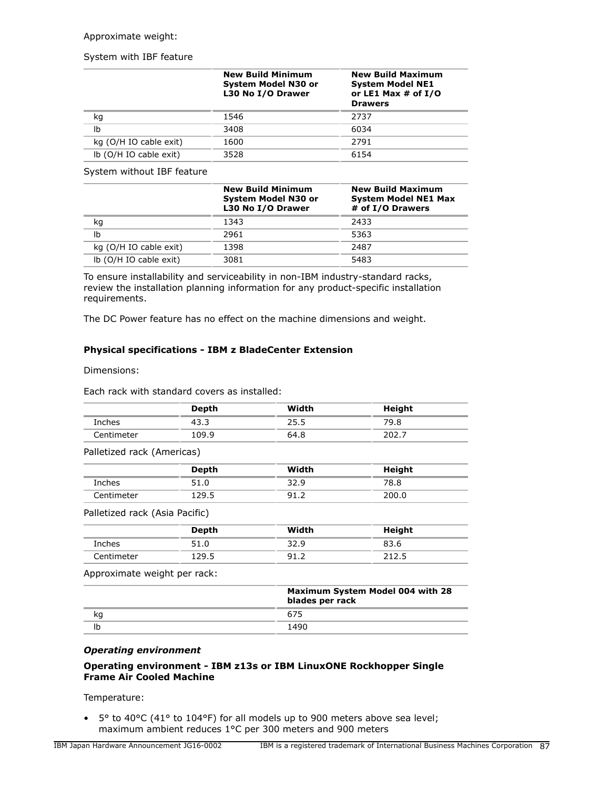### Approximate weight:

### System with IBF feature

|                        | <b>New Build Minimum</b><br><b>System Model N30 or</b><br>L30 No I/O Drawer | <b>New Build Maximum</b><br><b>System Model NE1</b><br>or LE1 Max $#$ of $I/O$<br><b>Drawers</b> |  |
|------------------------|-----------------------------------------------------------------------------|--------------------------------------------------------------------------------------------------|--|
| kg                     | 1546                                                                        | 2737                                                                                             |  |
| Ib                     | 3408                                                                        | 6034                                                                                             |  |
| kg (O/H IO cable exit) | 1600                                                                        | 2791                                                                                             |  |
| lb (O/H IO cable exit) | 3528                                                                        | 6154                                                                                             |  |

System without IBF feature

|                        | <b>New Build Minimum</b><br>System Model N30 or<br>L30 No I/O Drawer | <b>New Build Maximum</b><br><b>System Model NE1 Max</b><br># of I/O Drawers |
|------------------------|----------------------------------------------------------------------|-----------------------------------------------------------------------------|
| kg                     | 1343                                                                 | 2433                                                                        |
| Ib                     | 2961                                                                 | 5363                                                                        |
| kg (O/H IO cable exit) | 1398                                                                 | 2487                                                                        |
| lb (O/H IO cable exit) | 3081                                                                 | 5483                                                                        |

To ensure installability and serviceability in non-IBM industry-standard racks, review the installation planning information for any product-specific installation requirements.

The DC Power feature has no effect on the machine dimensions and weight.

## **Physical specifications - IBM z BladeCenter Extension**

Dimensions:

Each rack with standard covers as installed:

|                                | <b>Depth</b> | Width           | <b>Height</b>                    |
|--------------------------------|--------------|-----------------|----------------------------------|
| Inches                         | 43.3         | 25.5            | 79.8                             |
| Centimeter                     | 109.9        | 64.8            | 202.7                            |
| Palletized rack (Americas)     |              |                 |                                  |
|                                | <b>Depth</b> | Width           | Height                           |
| Inches                         | 51.0         | 32.9            | 78.8                             |
| Centimeter                     | 129.5        | 91.2            | 200.0                            |
| Palletized rack (Asia Pacific) |              |                 |                                  |
|                                | <b>Depth</b> | Width           | Height                           |
| Inches                         | 51.0         | 32.9            | 83.6                             |
| Centimeter                     | 129.5        | 91.2            | 212.5                            |
| Approximate weight per rack:   |              |                 |                                  |
|                                |              | blades per rack | Maximum System Model 004 with 28 |
| kg                             |              | 675             |                                  |
| Ib                             |              | 1490            |                                  |
|                                |              |                 |                                  |

### *Operating environment*

## **Operating environment - IBM z13s or IBM LinuxONE Rockhopper Single Frame Air Cooled Machine**

Temperature:

• 5° to 40°C (41° to 104°F) for all models up to 900 meters above sea level; maximum ambient reduces 1°C per 300 meters and 900 meters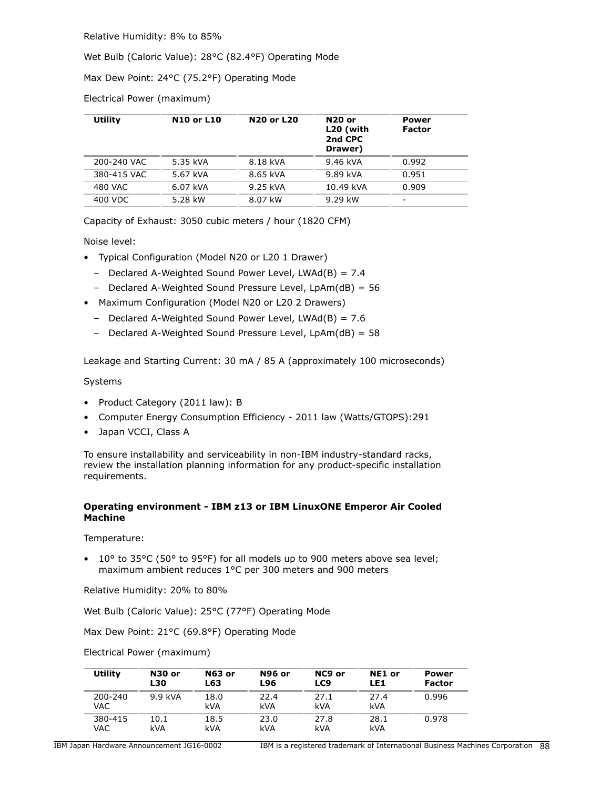Relative Humidity: 8% to 85%

Wet Bulb (Caloric Value): 28°C (82.4°F) Operating Mode

Max Dew Point: 24°C (75.2°F) Operating Mode

Electrical Power (maximum)

| <b>Utility</b> | <b>N10 or L10</b> | <b>N20 or L20</b> | <b>N20 or</b><br>L20 (with<br>2nd CPC<br>Drawer) | Power<br><b>Factor</b> |
|----------------|-------------------|-------------------|--------------------------------------------------|------------------------|
| 200-240 VAC    | 5.35 kVA          | 8.18 kVA          | 9.46 kVA                                         | 0.992                  |
| 380-415 VAC    | 5.67 kVA          | 8.65 kVA          | 9.89 kVA                                         | 0.951                  |
| 480 VAC        | 6.07 kVA          | 9.25 kVA          | 10.49 kVA                                        | 0.909                  |
| 400 VDC        | 5.28 kW           | 8.07 kW           | 9.29 kW                                          | -                      |

Capacity of Exhaust: 3050 cubic meters / hour (1820 CFM)

Noise level:

- Typical Configuration (Model N20 or L20 1 Drawer)
	- Declared A-Weighted Sound Power Level, LWAd(B) = 7.4
	- Declared A-Weighted Sound Pressure Level, LpAm(dB) = 56
- Maximum Configuration (Model N20 or L20 2 Drawers)
	- Declared A-Weighted Sound Power Level, LWAd(B) = 7.6
	- Declared A-Weighted Sound Pressure Level, LpAm(dB) = 58

Leakage and Starting Current: 30 mA / 85 A (approximately 100 microseconds)

### Systems

- Product Category (2011 law): B
- Computer Energy Consumption Efficiency 2011 law (Watts/GTOPS):291
- Japan VCCI, Class A

To ensure installability and serviceability in non-IBM industry-standard racks, review the installation planning information for any product-specific installation requirements.

## **Operating environment - IBM z13 or IBM LinuxONE Emperor Air Cooled Machine**

Temperature:

• 10° to 35°C (50° to 95°F) for all models up to 900 meters above sea level; maximum ambient reduces 1°C per 300 meters and 900 meters

Relative Humidity: 20% to 80%

Wet Bulb (Caloric Value): 25°C (77°F) Operating Mode

Max Dew Point: 21°C (69.8°F) Operating Mode

Electrical Power (maximum)

| <b>Utility</b>  | N30 or     | <b>N63 or</b> | <b>N96 or</b> | NC <sub>9</sub> or | NE1 or      | Power         |
|-----------------|------------|---------------|---------------|--------------------|-------------|---------------|
|                 | <b>L30</b> | L63           | L96           | LC9                | LE1         | <b>Factor</b> |
| 200-240<br>VAC. | $9.9$ kVA  | 18.0<br>kVA   | 22.4<br>kVA   | 27.1<br>kVA        | 27.4<br>kVA | 0.996         |
| 380-415         | 10.1       | 18.5          | 23.0          | 27.8               | 28.1        | 0.978         |
| VAC             | kVA        | kVA           | kVA           | kVA                | kVA         |               |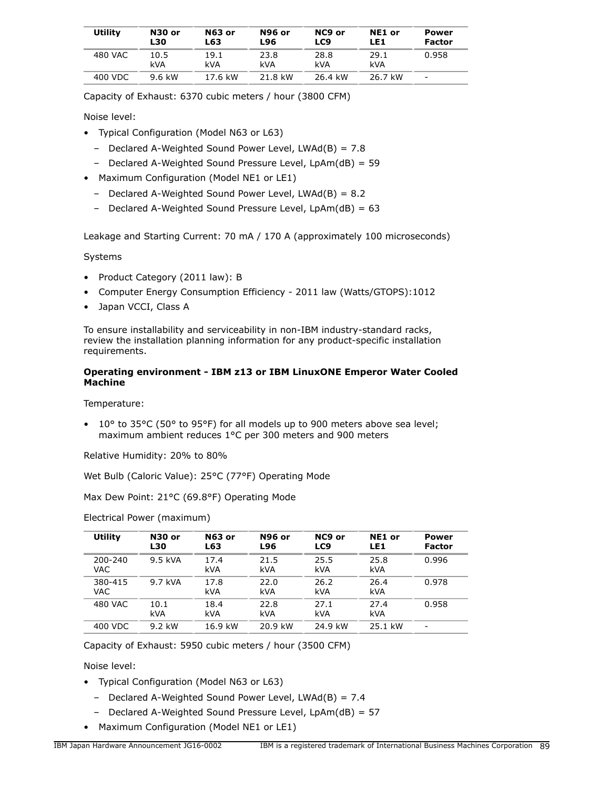| <b>Utility</b> | <b>N30 or</b><br>L30 | N63 or<br>L63 | <b>N96 or</b><br>L96 | NC9 or<br>LC9 | NE1 or<br>LE1 | <b>Power</b><br><b>Factor</b> |
|----------------|----------------------|---------------|----------------------|---------------|---------------|-------------------------------|
| 480 VAC        | 10.5<br>kVA          | 19.1<br>kVA   | 23.8<br>kVA          | 28.8<br>kVA   | 29.1<br>kVA   | 0.958                         |
| 400 VDC        | 9.6 kW               | 17.6 kW       | 21.8 kW              | 26.4 kW       | 26.7 kW       | $\qquad \qquad$               |

Capacity of Exhaust: 6370 cubic meters / hour (3800 CFM)

Noise level:

- Typical Configuration (Model N63 or L63)
	- Declared A-Weighted Sound Power Level, LWAd(B) = 7.8
	- Declared A-Weighted Sound Pressure Level, LpAm(dB) = 59
- Maximum Configuration (Model NE1 or LE1)
	- Declared A-Weighted Sound Power Level, LWAd(B) = 8.2
	- Declared A-Weighted Sound Pressure Level, LpAm(dB) = 63

Leakage and Starting Current: 70 mA / 170 A (approximately 100 microseconds)

Systems

- Product Category (2011 law): B
- Computer Energy Consumption Efficiency 2011 law (Watts/GTOPS):1012
- Japan VCCI, Class A

To ensure installability and serviceability in non-IBM industry-standard racks, review the installation planning information for any product-specific installation requirements.

## **Operating environment - IBM z13 or IBM LinuxONE Emperor Water Cooled Machine**

Temperature:

• 10° to 35°C (50° to 95°F) for all models up to 900 meters above sea level; maximum ambient reduces 1°C per 300 meters and 900 meters

Relative Humidity: 20% to 80%

Wet Bulb (Caloric Value): 25°C (77°F) Operating Mode

Max Dew Point: 21°C (69.8°F) Operating Mode

| Utility         | <b>N30 or</b><br>L30 | <b>N63 or</b><br>L63 | <b>N96 or</b><br><b>L96</b> | NC9 or<br>LC9 | NE1 or<br>LE1      | Power<br><b>Factor</b>   |
|-----------------|----------------------|----------------------|-----------------------------|---------------|--------------------|--------------------------|
| 200-240<br>VAC. | 9.5 kVA              | 17.4<br>kVA          | 21.5<br>kVA                 | 25.5<br>kVA   | 25.8<br><b>kVA</b> | 0.996                    |
| 380-415<br>VAC. | 9.7 kVA              | 17.8<br>kVA          | 22.0<br>kVA                 | 26.2<br>kVA   | 26.4<br><b>kVA</b> | 0.978                    |
| 480 VAC         | 10.1<br>kVA          | 18.4<br>kVA          | 22.8<br><b>kVA</b>          | 27.1<br>kVA   | 27.4<br><b>kVA</b> | 0.958                    |
| 400 VDC         | 9.2 kW               | 16.9 kW              | 20.9 kW                     | 24.9 kW       | 25.1 kW            | $\overline{\phantom{0}}$ |

## Electrical Power (maximum)

Capacity of Exhaust: 5950 cubic meters / hour (3500 CFM)

Noise level:

- Typical Configuration (Model N63 or L63)
	- $-$  Declared A-Weighted Sound Power Level, LWAd(B) = 7.4
	- Declared A-Weighted Sound Pressure Level, LpAm(dB) = 57
- Maximum Configuration (Model NE1 or LE1)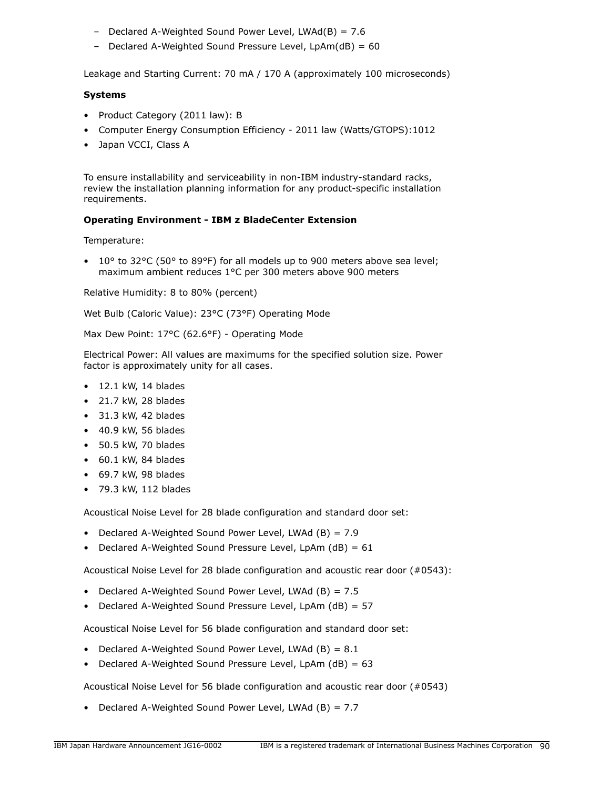- Declared A-Weighted Sound Power Level, LWAd(B) = 7.6
- Declared A-Weighted Sound Pressure Level, LpAm(dB) = 60

Leakage and Starting Current: 70 mA / 170 A (approximately 100 microseconds)

### **Systems**

- Product Category (2011 law): B
- Computer Energy Consumption Efficiency 2011 law (Watts/GTOPS):1012
- Japan VCCI, Class A

To ensure installability and serviceability in non-IBM industry-standard racks, review the installation planning information for any product-specific installation requirements.

### **Operating Environment - IBM z BladeCenter Extension**

Temperature:

• 10 $\degree$  to 32 $\degree$ C (50 $\degree$  to 89 $\degree$ F) for all models up to 900 meters above sea level; maximum ambient reduces 1°C per 300 meters above 900 meters

Relative Humidity: 8 to 80% (percent)

Wet Bulb (Caloric Value): 23°C (73°F) Operating Mode

Max Dew Point: 17°C (62.6°F) - Operating Mode

Electrical Power: All values are maximums for the specified solution size. Power factor is approximately unity for all cases.

- $\bullet$  12.1 kW, 14 blades
- 21.7 kW, 28 blades
- 31.3 kW, 42 blades
- 40.9 kW, 56 blades
- 50.5 kW, 70 blades
- 60.1 kW, 84 blades
- 69.7 kW, 98 blades
- 79.3 kW, 112 blades

Acoustical Noise Level for 28 blade configuration and standard door set:

- Declared A-Weighted Sound Power Level, LWAd (B) = 7.9
- Declared A-Weighted Sound Pressure Level, LpAm  $(dB) = 61$

Acoustical Noise Level for 28 blade configuration and acoustic rear door (#0543):

- Declared A-Weighted Sound Power Level, LWAd  $(B) = 7.5$
- Declared A-Weighted Sound Pressure Level, LpAm (dB) = 57

Acoustical Noise Level for 56 blade configuration and standard door set:

- Declared A-Weighted Sound Power Level, LWAd  $(B) = 8.1$
- Declared A-Weighted Sound Pressure Level, LpAm  $(dB) = 63$

Acoustical Noise Level for 56 blade configuration and acoustic rear door (#0543)

• Declared A-Weighted Sound Power Level, LWAd (B) = 7.7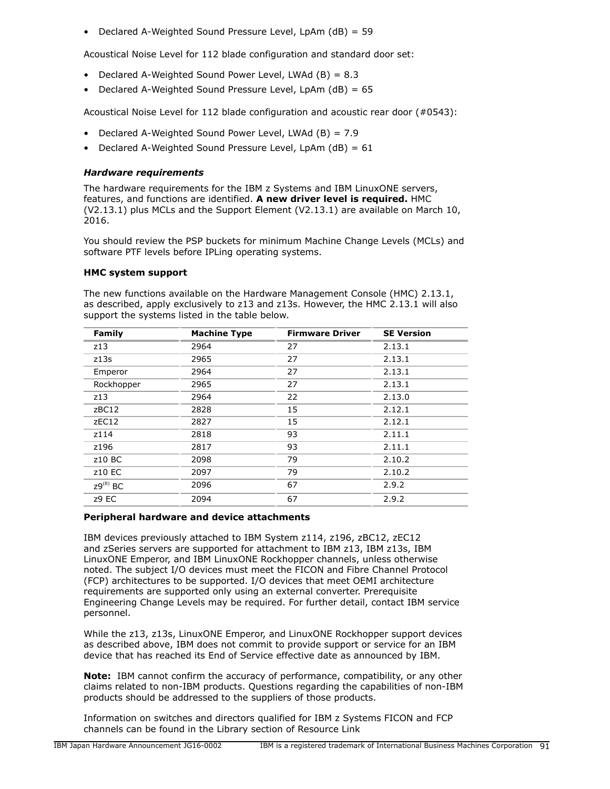• Declared A-Weighted Sound Pressure Level, LpAm (dB) = 59

Acoustical Noise Level for 112 blade configuration and standard door set:

- Declared A-Weighted Sound Power Level, LWAd (B) = 8.3
- Declared A-Weighted Sound Pressure Level, LpAm (dB) = 65

Acoustical Noise Level for 112 blade configuration and acoustic rear door (#0543):

- Declared A-Weighted Sound Power Level, LWAd (B) = 7.9
- Declared A-Weighted Sound Pressure Level, LpAm  $(dB) = 61$

## *Hardware requirements*

The hardware requirements for the IBM z Systems and IBM LinuxONE servers, features, and functions are identified. **A new driver level is required.** HMC (V2.13.1) plus MCLs and the Support Element (V2.13.1) are available on March 10, 2016.

You should review the PSP buckets for minimum Machine Change Levels (MCLs) and software PTF levels before IPLing operating systems.

### **HMC system support**

The new functions available on the Hardware Management Console (HMC) 2.13.1, as described, apply exclusively to z13 and z13s. However, the HMC 2.13.1 will also support the systems listed in the table below.

| <b>Machine Type</b> | <b>Firmware Driver</b> | <b>SE Version</b> |
|---------------------|------------------------|-------------------|
| 2964                | 27                     | 2.13.1            |
| 2965                | 27                     | 2.13.1            |
| 2964                | 27                     | 2.13.1            |
| 2965                | 27                     | 2.13.1            |
| 2964                | 22                     | 2.13.0            |
| 2828                | 15                     | 2.12.1            |
| 2827                | 15                     | 2.12.1            |
| 2818                | 93                     | 2.11.1            |
| 2817                | 93                     | 2.11.1            |
| 2098                | 79                     | 2.10.2            |
| 2097                | 79                     | 2.10.2            |
| 2096                | 67                     | 2.9.2             |
| 2094                | 67                     | 2.9.2             |
|                     |                        |                   |

### **Peripheral hardware and device attachments**

IBM devices previously attached to IBM System z114, z196, zBC12, zEC12 and zSeries servers are supported for attachment to IBM z13, IBM z13s, IBM LinuxONE Emperor, and IBM LinuxONE Rockhopper channels, unless otherwise noted. The subject I/O devices must meet the FICON and Fibre Channel Protocol (FCP) architectures to be supported. I/O devices that meet OEMI architecture requirements are supported only using an external converter. Prerequisite Engineering Change Levels may be required. For further detail, contact IBM service personnel.

While the z13, z13s, LinuxONE Emperor, and LinuxONE Rockhopper support devices as described above, IBM does not commit to provide support or service for an IBM device that has reached its End of Service effective date as announced by IBM.

**Note:** IBM cannot confirm the accuracy of performance, compatibility, or any other claims related to non-IBM products. Questions regarding the capabilities of non-IBM products should be addressed to the suppliers of those products.

Information on switches and directors qualified for IBM z Systems FICON and FCP channels can be found in the Library section of Resource Link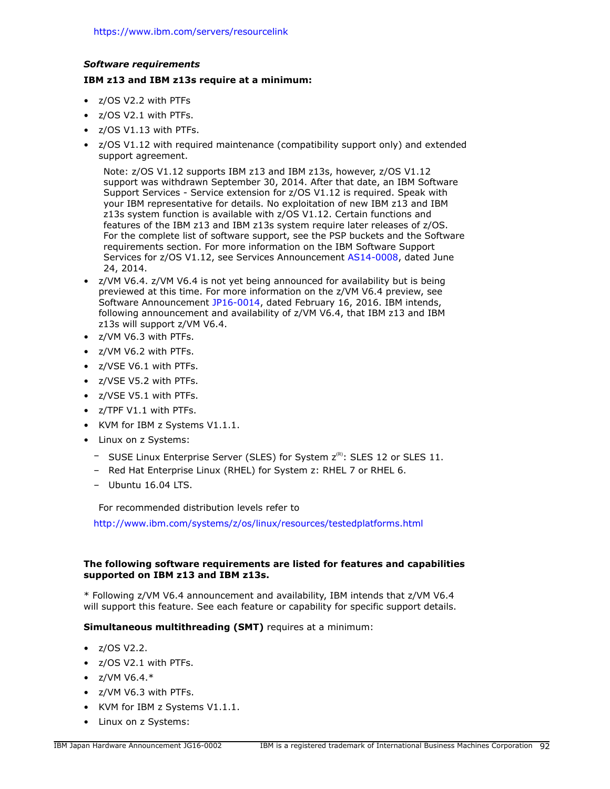### *Software requirements*

## **IBM z13 and IBM z13s require at a minimum:**

- z/OS V2.2 with PTFs
- z/OS V2.1 with PTFs.
- z/OS V1.13 with PTFs.
- z/OS V1.12 with required maintenance (compatibility support only) and extended support agreement.

Note: z/OS V1.12 supports IBM z13 and IBM z13s, however, z/OS V1.12 support was withdrawn September 30, 2014. After that date, an IBM Software Support Services - Service extension for z/OS V1.12 is required. Speak with your IBM representative for details. No exploitation of new IBM z13 and IBM z13s system function is available with z/OS V1.12. Certain functions and features of the IBM z13 and IBM z13s system require later releases of z/OS. For the complete list of software support, see the PSP buckets and the Software requirements section. For more information on the IBM Software Support Services for z/OS V1.12, see Services Announcement [AS14-0008,](http://www.ibm.com/common/ssi/cgi-bin/ssialias?infotype=an&subtype=ca&appname=gpateam&supplier=872&letternum=ENUSAS14-0008) dated June 24, 2014.

- z/VM V6.4. z/VM V6.4 is not yet being announced for availability but is being previewed at this time. For more information on the z/VM V6.4 preview, see Software Announcement [JP16-0014](http://www.ibm.com/common/ssi/cgi-bin/ssialias?infotype=an&subtype=ca&appname=gpateam&supplier=760&letternum=ENUSJP16-0014), dated February 16, 2016. IBM intends, following announcement and availability of z/VM V6.4, that IBM z13 and IBM z13s will support z/VM V6.4.
- z/VM V6.3 with PTFs.
- z/VM V6.2 with PTFs.
- z/VSE V6.1 with PTFs.
- z/VSE V5.2 with PTFs.
- z/VSE V5.1 with PTFs.
- z/TPF V1.1 with PTFs.
- KVM for IBM z Systems V1.1.1.
- Linux on z Systems:
	- SUSE Linux Enterprise Server (SLES) for System  $z^{(R)}$ : SLES 12 or SLES 11.
	- Red Hat Enterprise Linux (RHEL) for System z: RHEL 7 or RHEL 6.
	- Ubuntu 16.04 LTS.

For recommended distribution levels refer to

<http://www.ibm.com/systems/z/os/linux/resources/testedplatforms.html>

## **The following software requirements are listed for features and capabilities supported on IBM z13 and IBM z13s.**

\* Following z/VM V6.4 announcement and availability, IBM intends that z/VM V6.4 will support this feature. See each feature or capability for specific support details.

## **Simultaneous multithreading (SMT)** requires at a minimum:

- z/OS V2.2.
- z/OS V2.1 with PTFs.
- $Z/VM V6.4.*$
- z/VM V6.3 with PTFs.
- KVM for IBM z Systems V1.1.1.
- Linux on z Systems: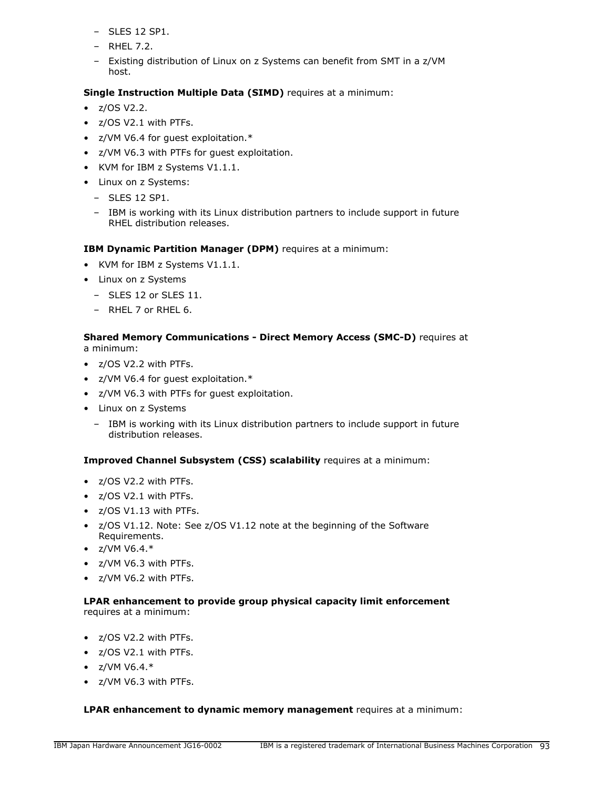- SLES 12 SP1.
- RHEL 7.2.
- Existing distribution of Linux on z Systems can benefit from SMT in a z/VM host.

# **Single Instruction Multiple Data (SIMD)** requires at a minimum:

- $\bullet$  z/OS V2.2.
- z/OS V2.1 with PTFs.
- z/VM V6.4 for guest exploitation.\*
- z/VM V6.3 with PTFs for guest exploitation.
- KVM for IBM z Systems V1.1.1.
- Linux on z Systems:
	- SLES 12 SP1.
	- IBM is working with its Linux distribution partners to include support in future RHEL distribution releases.

**IBM Dynamic Partition Manager (DPM)** requires at a minimum:

- KVM for IBM z Systems V1.1.1.
- Linux on z Systems
	- SLES 12 or SLES 11.
	- RHEL 7 or RHEL 6.

### **Shared Memory Communications - Direct Memory Access (SMC-D)** requires at a minimum:

- z/OS V2.2 with PTFs.
- z/VM V6.4 for guest exploitation.\*
- z/VM V6.3 with PTFs for guest exploitation.
- Linux on z Systems
	- IBM is working with its Linux distribution partners to include support in future distribution releases.

## **Improved Channel Subsystem (CSS) scalability** requires at a minimum:

- z/OS V2.2 with PTFs.
- z/OS V2.1 with PTFs.
- z/OS V1.13 with PTFs.
- z/OS V1.12. Note: See z/OS V1.12 note at the beginning of the Software Requirements.
- $Z/VM V6.4.*$
- z/VM V6.3 with PTFs.
- z/VM V6.2 with PTFs.

## **LPAR enhancement to provide group physical capacity limit enforcement** requires at a minimum:

- z/OS V2.2 with PTFs.
- z/OS V2.1 with PTFs.
- $Z/VM V6.4.*$
- z/VM V6.3 with PTFs.

## **LPAR enhancement to dynamic memory management** requires at a minimum: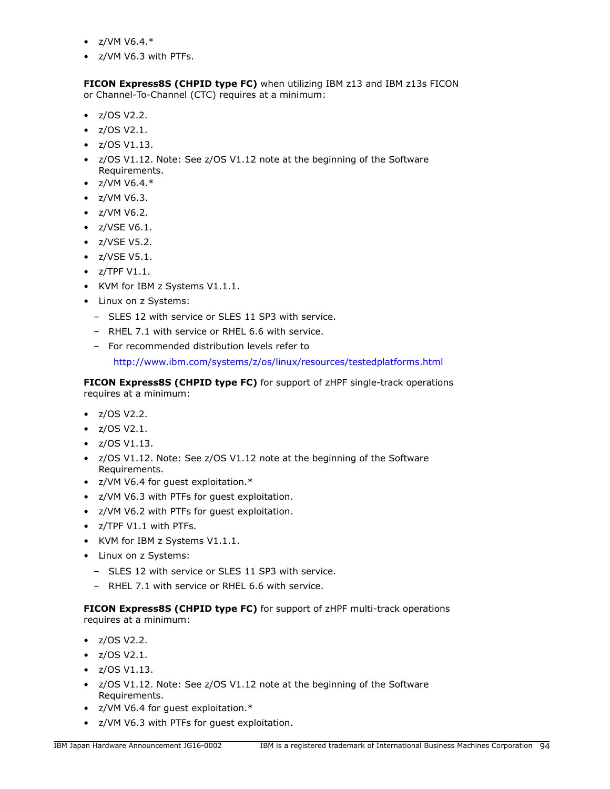- $Z/VM V6.4.*$
- z/VM V6.3 with PTFs.

**FICON Express8S (CHPID type FC)** when utilizing IBM z13 and IBM z13s FICON or Channel-To-Channel (CTC) requires at a minimum:

- z/OS V2.2.
- z/OS V2.1.
- $\bullet$  z/OS V1.13.
- z/OS V1.12. Note: See z/OS V1.12 note at the beginning of the Software Requirements.
- $Z/VM V6.4.*$
- z/VM V6.3.
- z/VM V6.2.
- z/VSE V6.1.
- z/VSE V5.2.
- z/VSE V5.1.
- $\bullet$  z/TPF V1.1.
- KVM for IBM z Systems V1.1.1.
- Linux on z Systems:
	- SLES 12 with service or SLES 11 SP3 with service.
	- RHEL 7.1 with service or RHEL 6.6 with service.
	- For recommended distribution levels refer to

<http://www.ibm.com/systems/z/os/linux/resources/testedplatforms.html>

**FICON Express8S (CHPID type FC)** for support of zHPF single-track operations requires at a minimum:

- z/OS V2.2.
- z/OS V2.1.
- z/OS V1.13.
- z/OS V1.12. Note: See z/OS V1.12 note at the beginning of the Software Requirements.
- z/VM V6.4 for guest exploitation.\*
- z/VM V6.3 with PTFs for guest exploitation.
- z/VM V6.2 with PTFs for guest exploitation.
- z/TPF V1.1 with PTFs.
- KVM for IBM z Systems V1.1.1.
- Linux on z Systems:
	- SLES 12 with service or SLES 11 SP3 with service.
	- RHEL 7.1 with service or RHEL 6.6 with service.

**FICON Express8S (CHPID type FC)** for support of zHPF multi-track operations requires at a minimum:

- z/OS V2.2.
- $\bullet$  z/OS V2.1.
- $\bullet$  z/OS V1.13.
- z/OS V1.12. Note: See z/OS V1.12 note at the beginning of the Software Requirements.
- z/VM V6.4 for guest exploitation.\*
- z/VM V6.3 with PTFs for guest exploitation.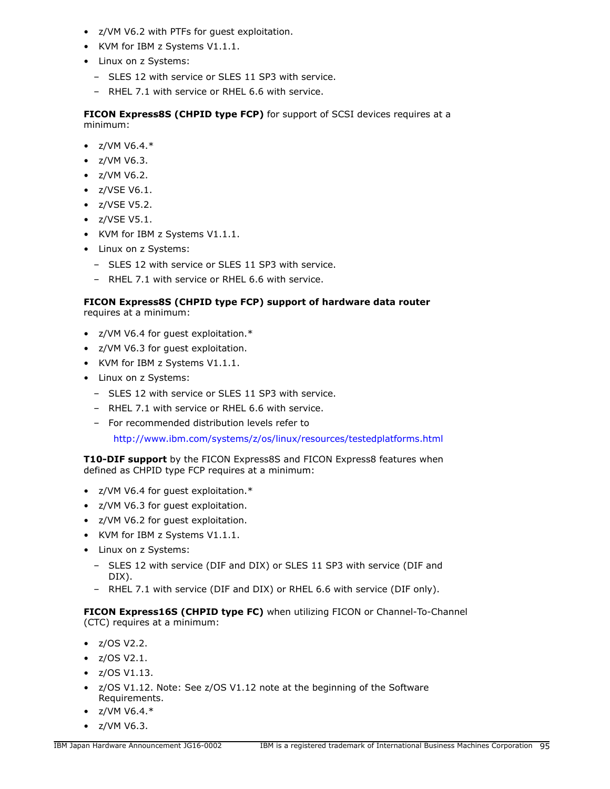- z/VM V6.2 with PTFs for guest exploitation.
- KVM for IBM z Systems V1.1.1.
- Linux on z Systems:
	- SLES 12 with service or SLES 11 SP3 with service.
	- RHEL 7.1 with service or RHEL 6.6 with service.

**FICON Express8S (CHPID type FCP)** for support of SCSI devices requires at a minimum:

- $Z/VM V6.4.*$
- z/VM V6.3.
- z/VM V6.2.
- z/VSE V6.1.
- z/VSE V5.2.
- z/VSE V5.1.
- KVM for IBM z Systems V1.1.1.
- Linux on z Systems:
	- SLES 12 with service or SLES 11 SP3 with service.
	- RHEL 7.1 with service or RHEL 6.6 with service.

# **FICON Express8S (CHPID type FCP) support of hardware data router**

requires at a minimum:

- z/VM V6.4 for guest exploitation.\*
- z/VM V6.3 for guest exploitation.
- KVM for IBM z Systems V1.1.1.
- Linux on z Systems:
	- SLES 12 with service or SLES 11 SP3 with service.
	- RHEL 7.1 with service or RHEL 6.6 with service.
	- For recommended distribution levels refer to

<http://www.ibm.com/systems/z/os/linux/resources/testedplatforms.html>

**T10-DIF support** by the FICON Express8S and FICON Express8 features when defined as CHPID type FCP requires at a minimum:

- z/VM V6.4 for guest exploitation.\*
- z/VM V6.3 for guest exploitation.
- z/VM V6.2 for guest exploitation.
- KVM for IBM z Systems V1.1.1.
- Linux on z Systems:
	- SLES 12 with service (DIF and DIX) or SLES 11 SP3 with service (DIF and DIX).
	- RHEL 7.1 with service (DIF and DIX) or RHEL 6.6 with service (DIF only).

**FICON Express16S (CHPID type FC)** when utilizing FICON or Channel-To-Channel (CTC) requires at a minimum:

- $\bullet$  z/OS V2.2.
- z/OS V2.1.
- $\bullet$  z/OS V1.13.
- z/OS V1.12. Note: See z/OS V1.12 note at the beginning of the Software Requirements.
- $Z/VM V6.4.*$
- z/VM V6.3.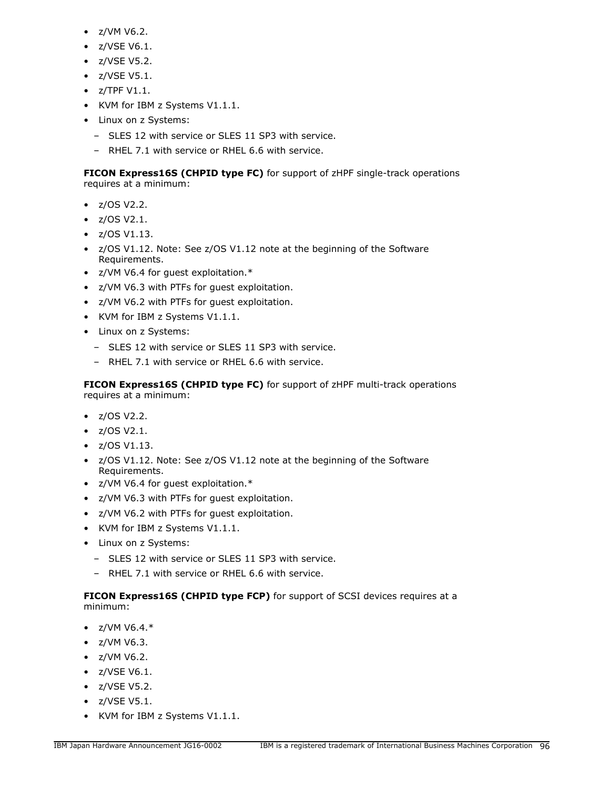- z/VM V6.2.
- z/VSE V6.1.
- z/VSE V5.2.
- z/VSE V5.1.
- $\bullet$  z/TPF V1.1.
- KVM for IBM z Systems V1.1.1.
- Linux on z Systems:
	- SLES 12 with service or SLES 11 SP3 with service.
	- RHEL 7.1 with service or RHEL 6.6 with service.

**FICON Express16S (CHPID type FC)** for support of zHPF single-track operations requires at a minimum:

- z/OS V2.2.
- z/OS V2.1.
- z/OS V1.13.
- z/OS V1.12. Note: See z/OS V1.12 note at the beginning of the Software Requirements.
- z/VM V6.4 for guest exploitation.\*
- z/VM V6.3 with PTFs for guest exploitation.
- z/VM V6.2 with PTFs for guest exploitation.
- KVM for IBM z Systems V1.1.1.
- Linux on z Systems:
	- SLES 12 with service or SLES 11 SP3 with service.
	- RHEL 7.1 with service or RHEL 6.6 with service.

**FICON Express16S (CHPID type FC)** for support of zHPF multi-track operations requires at a minimum:

- z/OS V2.2.
- z/OS V2.1.
- $z/OS V1.13$ .
- z/OS V1.12. Note: See z/OS V1.12 note at the beginning of the Software Requirements.
- z/VM V6.4 for guest exploitation.\*
- z/VM V6.3 with PTFs for guest exploitation.
- z/VM V6.2 with PTFs for guest exploitation.
- KVM for IBM z Systems V1.1.1.
- Linux on z Systems:
	- SLES 12 with service or SLES 11 SP3 with service.
	- RHEL 7.1 with service or RHEL 6.6 with service.

**FICON Express16S (CHPID type FCP)** for support of SCSI devices requires at a minimum:

- $z/VM V6.4.*$
- z/VM V6.3.
- z/VM V6.2.
- z/VSE V6.1.
- z/VSE V5.2.
- z/VSE V5.1.
- KVM for IBM z Systems V1.1.1.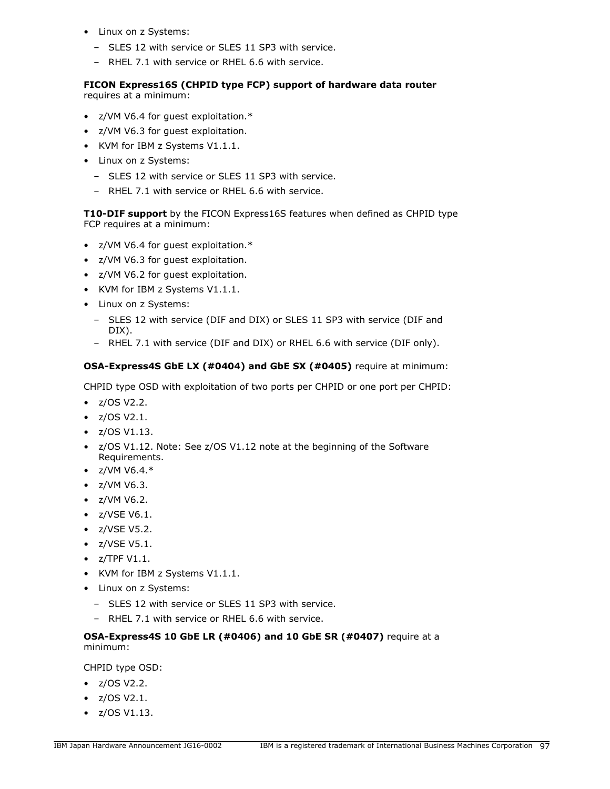- Linux on z Systems:
	- SLES 12 with service or SLES 11 SP3 with service.
	- RHEL 7.1 with service or RHEL 6.6 with service.

### **FICON Express16S (CHPID type FCP) support of hardware data router** requires at a minimum:

- z/VM V6.4 for guest exploitation.\*
- z/VM V6.3 for guest exploitation.
- KVM for IBM z Systems V1.1.1.
- Linux on z Systems:
	- SLES 12 with service or SLES 11 SP3 with service.
	- RHEL 7.1 with service or RHEL 6.6 with service.

**T10-DIF support** by the FICON Express16S features when defined as CHPID type FCP requires at a minimum:

- z/VM V6.4 for guest exploitation.\*
- z/VM V6.3 for guest exploitation.
- z/VM V6.2 for guest exploitation.
- KVM for IBM z Systems V1.1.1.
- Linux on z Systems:
	- SLES 12 with service (DIF and DIX) or SLES 11 SP3 with service (DIF and DIX).
	- RHEL 7.1 with service (DIF and DIX) or RHEL 6.6 with service (DIF only).

### **OSA-Express4S GbE LX (#0404) and GbE SX (#0405)** require at minimum:

CHPID type OSD with exploitation of two ports per CHPID or one port per CHPID:

- $\bullet$  z/OS V2.2.
- z/OS V2.1.
- z/OS V1.13.
- z/OS V1.12. Note: See z/OS V1.12 note at the beginning of the Software Requirements.
- $Z/VM V6.4.*$
- z/VM V6.3.
- z/VM V6.2.
- z/VSE V6.1.
- z/VSE V5.2.
- z/VSE V5.1.
- z/TPF V1.1.
- KVM for IBM z Systems V1.1.1.
- Linux on z Systems:
	- SLES 12 with service or SLES 11 SP3 with service.
	- RHEL 7.1 with service or RHEL 6.6 with service.

# **OSA-Express4S 10 GbE LR (#0406) and 10 GbE SR (#0407)** require at a minimum:

CHPID type OSD:

- z/OS V2.2.
- z/OS V2.1.
- z/OS V1.13.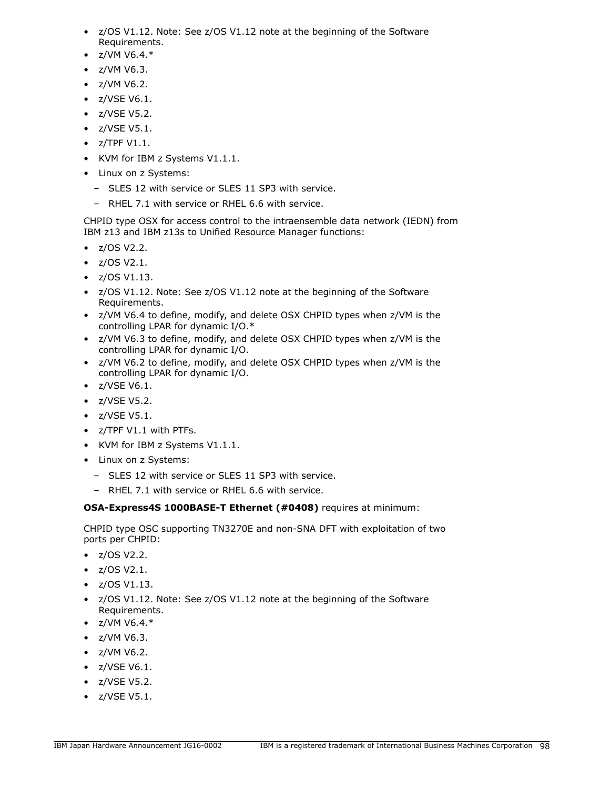- z/OS V1.12. Note: See z/OS V1.12 note at the beginning of the Software Requirements.
- $\bullet$  z/VM V6.4. $*$
- z/VM V6.3.
- z/VM V6.2.
- z/VSE V6.1.
- z/VSE V5.2.
- z/VSE V5.1.
- $\bullet$  z/TPF V1.1.
- KVM for IBM z Systems V1.1.1.
- Linux on z Systems:
	- SLES 12 with service or SLES 11 SP3 with service.
	- RHEL 7.1 with service or RHEL 6.6 with service.

CHPID type OSX for access control to the intraensemble data network (IEDN) from IBM z13 and IBM z13s to Unified Resource Manager functions:

- z/OS V2.2.
- $\bullet$  z/OS V2.1.
- $\bullet$  z/OS V1.13.
- z/OS V1.12. Note: See z/OS V1.12 note at the beginning of the Software Requirements.
- z/VM V6.4 to define, modify, and delete OSX CHPID types when z/VM is the controlling LPAR for dynamic I/O.\*
- z/VM V6.3 to define, modify, and delete OSX CHPID types when z/VM is the controlling LPAR for dynamic I/O.
- z/VM V6.2 to define, modify, and delete OSX CHPID types when z/VM is the controlling LPAR for dynamic I/O.
- z/VSE V6.1.
- z/VSE V5.2.
- z/VSE V5.1.
- z/TPF V1.1 with PTFs.
- KVM for IBM z Systems V1.1.1.
- Linux on z Systems:
	- SLES 12 with service or SLES 11 SP3 with service.
	- RHEL 7.1 with service or RHEL 6.6 with service.

# **OSA-Express4S 1000BASE-T Ethernet (#0408)** requires at minimum:

CHPID type OSC supporting TN3270E and non-SNA DFT with exploitation of two ports per CHPID:

- z/OS V2.2.
- z/OS V2.1.
- $\bullet$  z/OS V1.13.
- z/OS V1.12. Note: See z/OS V1.12 note at the beginning of the Software Requirements.
- $Z/VM V6.4.*$
- z/VM V6.3.
- z/VM V6.2.
- z/VSE V6.1.
- z/VSE V5.2.
- z/VSE V5.1.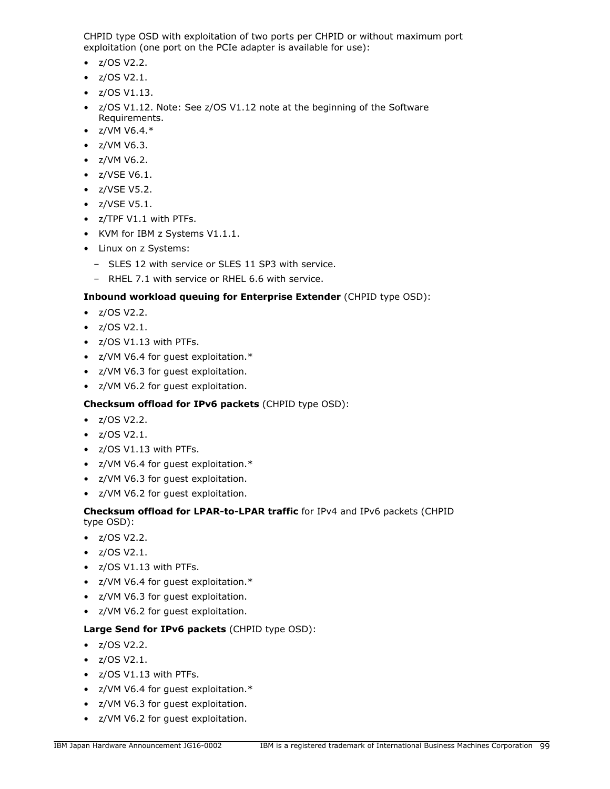CHPID type OSD with exploitation of two ports per CHPID or without maximum port exploitation (one port on the PCIe adapter is available for use):

- $z/OS V2.2$ .
- z/OS V2.1.
- $\bullet$  z/OS V1.13.
- z/OS V1.12. Note: See z/OS V1.12 note at the beginning of the Software Requirements.
- $Z/VM V6.4.*$
- z/VM V6.3.
- z/VM V6.2.
- z/VSE V6.1.
- z/VSE V5.2.
- z/VSE V5.1.
- z/TPF V1.1 with PTFs.
- KVM for IBM z Systems V1.1.1.
- Linux on z Systems:
	- SLES 12 with service or SLES 11 SP3 with service.
	- RHEL 7.1 with service or RHEL 6.6 with service.

# **Inbound workload queuing for Enterprise Extender** (CHPID type OSD):

- z/OS V2.2.
- z/OS V2.1.
- z/OS V1.13 with PTFs.
- z/VM V6.4 for guest exploitation.\*
- z/VM V6.3 for guest exploitation.
- z/VM V6.2 for guest exploitation.

# **Checksum offload for IPv6 packets** (CHPID type OSD):

- z/OS V2.2.
- $\bullet$  z/OS V2.1.
- z/OS V1.13 with PTFs.
- z/VM V6.4 for guest exploitation.\*
- z/VM V6.3 for guest exploitation.
- z/VM V6.2 for guest exploitation.

### **Checksum offload for LPAR-to-LPAR traffic** for IPv4 and IPv6 packets (CHPID type OSD):

- z/OS V2.2.
- z/OS V2.1.
- z/OS V1.13 with PTFs.
- z/VM V6.4 for guest exploitation.\*
- z/VM V6.3 for guest exploitation.
- z/VM V6.2 for guest exploitation.

# **Large Send for IPv6 packets** (CHPID type OSD):

- $z/OS V2.2$ .
- $\bullet$  z/OS V2.1.
- z/OS V1.13 with PTFs.
- z/VM V6.4 for guest exploitation.\*
- z/VM V6.3 for guest exploitation.
- z/VM V6.2 for guest exploitation.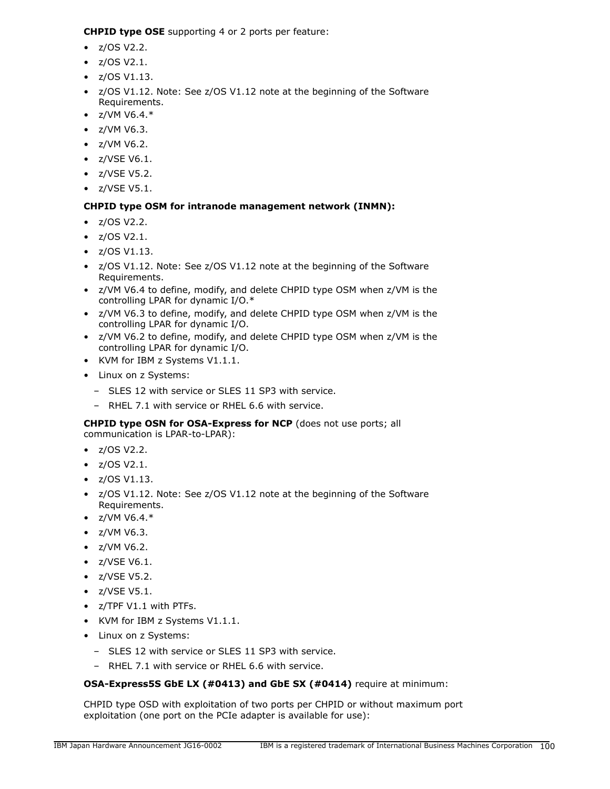**CHPID type OSE** supporting 4 or 2 ports per feature:

- $z/OS V2.2$ .
- $\bullet$  z/OS V2.1.
- $\bullet$  z/OS V1.13.
- z/OS V1.12. Note: See z/OS V1.12 note at the beginning of the Software Requirements.
- $Z/VM V6.4.*$
- z/VM V6.3.
- z/VM V6.2.
- z/VSE V6.1.
- z/VSE V5.2.
- z/VSE V5.1.

# **CHPID type OSM for intranode management network (INMN):**

- $z/OS V2.2$ .
- z/OS V2.1.
- $\bullet$  z/OS V1.13.
- z/OS V1.12. Note: See z/OS V1.12 note at the beginning of the Software Requirements.
- z/VM V6.4 to define, modify, and delete CHPID type OSM when z/VM is the controlling LPAR for dynamic I/O.\*
- z/VM V6.3 to define, modify, and delete CHPID type OSM when z/VM is the controlling LPAR for dynamic I/O.
- z/VM V6.2 to define, modify, and delete CHPID type OSM when z/VM is the controlling LPAR for dynamic I/O.
- KVM for IBM z Systems V1.1.1.
- Linux on z Systems:
	- SLES 12 with service or SLES 11 SP3 with service.
	- RHEL 7.1 with service or RHEL 6.6 with service.

**CHPID type OSN for OSA-Express for NCP** (does not use ports; all communication is LPAR-to-LPAR):

- $z/OS V2.2$ .
- $\bullet$  z/OS V2.1.
- $\bullet$  z/OS V1.13.
- z/OS V1.12. Note: See z/OS V1.12 note at the beginning of the Software Requirements.
- $Z/VM V6.4.*$
- z/VM V6.3.
- z/VM V6.2.
- z/VSE V6.1.
- z/VSE V5.2.
- z/VSE V5.1.
- z/TPF V1.1 with PTFs.
- KVM for IBM z Systems V1.1.1.
- Linux on z Systems:
	- SLES 12 with service or SLES 11 SP3 with service.
	- RHEL 7.1 with service or RHEL 6.6 with service.

# **OSA-Express5S GbE LX (#0413) and GbE SX (#0414)** require at minimum:

CHPID type OSD with exploitation of two ports per CHPID or without maximum port exploitation (one port on the PCIe adapter is available for use):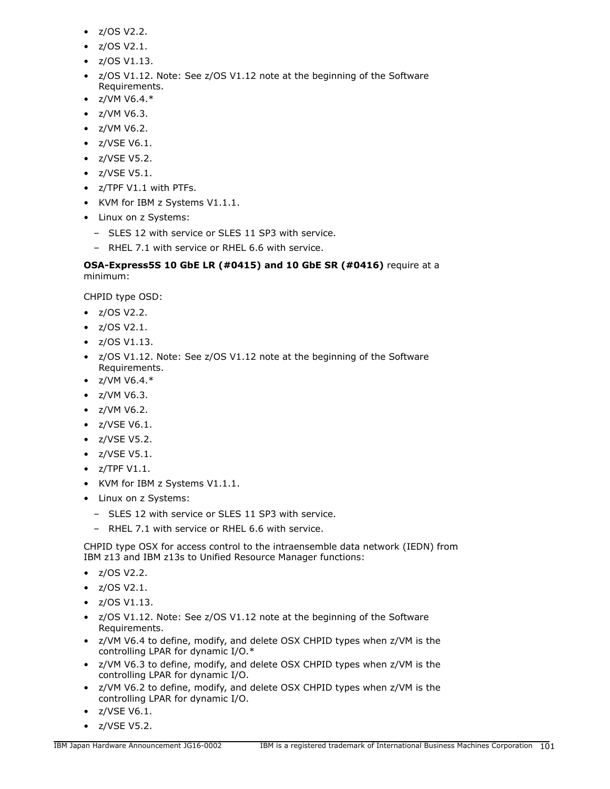- z/OS V2.2.
- z/OS V2.1.
- $\bullet$  z/OS V1.13.
- z/OS V1.12. Note: See z/OS V1.12 note at the beginning of the Software Requirements.
- $Z/VM V6.4.*$
- z/VM V6.3.
- z/VM V6.2.
- z/VSE V6.1.
- z/VSE V5.2.
- z/VSE V5.1.
- z/TPF V1.1 with PTFs.
- KVM for IBM z Systems V1.1.1.
- Linux on z Systems:
	- SLES 12 with service or SLES 11 SP3 with service.
	- RHEL 7.1 with service or RHEL 6.6 with service.

# **OSA-Express5S 10 GbE LR (#0415) and 10 GbE SR (#0416)** require at a minimum:

CHPID type OSD:

- z/OS V2.2.
- z/OS V2.1.
- $\bullet$  z/OS V1.13.
- z/OS V1.12. Note: See z/OS V1.12 note at the beginning of the Software Requirements.
- $z/VM V6.4.*$
- z/VM V6.3.
- z/VM V6.2.
- z/VSE V6.1.
- z/VSE V5.2.
- z/VSE V5.1.
- $\bullet$  z/TPF V1.1.
- KVM for IBM z Systems V1.1.1.
- Linux on z Systems:
	- SLES 12 with service or SLES 11 SP3 with service.
	- RHEL 7.1 with service or RHEL 6.6 with service.

CHPID type OSX for access control to the intraensemble data network (IEDN) from IBM z13 and IBM z13s to Unified Resource Manager functions:

- z/OS V2.2.
- z/OS V2.1.
- $\bullet$  z/OS V1.13.
- z/OS V1.12. Note: See z/OS V1.12 note at the beginning of the Software Requirements.
- z/VM V6.4 to define, modify, and delete OSX CHPID types when z/VM is the controlling LPAR for dynamic I/O.\*
- z/VM V6.3 to define, modify, and delete OSX CHPID types when z/VM is the controlling LPAR for dynamic I/O.
- z/VM V6.2 to define, modify, and delete OSX CHPID types when z/VM is the controlling LPAR for dynamic I/O.
- z/VSE V6.1.
- z/VSE V5.2.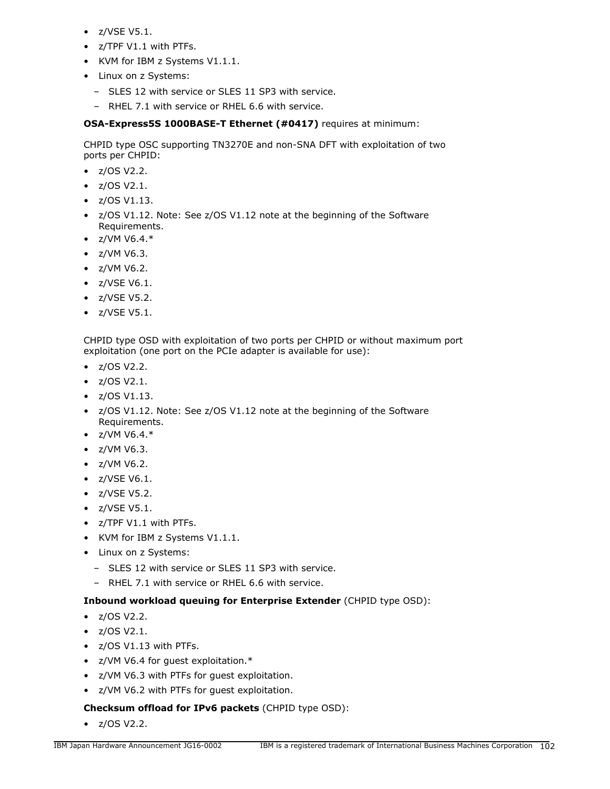- z/VSE V5.1.
- z/TPF V1.1 with PTFs.
- KVM for IBM z Systems V1.1.1.
- Linux on z Systems:
	- SLES 12 with service or SLES 11 SP3 with service.
	- RHEL 7.1 with service or RHEL 6.6 with service.

**OSA-Express5S 1000BASE-T Ethernet (#0417)** requires at minimum:

CHPID type OSC supporting TN3270E and non-SNA DFT with exploitation of two ports per CHPID:

- z/OS V2.2.
- z/OS V2.1.
- $\bullet$  z/OS V1.13.
- z/OS V1.12. Note: See z/OS V1.12 note at the beginning of the Software Requirements.
- $Z/VM V6.4.*$
- z/VM V6.3.
- z/VM V6.2.
- z/VSE V6.1.
- z/VSE V5.2.
- z/VSE V5.1.

CHPID type OSD with exploitation of two ports per CHPID or without maximum port exploitation (one port on the PCIe adapter is available for use):

- z/OS V2.2.
- $\bullet$  z/OS V2.1.
- $\bullet$  z/OS V1.13.
- z/OS V1.12. Note: See z/OS V1.12 note at the beginning of the Software Requirements.
- $Z/VM V6.4.*$
- z/VM V6.3.
- z/VM V6.2.
- z/VSE V6.1.
- z/VSE V5.2.
- z/VSE V5.1.
- z/TPF V1.1 with PTFs.
- KVM for IBM z Systems V1.1.1.
- Linux on z Systems:
	- SLES 12 with service or SLES 11 SP3 with service.
	- RHEL 7.1 with service or RHEL 6.6 with service.

## **Inbound workload queuing for Enterprise Extender** (CHPID type OSD):

- z/OS V2.2.
- z/OS V2.1.
- z/OS V1.13 with PTFs.
- z/VM V6.4 for guest exploitation.\*
- z/VM V6.3 with PTFs for guest exploitation.
- z/VM V6.2 with PTFs for guest exploitation.

## **Checksum offload for IPv6 packets** (CHPID type OSD):

• z/OS V2.2.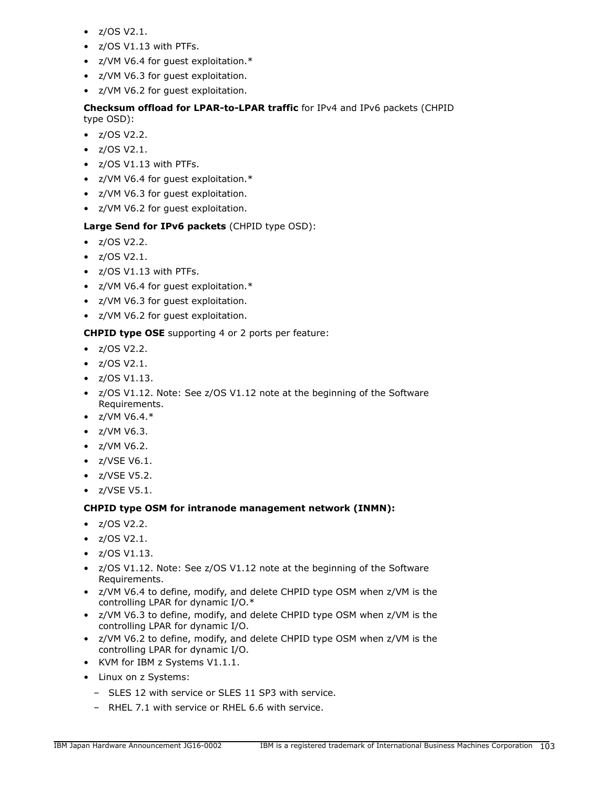- z/OS V2.1.
- z/OS V1.13 with PTFs.
- z/VM V6.4 for guest exploitation.\*
- z/VM V6.3 for guest exploitation.
- z/VM V6.2 for guest exploitation.

# **Checksum offload for LPAR-to-LPAR traffic** for IPv4 and IPv6 packets (CHPID type OSD):

- $z/OS V2.2$ .
- z/OS V2.1.
- z/OS V1.13 with PTFs.
- z/VM V6.4 for guest exploitation.\*
- z/VM V6.3 for guest exploitation.
- z/VM V6.2 for guest exploitation.

# **Large Send for IPv6 packets** (CHPID type OSD):

- z/OS V2.2.
- z/OS V2.1.
- z/OS V1.13 with PTFs.
- z/VM V6.4 for guest exploitation.\*
- z/VM V6.3 for guest exploitation.
- z/VM V6.2 for guest exploitation.

# **CHPID type OSE** supporting 4 or 2 ports per feature:

- $z/OS V2.2$ .
- $z/OS V2.1$ .
- $\bullet$  z/OS V1.13.
- z/OS V1.12. Note: See z/OS V1.12 note at the beginning of the Software Requirements.
- $z/VM V6.4.*$
- z/VM V6.3.
- z/VM V6.2.
- z/VSE V6.1.
- z/VSE V5.2.
- z/VSE V5.1.

## **CHPID type OSM for intranode management network (INMN):**

- $z/OS V2.2$ .
- $\bullet$  z/OS V2.1.
- z/OS V1.13.
- z/OS V1.12. Note: See z/OS V1.12 note at the beginning of the Software Requirements.
- z/VM V6.4 to define, modify, and delete CHPID type OSM when z/VM is the controlling LPAR for dynamic I/O.\*
- z/VM V6.3 to define, modify, and delete CHPID type OSM when z/VM is the controlling LPAR for dynamic I/O.
- z/VM V6.2 to define, modify, and delete CHPID type OSM when z/VM is the controlling LPAR for dynamic I/O.
- KVM for IBM z Systems V1.1.1.
- Linux on z Systems:
	- SLES 12 with service or SLES 11 SP3 with service.
	- RHEL 7.1 with service or RHEL 6.6 with service.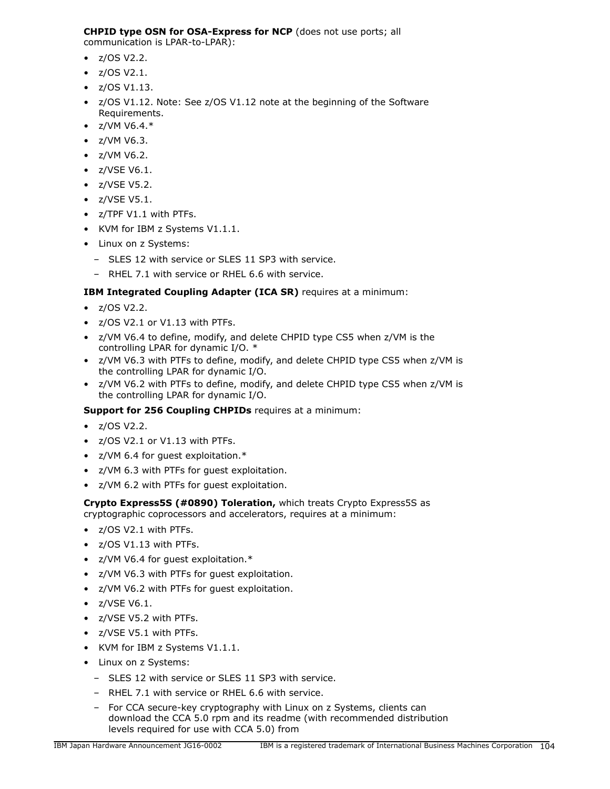# **CHPID type OSN for OSA-Express for NCP** (does not use ports; all

communication is LPAR-to-LPAR):

- $\bullet$  z/OS V2.2.
- $\bullet$  z/OS V2.1.
- $\bullet$  z/OS V1.13.
- z/OS V1.12. Note: See z/OS V1.12 note at the beginning of the Software Requirements.
- $Z/VM V6.4.*$
- z/VM V6.3.
- z/VM V6.2.
- z/VSE V6.1.
- z/VSE V5.2.
- z/VSE V5.1.
- z/TPF V1.1 with PTFs.
- KVM for IBM z Systems V1.1.1.
- Linux on z Systems:
	- SLES 12 with service or SLES 11 SP3 with service.
	- RHEL 7.1 with service or RHEL 6.6 with service.

# **IBM Integrated Coupling Adapter (ICA SR)** requires at a minimum:

- z/OS V2.2.
- z/OS V2.1 or V1.13 with PTFs.
- z/VM V6.4 to define, modify, and delete CHPID type CS5 when z/VM is the controlling LPAR for dynamic I/O. \*
- z/VM V6.3 with PTFs to define, modify, and delete CHPID type CS5 when z/VM is the controlling LPAR for dynamic I/O.
- z/VM V6.2 with PTFs to define, modify, and delete CHPID type CS5 when z/VM is the controlling LPAR for dynamic I/O.

# **Support for 256 Coupling CHPIDs** requires at a minimum:

- z/OS V2.2.
- z/OS V2.1 or V1.13 with PTFs.
- z/VM 6.4 for guest exploitation.\*
- z/VM 6.3 with PTFs for guest exploitation.
- z/VM 6.2 with PTFs for guest exploitation.

# **Crypto Express5S (#0890) Toleration,** which treats Crypto Express5S as cryptographic coprocessors and accelerators, requires at a minimum:

- z/OS V2.1 with PTFs.
- z/OS V1.13 with PTFs.
- z/VM V6.4 for guest exploitation.\*
- z/VM V6.3 with PTFs for guest exploitation.
- z/VM V6.2 with PTFs for guest exploitation.
- z/VSE V6.1.
- z/VSE V5.2 with PTFs.
- z/VSE V5.1 with PTFs.
- KVM for IBM z Systems V1.1.1.
- Linux on z Systems:
	- SLES 12 with service or SLES 11 SP3 with service.
	- RHEL 7.1 with service or RHEL 6.6 with service.
	- For CCA secure-key cryptography with Linux on z Systems, clients can download the CCA 5.0 rpm and its readme (with recommended distribution levels required for use with CCA 5.0) from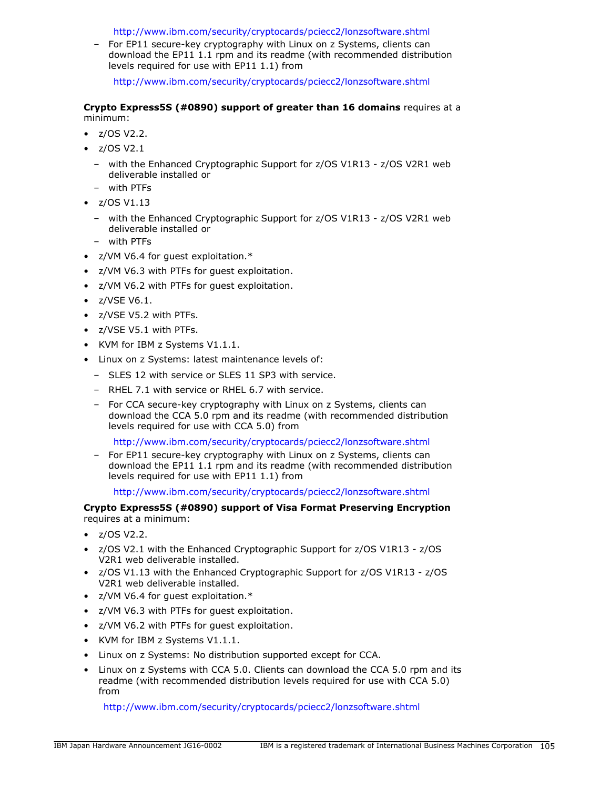<http://www.ibm.com/security/cryptocards/pciecc2/lonzsoftware.shtml>

– For EP11 secure-key cryptography with Linux on z Systems, clients can download the EP11 1.1 rpm and its readme (with recommended distribution levels required for use with EP11 1.1) from

<http://www.ibm.com/security/cryptocards/pciecc2/lonzsoftware.shtml>

### **Crypto Express5S (#0890) support of greater than 16 domains** requires at a minimum:

- $\bullet$  z/OS V2.2.
- $\bullet$  z/OS V2.1
	- with the Enhanced Cryptographic Support for z/OS V1R13 z/OS V2R1 web deliverable installed or
	- with PTFs
- $\bullet$  z/OS V1.13
	- with the Enhanced Cryptographic Support for z/OS V1R13 z/OS V2R1 web deliverable installed or
	- with PTFs
- z/VM V6.4 for guest exploitation.\*
- z/VM V6.3 with PTFs for guest exploitation.
- z/VM V6.2 with PTFs for guest exploitation.
- z/VSE V6.1.
- z/VSE V5.2 with PTFs.
- z/VSE V5.1 with PTFs.
- KVM for IBM z Systems V1.1.1.
- Linux on z Systems: latest maintenance levels of:
- SLES 12 with service or SLES 11 SP3 with service.
- RHEL 7.1 with service or RHEL 6.7 with service.
- For CCA secure-key cryptography with Linux on z Systems, clients can download the CCA 5.0 rpm and its readme (with recommended distribution levels required for use with CCA 5.0) from

<http://www.ibm.com/security/cryptocards/pciecc2/lonzsoftware.shtml>

– For EP11 secure-key cryptography with Linux on z Systems, clients can download the EP11 1.1 rpm and its readme (with recommended distribution levels required for use with EP11 1.1) from

### <http://www.ibm.com/security/cryptocards/pciecc2/lonzsoftware.shtml>

**Crypto Express5S (#0890) support of Visa Format Preserving Encryption** requires at a minimum:

- $z/OS V2.2$ .
- z/OS V2.1 with the Enhanced Cryptographic Support for z/OS V1R13 z/OS V2R1 web deliverable installed.
- z/OS V1.13 with the Enhanced Cryptographic Support for z/OS V1R13 z/OS V2R1 web deliverable installed.
- z/VM V6.4 for guest exploitation.\*
- z/VM V6.3 with PTFs for guest exploitation.
- z/VM V6.2 with PTFs for guest exploitation.
- KVM for IBM z Systems V1.1.1.
- Linux on z Systems: No distribution supported except for CCA.
- Linux on z Systems with CCA 5.0. Clients can download the CCA 5.0 rpm and its readme (with recommended distribution levels required for use with CCA 5.0) from

<http://www.ibm.com/security/cryptocards/pciecc2/lonzsoftware.shtml>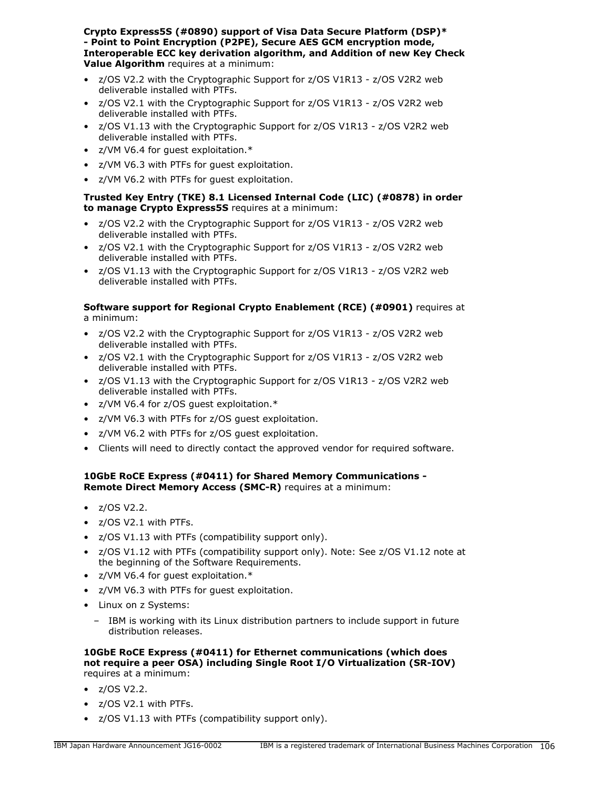**Crypto Express5S (#0890) support of Visa Data Secure Platform (DSP)\* - Point to Point Encryption (P2PE), Secure AES GCM encryption mode, Interoperable ECC key derivation algorithm, and Addition of new Key Check Value Algorithm** requires at a minimum:

- z/OS V2.2 with the Cryptographic Support for z/OS V1R13 z/OS V2R2 web deliverable installed with PTFs.
- z/OS V2.1 with the Cryptographic Support for z/OS V1R13 z/OS V2R2 web deliverable installed with PTFs.
- z/OS V1.13 with the Cryptographic Support for z/OS V1R13 z/OS V2R2 web deliverable installed with PTFs.
- z/VM V6.4 for guest exploitation.\*
- z/VM V6.3 with PTFs for guest exploitation.
- z/VM V6.2 with PTFs for guest exploitation.

## **Trusted Key Entry (TKE) 8.1 Licensed Internal Code (LIC) (#0878) in order to manage Crypto Express5S** requires at a minimum:

- z/OS V2.2 with the Cryptographic Support for z/OS V1R13 z/OS V2R2 web deliverable installed with PTFs.
- z/OS V2.1 with the Cryptographic Support for z/OS V1R13 z/OS V2R2 web deliverable installed with PTFs.
- z/OS V1.13 with the Cryptographic Support for z/OS V1R13 z/OS V2R2 web deliverable installed with PTFs.

## **Software support for Regional Crypto Enablement (RCE) (#0901)** requires at a minimum:

- z/OS V2.2 with the Cryptographic Support for z/OS V1R13 z/OS V2R2 web deliverable installed with PTFs.
- z/OS V2.1 with the Cryptographic Support for z/OS V1R13 z/OS V2R2 web deliverable installed with PTFs.
- z/OS V1.13 with the Cryptographic Support for z/OS V1R13 z/OS V2R2 web deliverable installed with PTFs.
- z/VM V6.4 for z/OS guest exploitation.\*
- z/VM V6.3 with PTFs for z/OS guest exploitation.
- z/VM V6.2 with PTFs for z/OS guest exploitation.
- Clients will need to directly contact the approved vendor for required software.

## **10GbE RoCE Express (#0411) for Shared Memory Communications - Remote Direct Memory Access (SMC-R)** requires at a minimum:

- z/OS V2.2.
- z/OS V2.1 with PTFs.
- z/OS V1.13 with PTFs (compatibility support only).
- z/OS V1.12 with PTFs (compatibility support only). Note: See z/OS V1.12 note at the beginning of the Software Requirements.
- z/VM V6.4 for guest exploitation.\*
- z/VM V6.3 with PTFs for guest exploitation.
- Linux on z Systems:
	- IBM is working with its Linux distribution partners to include support in future distribution releases.

### **10GbE RoCE Express (#0411) for Ethernet communications (which does not require a peer OSA) including Single Root I/O Virtualization (SR-IOV)** requires at a minimum:

- $\bullet$  z/OS V2.2.
- z/OS V2.1 with PTFs.
- z/OS V1.13 with PTFs (compatibility support only).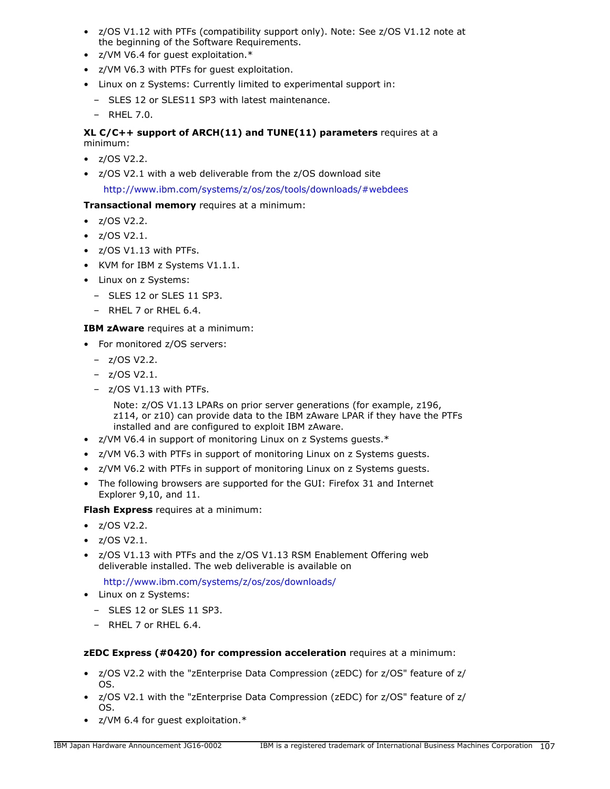- z/OS V1.12 with PTFs (compatibility support only). Note: See z/OS V1.12 note at the beginning of the Software Requirements.
- z/VM V6.4 for guest exploitation.\*
- z/VM V6.3 with PTFs for guest exploitation.
- Linux on z Systems: Currently limited to experimental support in:
	- SLES 12 or SLES11 SP3 with latest maintenance.
	- RHEL 7.0.

## **XL C/C++ support of ARCH(11) and TUNE(11) parameters** requires at a minimum:

- $\bullet$  z/OS V2.2.
- z/OS V2.1 with a web deliverable from the z/OS download site

<http://www.ibm.com/systems/z/os/zos/tools/downloads/#webdees>

# **Transactional memory** requires at a minimum:

- $\bullet$  z/OS V2.2.
- z/OS V2.1.
- z/OS V1.13 with PTFs.
- KVM for IBM z Systems V1.1.1.
- Linux on z Systems:
	- SLES 12 or SLES 11 SP3.
	- RHEL 7 or RHEL 6.4.

## **IBM zAware** requires at a minimum:

- For monitored z/OS servers:
	- z/OS V2.2.
	- z/OS V2.1.
	- z/OS V1.13 with PTFs.

Note: z/OS V1.13 LPARs on prior server generations (for example, z196, z114, or z10) can provide data to the IBM zAware LPAR if they have the PTFs installed and are configured to exploit IBM zAware.

- z/VM V6.4 in support of monitoring Linux on z Systems guests.\*
- z/VM V6.3 with PTFs in support of monitoring Linux on z Systems guests.
- z/VM V6.2 with PTFs in support of monitoring Linux on z Systems guests.
- The following browsers are supported for the GUI: Firefox 31 and Internet Explorer 9,10, and 11.

**Flash Express** requires at a minimum:

- z/OS V2.2.
- $\bullet$  z/OS V2.1.
- z/OS V1.13 with PTFs and the z/OS V1.13 RSM Enablement Offering web deliverable installed. The web deliverable is available on

<http://www.ibm.com/systems/z/os/zos/downloads/>

- Linux on z Systems:
	- SLES 12 or SLES 11 SP3.
	- RHEL 7 or RHEL 6.4.

## **zEDC Express (#0420) for compression acceleration** requires at a minimum:

- z/OS V2.2 with the "zEnterprise Data Compression (zEDC) for z/OS" feature of z/ OS.
- z/OS V2.1 with the "zEnterprise Data Compression (zEDC) for z/OS" feature of z/ OS.
- z/VM 6.4 for guest exploitation.\*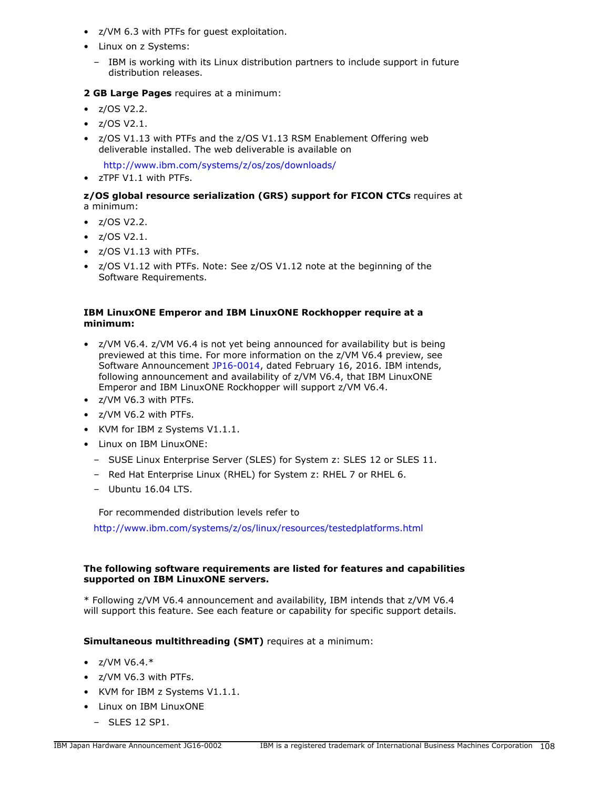- z/VM 6.3 with PTFs for guest exploitation.
- Linux on z Systems:
- IBM is working with its Linux distribution partners to include support in future distribution releases.

# **2 GB Large Pages** requires at a minimum:

- z/OS V2.2.
- $\bullet$  z/OS V2.1.
- z/OS V1.13 with PTFs and the z/OS V1.13 RSM Enablement Offering web deliverable installed. The web deliverable is available on

<http://www.ibm.com/systems/z/os/zos/downloads/>

• zTPF V1.1 with PTFs.

### **z/OS global resource serialization (GRS) support for FICON CTCs** requires at a minimum:

- z/OS V2.2.
- z/OS V2.1.
- z/OS V1.13 with PTFs.
- z/OS V1.12 with PTFs. Note: See z/OS V1.12 note at the beginning of the Software Requirements.

## **IBM LinuxONE Emperor and IBM LinuxONE Rockhopper require at a minimum:**

- z/VM V6.4. z/VM V6.4 is not yet being announced for availability but is being previewed at this time. For more information on the z/VM V6.4 preview, see Software Announcement [JP16-0014](http://www.ibm.com/common/ssi/cgi-bin/ssialias?infotype=an&subtype=ca&appname=gpateam&supplier=760&letternum=ENUSJP16-0014), dated February 16, 2016. IBM intends, following announcement and availability of z/VM V6.4, that IBM LinuxONE Emperor and IBM LinuxONE Rockhopper will support z/VM V6.4.
- z/VM V6.3 with PTFs.
- z/VM V6.2 with PTFs.
- KVM for IBM z Systems V1.1.1.
- Linux on IBM LinuxONE:
	- SUSE Linux Enterprise Server (SLES) for System z: SLES 12 or SLES 11.
	- Red Hat Enterprise Linux (RHEL) for System z: RHEL 7 or RHEL 6.
	- Ubuntu 16.04 LTS.

For recommended distribution levels refer to

<http://www.ibm.com/systems/z/os/linux/resources/testedplatforms.html>

# **The following software requirements are listed for features and capabilities supported on IBM LinuxONE servers.**

\* Following z/VM V6.4 announcement and availability, IBM intends that z/VM V6.4 will support this feature. See each feature or capability for specific support details.

## **Simultaneous multithreading (SMT)** requires at a minimum:

- $Z/VM V6.4.*$
- z/VM V6.3 with PTFs.
- KVM for IBM z Systems V1.1.1.
- Linux on IBM LinuxONE
	- SLES 12 SP1.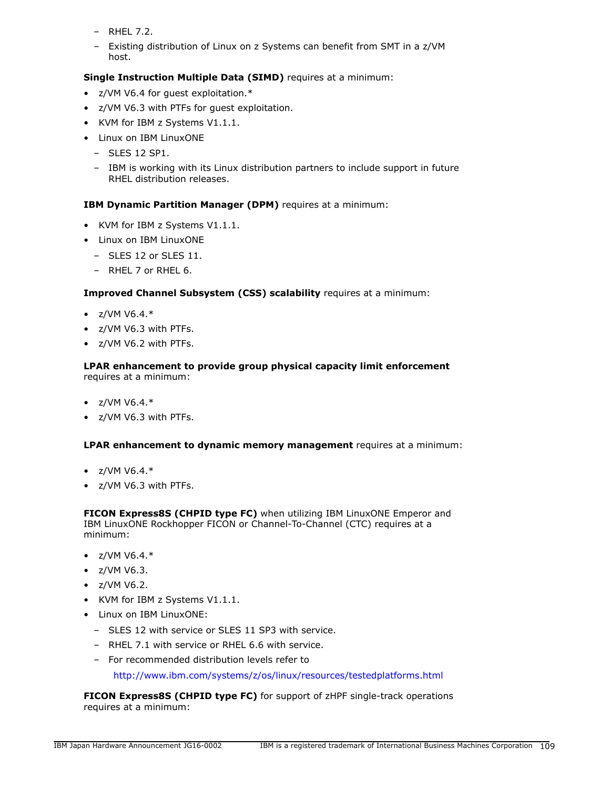- RHEL 7.2.
- Existing distribution of Linux on z Systems can benefit from SMT in a z/VM host.

**Single Instruction Multiple Data (SIMD)** requires at a minimum:

- z/VM V6.4 for guest exploitation.\*
- z/VM V6.3 with PTFs for guest exploitation.
- KVM for IBM z Systems V1.1.1.
- Linux on IBM LinuxONE
	- SLES 12 SP1.
	- IBM is working with its Linux distribution partners to include support in future RHEL distribution releases.

# **IBM Dynamic Partition Manager (DPM)** requires at a minimum:

- KVM for IBM z Systems V1.1.1.
- Linux on IBM LinuxONE
	- $-$  SLES 12 or SLES 11.
	- RHEL 7 or RHEL 6.

# **Improved Channel Subsystem (CSS) scalability** requires at a minimum:

- $z/VM V6.4.*$
- z/VM V6.3 with PTFs.
- z/VM V6.2 with PTFs.

### **LPAR enhancement to provide group physical capacity limit enforcement** requires at a minimum:

- $Z/VM V6.4.*$
- z/VM V6.3 with PTFs.

### **LPAR enhancement to dynamic memory management** requires at a minimum:

- $Z/VM V6.4.*$
- z/VM V6.3 with PTFs.

**FICON Express8S (CHPID type FC)** when utilizing IBM LinuxONE Emperor and IBM LinuxONE Rockhopper FICON or Channel-To-Channel (CTC) requires at a minimum:

- $Z/VM V6.4.*$
- z/VM V6.3.
- z/VM V6.2.
- KVM for IBM z Systems V1.1.1.
- Linux on IBM LinuxONE:
	- SLES 12 with service or SLES 11 SP3 with service.
	- RHEL 7.1 with service or RHEL 6.6 with service.
	- For recommended distribution levels refer to

<http://www.ibm.com/systems/z/os/linux/resources/testedplatforms.html>

**FICON Express8S (CHPID type FC)** for support of zHPF single-track operations requires at a minimum: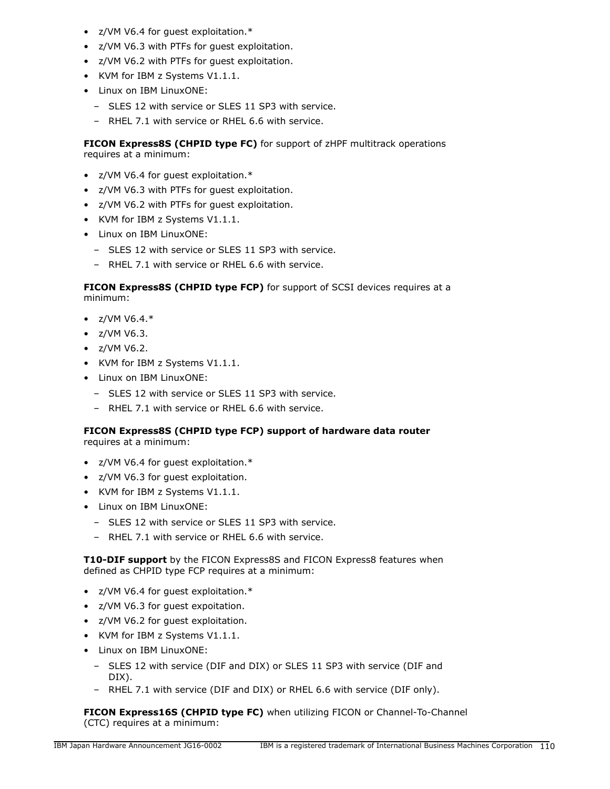- z/VM V6.4 for guest exploitation.\*
- z/VM V6.3 with PTFs for guest exploitation.
- z/VM V6.2 with PTFs for guest exploitation.
- KVM for IBM z Systems V1.1.1.
- Linux on IBM LinuxONE:
	- SLES 12 with service or SLES 11 SP3 with service.
	- RHEL 7.1 with service or RHEL 6.6 with service.

**FICON Express8S (CHPID type FC)** for support of zHPF multitrack operations requires at a minimum:

- z/VM V6.4 for guest exploitation.\*
- z/VM V6.3 with PTFs for guest exploitation.
- z/VM V6.2 with PTFs for guest exploitation.
- KVM for IBM z Systems V1.1.1.
- Linux on IBM LinuxONE:
	- SLES 12 with service or SLES 11 SP3 with service.
	- RHEL 7.1 with service or RHEL 6.6 with service.

**FICON Express8S (CHPID type FCP)** for support of SCSI devices requires at a minimum:

- $Z/VM V6.4.*$
- z/VM V6.3.
- z/VM V6.2.
- KVM for IBM z Systems V1.1.1.
- Linux on IBM LinuxONE:
	- SLES 12 with service or SLES 11 SP3 with service.
	- RHEL 7.1 with service or RHEL 6.6 with service.

# **FICON Express8S (CHPID type FCP) support of hardware data router**

requires at a minimum:

- z/VM V6.4 for guest exploitation.\*
- z/VM V6.3 for guest exploitation.
- KVM for IBM z Systems V1.1.1.
- Linux on IBM LinuxONE:
	- SLES 12 with service or SLES 11 SP3 with service.
	- RHEL 7.1 with service or RHEL 6.6 with service.

**T10-DIF support** by the FICON Express8S and FICON Express8 features when defined as CHPID type FCP requires at a minimum:

- z/VM V6.4 for guest exploitation.\*
- z/VM V6.3 for guest expoitation.
- z/VM V6.2 for guest exploitation.
- KVM for IBM z Systems V1.1.1.
- Linux on IBM LinuxONE:
	- SLES 12 with service (DIF and DIX) or SLES 11 SP3 with service (DIF and DIX).
	- RHEL 7.1 with service (DIF and DIX) or RHEL 6.6 with service (DIF only).

**FICON Express16S (CHPID type FC)** when utilizing FICON or Channel-To-Channel (CTC) requires at a minimum: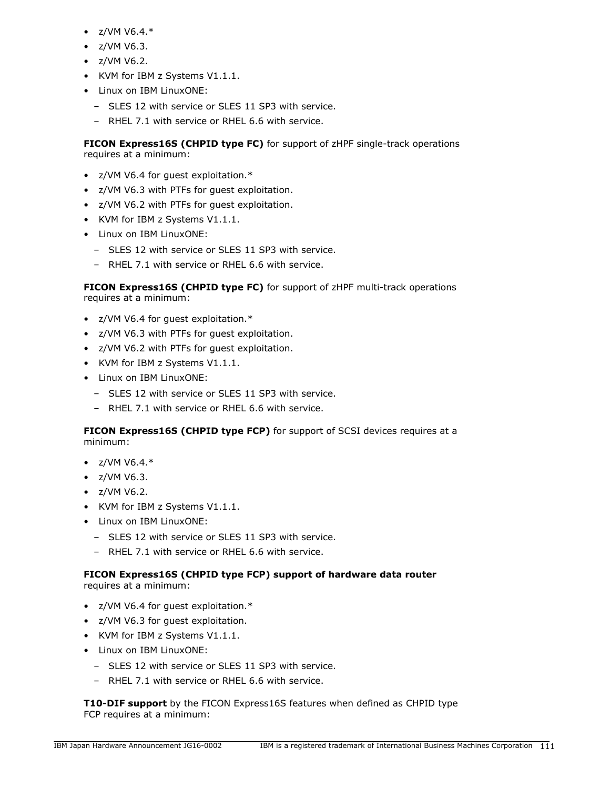- $Z/VM V6.4.*$
- z/VM V6.3.
- z/VM V6.2.
- KVM for IBM z Systems V1.1.1.
- Linux on IBM LinuxONE:
	- SLES 12 with service or SLES 11 SP3 with service.
	- RHEL 7.1 with service or RHEL 6.6 with service.

**FICON Express16S (CHPID type FC)** for support of zHPF single-track operations requires at a minimum:

- z/VM V6.4 for guest exploitation.\*
- z/VM V6.3 with PTFs for guest exploitation.
- z/VM V6.2 with PTFs for guest exploitation.
- KVM for IBM z Systems V1.1.1.
- Linux on IBM LinuxONE:
	- SLES 12 with service or SLES 11 SP3 with service.
	- RHEL 7.1 with service or RHEL 6.6 with service.

**FICON Express16S (CHPID type FC)** for support of zHPF multi-track operations requires at a minimum:

- z/VM V6.4 for guest exploitation.\*
- z/VM V6.3 with PTFs for guest exploitation.
- z/VM V6.2 with PTFs for guest exploitation.
- KVM for IBM z Systems V1.1.1.
- Linux on IBM LinuxONE:
	- SLES 12 with service or SLES 11 SP3 with service.
	- RHEL 7.1 with service or RHEL 6.6 with service.

**FICON Express16S (CHPID type FCP)** for support of SCSI devices requires at a minimum:

- $Z/VM V6.4.*$
- z/VM V6.3.
- z/VM V6.2.
- KVM for IBM z Systems V1.1.1.
- Linux on IBM LinuxONE:
	- SLES 12 with service or SLES 11 SP3 with service.
	- RHEL 7.1 with service or RHEL 6.6 with service.

# **FICON Express16S (CHPID type FCP) support of hardware data router**

requires at a minimum:

- z/VM V6.4 for guest exploitation.\*
- z/VM V6.3 for guest exploitation.
- KVM for IBM z Systems V1.1.1.
- Linux on IBM LinuxONE:
	- SLES 12 with service or SLES 11 SP3 with service.
	- RHEL 7.1 with service or RHEL 6.6 with service.

**T10-DIF support** by the FICON Express16S features when defined as CHPID type FCP requires at a minimum: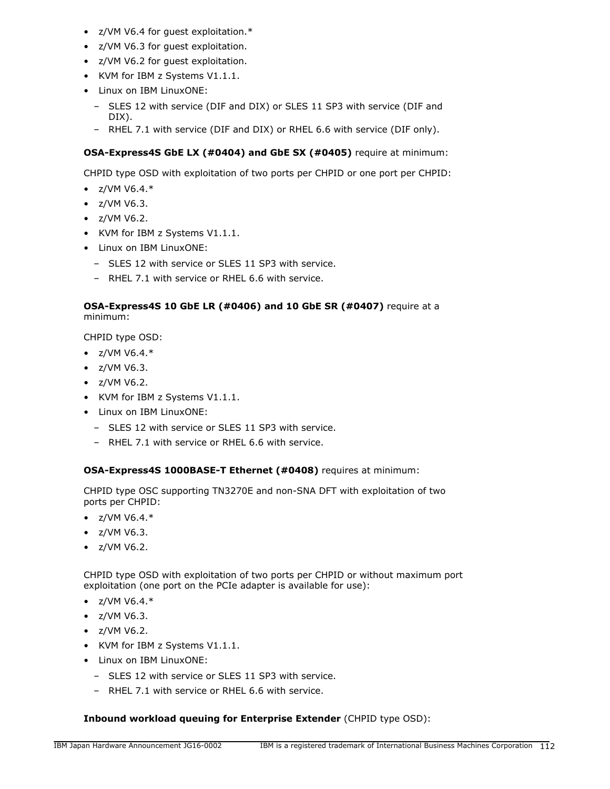- z/VM V6.4 for guest exploitation.\*
- z/VM V6.3 for guest exploitation.
- z/VM V6.2 for guest exploitation.
- KVM for IBM z Systems V1.1.1.
- Linux on IBM LinuxONE:
	- SLES 12 with service (DIF and DIX) or SLES 11 SP3 with service (DIF and DIX).
	- RHEL 7.1 with service (DIF and DIX) or RHEL 6.6 with service (DIF only).

# **OSA-Express4S GbE LX (#0404) and GbE SX (#0405)** require at minimum:

CHPID type OSD with exploitation of two ports per CHPID or one port per CHPID:

- $z/VM V6.4.*$
- z/VM V6.3.
- z/VM V6.2.
- KVM for IBM z Systems V1.1.1.
- Linux on IBM LinuxONE:
	- SLES 12 with service or SLES 11 SP3 with service.
	- RHEL 7.1 with service or RHEL 6.6 with service.

# **OSA-Express4S 10 GbE LR (#0406) and 10 GbE SR (#0407)** require at a minimum:

CHPID type OSD:

- $Z/VM V6.4.*$
- z/VM V6.3.
- z/VM V6.2.
- KVM for IBM z Systems V1.1.1.
- Linux on IBM LinuxONE:
	- SLES 12 with service or SLES 11 SP3 with service.
	- RHEL 7.1 with service or RHEL 6.6 with service.

# **OSA-Express4S 1000BASE-T Ethernet (#0408)** requires at minimum:

CHPID type OSC supporting TN3270E and non-SNA DFT with exploitation of two ports per CHPID:

- $Z/VM V6.4.*$
- z/VM V6.3.
- z/VM V6.2.

CHPID type OSD with exploitation of two ports per CHPID or without maximum port exploitation (one port on the PCIe adapter is available for use):

- $Z/VM V6.4.*$
- z/VM V6.3.
- z/VM V6.2.
- KVM for IBM z Systems V1.1.1.
- Linux on IBM LinuxONE:
	- SLES 12 with service or SLES 11 SP3 with service.
	- RHEL 7.1 with service or RHEL 6.6 with service.

# **Inbound workload queuing for Enterprise Extender** (CHPID type OSD):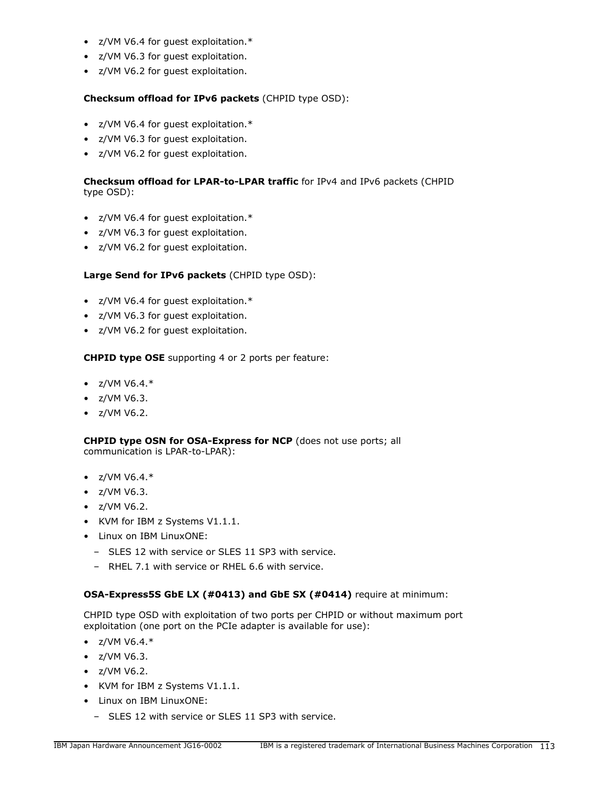- z/VM V6.4 for guest exploitation.\*
- z/VM V6.3 for guest exploitation.
- z/VM V6.2 for guest exploitation.

# **Checksum offload for IPv6 packets** (CHPID type OSD):

- z/VM V6.4 for guest exploitation.\*
- z/VM V6.3 for guest exploitation.
- z/VM V6.2 for guest exploitation.

# **Checksum offload for LPAR-to-LPAR traffic** for IPv4 and IPv6 packets (CHPID type OSD):

- z/VM V6.4 for guest exploitation.\*
- z/VM V6.3 for guest exploitation.
- z/VM V6.2 for guest exploitation.

# **Large Send for IPv6 packets** (CHPID type OSD):

- z/VM V6.4 for guest exploitation.\*
- z/VM V6.3 for guest exploitation.
- z/VM V6.2 for guest exploitation.

### **CHPID type OSE** supporting 4 or 2 ports per feature:

- $Z/VM V6.4.*$
- z/VM V6.3.
- $\bullet$  z/VM V6.2.

**CHPID type OSN for OSA-Express for NCP** (does not use ports; all communication is LPAR-to-LPAR):

- $z/VM V6.4.*$
- z/VM V6.3.
- z/VM V6.2.
- KVM for IBM z Systems V1.1.1.
- Linux on IBM LinuxONE:
	- SLES 12 with service or SLES 11 SP3 with service.
	- RHEL 7.1 with service or RHEL 6.6 with service.

# **OSA-Express5S GbE LX (#0413) and GbE SX (#0414)** require at minimum:

CHPID type OSD with exploitation of two ports per CHPID or without maximum port exploitation (one port on the PCIe adapter is available for use):

- $Z/VM V6.4.*$
- z/VM V6.3.
- z/VM V6.2.
- KVM for IBM z Systems V1.1.1.
- Linux on IBM LinuxONE:
	- SLES 12 with service or SLES 11 SP3 with service.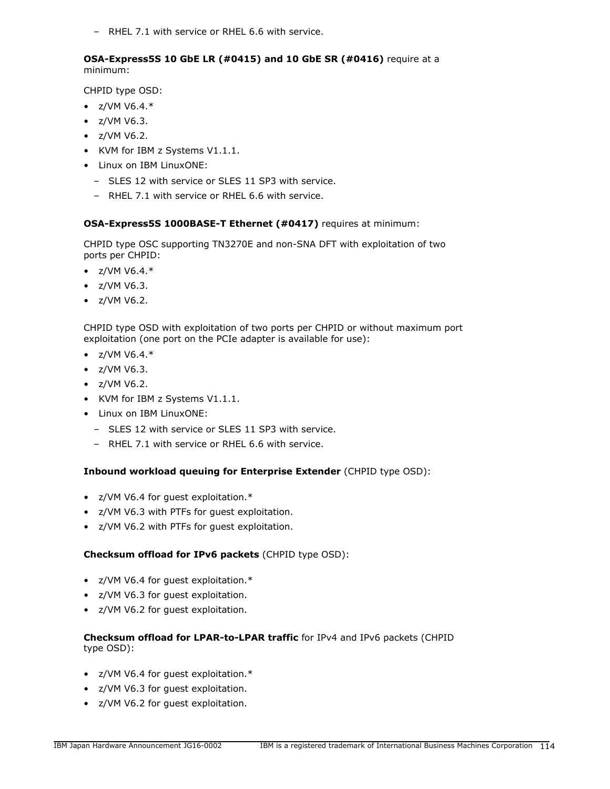– RHEL 7.1 with service or RHEL 6.6 with service.

### **OSA-Express5S 10 GbE LR (#0415) and 10 GbE SR (#0416)** require at a minimum:

CHPID type OSD:

- $z/VM V6.4.*$
- z/VM V6.3.
- z/VM V6.2.
- KVM for IBM z Systems V1.1.1.
- Linux on IBM LinuxONE:
	- SLES 12 with service or SLES 11 SP3 with service.
	- RHEL 7.1 with service or RHEL 6.6 with service.

### **OSA-Express5S 1000BASE-T Ethernet (#0417)** requires at minimum:

CHPID type OSC supporting TN3270E and non-SNA DFT with exploitation of two ports per CHPID:

- $Z/VM V6.4.*$
- z/VM V6.3.
- z/VM V6.2.

CHPID type OSD with exploitation of two ports per CHPID or without maximum port exploitation (one port on the PCIe adapter is available for use):

- $z/VM V6.4.*$
- z/VM V6.3.
- z/VM V6.2.
- KVM for IBM z Systems V1.1.1.
- Linux on IBM LinuxONE:
	- SLES 12 with service or SLES 11 SP3 with service.
	- RHEL 7.1 with service or RHEL 6.6 with service.

# **Inbound workload queuing for Enterprise Extender** (CHPID type OSD):

- z/VM V6.4 for guest exploitation.\*
- z/VM V6.3 with PTFs for guest exploitation.
- z/VM V6.2 with PTFs for guest exploitation.

### **Checksum offload for IPv6 packets** (CHPID type OSD):

- z/VM V6.4 for guest exploitation.\*
- z/VM V6.3 for guest exploitation.
- z/VM V6.2 for guest exploitation.

### **Checksum offload for LPAR-to-LPAR traffic** for IPv4 and IPv6 packets (CHPID type OSD):

- z/VM V6.4 for guest exploitation.\*
- z/VM V6.3 for guest exploitation.
- z/VM V6.2 for guest exploitation.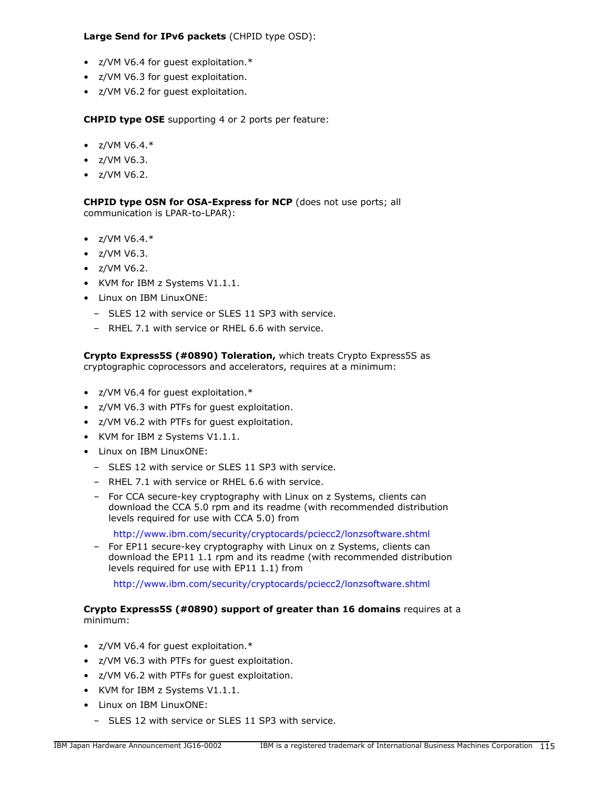# **Large Send for IPv6 packets** (CHPID type OSD):

- z/VM V6.4 for guest exploitation.\*
- z/VM V6.3 for guest exploitation.
- z/VM V6.2 for guest exploitation.

**CHPID type OSE** supporting 4 or 2 ports per feature:

- $z/VM V6.4.*$
- $\bullet$  z/VM V6.3.
- z/VM V6.2.

**CHPID type OSN for OSA-Express for NCP** (does not use ports; all communication is LPAR-to-LPAR):

- $Z/VM V6.4.*$
- z/VM V6.3.
- z/VM V6.2.
- KVM for IBM z Systems V1.1.1.
- Linux on IBM LinuxONE:
	- SLES 12 with service or SLES 11 SP3 with service.
	- RHEL 7.1 with service or RHEL 6.6 with service.

**Crypto Express5S (#0890) Toleration,** which treats Crypto Express5S as cryptographic coprocessors and accelerators, requires at a minimum:

- z/VM V6.4 for guest exploitation.\*
- z/VM V6.3 with PTFs for guest exploitation.
- z/VM V6.2 with PTFs for guest exploitation.
- KVM for IBM z Systems V1.1.1.
- Linux on IBM LinuxONE:
	- SLES 12 with service or SLES 11 SP3 with service.
	- RHEL 7.1 with service or RHEL 6.6 with service.
	- For CCA secure-key cryptography with Linux on z Systems, clients can download the CCA 5.0 rpm and its readme (with recommended distribution levels required for use with CCA 5.0) from

<http://www.ibm.com/security/cryptocards/pciecc2/lonzsoftware.shtml>

– For EP11 secure-key cryptography with Linux on z Systems, clients can download the EP11 1.1 rpm and its readme (with recommended distribution levels required for use with EP11 1.1) from

<http://www.ibm.com/security/cryptocards/pciecc2/lonzsoftware.shtml>

### **Crypto Express5S (#0890) support of greater than 16 domains** requires at a minimum:

- z/VM V6.4 for guest exploitation.\*
- z/VM V6.3 with PTFs for guest exploitation.
- z/VM V6.2 with PTFs for guest exploitation.
- KVM for IBM z Systems V1.1.1.
- Linux on IBM LinuxONE:
	- SLES 12 with service or SLES 11 SP3 with service.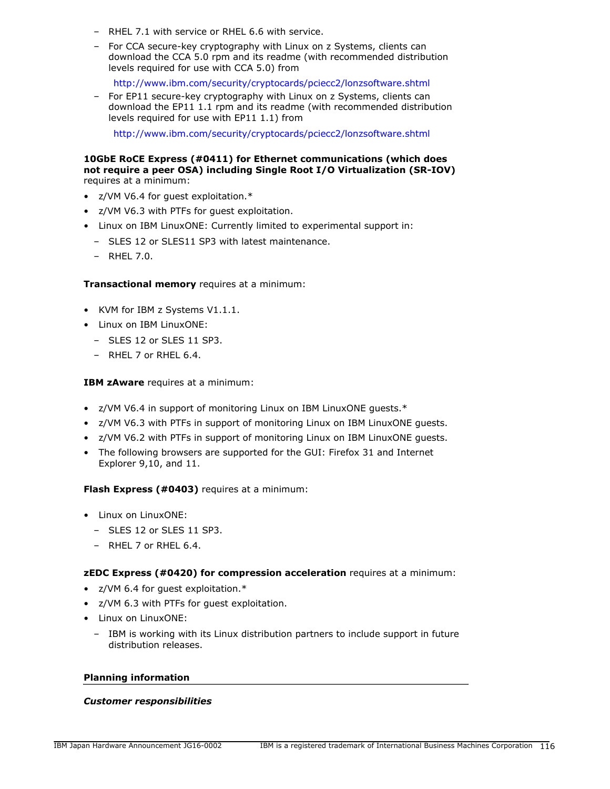- RHEL 7.1 with service or RHEL 6.6 with service.
- For CCA secure-key cryptography with Linux on z Systems, clients can download the CCA 5.0 rpm and its readme (with recommended distribution levels required for use with CCA 5.0) from

<http://www.ibm.com/security/cryptocards/pciecc2/lonzsoftware.shtml>

– For EP11 secure-key cryptography with Linux on z Systems, clients can download the EP11 1.1 rpm and its readme (with recommended distribution levels required for use with EP11 1.1) from

<http://www.ibm.com/security/cryptocards/pciecc2/lonzsoftware.shtml>

#### **10GbE RoCE Express (#0411) for Ethernet communications (which does not require a peer OSA) including Single Root I/O Virtualization (SR-IOV)** requires at a minimum:

- z/VM V6.4 for guest exploitation.\*
- z/VM V6.3 with PTFs for guest exploitation.
- Linux on IBM LinuxONE: Currently limited to experimental support in:
	- SLES 12 or SLES11 SP3 with latest maintenance.
	- RHEL 7.0.

#### **Transactional memory** requires at a minimum:

- KVM for IBM z Systems V1.1.1.
- Linux on IBM LinuxONE:
	- SLES 12 or SLES 11 SP3.
	- RHEL 7 or RHEL 6.4.

#### **IBM zAware** requires at a minimum:

- z/VM V6.4 in support of monitoring Linux on IBM LinuxONE guests.\*
- z/VM V6.3 with PTFs in support of monitoring Linux on IBM LinuxONE guests.
- z/VM V6.2 with PTFs in support of monitoring Linux on IBM LinuxONE guests.
- The following browsers are supported for the GUI: Firefox 31 and Internet Explorer 9,10, and 11.

#### **Flash Express (#0403)** requires at a minimum:

- Linux on LinuxONE:
	- SLES 12 or SLES 11 SP3.
	- $-$  RHFL 7 or RHFL 6.4.

#### **zEDC Express (#0420) for compression acceleration** requires at a minimum:

- z/VM 6.4 for guest exploitation.\*
- z/VM 6.3 with PTFs for guest exploitation.
- Linux on LinuxONE:
	- IBM is working with its Linux distribution partners to include support in future distribution releases.

#### **Planning information**

#### *Customer responsibilities*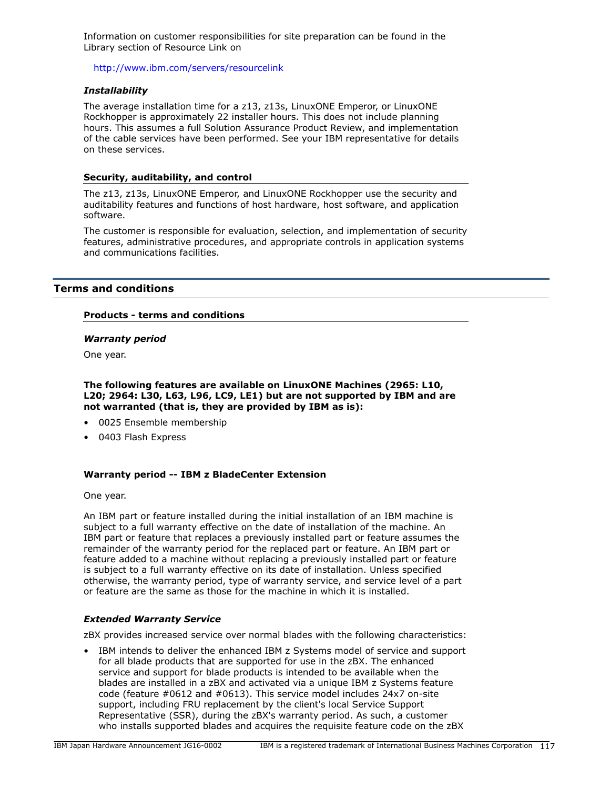Information on customer responsibilities for site preparation can be found in the Library section of Resource Link on

<http://www.ibm.com/servers/resourcelink>

#### *Installability*

The average installation time for a z13, z13s, LinuxONE Emperor, or LinuxONE Rockhopper is approximately 22 installer hours. This does not include planning hours. This assumes a full Solution Assurance Product Review, and implementation of the cable services have been performed. See your IBM representative for details on these services.

#### **Security, auditability, and control**

The z13, z13s, LinuxONE Emperor, and LinuxONE Rockhopper use the security and auditability features and functions of host hardware, host software, and application software.

The customer is responsible for evaluation, selection, and implementation of security features, administrative procedures, and appropriate controls in application systems and communications facilities.

### **Terms and conditions**

#### **Products - terms and conditions**

#### *Warranty period*

One year.

**The following features are available on LinuxONE Machines (2965: L10, L20; 2964: L30, L63, L96, LC9, LE1) but are not supported by IBM and are not warranted (that is, they are provided by IBM as is):**

- 0025 Ensemble membership
- 0403 Flash Express

#### **Warranty period -- IBM z BladeCenter Extension**

One year.

An IBM part or feature installed during the initial installation of an IBM machine is subject to a full warranty effective on the date of installation of the machine. An IBM part or feature that replaces a previously installed part or feature assumes the remainder of the warranty period for the replaced part or feature. An IBM part or feature added to a machine without replacing a previously installed part or feature is subject to a full warranty effective on its date of installation. Unless specified otherwise, the warranty period, type of warranty service, and service level of a part or feature are the same as those for the machine in which it is installed.

#### *Extended Warranty Service*

zBX provides increased service over normal blades with the following characteristics:

• IBM intends to deliver the enhanced IBM z Systems model of service and support for all blade products that are supported for use in the zBX. The enhanced service and support for blade products is intended to be available when the blades are installed in a zBX and activated via a unique IBM z Systems feature code (feature #0612 and #0613). This service model includes 24x7 on-site support, including FRU replacement by the client's local Service Support Representative (SSR), during the zBX's warranty period. As such, a customer who installs supported blades and acquires the requisite feature code on the zBX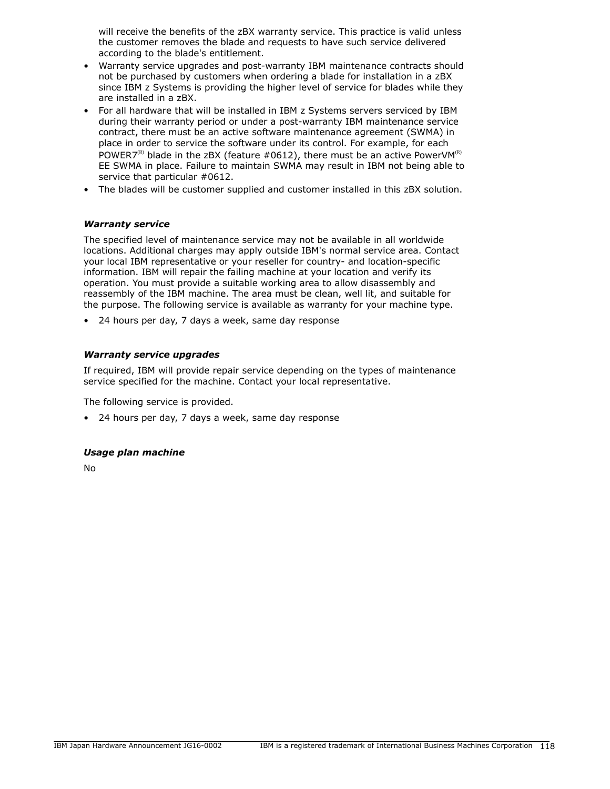will receive the benefits of the zBX warranty service. This practice is valid unless the customer removes the blade and requests to have such service delivered according to the blade's entitlement.

- Warranty service upgrades and post-warranty IBM maintenance contracts should not be purchased by customers when ordering a blade for installation in a zBX since IBM z Systems is providing the higher level of service for blades while they are installed in a zBX.
- For all hardware that will be installed in IBM z Systems servers serviced by IBM during their warranty period or under a post-warranty IBM maintenance service contract, there must be an active software maintenance agreement (SWMA) in place in order to service the software under its control. For example, for each POWER7<sup>(R)</sup> blade in the zBX (feature #0612), there must be an active PowerVM<sup>(R)</sup> EE SWMA in place. Failure to maintain SWMA may result in IBM not being able to service that particular #0612.
- The blades will be customer supplied and customer installed in this zBX solution.

### *Warranty service*

The specified level of maintenance service may not be available in all worldwide locations. Additional charges may apply outside IBM's normal service area. Contact your local IBM representative or your reseller for country- and location-specific information. IBM will repair the failing machine at your location and verify its operation. You must provide a suitable working area to allow disassembly and reassembly of the IBM machine. The area must be clean, well lit, and suitable for the purpose. The following service is available as warranty for your machine type.

• 24 hours per day, 7 days a week, same day response

# *Warranty service upgrades*

If required, IBM will provide repair service depending on the types of maintenance service specified for the machine. Contact your local representative.

The following service is provided.

• 24 hours per day, 7 days a week, same day response

### *Usage plan machine*

No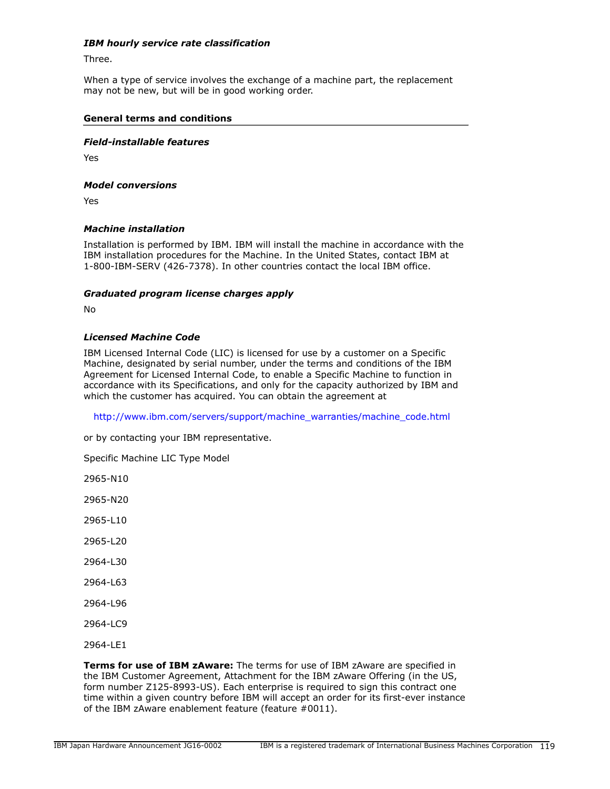### *IBM hourly service rate classification*

Three.

When a type of service involves the exchange of a machine part, the replacement may not be new, but will be in good working order.

#### **General terms and conditions**

#### *Field-installable features*

Yes

#### *Model conversions*

Yes

#### *Machine installation*

Installation is performed by IBM. IBM will install the machine in accordance with the IBM installation procedures for the Machine. In the United States, contact IBM at 1-800-IBM-SERV (426-7378). In other countries contact the local IBM office.

#### *Graduated program license charges apply*

No

#### *Licensed Machine Code*

IBM Licensed Internal Code (LIC) is licensed for use by a customer on a Specific Machine, designated by serial number, under the terms and conditions of the IBM Agreement for Licensed Internal Code, to enable a Specific Machine to function in accordance with its Specifications, and only for the capacity authorized by IBM and which the customer has acquired. You can obtain the agreement at

[http://www.ibm.com/servers/support/machine\\_warranties/machine\\_code.html](http://www.ibm.com/servers/support/machine_warranties/machine_code.html)

or by contacting your IBM representative.

Specific Machine LIC Type Model

2965-N10

2965-N20

2965-L10

2965-L20

2964-L30

2964-L63

2964-L96

2964-LC9

2964-LE1

**Terms for use of IBM zAware:** The terms for use of IBM zAware are specified in the IBM Customer Agreement, Attachment for the IBM zAware Offering (in the US, form number Z125-8993-US). Each enterprise is required to sign this contract one time within a given country before IBM will accept an order for its first-ever instance of the IBM zAware enablement feature (feature #0011).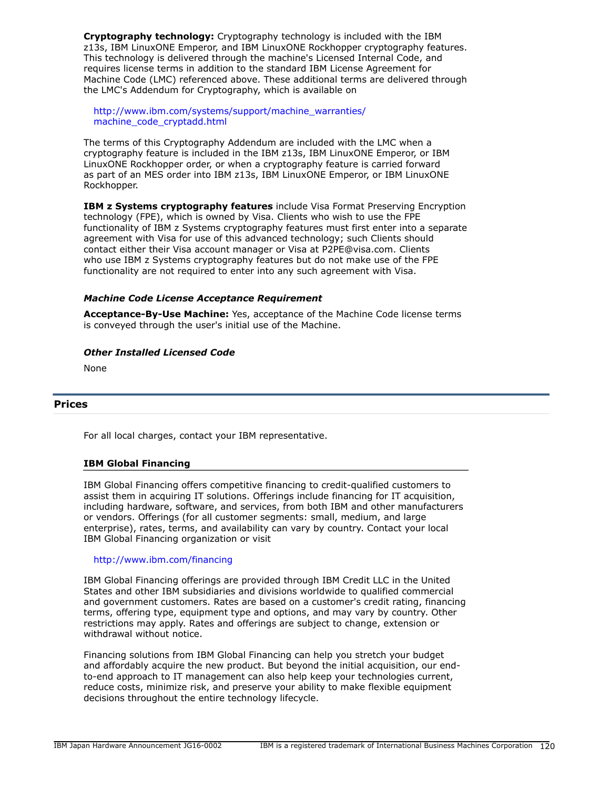**Cryptography technology:** Cryptography technology is included with the IBM z13s, IBM LinuxONE Emperor, and IBM LinuxONE Rockhopper cryptography features. This technology is delivered through the machine's Licensed Internal Code, and requires license terms in addition to the standard IBM License Agreement for Machine Code (LMC) referenced above. These additional terms are delivered through the LMC's Addendum for Cryptography, which is available on

[http://www.ibm.com/systems/support/machine\\_warranties/](http://www.ibm.com/systems/support/machine_warranties/machine_code_cryptadd.html) [machine\\_code\\_cryptadd.html](http://www.ibm.com/systems/support/machine_warranties/machine_code_cryptadd.html)

The terms of this Cryptography Addendum are included with the LMC when a cryptography feature is included in the IBM z13s, IBM LinuxONE Emperor, or IBM LinuxONE Rockhopper order, or when a cryptography feature is carried forward as part of an MES order into IBM z13s, IBM LinuxONE Emperor, or IBM LinuxONE Rockhopper.

**IBM z Systems cryptography features** include Visa Format Preserving Encryption technology (FPE), which is owned by Visa. Clients who wish to use the FPE functionality of IBM z Systems cryptography features must first enter into a separate agreement with Visa for use of this advanced technology; such Clients should contact either their Visa account manager or Visa at P2PE@visa.com. Clients who use IBM z Systems cryptography features but do not make use of the FPE functionality are not required to enter into any such agreement with Visa.

# *Machine Code License Acceptance Requirement*

**Acceptance-By-Use Machine:** Yes, acceptance of the Machine Code license terms is conveyed through the user's initial use of the Machine.

# *Other Installed Licensed Code*

None

# **Prices**

For all local charges, contact your IBM representative.

### **IBM Global Financing**

IBM Global Financing offers competitive financing to credit-qualified customers to assist them in acquiring IT solutions. Offerings include financing for IT acquisition, including hardware, software, and services, from both IBM and other manufacturers or vendors. Offerings (for all customer segments: small, medium, and large enterprise), rates, terms, and availability can vary by country. Contact your local IBM Global Financing organization or visit

### <http://www.ibm.com/financing>

IBM Global Financing offerings are provided through IBM Credit LLC in the United States and other IBM subsidiaries and divisions worldwide to qualified commercial and government customers. Rates are based on a customer's credit rating, financing terms, offering type, equipment type and options, and may vary by country. Other restrictions may apply. Rates and offerings are subject to change, extension or withdrawal without notice.

Financing solutions from IBM Global Financing can help you stretch your budget and affordably acquire the new product. But beyond the initial acquisition, our endto-end approach to IT management can also help keep your technologies current, reduce costs, minimize risk, and preserve your ability to make flexible equipment decisions throughout the entire technology lifecycle.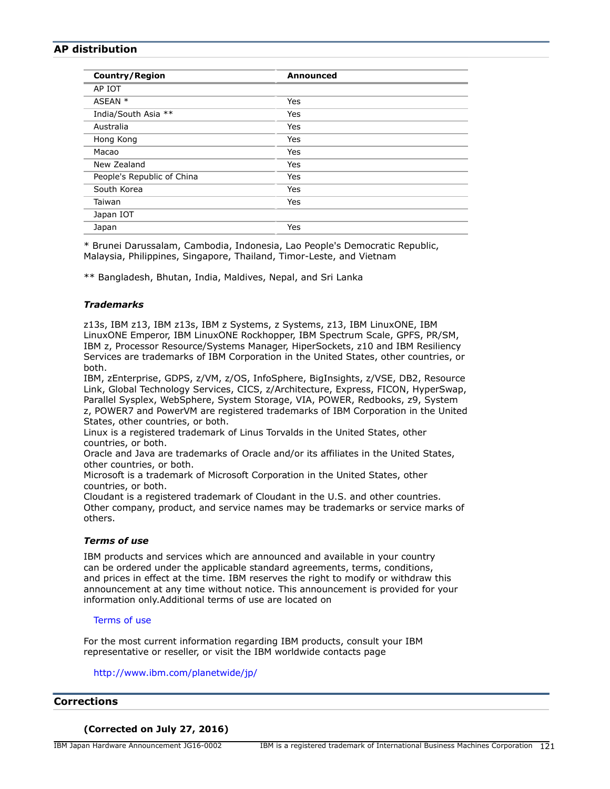# **AP distribution**

\* Brunei Darussalam, Cambodia, Indonesia, Lao People's Democratic Republic, Malaysia, Philippines, Singapore, Thailand, Timor-Leste, and Vietnam

\*\* Bangladesh, Bhutan, India, Maldives, Nepal, and Sri Lanka

### *Trademarks*

z13s, IBM z13, IBM z13s, IBM z Systems, z Systems, z13, IBM LinuxONE, IBM LinuxONE Emperor, IBM LinuxONE Rockhopper, IBM Spectrum Scale, GPFS, PR/SM, IBM z, Processor Resource/Systems Manager, HiperSockets, z10 and IBM Resiliency Services are trademarks of IBM Corporation in the United States, other countries, or both.

IBM, zEnterprise, GDPS, z/VM, z/OS, InfoSphere, BigInsights, z/VSE, DB2, Resource Link, Global Technology Services, CICS, z/Architecture, Express, FICON, HyperSwap, Parallel Sysplex, WebSphere, System Storage, VIA, POWER, Redbooks, z9, System z, POWER7 and PowerVM are registered trademarks of IBM Corporation in the United States, other countries, or both.

Linux is a registered trademark of Linus Torvalds in the United States, other countries, or both.

Oracle and Java are trademarks of Oracle and/or its affiliates in the United States, other countries, or both.

Microsoft is a trademark of Microsoft Corporation in the United States, other countries, or both.

Cloudant is a registered trademark of Cloudant in the U.S. and other countries. Other company, product, and service names may be trademarks or service marks of others.

#### *Terms of use*

IBM products and services which are announced and available in your country can be ordered under the applicable standard agreements, terms, conditions, and prices in effect at the time. IBM reserves the right to modify or withdraw this announcement at any time without notice. This announcement is provided for your information only.Additional terms of use are located on

#### [Terms of use](http://www.ibm.com/legal/jp/ja/)

For the most current information regarding IBM products, consult your IBM representative or reseller, or visit the IBM worldwide contacts page

<http://www.ibm.com/planetwide/jp/>

#### **Corrections**

## **(Corrected on July 27, 2016)**